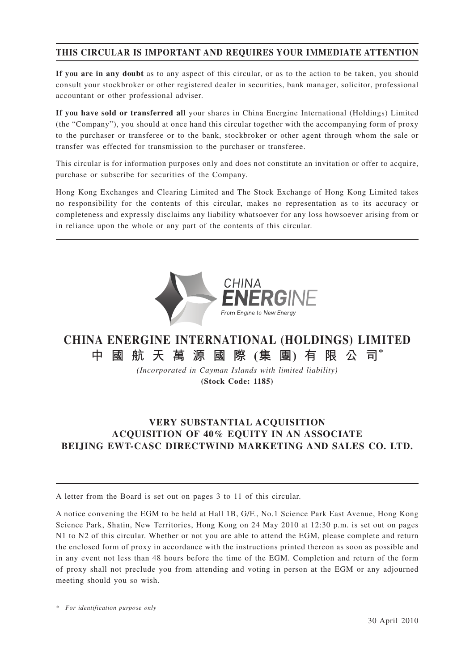## THIS CIRCULAR IS IMPORTANT AND REQUIRES YOUR IMMEDIATE ATTENTION

**If you are in any doubt** as to any aspect of this circular, or as to the action to be taken, you should consult your stockbroker or other registered dealer in securities, bank manager, solicitor, professional accountant or other professional adviser.

**If you have sold or transferred all** your shares in China Energine International (Holdings) Limited (the "Company"), you should at once hand this circular together with the accompanying form of proxy to the purchaser or transferee or to the bank, stockbroker or other agent through whom the sale or transfer was effected for transmission to the purchaser or transferee.

This circular is for information purposes only and does not constitute an invitation or offer to acquire, purchase or subscribe for securities of the Company.

Hong Kong Exchanges and Clearing Limited and The Stock Exchange of Hong Kong Limited takes no responsibility for the contents of this circular, makes no representation as to its accuracy or completeness and expressly disclaims any liability whatsoever for any loss howsoever arising from or in reliance upon the whole or any part of the contents of this circular.



## **CHINA ENERGINE INTERNATIONAL (HOLDINGS) LIMITED 中國航天萬源國際 (集 團) 有限公司\***

*(Incorporated in Cayman Islands with limited liability)* **(Stock Code: 1185)**

## **VERY SUBSTANTIAL ACQUISITION ACQUISITION OF 40% EQUITY IN AN ASSOCIATE BEIJING EWT-CASC DIRECTWIND MARKETING AND SALES CO. LTD.**

A letter from the Board is set out on pages 3 to 11 of this circular.

A notice convening the EGM to be held at Hall 1B, G/F., No.1 Science Park East Avenue, Hong Kong Science Park, Shatin, New Territories, Hong Kong on 24 May 2010 at 12:30 p.m. is set out on pages N1 to N2 of this circular. Whether or not you are able to attend the EGM, please complete and return the enclosed form of proxy in accordance with the instructions printed thereon as soon as possible and in any event not less than 48 hours before the time of the EGM. Completion and return of the form of proxy shall not preclude you from attending and voting in person at the EGM or any adjourned meeting should you so wish.

*\* For identification purpose only*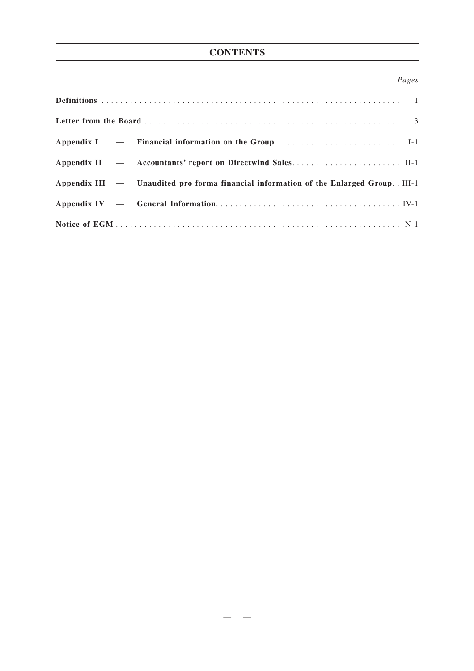## **CONTENTS**

## *Pages*

|  | Appendix III - Unaudited pro forma financial information of the Enlarged Group. III-1 |
|--|---------------------------------------------------------------------------------------|
|  |                                                                                       |
|  |                                                                                       |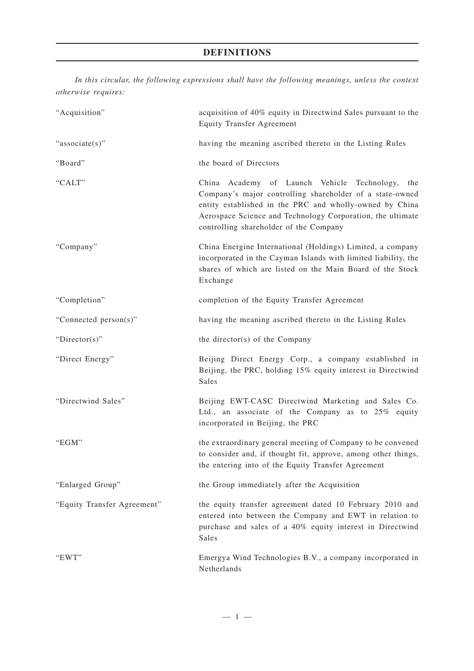## **DEFINITIONS**

*In this circular, the following expressions shall have the following meanings, unless the context otherwise requires:*

| "Acquisition"               | acquisition of 40% equity in Directwind Sales pursuant to the<br><b>Equity Transfer Agreement</b>                                                                                                                                                                                 |
|-----------------------------|-----------------------------------------------------------------------------------------------------------------------------------------------------------------------------------------------------------------------------------------------------------------------------------|
| "associate(s)"              | having the meaning ascribed thereto in the Listing Rules                                                                                                                                                                                                                          |
| "Board"                     | the board of Directors                                                                                                                                                                                                                                                            |
| "CALT"                      | China Academy of Launch Vehicle Technology,<br>the<br>Company's major controlling shareholder of a state-owned<br>entity established in the PRC and wholly-owned by China<br>Aerospace Science and Technology Corporation, the ultimate<br>controlling shareholder of the Company |
| "Company"                   | China Energine International (Holdings) Limited, a company<br>incorporated in the Cayman Islands with limited liability, the<br>shares of which are listed on the Main Board of the Stock<br>Exchange                                                                             |
| "Completion"                | completion of the Equity Transfer Agreement                                                                                                                                                                                                                                       |
| "Connected person(s)"       | having the meaning ascribed thereto in the Listing Rules                                                                                                                                                                                                                          |
| "Director(s)"               | the director(s) of the Company                                                                                                                                                                                                                                                    |
| "Direct Energy"             | Beijing Direct Energy Corp., a company established in<br>Beijing, the PRC, holding 15% equity interest in Directwind<br>Sales                                                                                                                                                     |
| "Directwind Sales"          | Beijing EWT-CASC Directwind Marketing and Sales Co.<br>Ltd., an associate of the Company as to 25% equity<br>incorporated in Beijing, the PRC                                                                                                                                     |
| "EGM"                       | the extraordinary general meeting of Company to be convened<br>to consider and, if thought fit, approve, among other things,<br>the entering into of the Equity Transfer Agreement                                                                                                |
| "Enlarged Group"            | the Group immediately after the Acquisition                                                                                                                                                                                                                                       |
| "Equity Transfer Agreement" | the equity transfer agreement dated 10 February 2010 and<br>entered into between the Company and EWT in relation to<br>purchase and sales of a 40% equity interest in Directwind<br>Sales                                                                                         |
| "EWT"                       | Emergya Wind Technologies B.V., a company incorporated in<br>Netherlands                                                                                                                                                                                                          |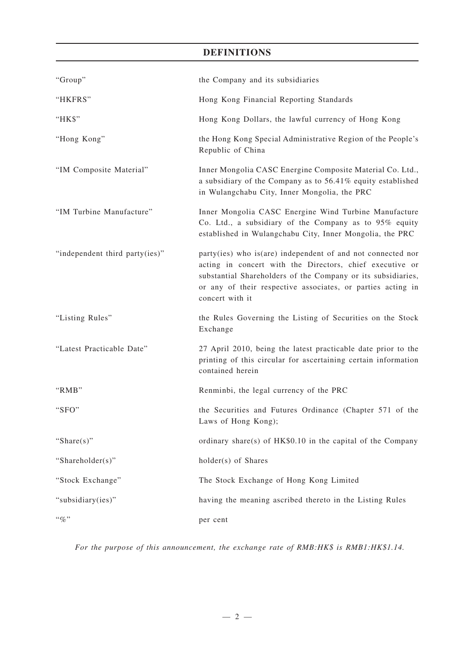## **DEFINITIONS**

| "Group"                        | the Company and its subsidiaries                                                                                                                                                                                                                                          |
|--------------------------------|---------------------------------------------------------------------------------------------------------------------------------------------------------------------------------------------------------------------------------------------------------------------------|
| "HKFRS"                        | Hong Kong Financial Reporting Standards                                                                                                                                                                                                                                   |
| "HK\$"                         | Hong Kong Dollars, the lawful currency of Hong Kong                                                                                                                                                                                                                       |
| "Hong Kong"                    | the Hong Kong Special Administrative Region of the People's<br>Republic of China                                                                                                                                                                                          |
| "IM Composite Material"        | Inner Mongolia CASC Energine Composite Material Co. Ltd.,<br>a subsidiary of the Company as to 56.41% equity established<br>in Wulangchabu City, Inner Mongolia, the PRC                                                                                                  |
| "IM Turbine Manufacture"       | Inner Mongolia CASC Energine Wind Turbine Manufacture<br>Co. Ltd., a subsidiary of the Company as to 95% equity<br>established in Wulangchabu City, Inner Mongolia, the PRC                                                                                               |
| "independent third party(ies)" | party(ies) who is(are) independent of and not connected nor<br>acting in concert with the Directors, chief executive or<br>substantial Shareholders of the Company or its subsidiaries,<br>or any of their respective associates, or parties acting in<br>concert with it |
| "Listing Rules"                | the Rules Governing the Listing of Securities on the Stock<br>Exchange                                                                                                                                                                                                    |
| "Latest Practicable Date"      | 27 April 2010, being the latest practicable date prior to the<br>printing of this circular for ascertaining certain information<br>contained herein                                                                                                                       |
| "RMB"                          | Renminbi, the legal currency of the PRC                                                                                                                                                                                                                                   |
| "SFO"                          | the Securities and Futures Ordinance (Chapter 571 of the<br>Laws of Hong Kong);                                                                                                                                                                                           |
| "Share $(s)$ "                 | ordinary share(s) of $HK$0.10$ in the capital of the Company                                                                                                                                                                                                              |
| "Shareholder(s)"               | holder(s) of Shares                                                                                                                                                                                                                                                       |
| "Stock Exchange"               | The Stock Exchange of Hong Kong Limited                                                                                                                                                                                                                                   |
| "subsidiary(ies)"              | having the meaning ascribed thereto in the Listing Rules                                                                                                                                                                                                                  |
| $``\%"$                        | per cent                                                                                                                                                                                                                                                                  |

*For the purpose of this announcement, the exchange rate of RMB:HK\$ is RMB1:HK\$1.14.*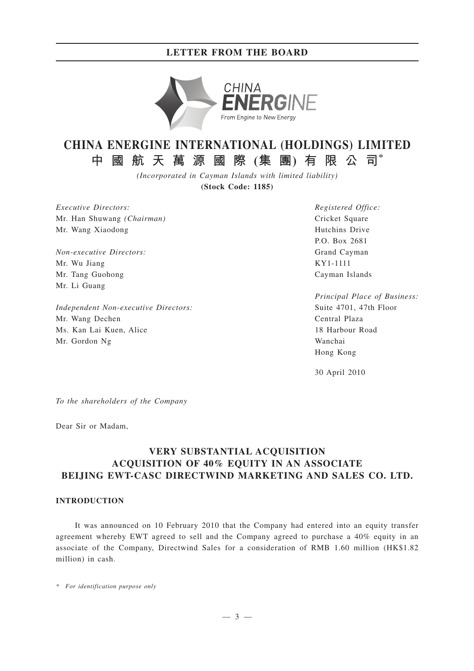

# **CHINA ENERGINE INTERNATIONAL (HOLDINGS) LIMITED**

**中國航天萬源國際 (集 團) 有限公司\*** *(Incorporated in Cayman Islands with limited liability)*

**(Stock Code: 1185)**

*Executive Directors:* Mr. Han Shuwang *(Chairman)* Mr. Wang Xiaodong

*Non-executive Directors:* Mr. Wu Jiang Mr. Tang Guohong Mr. Li Guang

*Independent Non-executive Directors:* Mr. Wang Dechen Ms. Kan Lai Kuen, Alice Mr. Gordon Ng

*Registered Office:* Cricket Square Hutchins Drive P.O. Box 2681 Grand Cayman KY1-1111 Cayman Islands

*Principal Place of Business:* Suite 4701, 47th Floor Central Plaza 18 Harbour Road Wanchai Hong Kong

30 April 2010

*To the shareholders of the Company*

Dear Sir or Madam,

## **VERY SUBSTANTIAL ACQUISITION ACQUISITION OF 40% EQUITY IN AN ASSOCIATE BEIJING EWT-CASC DIRECTWIND MARKETING AND SALES CO. LTD.**

## **INTRODUCTION**

It was announced on 10 February 2010 that the Company had entered into an equity transfer agreement whereby EWT agreed to sell and the Company agreed to purchase a 40% equity in an associate of the Company, Directwind Sales for a consideration of RMB 1.60 million (HK\$1.82 million) in cash.

*\* For identification purpose only*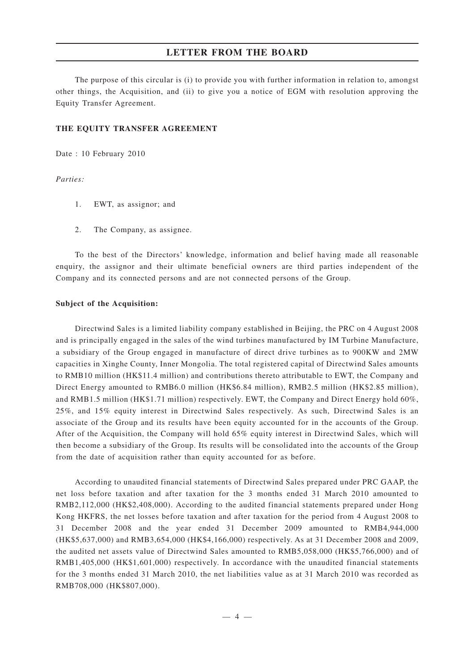The purpose of this circular is (i) to provide you with further information in relation to, amongst other things, the Acquisition, and (ii) to give you a notice of EGM with resolution approving the Equity Transfer Agreement.

## **THE EQUITY TRANSFER AGREEMENT**

Date : 10 February 2010

*Parties:*

- 1. EWT, as assignor; and
- 2. The Company, as assignee.

To the best of the Directors' knowledge, information and belief having made all reasonable enquiry, the assignor and their ultimate beneficial owners are third parties independent of the Company and its connected persons and are not connected persons of the Group.

### **Subject of the Acquisition:**

Directwind Sales is a limited liability company established in Beijing, the PRC on 4 August 2008 and is principally engaged in the sales of the wind turbines manufactured by IM Turbine Manufacture, a subsidiary of the Group engaged in manufacture of direct drive turbines as to 900KW and 2MW capacities in Xinghe County, Inner Mongolia. The total registered capital of Directwind Sales amounts to RMB10 million (HK\$11.4 million) and contributions thereto attributable to EWT, the Company and Direct Energy amounted to RMB6.0 million (HK\$6.84 million), RMB2.5 million (HK\$2.85 million), and RMB1.5 million (HK\$1.71 million) respectively. EWT, the Company and Direct Energy hold 60%, 25%, and 15% equity interest in Directwind Sales respectively. As such, Directwind Sales is an associate of the Group and its results have been equity accounted for in the accounts of the Group. After of the Acquisition, the Company will hold 65% equity interest in Directwind Sales, which will then become a subsidiary of the Group. Its results will be consolidated into the accounts of the Group from the date of acquisition rather than equity accounted for as before.

According to unaudited financial statements of Directwind Sales prepared under PRC GAAP, the net loss before taxation and after taxation for the 3 months ended 31 March 2010 amounted to RMB2,112,000 (HK\$2,408,000). According to the audited financial statements prepared under Hong Kong HKFRS, the net losses before taxation and after taxation for the period from 4 August 2008 to 31 December 2008 and the year ended 31 December 2009 amounted to RMB4,944,000 (HK\$5,637,000) and RMB3,654,000 (HK\$4,166,000) respectively. As at 31 December 2008 and 2009, the audited net assets value of Directwind Sales amounted to RMB5,058,000 (HK\$5,766,000) and of RMB1,405,000 (HK\$1,601,000) respectively. In accordance with the unaudited financial statements for the 3 months ended 31 March 2010, the net liabilities value as at 31 March 2010 was recorded as RMB708,000 (HK\$807,000).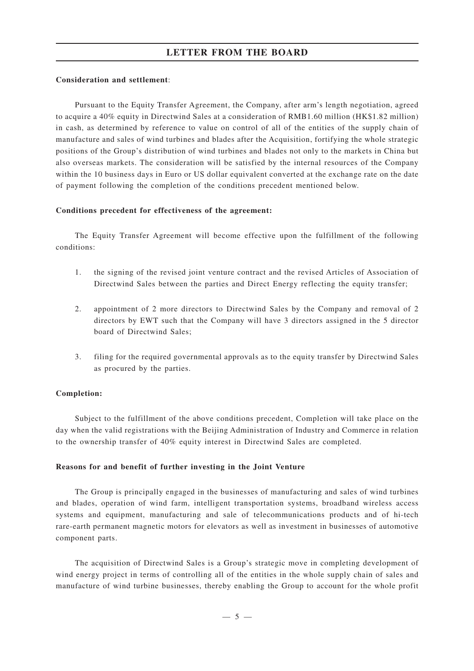## **Consideration and settlement**:

Pursuant to the Equity Transfer Agreement, the Company, after arm's length negotiation, agreed to acquire a 40% equity in Directwind Sales at a consideration of RMB1.60 million (HK\$1.82 million) in cash, as determined by reference to value on control of all of the entities of the supply chain of manufacture and sales of wind turbines and blades after the Acquisition, fortifying the whole strategic positions of the Group's distribution of wind turbines and blades not only to the markets in China but also overseas markets. The consideration will be satisfied by the internal resources of the Company within the 10 business days in Euro or US dollar equivalent converted at the exchange rate on the date of payment following the completion of the conditions precedent mentioned below.

## **Conditions precedent for effectiveness of the agreement:**

The Equity Transfer Agreement will become effective upon the fulfillment of the following conditions:

- 1. the signing of the revised joint venture contract and the revised Articles of Association of Directwind Sales between the parties and Direct Energy reflecting the equity transfer;
- 2. appointment of 2 more directors to Directwind Sales by the Company and removal of 2 directors by EWT such that the Company will have 3 directors assigned in the 5 director board of Directwind Sales;
- 3. filing for the required governmental approvals as to the equity transfer by Directwind Sales as procured by the parties.

## **Completion:**

Subject to the fulfillment of the above conditions precedent, Completion will take place on the day when the valid registrations with the Beijing Administration of Industry and Commerce in relation to the ownership transfer of 40% equity interest in Directwind Sales are completed.

### **Reasons for and benefit of further investing in the Joint Venture**

The Group is principally engaged in the businesses of manufacturing and sales of wind turbines and blades, operation of wind farm, intelligent transportation systems, broadband wireless access systems and equipment, manufacturing and sale of telecommunications products and of hi-tech rare-earth permanent magnetic motors for elevators as well as investment in businesses of automotive component parts.

The acquisition of Directwind Sales is a Group's strategic move in completing development of wind energy project in terms of controlling all of the entities in the whole supply chain of sales and manufacture of wind turbine businesses, thereby enabling the Group to account for the whole profit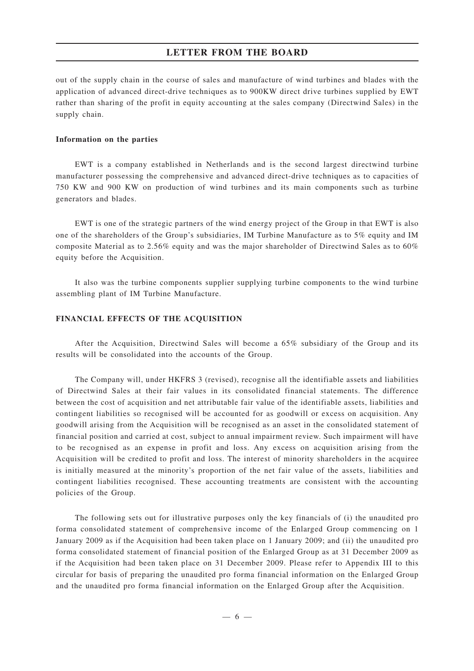out of the supply chain in the course of sales and manufacture of wind turbines and blades with the application of advanced direct-drive techniques as to 900KW direct drive turbines supplied by EWT rather than sharing of the profit in equity accounting at the sales company (Directwind Sales) in the supply chain.

## **Information on the parties**

EWT is a company established in Netherlands and is the second largest directwind turbine manufacturer possessing the comprehensive and advanced direct-drive techniques as to capacities of 750 KW and 900 KW on production of wind turbines and its main components such as turbine generators and blades.

EWT is one of the strategic partners of the wind energy project of the Group in that EWT is also one of the shareholders of the Group's subsidiaries, IM Turbine Manufacture as to 5% equity and IM composite Material as to 2.56% equity and was the major shareholder of Directwind Sales as to 60% equity before the Acquisition.

It also was the turbine components supplier supplying turbine components to the wind turbine assembling plant of IM Turbine Manufacture.

## **FINANCIAL EFFECTS OF THE ACQUISITION**

After the Acquisition, Directwind Sales will become a 65% subsidiary of the Group and its results will be consolidated into the accounts of the Group.

The Company will, under HKFRS 3 (revised), recognise all the identifiable assets and liabilities of Directwind Sales at their fair values in its consolidated financial statements. The difference between the cost of acquisition and net attributable fair value of the identifiable assets, liabilities and contingent liabilities so recognised will be accounted for as goodwill or excess on acquisition. Any goodwill arising from the Acquisition will be recognised as an asset in the consolidated statement of financial position and carried at cost, subject to annual impairment review. Such impairment will have to be recognised as an expense in profit and loss. Any excess on acquisition arising from the Acquisition will be credited to profit and loss. The interest of minority shareholders in the acquiree is initially measured at the minority's proportion of the net fair value of the assets, liabilities and contingent liabilities recognised. These accounting treatments are consistent with the accounting policies of the Group.

The following sets out for illustrative purposes only the key financials of (i) the unaudited pro forma consolidated statement of comprehensive income of the Enlarged Group commencing on 1 January 2009 as if the Acquisition had been taken place on 1 January 2009; and (ii) the unaudited pro forma consolidated statement of financial position of the Enlarged Group as at 31 December 2009 as if the Acquisition had been taken place on 31 December 2009. Please refer to Appendix III to this circular for basis of preparing the unaudited pro forma financial information on the Enlarged Group and the unaudited pro forma financial information on the Enlarged Group after the Acquisition.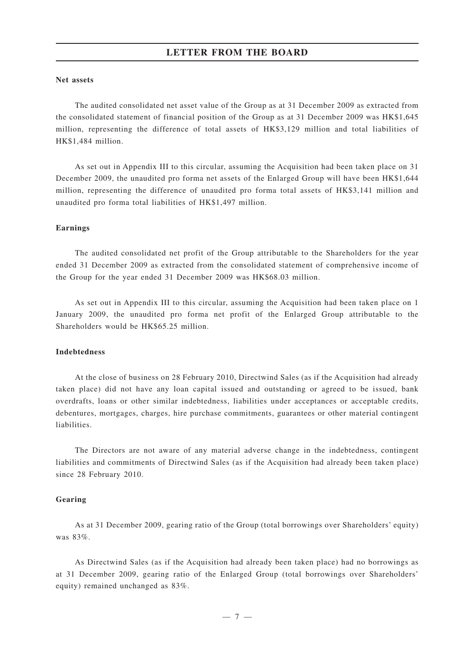## **Net assets**

The audited consolidated net asset value of the Group as at 31 December 2009 as extracted from the consolidated statement of financial position of the Group as at 31 December 2009 was HK\$1,645 million, representing the difference of total assets of HK\$3,129 million and total liabilities of HK\$1,484 million.

As set out in Appendix III to this circular, assuming the Acquisition had been taken place on 31 December 2009, the unaudited pro forma net assets of the Enlarged Group will have been HK\$1,644 million, representing the difference of unaudited pro forma total assets of HK\$3,141 million and unaudited pro forma total liabilities of HK\$1,497 million.

## **Earnings**

The audited consolidated net profit of the Group attributable to the Shareholders for the year ended 31 December 2009 as extracted from the consolidated statement of comprehensive income of the Group for the year ended 31 December 2009 was HK\$68.03 million.

As set out in Appendix III to this circular, assuming the Acquisition had been taken place on 1 January 2009, the unaudited pro forma net profit of the Enlarged Group attributable to the Shareholders would be HK\$65.25 million.

### **Indebtedness**

At the close of business on 28 February 2010, Directwind Sales (as if the Acquisition had already taken place) did not have any loan capital issued and outstanding or agreed to be issued, bank overdrafts, loans or other similar indebtedness, liabilities under acceptances or acceptable credits, debentures, mortgages, charges, hire purchase commitments, guarantees or other material contingent liabilities.

The Directors are not aware of any material adverse change in the indebtedness, contingent liabilities and commitments of Directwind Sales (as if the Acquisition had already been taken place) since 28 February 2010.

## **Gearing**

As at 31 December 2009, gearing ratio of the Group (total borrowings over Shareholders' equity) was 83%.

As Directwind Sales (as if the Acquisition had already been taken place) had no borrowings as at 31 December 2009, gearing ratio of the Enlarged Group (total borrowings over Shareholders' equity) remained unchanged as 83%.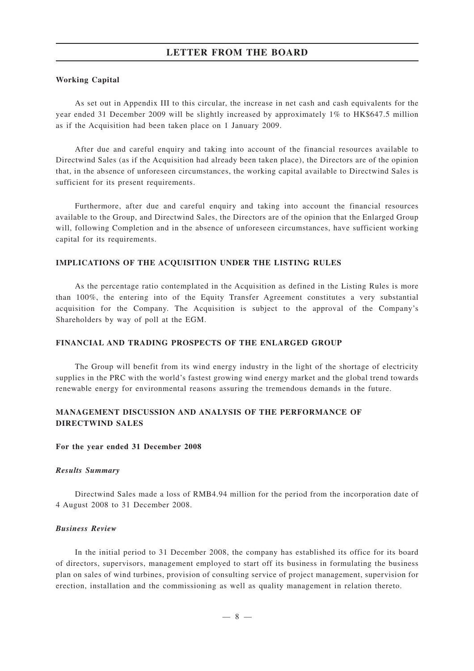## **Working Capital**

As set out in Appendix III to this circular, the increase in net cash and cash equivalents for the year ended 31 December 2009 will be slightly increased by approximately 1% to HK\$647.5 million as if the Acquisition had been taken place on 1 January 2009.

After due and careful enquiry and taking into account of the financial resources available to Directwind Sales (as if the Acquisition had already been taken place), the Directors are of the opinion that, in the absence of unforeseen circumstances, the working capital available to Directwind Sales is sufficient for its present requirements.

Furthermore, after due and careful enquiry and taking into account the financial resources available to the Group, and Directwind Sales, the Directors are of the opinion that the Enlarged Group will, following Completion and in the absence of unforeseen circumstances, have sufficient working capital for its requirements.

## **IMPLICATIONS OF THE ACQUISITION UNDER THE LISTING RULES**

As the percentage ratio contemplated in the Acquisition as defined in the Listing Rules is more than 100%, the entering into of the Equity Transfer Agreement constitutes a very substantial acquisition for the Company. The Acquisition is subject to the approval of the Company's Shareholders by way of poll at the EGM.

## **FINANCIAL AND TRADING PROSPECTS OF THE ENLARGED GROUP**

The Group will benefit from its wind energy industry in the light of the shortage of electricity supplies in the PRC with the world's fastest growing wind energy market and the global trend towards renewable energy for environmental reasons assuring the tremendous demands in the future.

## **MANAGEMENT DISCUSSION AND ANALYSIS OF THE PERFORMANCE OF DIRECTWIND SALES**

### **For the year ended 31 December 2008**

## *Results Summary*

Directwind Sales made a loss of RMB4.94 million for the period from the incorporation date of 4 August 2008 to 31 December 2008.

## *Business Review*

In the initial period to 31 December 2008, the company has established its office for its board of directors, supervisors, management employed to start off its business in formulating the business plan on sales of wind turbines, provision of consulting service of project management, supervision for erection, installation and the commissioning as well as quality management in relation thereto.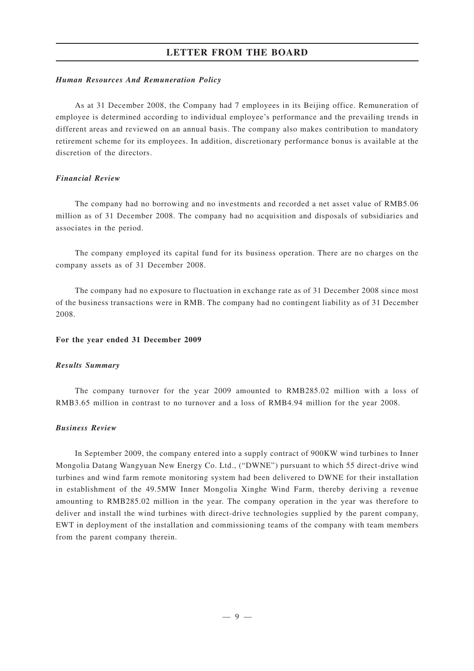### *Human Resources And Remuneration Policy*

As at 31 December 2008, the Company had 7 employees in its Beijing office. Remuneration of employee is determined according to individual employee's performance and the prevailing trends in different areas and reviewed on an annual basis. The company also makes contribution to mandatory retirement scheme for its employees. In addition, discretionary performance bonus is available at the discretion of the directors.

## *Financial Review*

The company had no borrowing and no investments and recorded a net asset value of RMB5.06 million as of 31 December 2008. The company had no acquisition and disposals of subsidiaries and associates in the period.

The company employed its capital fund for its business operation. There are no charges on the company assets as of 31 December 2008.

The company had no exposure to fluctuation in exchange rate as of 31 December 2008 since most of the business transactions were in RMB. The company had no contingent liability as of 31 December 2008.

### **For the year ended 31 December 2009**

### *Results Summary*

The company turnover for the year 2009 amounted to RMB285.02 million with a loss of RMB3.65 million in contrast to no turnover and a loss of RMB4.94 million for the year 2008.

## *Business Review*

In September 2009, the company entered into a supply contract of 900KW wind turbines to Inner Mongolia Datang Wangyuan New Energy Co. Ltd., ("DWNE") pursuant to which 55 direct-drive wind turbines and wind farm remote monitoring system had been delivered to DWNE for their installation in establishment of the 49.5MW Inner Mongolia Xinghe Wind Farm, thereby deriving a revenue amounting to RMB285.02 million in the year. The company operation in the year was therefore to deliver and install the wind turbines with direct-drive technologies supplied by the parent company, EWT in deployment of the installation and commissioning teams of the company with team members from the parent company therein.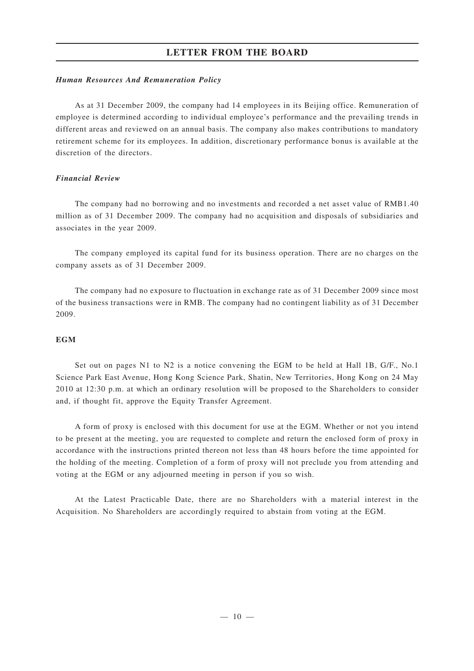### *Human Resources And Remuneration Policy*

As at 31 December 2009, the company had 14 employees in its Beijing office. Remuneration of employee is determined according to individual employee's performance and the prevailing trends in different areas and reviewed on an annual basis. The company also makes contributions to mandatory retirement scheme for its employees. In addition, discretionary performance bonus is available at the discretion of the directors.

## *Financial Review*

The company had no borrowing and no investments and recorded a net asset value of RMB1.40 million as of 31 December 2009. The company had no acquisition and disposals of subsidiaries and associates in the year 2009.

The company employed its capital fund for its business operation. There are no charges on the company assets as of 31 December 2009.

The company had no exposure to fluctuation in exchange rate as of 31 December 2009 since most of the business transactions were in RMB. The company had no contingent liability as of 31 December 2009.

## **EGM**

Set out on pages N1 to N2 is a notice convening the EGM to be held at Hall 1B, G/F., No.1 Science Park East Avenue, Hong Kong Science Park, Shatin, New Territories, Hong Kong on 24 May 2010 at 12:30 p.m. at which an ordinary resolution will be proposed to the Shareholders to consider and, if thought fit, approve the Equity Transfer Agreement.

A form of proxy is enclosed with this document for use at the EGM. Whether or not you intend to be present at the meeting, you are requested to complete and return the enclosed form of proxy in accordance with the instructions printed thereon not less than 48 hours before the time appointed for the holding of the meeting. Completion of a form of proxy will not preclude you from attending and voting at the EGM or any adjourned meeting in person if you so wish.

At the Latest Practicable Date, there are no Shareholders with a material interest in the Acquisition. No Shareholders are accordingly required to abstain from voting at the EGM.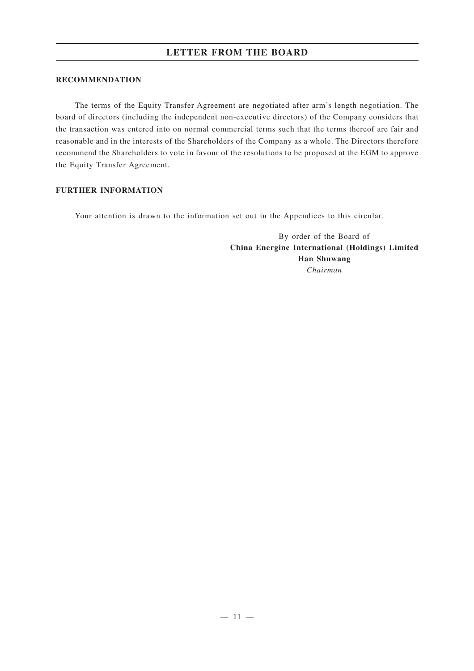## **RECOMMENDATION**

The terms of the Equity Transfer Agreement are negotiated after arm's length negotiation. The board of directors (including the independent non-executive directors) of the Company considers that the transaction was entered into on normal commercial terms such that the terms thereof are fair and reasonable and in the interests of the Shareholders of the Company as a whole. The Directors therefore recommend the Shareholders to vote in favour of the resolutions to be proposed at the EGM to approve the Equity Transfer Agreement.

## **FURTHER INFORMATION**

Your attention is drawn to the information set out in the Appendices to this circular.

By order of the Board of **China Energine International (Holdings) Limited Han Shuwang** *Chairman*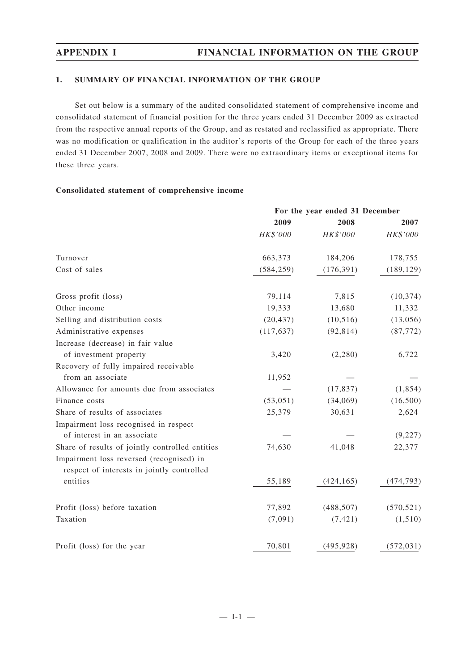## **1. SUMMARY OF FINANCIAL INFORMATION OF THE GROUP**

Set out below is a summary of the audited consolidated statement of comprehensive income and consolidated statement of financial position for the three years ended 31 December 2009 as extracted from the respective annual reports of the Group, and as restated and reclassified as appropriate. There was no modification or qualification in the auditor 's reports of the Group for each of the three years ended 31 December 2007, 2008 and 2009. There were no extraordinary items or exceptional items for these three years.

## **Consolidated statement of comprehensive income**

|                                                                                        | For the year ended 31 December |            |            |  |
|----------------------------------------------------------------------------------------|--------------------------------|------------|------------|--|
|                                                                                        | 2009                           | 2008       | 2007       |  |
|                                                                                        | HK\$'000                       | HK\$'000   | HK\$'000   |  |
| Turnover                                                                               | 663,373                        | 184,206    | 178,755    |  |
| Cost of sales                                                                          | (584, 259)                     | (176, 391) | (189, 129) |  |
| Gross profit (loss)                                                                    | 79,114                         | 7,815      | (10, 374)  |  |
| Other income                                                                           | 19,333                         | 13,680     | 11,332     |  |
| Selling and distribution costs                                                         | (20, 437)                      | (10, 516)  | (13,056)   |  |
| Administrative expenses                                                                | (117, 637)                     | (92, 814)  | (87, 772)  |  |
| Increase (decrease) in fair value                                                      |                                |            |            |  |
| of investment property                                                                 | 3,420                          | (2,280)    | 6,722      |  |
| Recovery of fully impaired receivable                                                  |                                |            |            |  |
| from an associate                                                                      | 11,952                         |            |            |  |
| Allowance for amounts due from associates                                              |                                | (17, 837)  | (1, 854)   |  |
| Finance costs                                                                          | (53, 051)                      | (34,069)   | (16,500)   |  |
| Share of results of associates                                                         | 25,379                         | 30,631     | 2,624      |  |
| Impairment loss recognised in respect                                                  |                                |            |            |  |
| of interest in an associate                                                            |                                |            | (9, 227)   |  |
| Share of results of jointly controlled entities                                        | 74,630                         | 41,048     | 22,377     |  |
| Impairment loss reversed (recognised) in<br>respect of interests in jointly controlled |                                |            |            |  |
| entities                                                                               | 55,189                         | (424, 165) | (474, 793) |  |
| Profit (loss) before taxation                                                          | 77,892                         | (488, 507) | (570, 521) |  |
| Taxation                                                                               | (7,091)                        | (7, 421)   | (1,510)    |  |
| Profit (loss) for the year                                                             | 70,801                         | (495, 928) | (572, 031) |  |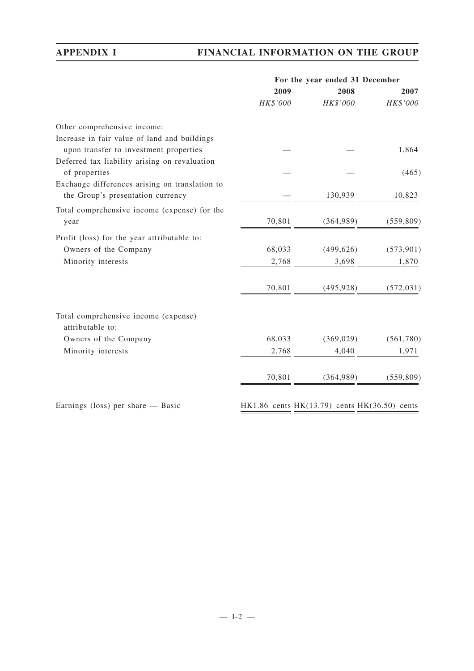|                                                                |                                                  | For the year ended 31 December |            |
|----------------------------------------------------------------|--------------------------------------------------|--------------------------------|------------|
|                                                                | 2009                                             | 2008                           | 2007       |
|                                                                | HK\$'000                                         | HK\$'000                       | HK\$'000   |
| Other comprehensive income:                                    |                                                  |                                |            |
| Increase in fair value of land and buildings                   |                                                  |                                |            |
| upon transfer to investment properties                         |                                                  |                                | 1,864      |
| Deferred tax liability arising on revaluation<br>of properties |                                                  |                                | (465)      |
| Exchange differences arising on translation to                 |                                                  |                                |            |
| the Group's presentation currency                              |                                                  | 130,939                        | 10,823     |
| Total comprehensive income (expense) for the                   |                                                  |                                |            |
| year                                                           | 70,801                                           | (364,989)                      | (559, 809) |
| Profit (loss) for the year attributable to:                    |                                                  |                                |            |
| Owners of the Company                                          | 68,033                                           | (499, 626)                     | (573, 901) |
| Minority interests                                             | 2,768                                            | 3,698                          | 1,870      |
|                                                                | 70,801                                           | (495, 928)                     | (572, 031) |
| Total comprehensive income (expense)<br>attributable to:       |                                                  |                                |            |
| Owners of the Company                                          | 68,033                                           | (369, 029)                     | (561,780)  |
| Minority interests                                             | 2,768                                            | 4,040                          | 1,971      |
|                                                                |                                                  |                                |            |
|                                                                | 70,801                                           | (364, 989)                     | (559, 809) |
| Earnings (loss) per share — Basic                              | HK1.86 cents $HK(13.79)$ cents $HK(36.50)$ cents |                                |            |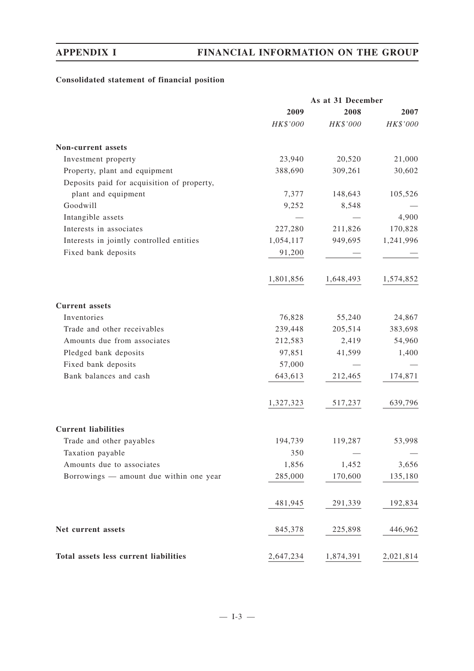## **Consolidated statement of financial position**

|                                            |           | As at 31 December |           |
|--------------------------------------------|-----------|-------------------|-----------|
|                                            | 2009      | 2008              | 2007      |
|                                            | HK\$'000  | HK\$'000          | HK\$'000  |
| Non-current assets                         |           |                   |           |
| Investment property                        | 23,940    | 20,520            | 21,000    |
| Property, plant and equipment              | 388,690   | 309,261           | 30,602    |
| Deposits paid for acquisition of property, |           |                   |           |
| plant and equipment                        | 7,377     | 148,643           | 105,526   |
| Goodwill                                   | 9,252     | 8,548             |           |
| Intangible assets                          |           |                   | 4,900     |
| Interests in associates                    | 227,280   | 211,826           | 170,828   |
| Interests in jointly controlled entities   | 1,054,117 | 949,695           | 1,241,996 |
| Fixed bank deposits                        | 91,200    |                   |           |
|                                            | 1,801,856 | 1,648,493         | 1,574,852 |
| <b>Current</b> assets                      |           |                   |           |
| Inventories                                | 76,828    | 55,240            | 24,867    |
| Trade and other receivables                | 239,448   | 205,514           | 383,698   |
| Amounts due from associates                | 212,583   | 2,419             | 54,960    |
| Pledged bank deposits                      | 97,851    | 41,599            | 1,400     |
| Fixed bank deposits                        | 57,000    |                   |           |
| Bank balances and cash                     | 643,613   | 212,465           | 174,871   |
|                                            | 1,327,323 | 517,237           | 639,796   |
| <b>Current liabilities</b>                 |           |                   |           |
| Trade and other payables                   | 194,739   | 119,287           | 53,998    |
| Taxation payable                           | 350       |                   |           |
| Amounts due to associates                  | 1,856     | 1,452             | 3,656     |
| Borrowings - amount due within one year    | 285,000   | 170,600           | 135,180   |
|                                            | 481,945   | 291,339           | 192,834   |
| Net current assets                         | 845,378   | 225,898           | 446,962   |
| Total assets less current liabilities      | 2,647,234 | 1,874,391         | 2,021,814 |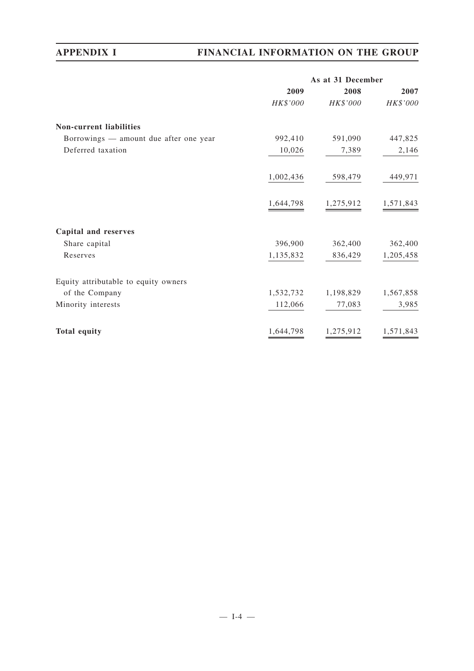|                                        | As at 31 December |           |           |  |
|----------------------------------------|-------------------|-----------|-----------|--|
|                                        | 2009              | 2008      | 2007      |  |
|                                        | HK\$'000          | HK\$'000  | HK\$'000  |  |
| <b>Non-current liabilities</b>         |                   |           |           |  |
| Borrowings — amount due after one year | 992,410           | 591,090   | 447,825   |  |
| Deferred taxation                      | 10,026            | 7,389     | 2,146     |  |
|                                        | 1,002,436         | 598,479   | 449,971   |  |
|                                        | 1,644,798         | 1,275,912 | 1,571,843 |  |
| Capital and reserves                   |                   |           |           |  |
| Share capital                          | 396,900           | 362,400   | 362,400   |  |
| Reserves                               | 1,135,832         | 836,429   | 1,205,458 |  |
| Equity attributable to equity owners   |                   |           |           |  |
| of the Company                         | 1,532,732         | 1,198,829 | 1,567,858 |  |
| Minority interests                     | 112,066           | 77,083    | 3,985     |  |
| <b>Total equity</b>                    | 1,644,798         | 1,275,912 | 1,571,843 |  |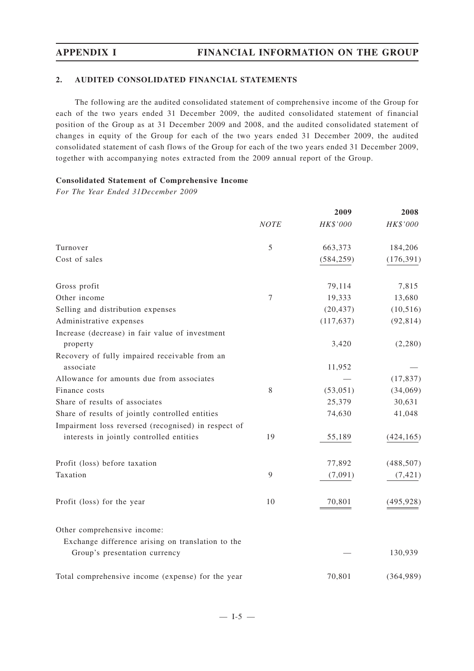## **2. AUDITED CONSOLIDATED FINANCIAL STATEMENTS**

The following are the audited consolidated statement of comprehensive income of the Group for each of the two years ended 31 December 2009, the audited consolidated statement of financial position of the Group as at 31 December 2009 and 2008, and the audited consolidated statement of changes in equity of the Group for each of the two years ended 31 December 2009, the audited consolidated statement of cash flows of the Group for each of the two years ended 31 December 2009, together with accompanying notes extracted from the 2009 annual report of the Group.

## **Consolidated Statement of Comprehensive Income**

*For The Year Ended 31December 2009*

|                                                                                    |             | 2009       | 2008       |
|------------------------------------------------------------------------------------|-------------|------------|------------|
|                                                                                    | <b>NOTE</b> | HK\$'000   | HK\$'000   |
| Turnover                                                                           | 5           | 663,373    | 184,206    |
| Cost of sales                                                                      |             | (584, 259) | (176, 391) |
| Gross profit                                                                       |             | 79,114     | 7,815      |
| Other income                                                                       | 7           | 19,333     | 13,680     |
| Selling and distribution expenses                                                  |             | (20, 437)  | (10, 516)  |
| Administrative expenses                                                            |             | (117, 637) | (92, 814)  |
| Increase (decrease) in fair value of investment<br>property                        |             | 3,420      | (2,280)    |
| Recovery of fully impaired receivable from an<br>associate                         |             | 11,952     |            |
| Allowance for amounts due from associates                                          |             |            | (17, 837)  |
| Finance costs                                                                      | 8           | (53, 051)  | (34,069)   |
| Share of results of associates                                                     |             | 25,379     | 30,631     |
| Share of results of jointly controlled entities                                    |             | 74,630     | 41,048     |
| Impairment loss reversed (recognised) in respect of                                |             |            |            |
| interests in jointly controlled entities                                           | 19          | 55,189     | (424, 165) |
| Profit (loss) before taxation                                                      |             | 77,892     | (488, 507) |
| Taxation                                                                           | 9           | (7,091)    | (7, 421)   |
| Profit (loss) for the year                                                         | 10          | 70,801     | (495, 928) |
| Other comprehensive income:                                                        |             |            |            |
| Exchange difference arising on translation to the<br>Group's presentation currency |             |            | 130,939    |
| Total comprehensive income (expense) for the year                                  |             | 70,801     | (364,989)  |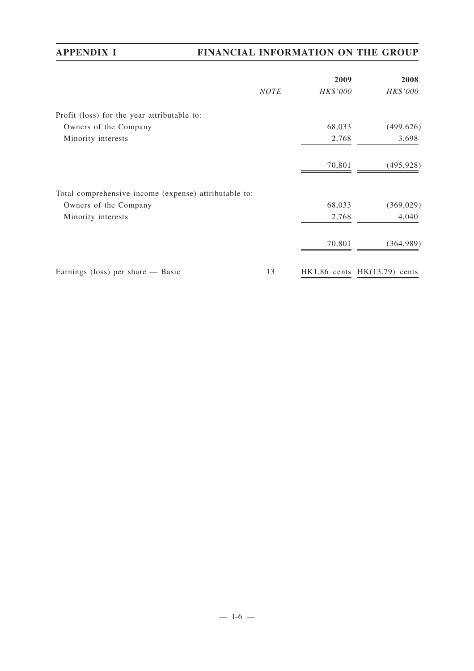|                                                       |             | 2009     | 2008                             |
|-------------------------------------------------------|-------------|----------|----------------------------------|
|                                                       | <b>NOTE</b> | HK\$'000 | HK\$'000                         |
| Profit (loss) for the year attributable to:           |             |          |                                  |
| Owners of the Company                                 |             | 68,033   | (499, 626)                       |
| Minority interests                                    |             | 2,768    | 3,698                            |
|                                                       |             | 70,801   | (495, 928)                       |
| Total comprehensive income (expense) attributable to: |             |          |                                  |
| Owners of the Company                                 |             | 68,033   | (369, 029)                       |
| Minority interests                                    |             | 2,768    | 4,040                            |
|                                                       |             | 70,801   | (364, 989)                       |
| Earnings (loss) per share $-$ Basic                   | 13          |          | $HK1.86$ cents $HK(13.79)$ cents |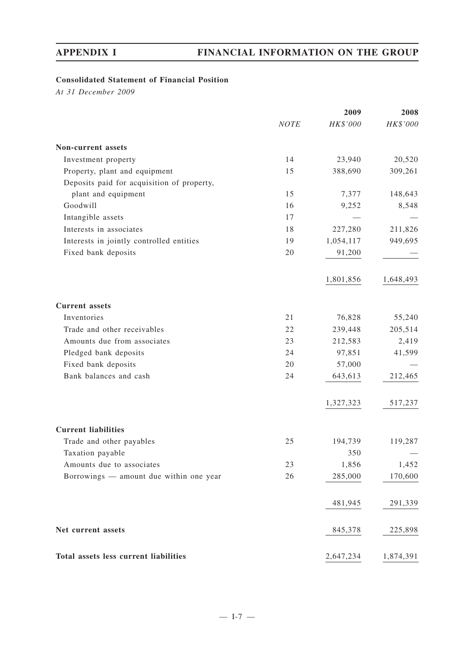## **Consolidated Statement of Financial Position**

*At 31 December 2009*

|                                            |      | 2009      | 2008      |
|--------------------------------------------|------|-----------|-----------|
|                                            | NOTE | HK\$'000  | HK\$'000  |
| Non-current assets                         |      |           |           |
| Investment property                        | 14   | 23,940    | 20,520    |
| Property, plant and equipment              | 15   | 388,690   | 309,261   |
| Deposits paid for acquisition of property, |      |           |           |
| plant and equipment                        | 15   | 7,377     | 148,643   |
| Goodwill                                   | 16   | 9,252     | 8,548     |
| Intangible assets                          | 17   |           |           |
| Interests in associates                    | 18   | 227,280   | 211,826   |
| Interests in jointly controlled entities   | 19   | 1,054,117 | 949,695   |
| Fixed bank deposits                        | 20   | 91,200    |           |
|                                            |      | 1,801,856 | 1,648,493 |
| <b>Current</b> assets                      |      |           |           |
| Inventories                                | 21   | 76,828    | 55,240    |
| Trade and other receivables                | 22   | 239,448   | 205,514   |
| Amounts due from associates                | 23   | 212,583   | 2,419     |
| Pledged bank deposits                      | 24   | 97,851    | 41,599    |
| Fixed bank deposits                        | 20   | 57,000    |           |
| Bank balances and cash                     | 24   | 643,613   | 212,465   |
|                                            |      | 1,327,323 | 517,237   |
| <b>Current liabilities</b>                 |      |           |           |
| Trade and other payables                   | 25   | 194,739   | 119,287   |
| Taxation payable                           |      | 350       |           |
| Amounts due to associates                  | 23   | 1,856     | 1,452     |
| Borrowings - amount due within one year    | 26   | 285,000   | 170,600   |
|                                            |      | 481,945   | 291,339   |
| Net current assets                         |      | 845,378   | 225,898   |
| Total assets less current liabilities      |      | 2,647,234 | 1,874,391 |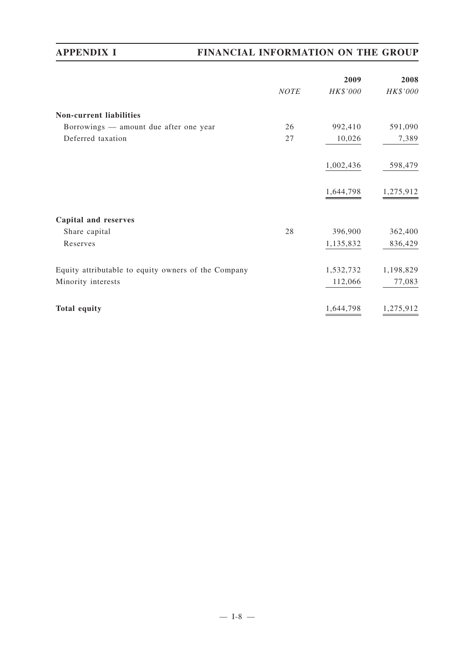|                                                     |      | 2009      | 2008      |
|-----------------------------------------------------|------|-----------|-----------|
|                                                     | NOTE | HK\$'000  | HK\$'000  |
| <b>Non-current liabilities</b>                      |      |           |           |
| Borrowings — amount due after one year              | 26   | 992,410   | 591,090   |
| Deferred taxation                                   | 27   | 10,026    | 7,389     |
|                                                     |      | 1,002,436 | 598,479   |
|                                                     |      | 1,644,798 | 1,275,912 |
| Capital and reserves                                |      |           |           |
| Share capital                                       | 28   | 396,900   | 362,400   |
| Reserves                                            |      | 1,135,832 | 836,429   |
| Equity attributable to equity owners of the Company |      | 1,532,732 | 1,198,829 |
| Minority interests                                  |      | 112,066   | 77,083    |
| <b>Total equity</b>                                 |      | 1,644,798 | 1,275,912 |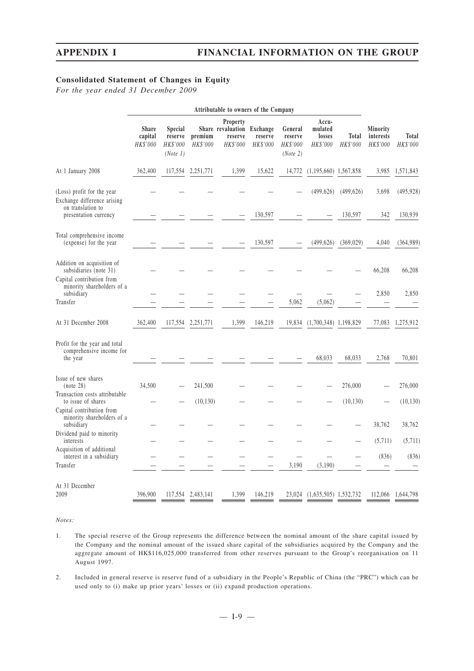## **Consolidated Statement of Changes in Equity**

*For the year ended 31 December 2009*

|                                                                                   | <b>Attributable to owners of the Company</b> |                                            |                     |                                                                      |                     |                                            |                                        |                   |                                   |                          |
|-----------------------------------------------------------------------------------|----------------------------------------------|--------------------------------------------|---------------------|----------------------------------------------------------------------|---------------------|--------------------------------------------|----------------------------------------|-------------------|-----------------------------------|--------------------------|
|                                                                                   | <b>Share</b><br>capital<br>HK\$'000          | Special<br>reserve<br>HK\$'000<br>(Note 1) | premium<br>HK\$'000 | <b>Property</b><br>Share revaluation Exchange<br>reserve<br>HK\$'000 | reserve<br>HK\$'000 | General<br>reserve<br>HK\$'000<br>(Note 2) | Accu-<br>mulated<br>losses<br>HK\$'000 | Total<br>HK\$'000 | Minority<br>interests<br>HK\$'000 | <b>Total</b><br>HK\$'000 |
| At 1 January 2008                                                                 | 362,400                                      | 117,554                                    | 2,251,771           | 1,399                                                                | 15,622              | 14,772                                     | $(1,195,660)$ 1,567,858                |                   | 3,985                             | 1,571,843                |
| (Loss) profit for the year<br>Exchange difference arising                         |                                              |                                            |                     |                                                                      |                     |                                            | (499, 626)                             | (499, 626)        | 3,698                             | (495, 928)               |
| on translation to<br>presentation currency                                        |                                              |                                            |                     |                                                                      | 130,597             |                                            |                                        | 130,597           | 342                               | 130,939                  |
| Total comprehensive income<br>(expense) for the year                              |                                              |                                            |                     |                                                                      | 130,597             |                                            | (499, 626)                             | (369, 029)        | 4,040                             | (364,989)                |
| Addition on acquisition of<br>subsidiaries (note 31)                              |                                              |                                            |                     |                                                                      |                     |                                            |                                        |                   | 66,208                            | 66,208                   |
| Capital contribution from<br>minority shareholders of a<br>subsidiary<br>Transfer |                                              |                                            |                     |                                                                      |                     | 5,062                                      | (5,062)                                |                   | 2,850                             | 2,850                    |
| At 31 December 2008                                                               | 362,400                                      | 117,554                                    | 2,251,771           | 1,399                                                                | 146,219             | 19,834                                     | $(1,700,348)$ 1,198,829                |                   | 77,083                            | 1,275,912                |
| Profit for the year and total<br>comprehensive income for<br>the year             |                                              |                                            |                     |                                                                      |                     |                                            | 68,033                                 | 68,033            | 2,768                             | 70,801                   |
| Issue of new shares<br>(note 28)                                                  | 34,500                                       |                                            | 241,500             |                                                                      |                     |                                            |                                        | 276,000           |                                   | 276,000                  |
| Transaction costs attributable<br>to issue of shares                              |                                              |                                            | (10, 130)           |                                                                      |                     |                                            |                                        | (10, 130)         |                                   | (10, 130)                |
| Capital contribution from<br>minority shareholders of a<br>subsidiary             |                                              |                                            |                     |                                                                      |                     |                                            |                                        |                   | 38,762                            | 38,762                   |
| Dividend paid to minority<br>interests                                            |                                              |                                            |                     |                                                                      |                     |                                            |                                        |                   | (5,711)                           | (5,711)                  |
| Acquisition of additional<br>interest in a subsidiary                             |                                              |                                            |                     |                                                                      |                     |                                            |                                        |                   | (836)                             | (836)                    |
| Transfer                                                                          |                                              |                                            |                     |                                                                      |                     | 3,190                                      | (3,190)                                |                   |                                   |                          |
| At 31 December<br>2009                                                            | 396,900                                      |                                            | 117,554 2,483,141   | 1,399                                                                | 146,219             |                                            | 23,024 (1,635,505) 1,532,732           |                   |                                   | 112,066 1,644,798        |
|                                                                                   |                                              |                                            |                     |                                                                      |                     |                                            |                                        |                   |                                   |                          |

*Notes:*

- 1. The special reserve of the Group represents the difference between the nominal amount of the share capital issued by the Company and the nominal amount of the issued share capital of the subsidiaries acquired by the Company and the aggregate amount of HK\$116,025,000 transferred from other reserves pursuant to the Group's reorganisation on 11 August 1997.
- 2. Included in general reserve is reserve fund of a subsidiary in the People's Republic of China (the "PRC") which can be used only to (i) make up prior years' losses or (ii) expand production operations.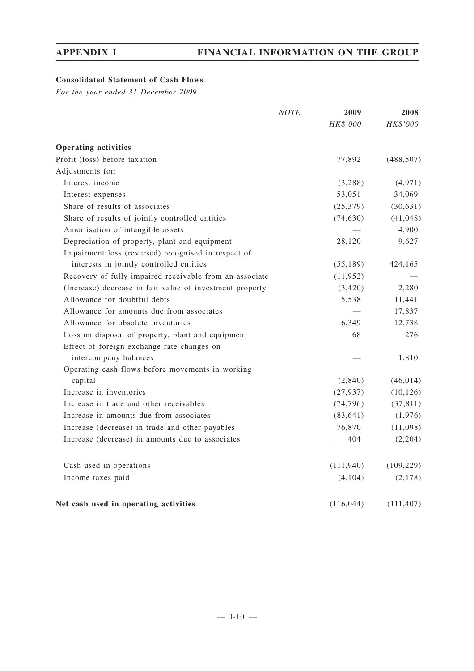## **Consolidated Statement of Cash Flows**

*For the year ended 31 December 2009*

|                                                          | <b>NOTE</b> | 2009<br>HK\$'000 | 2008<br>HK\$'000 |
|----------------------------------------------------------|-------------|------------------|------------------|
|                                                          |             |                  |                  |
| <b>Operating activities</b>                              |             |                  |                  |
| Profit (loss) before taxation                            |             | 77,892           | (488, 507)       |
| Adjustments for:                                         |             |                  |                  |
| Interest income                                          |             | (3,288)          | (4,971)          |
| Interest expenses                                        |             | 53,051           | 34,069           |
| Share of results of associates                           |             | (25, 379)        | (30, 631)        |
| Share of results of jointly controlled entities          |             | (74, 630)        | (41, 048)        |
| Amortisation of intangible assets                        |             |                  | 4,900            |
| Depreciation of property, plant and equipment            |             | 28,120           | 9,627            |
| Impairment loss (reversed) recognised in respect of      |             |                  |                  |
| interests in jointly controlled entities                 |             | (55, 189)        | 424,165          |
| Recovery of fully impaired receivable from an associate  |             | (11, 952)        |                  |
| (Increase) decrease in fair value of investment property |             | (3,420)          | 2,280            |
| Allowance for doubtful debts                             |             | 5,538            | 11,441           |
| Allowance for amounts due from associates                |             |                  | 17,837           |
| Allowance for obsolete inventories                       |             | 6,349            | 12,738           |
| Loss on disposal of property, plant and equipment        |             | 68               | 276              |
| Effect of foreign exchange rate changes on               |             |                  |                  |
| intercompany balances                                    |             |                  | 1,810            |
| Operating cash flows before movements in working         |             |                  |                  |
| capital                                                  |             | (2,840)          | (46, 014)        |
| Increase in inventories                                  |             | (27, 937)        | (10, 126)        |
| Increase in trade and other receivables                  |             | (74, 796)        | (37, 811)        |
| Increase in amounts due from associates                  |             | (83, 641)        | (1,976)          |
| Increase (decrease) in trade and other payables          |             | 76,870           | (11,098)         |
| Increase (decrease) in amounts due to associates         |             | 404              | (2,204)          |
| Cash used in operations                                  |             | (111, 940)       | (109, 229)       |
| Income taxes paid                                        |             | (4,104)          | (2,178)          |
| Net cash used in operating activities                    |             | (116, 044)       | (111, 407)       |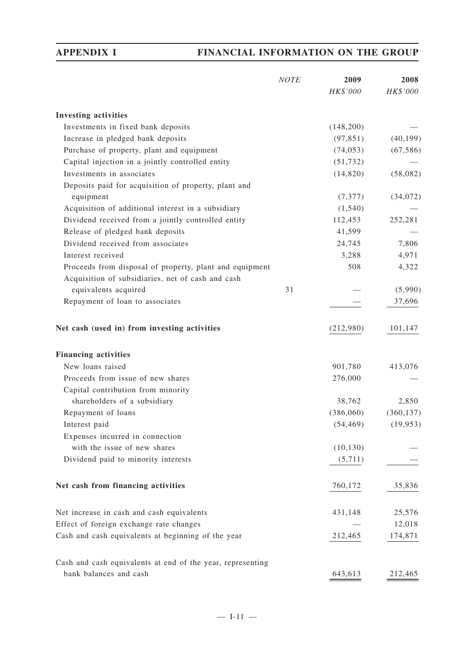|                                                            | <b>NOTE</b> | 2009      | 2008       |
|------------------------------------------------------------|-------------|-----------|------------|
|                                                            |             | HK\$'000  | HK\$'000   |
| <b>Investing activities</b>                                |             |           |            |
| Investments in fixed bank deposits                         |             | (148,200) |            |
| Increase in pledged bank deposits                          |             | (97, 851) | (40, 199)  |
| Purchase of property, plant and equipment                  |             | (74, 053) | (67, 586)  |
| Capital injection in a jointly controlled entity           |             | (51, 732) |            |
| Investments in associates                                  |             | (14, 820) | (58,082)   |
| Deposits paid for acquisition of property, plant and       |             |           |            |
| equipment                                                  |             | (7, 377)  | (34,072)   |
| Acquisition of additional interest in a subsidiary         |             | (1, 540)  |            |
| Dividend received from a jointly controlled entity         |             | 112,453   | 252,281    |
| Release of pledged bank deposits                           |             | 41,599    |            |
| Dividend received from associates                          |             | 24,745    | 7,806      |
| Interest received                                          |             | 3,288     | 4,971      |
| Proceeds from disposal of property, plant and equipment    |             | 508       | 4,322      |
| Acquisition of subsidiaries, net of cash and cash          |             |           |            |
| equivalents acquired                                       | 31          |           | (5,990)    |
| Repayment of loan to associates                            |             |           | 37,696     |
| Net cash (used in) from investing activities               |             | (212,980) | 101,147    |
| <b>Financing activities</b>                                |             |           |            |
| New loans raised                                           |             | 901,780   | 413,076    |
| Proceeds from issue of new shares                          |             | 276,000   |            |
| Capital contribution from minority                         |             |           |            |
| shareholders of a subsidiary                               |             | 38,762    | 2,850      |
| Repayment of loans                                         |             | (386,060) | (360, 137) |
| Interest paid                                              |             | (54, 469) | (19, 953)  |
| Expenses incurred in connection                            |             |           |            |
| with the issue of new shares                               |             | (10, 130) |            |
| Dividend paid to minority interests                        |             | (5,711)   |            |
| Net cash from financing activities                         |             | 760,172   | 35,836     |
| Net increase in cash and cash equivalents                  |             | 431,148   | 25,576     |
| Effect of foreign exchange rate changes                    |             |           | 12,018     |
| Cash and cash equivalents at beginning of the year         |             | 212,465   | 174,871    |
| Cash and cash equivalents at end of the year, representing |             |           |            |
| bank balances and cash                                     |             | 643,613   | 212,465    |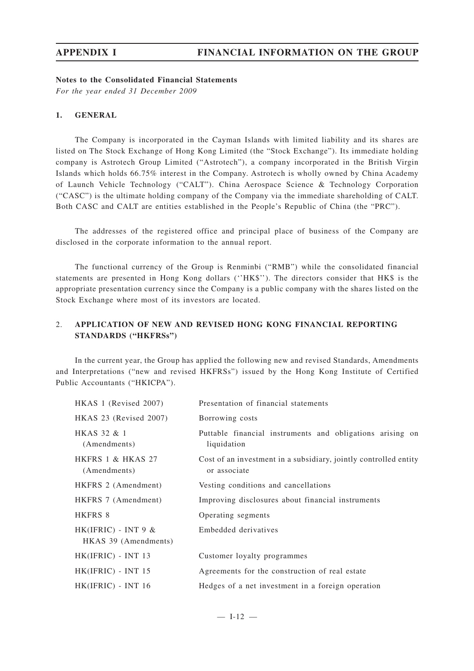### **Notes to the Consolidated Financial Statements**

*For the year ended 31 December 2009*

### **1. GENERAL**

The Company is incorporated in the Cayman Islands with limited liability and its shares are listed on The Stock Exchange of Hong Kong Limited (the "Stock Exchange"). Its immediate holding company is Astrotech Group Limited ("Astrotech"), a company incorporated in the British Virgin Islands which holds 66.75% interest in the Company. Astrotech is wholly owned by China Academy of Launch Vehicle Technology ("CALT"). China Aerospace Science & Technology Corporation ("CASC") is the ultimate holding company of the Company via the immediate shareholding of CALT. Both CASC and CALT are entities established in the People's Republic of China (the "PRC").

The addresses of the registered office and principal place of business of the Company are disclosed in the corporate information to the annual report.

The functional currency of the Group is Renminbi ("RMB") while the consolidated financial statements are presented in Hong Kong dollars (''HK\$''). The directors consider that HK\$ is the appropriate presentation currency since the Company is a public company with the shares listed on the Stock Exchange where most of its investors are located.

## 2. **APPLICATION OF NEW AND REVISED HONG KONG FINANCIAL REPORTING STANDARDS ("HKFRSs")**

In the current year, the Group has applied the following new and revised Standards, Amendments and Interpretations ("new and revised HKFRSs") issued by the Hong Kong Institute of Certified Public Accountants ("HKICPA").

| HKAS 1 (Revised 2007)                         | Presentation of financial statements                                             |
|-----------------------------------------------|----------------------------------------------------------------------------------|
| HKAS 23 (Revised 2007)                        | Borrowing costs                                                                  |
| HKAS 32 & 1<br>(Amendments)                   | Puttable financial instruments and obligations arising on<br>liquidation         |
| HKFRS 1 & HKAS 27<br>(Amendments)             | Cost of an investment in a subsidiary, jointly controlled entity<br>or associate |
| HKFRS 2 (Amendment)                           | Vesting conditions and cancellations                                             |
| HKFRS 7 (Amendment)                           | Improving disclosures about financial instruments                                |
| HKFRS 8                                       | Operating segments                                                               |
| HK(IFRIC) - INT 9 $&$<br>HKAS 39 (Amendments) | Embedded derivatives                                                             |
| $HK(IFRIC) - INT 13$                          | Customer loyalty programmes                                                      |
| HK(IFRIC) - INT 15                            | Agreements for the construction of real estate                                   |
| HK(IFRIC) - INT 16                            | Hedges of a net investment in a foreign operation                                |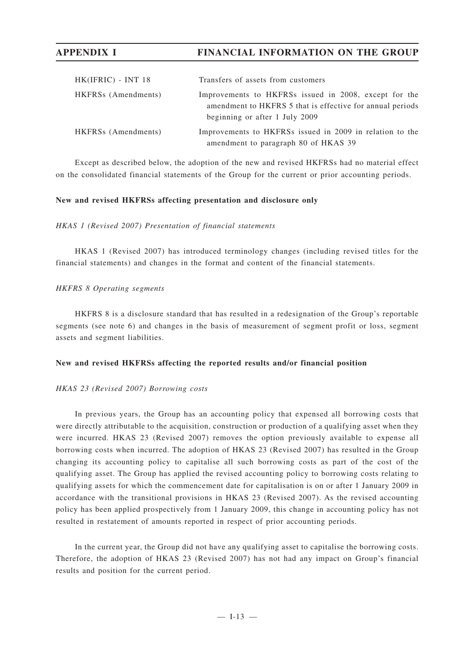| $HK(IFRIC) - INT 18$ | Transfers of assets from customers                                                                                                                   |
|----------------------|------------------------------------------------------------------------------------------------------------------------------------------------------|
| HKFRSs (Amendments)  | Improvements to HKFRSs issued in 2008, except for the<br>amendment to HKFRS 5 that is effective for annual periods<br>beginning or after 1 July 2009 |
| HKFRSs (Amendments)  | Improvements to HKFRSs issued in 2009 in relation to the<br>amendment to paragraph 80 of HKAS 39                                                     |

Except as described below, the adoption of the new and revised HKFRSs had no material effect on the consolidated financial statements of the Group for the current or prior accounting periods.

## **New and revised HKFRSs affecting presentation and disclosure only**

## *HKAS 1 (Revised 2007) Presentation of financial statements*

HKAS 1 (Revised 2007) has introduced terminology changes (including revised titles for the financial statements) and changes in the format and content of the financial statements.

## *HKFRS 8 Operating segments*

HKFRS 8 is a disclosure standard that has resulted in a redesignation of the Group's reportable segments (see note 6) and changes in the basis of measurement of segment profit or loss, segment assets and segment liabilities.

## **New and revised HKFRSs affecting the reported results and/or financial position**

## *HKAS 23 (Revised 2007) Borrowing costs*

In previous years, the Group has an accounting policy that expensed all borrowing costs that were directly attributable to the acquisition, construction or production of a qualifying asset when they were incurred. HKAS 23 (Revised 2007) removes the option previously available to expense all borrowing costs when incurred. The adoption of HKAS 23 (Revised 2007) has resulted in the Group changing its accounting policy to capitalise all such borrowing costs as part of the cost of the qualifying asset. The Group has applied the revised accounting policy to borrowing costs relating to qualifying assets for which the commencement date for capitalisation is on or after 1 January 2009 in accordance with the transitional provisions in HKAS 23 (Revised 2007). As the revised accounting policy has been applied prospectively from 1 January 2009, this change in accounting policy has not resulted in restatement of amounts reported in respect of prior accounting periods.

In the current year, the Group did not have any qualifying asset to capitalise the borrowing costs. Therefore, the adoption of HKAS 23 (Revised 2007) has not had any impact on Group's financial results and position for the current period.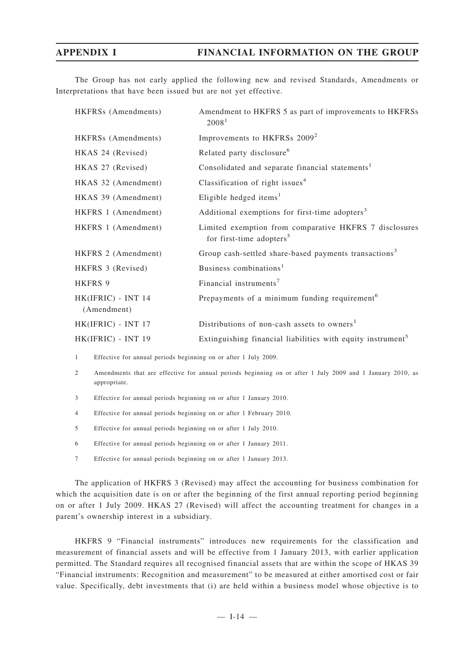The Group has not early applied the following new and revised Standards, Amendments or Interpretations that have been issued but are not yet effective.

| HKFRSs (Amendments)               | Amendment to HKFRS 5 as part of improvements to HKFRSs<br>2008 <sup>1</sup>                    |
|-----------------------------------|------------------------------------------------------------------------------------------------|
| HKFRSs (Amendments)               | Improvements to HKFRSs 2009 <sup>2</sup>                                                       |
| HKAS 24 (Revised)                 | Related party disclosure <sup>6</sup>                                                          |
| HKAS 27 (Revised)                 | Consolidated and separate financial statements <sup>1</sup>                                    |
| HKAS 32 (Amendment)               | Classification of right issues <sup>4</sup>                                                    |
| HKAS 39 (Amendment)               | Eligible hedged items <sup>1</sup>                                                             |
| HKFRS 1 (Amendment)               | Additional exemptions for first-time adopters <sup>3</sup>                                     |
| HKFRS 1 (Amendment)               | Limited exemption from comparative HKFRS 7 disclosures<br>for first-time adopters <sup>5</sup> |
| HKFRS 2 (Amendment)               | Group cash-settled share-based payments transactions <sup>3</sup>                              |
| HKFRS 3 (Revised)                 | Business combinations <sup>1</sup>                                                             |
| HKFRS 9                           | Financial instruments <sup>7</sup>                                                             |
| HK(IFRIC) - INT 14<br>(Amendment) | Prepayments of a minimum funding requirement <sup>6</sup>                                      |
| HK(IFRIC) - INT 17                | Distributions of non-cash assets to owners <sup>1</sup>                                        |
| HK(IFRIC) - INT 19                | Extinguishing financial liabilities with equity instrument <sup>5</sup>                        |

1 Effective for annual periods beginning on or after 1 July 2009.

- 2 Amendments that are effective for annual periods beginning on or after 1 July 2009 and 1 January 2010, as appropriate.
- 3 Effective for annual periods beginning on or after 1 January 2010.
- 4 Effective for annual periods beginning on or after 1 February 2010.
- 5 Effective for annual periods beginning on or after 1 July 2010.
- 6 Effective for annual periods beginning on or after 1 January 2011.
- 7 Effective for annual periods beginning on or after 1 January 2013.

The application of HKFRS 3 (Revised) may affect the accounting for business combination for which the acquisition date is on or after the beginning of the first annual reporting period beginning on or after 1 July 2009. HKAS 27 (Revised) will affect the accounting treatment for changes in a parent's ownership interest in a subsidiary.

HKFRS 9 "Financial instruments" introduces new requirements for the classification and measurement of financial assets and will be effective from 1 January 2013, with earlier application permitted. The Standard requires all recognised financial assets that are within the scope of HKAS 39 "Financial instruments: Recognition and measurement" to be measured at either amortised cost or fair value. Specifically, debt investments that (i) are held within a business model whose objective is to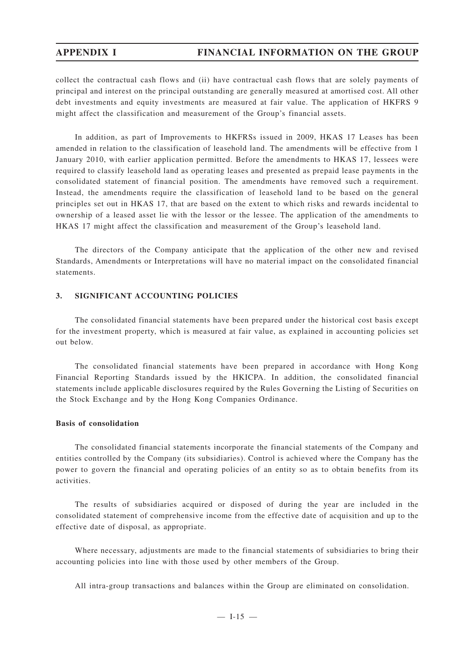collect the contractual cash flows and (ii) have contractual cash flows that are solely payments of principal and interest on the principal outstanding are generally measured at amortised cost. All other debt investments and equity investments are measured at fair value. The application of HKFRS 9 might affect the classification and measurement of the Group's financial assets.

In addition, as part of Improvements to HKFRSs issued in 2009, HKAS 17 Leases has been amended in relation to the classification of leasehold land. The amendments will be effective from 1 January 2010, with earlier application permitted. Before the amendments to HKAS 17, lessees were required to classify leasehold land as operating leases and presented as prepaid lease payments in the consolidated statement of financial position. The amendments have removed such a requirement. Instead, the amendments require the classification of leasehold land to be based on the general principles set out in HKAS 17, that are based on the extent to which risks and rewards incidental to ownership of a leased asset lie with the lessor or the lessee. The application of the amendments to HKAS 17 might affect the classification and measurement of the Group's leasehold land.

The directors of the Company anticipate that the application of the other new and revised Standards, Amendments or Interpretations will have no material impact on the consolidated financial statements.

## **3. SIGNIFICANT ACCOUNTING POLICIES**

The consolidated financial statements have been prepared under the historical cost basis except for the investment property, which is measured at fair value, as explained in accounting policies set out below.

The consolidated financial statements have been prepared in accordance with Hong Kong Financial Reporting Standards issued by the HKICPA. In addition, the consolidated financial statements include applicable disclosures required by the Rules Governing the Listing of Securities on the Stock Exchange and by the Hong Kong Companies Ordinance.

## **Basis of consolidation**

The consolidated financial statements incorporate the financial statements of the Company and entities controlled by the Company (its subsidiaries). Control is achieved where the Company has the power to govern the financial and operating policies of an entity so as to obtain benefits from its activities.

The results of subsidiaries acquired or disposed of during the year are included in the consolidated statement of comprehensive income from the effective date of acquisition and up to the effective date of disposal, as appropriate.

Where necessary, adjustments are made to the financial statements of subsidiaries to bring their accounting policies into line with those used by other members of the Group.

All intra-group transactions and balances within the Group are eliminated on consolidation.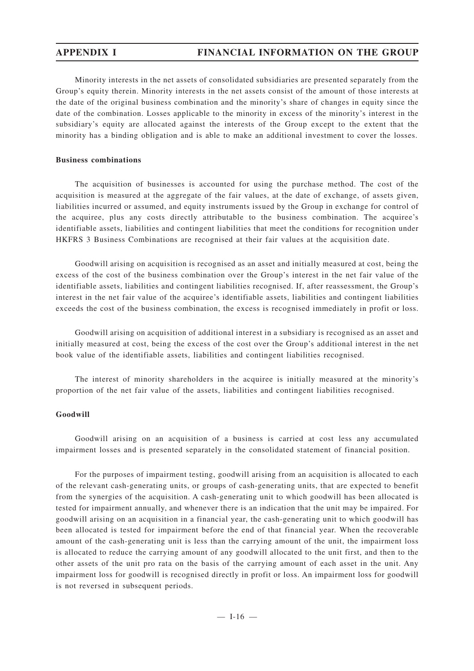Minority interests in the net assets of consolidated subsidiaries are presented separately from the Group's equity therein. Minority interests in the net assets consist of the amount of those interests at the date of the original business combination and the minority's share of changes in equity since the date of the combination. Losses applicable to the minority in excess of the minority's interest in the subsidiary's equity are allocated against the interests of the Group except to the extent that the minority has a binding obligation and is able to make an additional investment to cover the losses.

### **Business combinations**

The acquisition of businesses is accounted for using the purchase method. The cost of the acquisition is measured at the aggregate of the fair values, at the date of exchange, of assets given, liabilities incurred or assumed, and equity instruments issued by the Group in exchange for control of the acquiree, plus any costs directly attributable to the business combination. The acquiree's identifiable assets, liabilities and contingent liabilities that meet the conditions for recognition under HKFRS 3 Business Combinations are recognised at their fair values at the acquisition date.

Goodwill arising on acquisition is recognised as an asset and initially measured at cost, being the excess of the cost of the business combination over the Group's interest in the net fair value of the identifiable assets, liabilities and contingent liabilities recognised. If, after reassessment, the Group's interest in the net fair value of the acquiree's identifiable assets, liabilities and contingent liabilities exceeds the cost of the business combination, the excess is recognised immediately in profit or loss.

Goodwill arising on acquisition of additional interest in a subsidiary is recognised as an asset and initially measured at cost, being the excess of the cost over the Group's additional interest in the net book value of the identifiable assets, liabilities and contingent liabilities recognised.

The interest of minority shareholders in the acquiree is initially measured at the minority's proportion of the net fair value of the assets, liabilities and contingent liabilities recognised.

## **Goodwill**

Goodwill arising on an acquisition of a business is carried at cost less any accumulated impairment losses and is presented separately in the consolidated statement of financial position.

For the purposes of impairment testing, goodwill arising from an acquisition is allocated to each of the relevant cash-generating units, or groups of cash-generating units, that are expected to benefit from the synergies of the acquisition. A cash-generating unit to which goodwill has been allocated is tested for impairment annually, and whenever there is an indication that the unit may be impaired. For goodwill arising on an acquisition in a financial year, the cash-generating unit to which goodwill has been allocated is tested for impairment before the end of that financial year. When the recoverable amount of the cash-generating unit is less than the carrying amount of the unit, the impairment loss is allocated to reduce the carrying amount of any goodwill allocated to the unit first, and then to the other assets of the unit pro rata on the basis of the carrying amount of each asset in the unit. Any impairment loss for goodwill is recognised directly in profit or loss. An impairment loss for goodwill is not reversed in subsequent periods.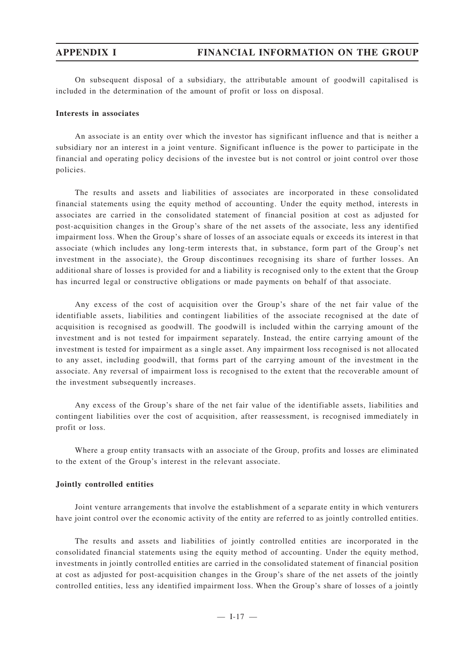On subsequent disposal of a subsidiary, the attributable amount of goodwill capitalised is included in the determination of the amount of profit or loss on disposal.

### **Interests in associates**

An associate is an entity over which the investor has significant influence and that is neither a subsidiary nor an interest in a joint venture. Significant influence is the power to participate in the financial and operating policy decisions of the investee but is not control or joint control over those policies.

The results and assets and liabilities of associates are incorporated in these consolidated financial statements using the equity method of accounting. Under the equity method, interests in associates are carried in the consolidated statement of financial position at cost as adjusted for post-acquisition changes in the Group's share of the net assets of the associate, less any identified impairment loss. When the Group's share of losses of an associate equals or exceeds its interest in that associate (which includes any long-term interests that, in substance, form part of the Group's net investment in the associate), the Group discontinues recognising its share of further losses. An additional share of losses is provided for and a liability is recognised only to the extent that the Group has incurred legal or constructive obligations or made payments on behalf of that associate.

Any excess of the cost of acquisition over the Group's share of the net fair value of the identifiable assets, liabilities and contingent liabilities of the associate recognised at the date of acquisition is recognised as goodwill. The goodwill is included within the carrying amount of the investment and is not tested for impairment separately. Instead, the entire carrying amount of the investment is tested for impairment as a single asset. Any impairment loss recognised is not allocated to any asset, including goodwill, that forms part of the carrying amount of the investment in the associate. Any reversal of impairment loss is recognised to the extent that the recoverable amount of the investment subsequently increases.

Any excess of the Group's share of the net fair value of the identifiable assets, liabilities and contingent liabilities over the cost of acquisition, after reassessment, is recognised immediately in profit or loss.

Where a group entity transacts with an associate of the Group, profits and losses are eliminated to the extent of the Group's interest in the relevant associate.

### **Jointly controlled entities**

Joint venture arrangements that involve the establishment of a separate entity in which venturers have joint control over the economic activity of the entity are referred to as jointly controlled entities.

The results and assets and liabilities of jointly controlled entities are incorporated in the consolidated financial statements using the equity method of accounting. Under the equity method, investments in jointly controlled entities are carried in the consolidated statement of financial position at cost as adjusted for post-acquisition changes in the Group's share of the net assets of the jointly controlled entities, less any identified impairment loss. When the Group's share of losses of a jointly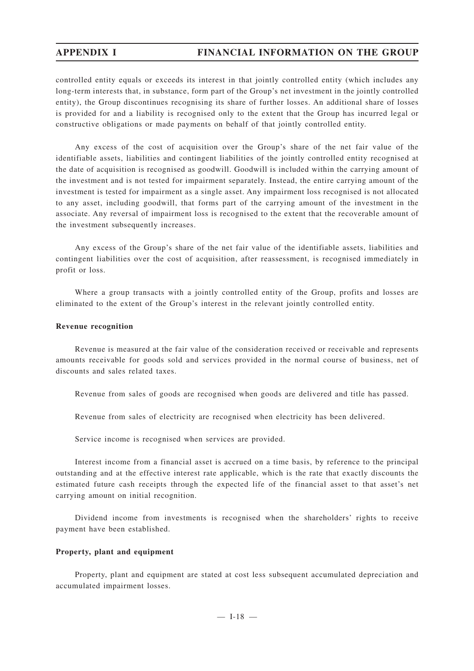controlled entity equals or exceeds its interest in that jointly controlled entity (which includes any long-term interests that, in substance, form part of the Group's net investment in the jointly controlled entity), the Group discontinues recognising its share of further losses. An additional share of losses is provided for and a liability is recognised only to the extent that the Group has incurred legal or constructive obligations or made payments on behalf of that jointly controlled entity.

Any excess of the cost of acquisition over the Group's share of the net fair value of the identifiable assets, liabilities and contingent liabilities of the jointly controlled entity recognised at the date of acquisition is recognised as goodwill. Goodwill is included within the carrying amount of the investment and is not tested for impairment separately. Instead, the entire carrying amount of the investment is tested for impairment as a single asset. Any impairment loss recognised is not allocated to any asset, including goodwill, that forms part of the carrying amount of the investment in the associate. Any reversal of impairment loss is recognised to the extent that the recoverable amount of the investment subsequently increases.

Any excess of the Group's share of the net fair value of the identifiable assets, liabilities and contingent liabilities over the cost of acquisition, after reassessment, is recognised immediately in profit or loss.

Where a group transacts with a jointly controlled entity of the Group, profits and losses are eliminated to the extent of the Group's interest in the relevant jointly controlled entity.

## **Revenue recognition**

Revenue is measured at the fair value of the consideration received or receivable and represents amounts receivable for goods sold and services provided in the normal course of business, net of discounts and sales related taxes.

Revenue from sales of goods are recognised when goods are delivered and title has passed.

Revenue from sales of electricity are recognised when electricity has been delivered.

Service income is recognised when services are provided.

Interest income from a financial asset is accrued on a time basis, by reference to the principal outstanding and at the effective interest rate applicable, which is the rate that exactly discounts the estimated future cash receipts through the expected life of the financial asset to that asset's net carrying amount on initial recognition.

Dividend income from investments is recognised when the shareholders' rights to receive payment have been established.

### **Property, plant and equipment**

Property, plant and equipment are stated at cost less subsequent accumulated depreciation and accumulated impairment losses.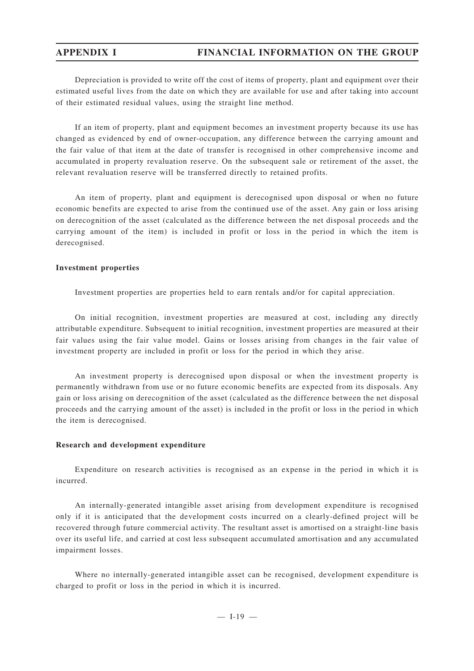Depreciation is provided to write off the cost of items of property, plant and equipment over their estimated useful lives from the date on which they are available for use and after taking into account of their estimated residual values, using the straight line method.

If an item of property, plant and equipment becomes an investment property because its use has changed as evidenced by end of owner-occupation, any difference between the carrying amount and the fair value of that item at the date of transfer is recognised in other comprehensive income and accumulated in property revaluation reserve. On the subsequent sale or retirement of the asset, the relevant revaluation reserve will be transferred directly to retained profits.

An item of property, plant and equipment is derecognised upon disposal or when no future economic benefits are expected to arise from the continued use of the asset. Any gain or loss arising on derecognition of the asset (calculated as the difference between the net disposal proceeds and the carrying amount of the item) is included in profit or loss in the period in which the item is derecognised.

## **Investment properties**

Investment properties are properties held to earn rentals and/or for capital appreciation.

On initial recognition, investment properties are measured at cost, including any directly attributable expenditure. Subsequent to initial recognition, investment properties are measured at their fair values using the fair value model. Gains or losses arising from changes in the fair value of investment property are included in profit or loss for the period in which they arise.

An investment property is derecognised upon disposal or when the investment property is permanently withdrawn from use or no future economic benefits are expected from its disposals. Any gain or loss arising on derecognition of the asset (calculated as the difference between the net disposal proceeds and the carrying amount of the asset) is included in the profit or loss in the period in which the item is derecognised.

## **Research and development expenditure**

Expenditure on research activities is recognised as an expense in the period in which it is incurred.

An internally-generated intangible asset arising from development expenditure is recognised only if it is anticipated that the development costs incurred on a clearly-defined project will be recovered through future commercial activity. The resultant asset is amortised on a straight-line basis over its useful life, and carried at cost less subsequent accumulated amortisation and any accumulated impairment losses.

Where no internally-generated intangible asset can be recognised, development expenditure is charged to profit or loss in the period in which it is incurred.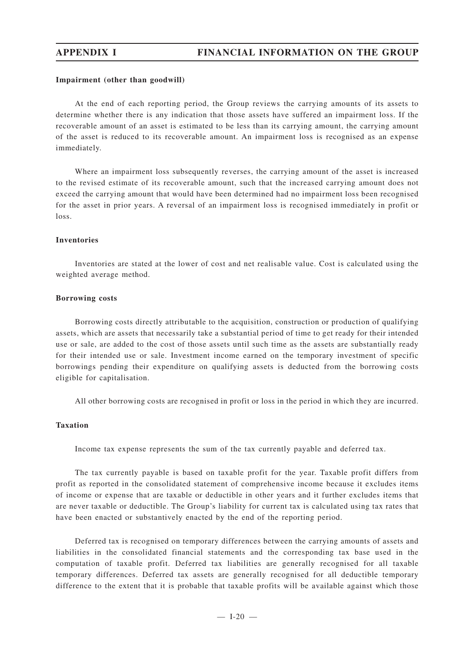## **Impairment (other than goodwill)**

At the end of each reporting period, the Group reviews the carrying amounts of its assets to determine whether there is any indication that those assets have suffered an impairment loss. If the recoverable amount of an asset is estimated to be less than its carrying amount, the carrying amount of the asset is reduced to its recoverable amount. An impairment loss is recognised as an expense immediately.

Where an impairment loss subsequently reverses, the carrying amount of the asset is increased to the revised estimate of its recoverable amount, such that the increased carrying amount does not exceed the carrying amount that would have been determined had no impairment loss been recognised for the asset in prior years. A reversal of an impairment loss is recognised immediately in profit or loss.

## **Inventories**

Inventories are stated at the lower of cost and net realisable value. Cost is calculated using the weighted average method.

## **Borrowing costs**

Borrowing costs directly attributable to the acquisition, construction or production of qualifying assets, which are assets that necessarily take a substantial period of time to get ready for their intended use or sale, are added to the cost of those assets until such time as the assets are substantially ready for their intended use or sale. Investment income earned on the temporary investment of specific borrowings pending their expenditure on qualifying assets is deducted from the borrowing costs eligible for capitalisation.

All other borrowing costs are recognised in profit or loss in the period in which they are incurred.

## **Taxation**

Income tax expense represents the sum of the tax currently payable and deferred tax.

The tax currently payable is based on taxable profit for the year. Taxable profit differs from profit as reported in the consolidated statement of comprehensive income because it excludes items of income or expense that are taxable or deductible in other years and it further excludes items that are never taxable or deductible. The Group's liability for current tax is calculated using tax rates that have been enacted or substantively enacted by the end of the reporting period.

Deferred tax is recognised on temporary differences between the carrying amounts of assets and liabilities in the consolidated financial statements and the corresponding tax base used in the computation of taxable profit. Deferred tax liabilities are generally recognised for all taxable temporary differences. Deferred tax assets are generally recognised for all deductible temporary difference to the extent that it is probable that taxable profits will be available against which those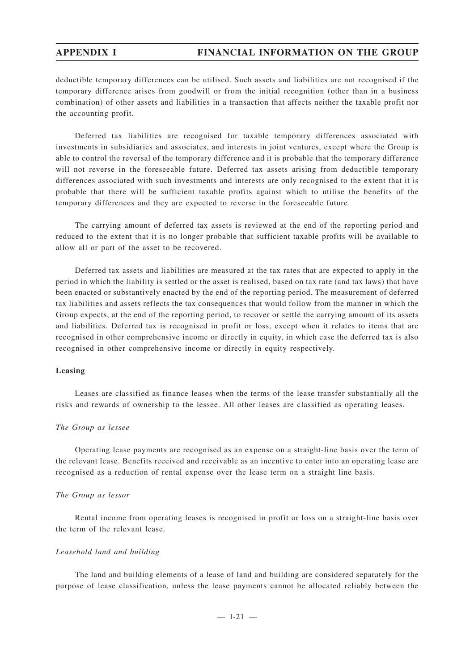deductible temporary differences can be utilised. Such assets and liabilities are not recognised if the temporary difference arises from goodwill or from the initial recognition (other than in a business combination) of other assets and liabilities in a transaction that affects neither the taxable profit nor the accounting profit.

Deferred tax liabilities are recognised for taxable temporary differences associated with investments in subsidiaries and associates, and interests in joint ventures, except where the Group is able to control the reversal of the temporary difference and it is probable that the temporary difference will not reverse in the foreseeable future. Deferred tax assets arising from deductible temporary differences associated with such investments and interests are only recognised to the extent that it is probable that there will be sufficient taxable profits against which to utilise the benefits of the temporary differences and they are expected to reverse in the foreseeable future.

The carrying amount of deferred tax assets is reviewed at the end of the reporting period and reduced to the extent that it is no longer probable that sufficient taxable profits will be available to allow all or part of the asset to be recovered.

Deferred tax assets and liabilities are measured at the tax rates that are expected to apply in the period in which the liability is settled or the asset is realised, based on tax rate (and tax laws) that have been enacted or substantively enacted by the end of the reporting period. The measurement of deferred tax liabilities and assets reflects the tax consequences that would follow from the manner in which the Group expects, at the end of the reporting period, to recover or settle the carrying amount of its assets and liabilities. Deferred tax is recognised in profit or loss, except when it relates to items that are recognised in other comprehensive income or directly in equity, in which case the deferred tax is also recognised in other comprehensive income or directly in equity respectively.

## **Leasing**

Leases are classified as finance leases when the terms of the lease transfer substantially all the risks and rewards of ownership to the lessee. All other leases are classified as operating leases.

### *The Group as lessee*

Operating lease payments are recognised as an expense on a straight-line basis over the term of the relevant lease. Benefits received and receivable as an incentive to enter into an operating lease are recognised as a reduction of rental expense over the lease term on a straight line basis.

## *The Group as lessor*

Rental income from operating leases is recognised in profit or loss on a straight-line basis over the term of the relevant lease.

### *Leasehold land and building*

The land and building elements of a lease of land and building are considered separately for the purpose of lease classification, unless the lease payments cannot be allocated reliably between the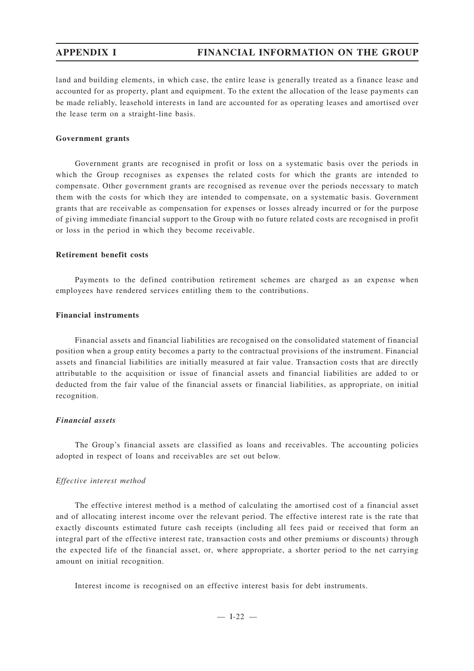land and building elements, in which case, the entire lease is generally treated as a finance lease and accounted for as property, plant and equipment. To the extent the allocation of the lease payments can be made reliably, leasehold interests in land are accounted for as operating leases and amortised over the lease term on a straight-line basis.

### **Government grants**

Government grants are recognised in profit or loss on a systematic basis over the periods in which the Group recognises as expenses the related costs for which the grants are intended to compensate. Other government grants are recognised as revenue over the periods necessary to match them with the costs for which they are intended to compensate, on a systematic basis. Government grants that are receivable as compensation for expenses or losses already incurred or for the purpose of giving immediate financial support to the Group with no future related costs are recognised in profit or loss in the period in which they become receivable.

### **Retirement benefit costs**

Payments to the defined contribution retirement schemes are charged as an expense when employees have rendered services entitling them to the contributions.

### **Financial instruments**

Financial assets and financial liabilities are recognised on the consolidated statement of financial position when a group entity becomes a party to the contractual provisions of the instrument. Financial assets and financial liabilities are initially measured at fair value. Transaction costs that are directly attributable to the acquisition or issue of financial assets and financial liabilities are added to or deducted from the fair value of the financial assets or financial liabilities, as appropriate, on initial recognition.

### *Financial assets*

The Group's financial assets are classified as loans and receivables. The accounting policies adopted in respect of loans and receivables are set out below.

### *Effective interest method*

The effective interest method is a method of calculating the amortised cost of a financial asset and of allocating interest income over the relevant period. The effective interest rate is the rate that exactly discounts estimated future cash receipts (including all fees paid or received that form an integral part of the effective interest rate, transaction costs and other premiums or discounts) through the expected life of the financial asset, or, where appropriate, a shorter period to the net carrying amount on initial recognition.

Interest income is recognised on an effective interest basis for debt instruments.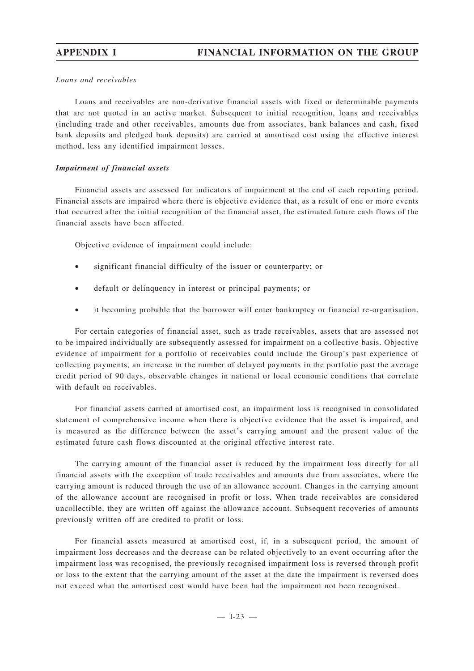## *Loans and receivables*

Loans and receivables are non-derivative financial assets with fixed or determinable payments that are not quoted in an active market. Subsequent to initial recognition, loans and receivables (including trade and other receivables, amounts due from associates, bank balances and cash, fixed bank deposits and pledged bank deposits) are carried at amortised cost using the effective interest method, less any identified impairment losses.

## *Impairment of financial assets*

Financial assets are assessed for indicators of impairment at the end of each reporting period. Financial assets are impaired where there is objective evidence that, as a result of one or more events that occurred after the initial recognition of the financial asset, the estimated future cash flows of the financial assets have been affected.

Objective evidence of impairment could include:

- significant financial difficulty of the issuer or counterparty; or
- default or delinquency in interest or principal payments; or
- it becoming probable that the borrower will enter bankruptcy or financial re-organisation.

For certain categories of financial asset, such as trade receivables, assets that are assessed not to be impaired individually are subsequently assessed for impairment on a collective basis. Objective evidence of impairment for a portfolio of receivables could include the Group's past experience of collecting payments, an increase in the number of delayed payments in the portfolio past the average credit period of 90 days, observable changes in national or local economic conditions that correlate with default on receivables.

For financial assets carried at amortised cost, an impairment loss is recognised in consolidated statement of comprehensive income when there is objective evidence that the asset is impaired, and is measured as the difference between the asset's carrying amount and the present value of the estimated future cash flows discounted at the original effective interest rate.

The carrying amount of the financial asset is reduced by the impairment loss directly for all financial assets with the exception of trade receivables and amounts due from associates, where the carrying amount is reduced through the use of an allowance account. Changes in the carrying amount of the allowance account are recognised in profit or loss. When trade receivables are considered uncollectible, they are written off against the allowance account. Subsequent recoveries of amounts previously written off are credited to profit or loss.

For financial assets measured at amortised cost, if, in a subsequent period, the amount of impairment loss decreases and the decrease can be related objectively to an event occurring after the impairment loss was recognised, the previously recognised impairment loss is reversed through profit or loss to the extent that the carrying amount of the asset at the date the impairment is reversed does not exceed what the amortised cost would have been had the impairment not been recognised.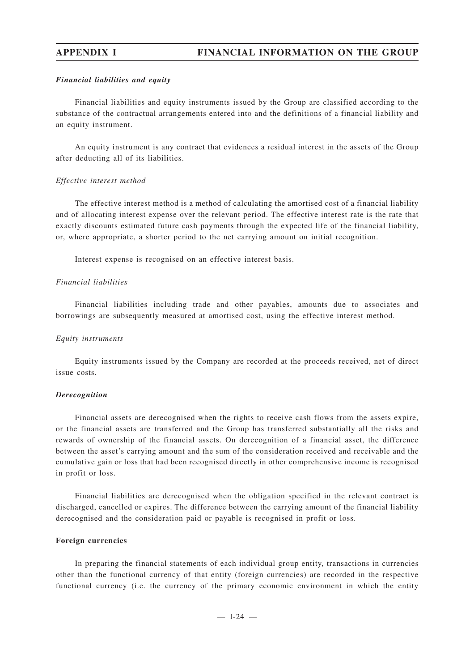## *Financial liabilities and equity*

Financial liabilities and equity instruments issued by the Group are classified according to the substance of the contractual arrangements entered into and the definitions of a financial liability and an equity instrument.

An equity instrument is any contract that evidences a residual interest in the assets of the Group after deducting all of its liabilities.

## *Effective interest method*

The effective interest method is a method of calculating the amortised cost of a financial liability and of allocating interest expense over the relevant period. The effective interest rate is the rate that exactly discounts estimated future cash payments through the expected life of the financial liability, or, where appropriate, a shorter period to the net carrying amount on initial recognition.

Interest expense is recognised on an effective interest basis.

## *Financial liabilities*

Financial liabilities including trade and other payables, amounts due to associates and borrowings are subsequently measured at amortised cost, using the effective interest method.

## *Equity instruments*

Equity instruments issued by the Company are recorded at the proceeds received, net of direct issue costs.

## *Derecognition*

Financial assets are derecognised when the rights to receive cash flows from the assets expire, or the financial assets are transferred and the Group has transferred substantially all the risks and rewards of ownership of the financial assets. On derecognition of a financial asset, the difference between the asset's carrying amount and the sum of the consideration received and receivable and the cumulative gain or loss that had been recognised directly in other comprehensive income is recognised in profit or loss.

Financial liabilities are derecognised when the obligation specified in the relevant contract is discharged, cancelled or expires. The difference between the carrying amount of the financial liability derecognised and the consideration paid or payable is recognised in profit or loss.

## **Foreign currencies**

In preparing the financial statements of each individual group entity, transactions in currencies other than the functional currency of that entity (foreign currencies) are recorded in the respective functional currency (i.e. the currency of the primary economic environment in which the entity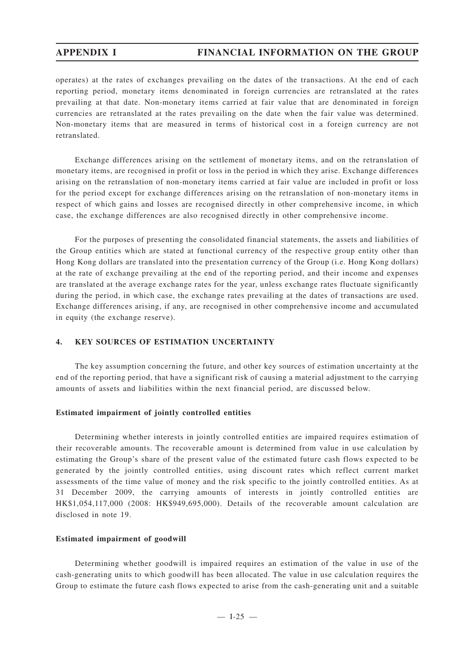operates) at the rates of exchanges prevailing on the dates of the transactions. At the end of each reporting period, monetary items denominated in foreign currencies are retranslated at the rates prevailing at that date. Non-monetary items carried at fair value that are denominated in foreign currencies are retranslated at the rates prevailing on the date when the fair value was determined. Non-monetary items that are measured in terms of historical cost in a foreign currency are not retranslated.

Exchange differences arising on the settlement of monetary items, and on the retranslation of monetary items, are recognised in profit or loss in the period in which they arise. Exchange differences arising on the retranslation of non-monetary items carried at fair value are included in profit or loss for the period except for exchange differences arising on the retranslation of non-monetary items in respect of which gains and losses are recognised directly in other comprehensive income, in which case, the exchange differences are also recognised directly in other comprehensive income.

For the purposes of presenting the consolidated financial statements, the assets and liabilities of the Group entities which are stated at functional currency of the respective group entity other than Hong Kong dollars are translated into the presentation currency of the Group (i.e. Hong Kong dollars) at the rate of exchange prevailing at the end of the reporting period, and their income and expenses are translated at the average exchange rates for the year, unless exchange rates fluctuate significantly during the period, in which case, the exchange rates prevailing at the dates of transactions are used. Exchange differences arising, if any, are recognised in other comprehensive income and accumulated in equity (the exchange reserve).

## **4. KEY SOURCES OF ESTIMATION UNCERTAINTY**

The key assumption concerning the future, and other key sources of estimation uncertainty at the end of the reporting period, that have a significant risk of causing a material adjustment to the carrying amounts of assets and liabilities within the next financial period, are discussed below.

### **Estimated impairment of jointly controlled entities**

Determining whether interests in jointly controlled entities are impaired requires estimation of their recoverable amounts. The recoverable amount is determined from value in use calculation by estimating the Group's share of the present value of the estimated future cash flows expected to be generated by the jointly controlled entities, using discount rates which reflect current market assessments of the time value of money and the risk specific to the jointly controlled entities. As at 31 December 2009, the carrying amounts of interests in jointly controlled entities are HK\$1,054,117,000 (2008: HK\$949,695,000). Details of the recoverable amount calculation are disclosed in note 19.

### **Estimated impairment of goodwill**

Determining whether goodwill is impaired requires an estimation of the value in use of the cash-generating units to which goodwill has been allocated. The value in use calculation requires the Group to estimate the future cash flows expected to arise from the cash-generating unit and a suitable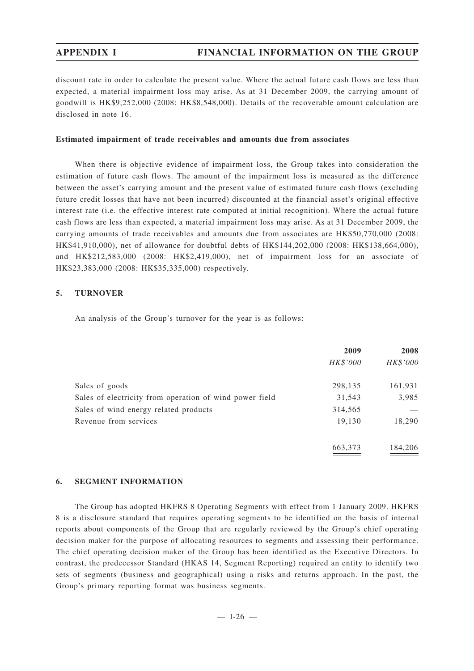discount rate in order to calculate the present value. Where the actual future cash flows are less than expected, a material impairment loss may arise. As at 31 December 2009, the carrying amount of goodwill is HK\$9,252,000 (2008: HK\$8,548,000). Details of the recoverable amount calculation are disclosed in note 16.

## **Estimated impairment of trade receivables and am ounts due from associates**

When there is objective evidence of impairment loss, the Group takes into consideration the estimation of future cash flows. The amount of the impairment loss is measured as the difference between the asset's carrying amount and the present value of estimated future cash flows (excluding future credit losses that have not been incurred) discounted at the financial asset's original effective interest rate (i.e. the effective interest rate computed at initial recognition). Where the actual future cash flows are less than expected, a material impairment loss may arise. As at 31 December 2009, the carrying amounts of trade receivables and amounts due from associates are HK\$50,770,000 (2008: HK\$41,910,000), net of allowance for doubtful debts of HK\$144,202,000 (2008: HK\$138,664,000), and HK\$212,583,000 (2008: HK\$2,419,000), net of impairment loss for an associate of HK\$23,383,000 (2008: HK\$35,335,000) respectively.

## **5. TURNOVER**

An analysis of the Group's turnover for the year is as follows:

|                                                         | 2009     | 2008     |
|---------------------------------------------------------|----------|----------|
|                                                         | HK\$'000 | HK\$'000 |
| Sales of goods                                          | 298,135  | 161,931  |
| Sales of electricity from operation of wind power field | 31,543   | 3,985    |
| Sales of wind energy related products                   | 314,565  |          |
| Revenue from services                                   | 19,130   | 18,290   |
|                                                         | 663,373  | 184,206  |

## **6. SEGMENT INFORMATION**

The Group has adopted HKFRS 8 Operating Segments with effect from 1 January 2009. HKFRS 8 is a disclosure standard that requires operating segments to be identified on the basis of internal reports about components of the Group that are regularly reviewed by the Group's chief operating decision maker for the purpose of allocating resources to segments and assessing their performance. The chief operating decision maker of the Group has been identified as the Executive Directors. In contrast, the predecessor Standard (HKAS 14, Segment Reporting) required an entity to identify two sets of segments (business and geographical) using a risks and returns approach. In the past, the Group's primary reporting format was business segments.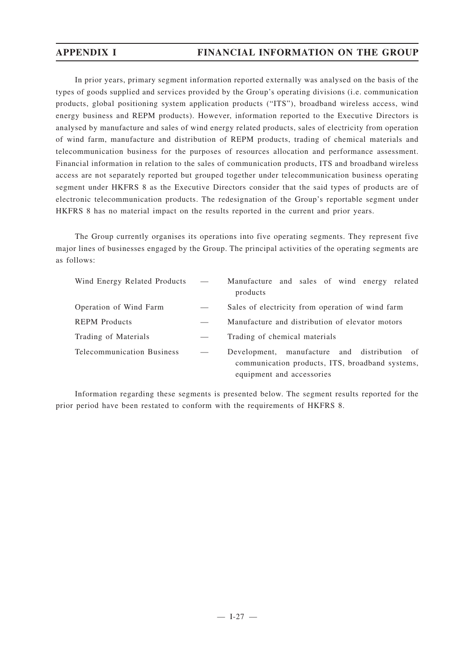In prior years, primary segment information reported externally was analysed on the basis of the types of goods supplied and services provided by the Group's operating divisions (i.e. communication products, global positioning system application products ("ITS"), broadband wireless access, wind energy business and REPM products). However, information reported to the Executive Directors is analysed by manufacture and sales of wind energy related products, sales of electricity from operation of wind farm, manufacture and distribution of REPM products, trading of chemical materials and telecommunication business for the purposes of resources allocation and performance assessment. Financial information in relation to the sales of communication products, ITS and broadband wireless access are not separately reported but grouped together under telecommunication business operating segment under HKFRS 8 as the Executive Directors consider that the said types of products are of electronic telecommunication products. The redesignation of the Group's reportable segment under HKFRS 8 has no material impact on the results reported in the current and prior years.

The Group currently organises its operations into five operating segments. They represent five major lines of businesses engaged by the Group. The principal activities of the operating segments are as follows:

| Wind Energy Related Products      | $\frac{1}{2}$ and $\frac{1}{2}$ | Manufacture and sales of wind energy related<br>products                                                                     |
|-----------------------------------|---------------------------------|------------------------------------------------------------------------------------------------------------------------------|
| Operation of Wind Farm            |                                 | Sales of electricity from operation of wind farm                                                                             |
| <b>REPM</b> Products              |                                 | Manufacture and distribution of elevator motors                                                                              |
| Trading of Materials              |                                 | Trading of chemical materials                                                                                                |
| <b>Telecommunication Business</b> |                                 | Development, manufacture and distribution of<br>communication products, ITS, broadband systems,<br>equipment and accessories |

Information regarding these segments is presented below. The segment results reported for the prior period have been restated to conform with the requirements of HKFRS 8.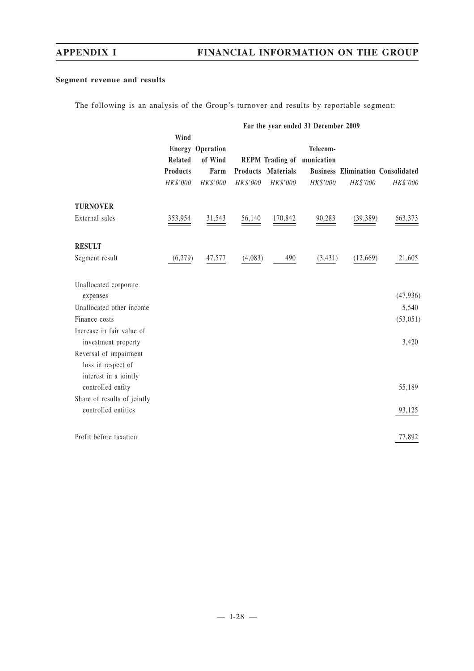# **Segment revenue and results**

The following is an analysis of the Group's turnover and results by reportable segment:

|                                                                         |                                                       |                                                        |          |                                | For the year ended 31 December 2009                       |           |                                                      |
|-------------------------------------------------------------------------|-------------------------------------------------------|--------------------------------------------------------|----------|--------------------------------|-----------------------------------------------------------|-----------|------------------------------------------------------|
|                                                                         | Wind<br><b>Related</b><br><b>Products</b><br>HK\$'000 | <b>Energy Operation</b><br>of Wind<br>Farm<br>HK\$'000 | HK\$'000 | Products Materials<br>HK\$'000 | Telecom-<br><b>REPM Trading of munication</b><br>HK\$'000 | HK\$'000  | <b>Business Elimination Consolidated</b><br>HK\$'000 |
| <b>TURNOVER</b>                                                         |                                                       |                                                        |          |                                |                                                           |           |                                                      |
| External sales                                                          | 353,954                                               | 31,543                                                 | 56,140   | 170,842                        | 90,283                                                    | (39, 389) | 663,373                                              |
| <b>RESULT</b>                                                           |                                                       |                                                        |          |                                |                                                           |           |                                                      |
| Segment result                                                          | (6,279)                                               | 47,577                                                 | (4,083)  | 490                            | (3, 431)                                                  | (12,669)  | 21,605                                               |
| Unallocated corporate<br>expenses<br>Unallocated other income           |                                                       |                                                        |          |                                |                                                           |           | (47, 936)<br>5,540                                   |
| Finance costs<br>Increase in fair value of<br>investment property       |                                                       |                                                        |          |                                |                                                           |           | (53, 051)<br>3,420                                   |
| Reversal of impairment<br>loss in respect of<br>interest in a jointly   |                                                       |                                                        |          |                                |                                                           |           |                                                      |
| controlled entity<br>Share of results of jointly<br>controlled entities |                                                       |                                                        |          |                                |                                                           |           | 55,189<br>93,125                                     |
| Profit before taxation                                                  |                                                       |                                                        |          |                                |                                                           |           | 77,892                                               |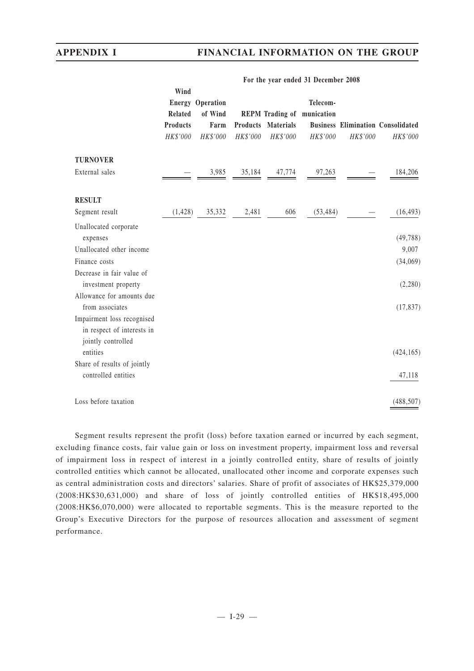|                                                                                | Wind            |                         |          |                           |                                   |          |                                          |
|--------------------------------------------------------------------------------|-----------------|-------------------------|----------|---------------------------|-----------------------------------|----------|------------------------------------------|
|                                                                                |                 | <b>Energy Operation</b> |          |                           | Telecom-                          |          |                                          |
|                                                                                | Related         | of Wind                 |          |                           | <b>REPM</b> Trading of munication |          |                                          |
|                                                                                | <b>Products</b> | Farm                    |          | <b>Products Materials</b> |                                   |          | <b>Business Elimination Consolidated</b> |
|                                                                                | HK\$'000        | HK\$'000                | HK\$'000 | HK\$'000                  | HK\$'000                          | HK\$'000 | HK\$'000                                 |
| <b>TURNOVER</b>                                                                |                 |                         |          |                           |                                   |          |                                          |
| External sales                                                                 |                 | 3,985                   | 35,184   | 47,774                    | 97,263                            |          | 184,206                                  |
| <b>RESULT</b>                                                                  |                 |                         |          |                           |                                   |          |                                          |
| Segment result                                                                 | (1, 428)        | 35,332                  | 2,481    | 606                       | (53, 484)                         |          | (16, 493)                                |
| Unallocated corporate<br>expenses                                              |                 |                         |          |                           |                                   |          | (49, 788)                                |
| Unallocated other income                                                       |                 |                         |          |                           |                                   |          | 9,007                                    |
| Finance costs                                                                  |                 |                         |          |                           |                                   |          | (34,069)                                 |
| Decrease in fair value of                                                      |                 |                         |          |                           |                                   |          |                                          |
| investment property                                                            |                 |                         |          |                           |                                   |          | (2,280)                                  |
| Allowance for amounts due                                                      |                 |                         |          |                           |                                   |          |                                          |
| from associates                                                                |                 |                         |          |                           |                                   |          | (17, 837)                                |
| Impairment loss recognised<br>in respect of interests in<br>jointly controlled |                 |                         |          |                           |                                   |          |                                          |
| entities                                                                       |                 |                         |          |                           |                                   |          | (424, 165)                               |
| Share of results of jointly                                                    |                 |                         |          |                           |                                   |          |                                          |
| controlled entities                                                            |                 |                         |          |                           |                                   |          | 47,118                                   |
| Loss before taxation                                                           |                 |                         |          |                           |                                   |          | (488, 507)                               |

### **For the year ended 31 December 2008**

Segment results represent the profit (loss) before taxation earned or incurred by each segment, excluding finance costs, fair value gain or loss on investment property, impairment loss and reversal of impairment loss in respect of interest in a jointly controlled entity, share of results of jointly controlled entities which cannot be allocated, unallocated other income and corporate expenses such as central administration costs and directors' salaries. Share of profit of associates of HK\$25,379,000 (2008:HK\$30,631,000) and share of loss of jointly controlled entities of HK\$18,495,000 (2008:HK\$6,070,000) were allocated to reportable segments. This is the measure reported to the Group's Executive Directors for the purpose of resources allocation and assessment of segment performance.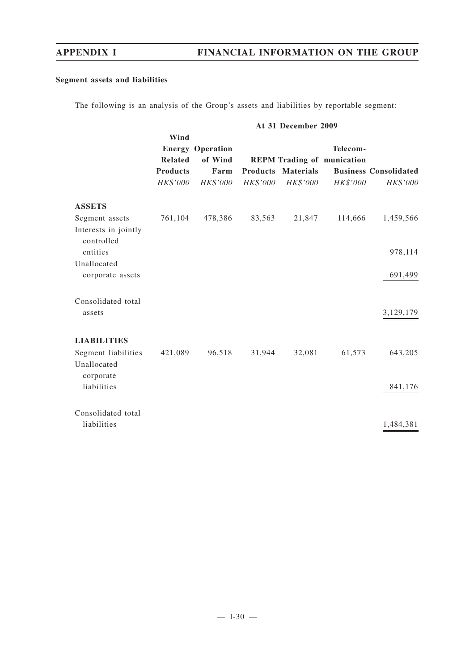# **Segment assets and liabilities**

The following is an analysis of the Group's assets and liabilities by reportable segment:

|                                                      |                                                       |                                                        |          | At 31 December 2009                   |                                                           |                                          |
|------------------------------------------------------|-------------------------------------------------------|--------------------------------------------------------|----------|---------------------------------------|-----------------------------------------------------------|------------------------------------------|
|                                                      | Wind<br><b>Related</b><br><b>Products</b><br>HK\$'000 | <b>Energy Operation</b><br>of Wind<br>Farm<br>HK\$'000 | HK\$'000 | <b>Products Materials</b><br>HK\$'000 | Telecom-<br><b>REPM</b> Trading of munication<br>HK\$'000 | <b>Business Consolidated</b><br>HK\$'000 |
| <b>ASSETS</b>                                        |                                                       |                                                        |          |                                       |                                                           |                                          |
| Segment assets<br>Interests in jointly<br>controlled | 761,104                                               | 478,386                                                | 83,563   | 21,847                                | 114,666                                                   | 1,459,566                                |
| entities                                             |                                                       |                                                        |          |                                       |                                                           | 978,114                                  |
| Unallocated<br>corporate assets                      |                                                       |                                                        |          |                                       |                                                           | 691,499                                  |
| Consolidated total<br>assets                         |                                                       |                                                        |          |                                       |                                                           | 3,129,179                                |
| <b>LIABILITIES</b>                                   |                                                       |                                                        |          |                                       |                                                           |                                          |
| Segment liabilities<br>Unallocated                   | 421,089                                               | 96,518                                                 | 31,944   | 32,081                                | 61,573                                                    | 643,205                                  |
| corporate<br>liabilities                             |                                                       |                                                        |          |                                       |                                                           | 841,176                                  |
| Consolidated total<br>liabilities                    |                                                       |                                                        |          |                                       |                                                           | 1,484,381                                |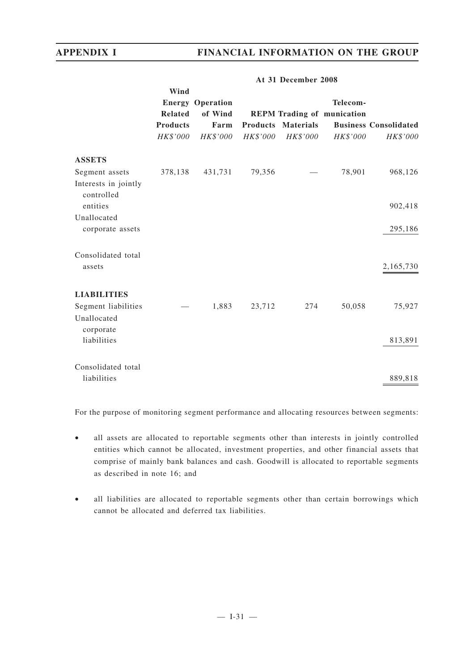|                                    | Wind            |                         |          |                    |                                   |                              |
|------------------------------------|-----------------|-------------------------|----------|--------------------|-----------------------------------|------------------------------|
|                                    |                 | <b>Energy Operation</b> |          |                    | Telecom-                          |                              |
|                                    | <b>Related</b>  | of Wind                 |          |                    | <b>REPM Trading of munication</b> |                              |
|                                    | <b>Products</b> | Farm                    |          | Products Materials |                                   | <b>Business Consolidated</b> |
|                                    | HK\$'000        | HK\$'000                | HK\$'000 | <i>HK\$'000</i>    | HK\$'000                          | HK\$'000                     |
| <b>ASSETS</b>                      |                 |                         |          |                    |                                   |                              |
| Segment assets                     | 378,138         | 431,731                 | 79,356   |                    | 78,901                            | 968,126                      |
| Interests in jointly<br>controlled |                 |                         |          |                    |                                   |                              |
| entities                           |                 |                         |          |                    |                                   | 902,418                      |
| Unallocated<br>corporate assets    |                 |                         |          |                    |                                   | 295,186                      |
|                                    |                 |                         |          |                    |                                   |                              |
| Consolidated total                 |                 |                         |          |                    |                                   |                              |
| assets                             |                 |                         |          |                    |                                   | 2,165,730                    |
|                                    |                 |                         |          |                    |                                   |                              |
| <b>LIABILITIES</b>                 |                 |                         |          |                    |                                   |                              |
| Segment liabilities                |                 | 1,883                   | 23,712   | 274                | 50,058                            | 75,927                       |
| Unallocated<br>corporate           |                 |                         |          |                    |                                   |                              |
| liabilities                        |                 |                         |          |                    |                                   | 813,891                      |
| Consolidated total                 |                 |                         |          |                    |                                   |                              |
| liabilities                        |                 |                         |          |                    |                                   | 889,818                      |

## **At 31 December 2008**

For the purpose of monitoring segment performance and allocating resources between segments:

- all assets are allocated to reportable segments other than interests in jointly controlled entities which cannot be allocated, investment properties, and other financial assets that comprise of mainly bank balances and cash. Goodwill is allocated to reportable segments as described in note 16; and
- all liabilities are allocated to reportable segments other than certain borrowings which cannot be allocated and deferred tax liabilities.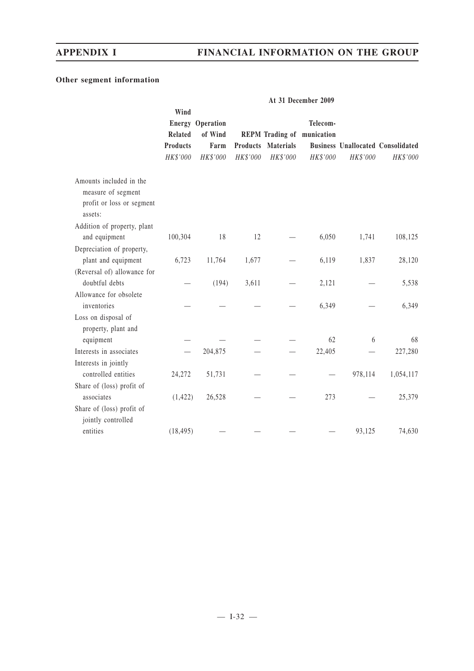# **Other segment information**

|                                                                                       | At 31 December 2009                                   |                                                        |                             |                              |                                                           |          |                                                      |
|---------------------------------------------------------------------------------------|-------------------------------------------------------|--------------------------------------------------------|-----------------------------|------------------------------|-----------------------------------------------------------|----------|------------------------------------------------------|
|                                                                                       | Wind<br><b>Related</b><br><b>Products</b><br>HK\$'000 | <b>Energy Operation</b><br>of Wind<br>Farm<br>HK\$'000 | <b>Products</b><br>HK\$'000 | <b>Materials</b><br>HK\$'000 | Telecom-<br><b>REPM</b> Trading of munication<br>HK\$'000 | HK\$'000 | <b>Business Unallocated Consolidated</b><br>HK\$'000 |
| Amounts included in the<br>measure of segment<br>profit or loss or segment<br>assets: |                                                       |                                                        |                             |                              |                                                           |          |                                                      |
| Addition of property, plant                                                           |                                                       |                                                        |                             |                              |                                                           |          |                                                      |
| and equipment                                                                         | 100,304                                               | 18                                                     | 12                          |                              | 6,050                                                     | 1,741    | 108,125                                              |
| Depreciation of property,<br>plant and equipment                                      | 6,723                                                 | 11,764                                                 | 1,677                       |                              | 6,119                                                     | 1,837    | 28,120                                               |
| (Reversal of) allowance for                                                           |                                                       |                                                        |                             |                              |                                                           |          |                                                      |
| doubtful debts                                                                        |                                                       | (194)                                                  | 3,611                       |                              | 2,121                                                     |          | 5,538                                                |
| Allowance for obsolete                                                                |                                                       |                                                        |                             |                              |                                                           |          |                                                      |
| inventories                                                                           |                                                       |                                                        |                             |                              | 6,349                                                     |          | 6,349                                                |
| Loss on disposal of<br>property, plant and                                            |                                                       |                                                        |                             |                              |                                                           |          |                                                      |
| equipment                                                                             |                                                       |                                                        |                             |                              | 62                                                        | 6        | 68                                                   |
| Interests in associates                                                               |                                                       | 204,875                                                |                             |                              | 22,405                                                    |          | 227,280                                              |
| Interests in jointly                                                                  |                                                       |                                                        |                             |                              |                                                           |          |                                                      |
| controlled entities                                                                   | 24,272                                                | 51,731                                                 |                             |                              |                                                           | 978,114  | 1,054,117                                            |
| Share of (loss) profit of                                                             |                                                       |                                                        |                             |                              |                                                           |          |                                                      |
| associates                                                                            | (1, 422)                                              | 26,528                                                 |                             |                              | 273                                                       |          | 25,379                                               |
| Share of (loss) profit of<br>jointly controlled                                       |                                                       |                                                        |                             |                              |                                                           |          |                                                      |
| entities                                                                              | (18, 495)                                             |                                                        |                             |                              |                                                           | 93,125   | 74,630                                               |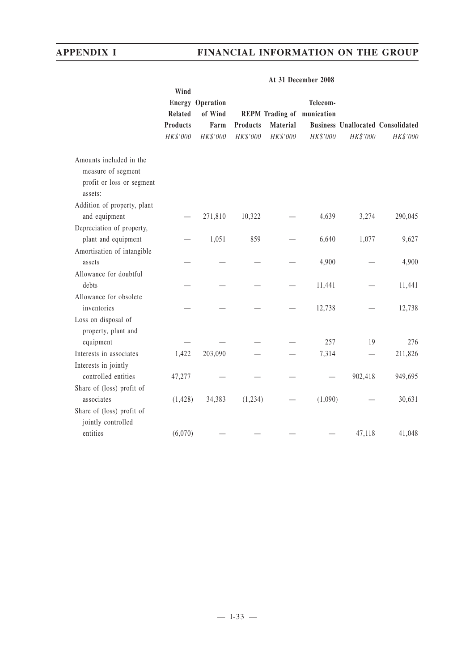|                                                                                       | Wind            |                                    |                 |          |                                               |          |                                          |
|---------------------------------------------------------------------------------------|-----------------|------------------------------------|-----------------|----------|-----------------------------------------------|----------|------------------------------------------|
|                                                                                       | <b>Related</b>  | <b>Energy Operation</b><br>of Wind |                 |          | Telecom-<br><b>REPM Trading of munication</b> |          |                                          |
|                                                                                       | <b>Products</b> | Farm                               | <b>Products</b> | Material |                                               |          | <b>Business Unallocated Consolidated</b> |
|                                                                                       | HK\$'000        | HK\$'000                           | HK\$'000        | HK\$'000 | HK\$'000                                      | HK\$'000 | HK\$'000                                 |
| Amounts included in the<br>measure of segment<br>profit or loss or segment<br>assets: |                 |                                    |                 |          |                                               |          |                                          |
| Addition of property, plant<br>and equipment                                          |                 | 271,810                            | 10,322          |          | 4,639                                         | 3,274    | 290,045                                  |
| Depreciation of property,                                                             |                 |                                    |                 |          |                                               |          |                                          |
| plant and equipment                                                                   |                 | 1,051                              | 859             |          | 6,640                                         | 1,077    | 9,627                                    |
| Amortisation of intangible                                                            |                 |                                    |                 |          |                                               |          |                                          |
| assets                                                                                |                 |                                    |                 |          | 4,900                                         |          | 4,900                                    |
| Allowance for doubtful                                                                |                 |                                    |                 |          |                                               |          |                                          |
| debts                                                                                 |                 |                                    |                 |          | 11,441                                        |          | 11,441                                   |
| Allowance for obsolete                                                                |                 |                                    |                 |          |                                               |          |                                          |
| inventories                                                                           |                 |                                    |                 |          | 12,738                                        |          | 12,738                                   |
| Loss on disposal of                                                                   |                 |                                    |                 |          |                                               |          |                                          |
| property, plant and                                                                   |                 |                                    |                 |          |                                               |          |                                          |
| equipment                                                                             |                 |                                    |                 |          | 257                                           | 19       | 276                                      |
| Interests in associates                                                               | 1,422           | 203,090                            |                 |          | 7,314                                         |          | 211,826                                  |
| Interests in jointly<br>controlled entities                                           | 47,277          |                                    |                 |          |                                               | 902,418  | 949,695                                  |
| Share of (loss) profit of                                                             |                 |                                    |                 |          |                                               |          |                                          |
| associates                                                                            | (1, 428)        | 34,383                             | (1,234)         |          | (1,090)                                       |          | 30,631                                   |
| Share of (loss) profit of                                                             |                 |                                    |                 |          |                                               |          |                                          |
| jointly controlled                                                                    |                 |                                    |                 |          |                                               |          |                                          |
| entities                                                                              | (6,070)         |                                    |                 |          |                                               | 47,118   | 41,048                                   |

### **At 31 December 2008**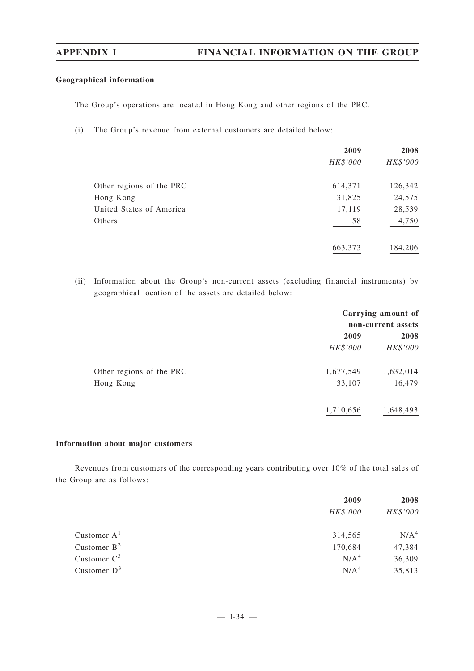### **Geographical information**

The Group's operations are located in Hong Kong and other regions of the PRC.

(i) The Group's revenue from external customers are detailed below:

|                          | 2009     | 2008     |  |
|--------------------------|----------|----------|--|
|                          | HK\$'000 | HK\$'000 |  |
| Other regions of the PRC | 614,371  | 126,342  |  |
| Hong Kong                | 31,825   | 24,575   |  |
| United States of America | 17,119   | 28,539   |  |
| Others                   | 58       | 4,750    |  |
|                          | 663,373  | 184,206  |  |

(ii) Information about the Group's non-current assets (excluding financial instruments) by geographical location of the assets are detailed below:

|                          | Carrying amount of |                    |  |  |
|--------------------------|--------------------|--------------------|--|--|
|                          |                    | non-current assets |  |  |
|                          | 2009               | 2008               |  |  |
|                          | HK\$'000           | HK\$'000           |  |  |
| Other regions of the PRC | 1,677,549          | 1,632,014          |  |  |
| Hong Kong                | 33,107             | 16,479             |  |  |
|                          | 1,710,656          | 1,648,493          |  |  |

## **Information about major customers**

Revenues from customers of the corresponding years contributing over 10% of the total sales of the Group are as follows:

|                | 2009             | 2008             |
|----------------|------------------|------------------|
|                | HK\$'000         | HK\$'000         |
| Customer $A1$  | 314,565          | N/A <sup>4</sup> |
| Customer $B^2$ | 170,684          | 47,384           |
| Customer $C^3$ | N/A <sup>4</sup> | 36,309           |
| Customer $D^3$ | N/A <sup>4</sup> | 35,813           |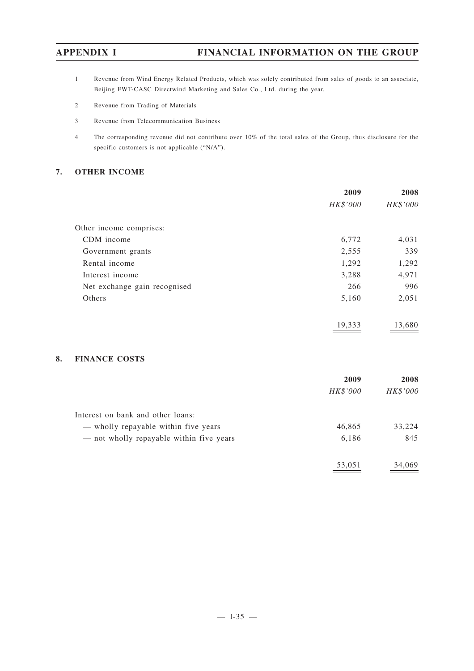- 1 Revenue from Wind Energy Related Products, which was solely contributed from sales of goods to an associate, Beijing EWT-CASC Directwind Marketing and Sales Co., Ltd. during the year.
- 2 Revenue from Trading of Materials
- 3 Revenue from Telecommunication Business
- 4 The corresponding revenue did not contribute over 10% of the total sales of the Group, thus disclosure for the specific customers is not applicable ("N/A").

# **7. OTHER INCOME**

|                              | 2009     | 2008     |
|------------------------------|----------|----------|
|                              | HK\$'000 | HK\$'000 |
| Other income comprises:      |          |          |
| CDM income                   | 6,772    | 4,031    |
| Government grants            | 2,555    | 339      |
| Rental income                | 1,292    | 1,292    |
| Interest income              | 3,288    | 4,971    |
| Net exchange gain recognised | 266      | 996      |
| Others                       | 5,160    | 2,051    |
|                              | 19,333   | 13,680   |

## **8. FINANCE COSTS**

|                                          | 2009     | 2008     |
|------------------------------------------|----------|----------|
|                                          | HK\$'000 | HK\$'000 |
| Interest on bank and other loans:        |          |          |
| - wholly repayable within five years     | 46,865   | 33,224   |
| - not wholly repayable within five years | 6,186    | 845      |
|                                          | 53,051   | 34,069   |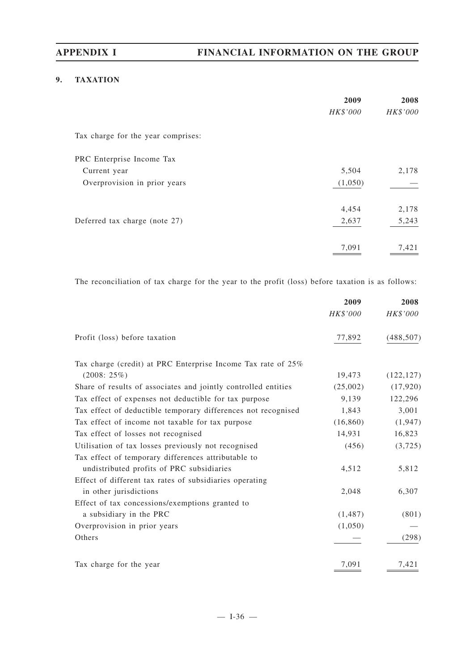# **9. TAXATION**

|                                    | 2009     | 2008     |
|------------------------------------|----------|----------|
|                                    | HK\$'000 | HK\$'000 |
| Tax charge for the year comprises: |          |          |
| PRC Enterprise Income Tax          |          |          |
| Current year                       | 5,504    | 2,178    |
| Overprovision in prior years       | (1,050)  |          |
|                                    | 4,454    | 2,178    |
| Deferred tax charge (note 27)      | 2,637    | 5,243    |
|                                    | 7,091    | 7,421    |

The reconciliation of tax charge for the year to the profit (loss) before taxation is as follows:

|                                                                | 2009      | 2008       |
|----------------------------------------------------------------|-----------|------------|
|                                                                | HK\$'000  | HK\$'000   |
| Profit (loss) before taxation                                  | 77,892    | (488, 507) |
| Tax charge (credit) at PRC Enterprise Income Tax rate of 25%   |           |            |
| $(2008: 25\%)$                                                 | 19,473    | (122, 127) |
| Share of results of associates and jointly controlled entities | (25,002)  | (17,920)   |
| Tax effect of expenses not deductible for tax purpose          | 9,139     | 122,296    |
| Tax effect of deductible temporary differences not recognised  | 1,843     | 3,001      |
| Tax effect of income not taxable for tax purpose               | (16, 860) | (1, 947)   |
| Tax effect of losses not recognised                            | 14,931    | 16,823     |
| Utilisation of tax losses previously not recognised            | (456)     | (3,725)    |
| Tax effect of temporary differences attributable to            |           |            |
| undistributed profits of PRC subsidiaries                      | 4,512     | 5,812      |
| Effect of different tax rates of subsidiaries operating        |           |            |
| in other jurisdictions                                         | 2,048     | 6,307      |
| Effect of tax concessions/exemptions granted to                |           |            |
| a subsidiary in the PRC                                        | (1, 487)  | (801)      |
| Overprovision in prior years                                   | (1,050)   |            |
| Others                                                         |           | (298)      |
| Tax charge for the year                                        | 7,091     | 7,421      |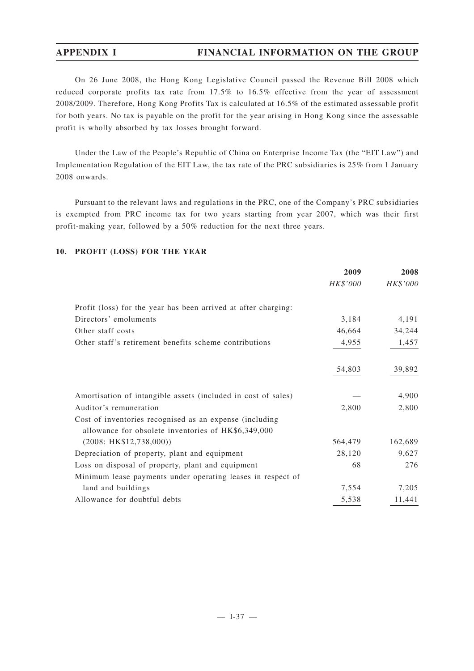On 26 June 2008, the Hong Kong Legislative Council passed the Revenue Bill 2008 which reduced corporate profits tax rate from 17.5% to 16.5% effective from the year of assessment 2008/2009. Therefore, Hong Kong Profits Tax is calculated at 16.5% of the estimated assessable profit for both years. No tax is payable on the profit for the year arising in Hong Kong since the assessable profit is wholly absorbed by tax losses brought forward.

Under the Law of the People's Republic of China on Enterprise Income Tax (the "EIT Law") and Implementation Regulation of the EIT Law, the tax rate of the PRC subsidiaries is 25% from 1 January 2008 onwards.

Pursuant to the relevant laws and regulations in the PRC, one of the Company's PRC subsidiaries is exempted from PRC income tax for two years starting from year 2007, which was their first profit-making year, followed by a 50% reduction for the next three years.

## **10. PROFIT (LOSS) FOR THE YEAR**

|                                                                                                                | 2009            | 2008     |
|----------------------------------------------------------------------------------------------------------------|-----------------|----------|
|                                                                                                                | <i>HK\$'000</i> | HK\$'000 |
| Profit (loss) for the year has been arrived at after charging:                                                 |                 |          |
| Directors' emoluments                                                                                          | 3,184           | 4,191    |
| Other staff costs                                                                                              | 46,664          | 34,244   |
| Other staff's retirement benefits scheme contributions                                                         | 4,955           | 1,457    |
|                                                                                                                | 54,803          | 39,892   |
| Amortisation of intangible assets (included in cost of sales)                                                  |                 | 4,900    |
| Auditor's remuneration                                                                                         | 2,800           | 2,800    |
| Cost of inventories recognised as an expense (including<br>allowance for obsolete inventories of HK\$6,349,000 |                 |          |
| (2008: HK\$12,738,000))                                                                                        | 564,479         | 162,689  |
| Depreciation of property, plant and equipment                                                                  | 28,120          | 9,627    |
| Loss on disposal of property, plant and equipment                                                              | 68              | 276      |
| Minimum lease payments under operating leases in respect of                                                    |                 |          |
| land and buildings                                                                                             | 7,554           | 7,205    |
| Allowance for doubtful debts                                                                                   | 5,538           | 11,441   |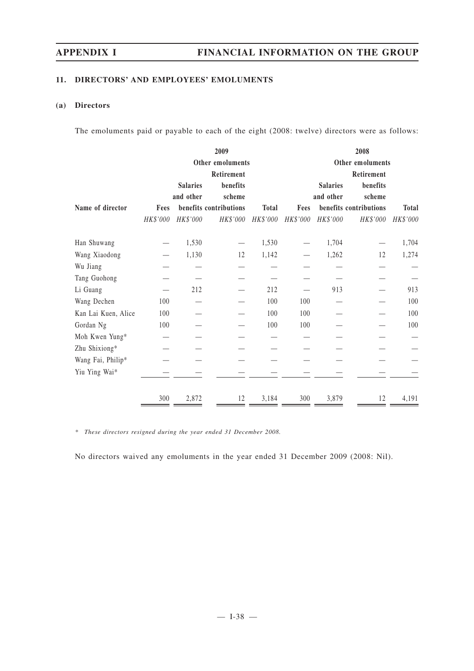## **11. DIRECTORS' AND EMPLOYEES' EMOLUMENTS**

## **(a) Directors**

The emoluments paid or payable to each of the eight (2008: twelve) directors were as follows:

|                     |          |                 | 2009                   |              |            |                 | 2008                   |              |
|---------------------|----------|-----------------|------------------------|--------------|------------|-----------------|------------------------|--------------|
|                     |          |                 | Other emoluments       |              |            |                 | Other emoluments       |              |
|                     |          |                 | Retirement             |              |            |                 | Retirement             |              |
|                     |          | <b>Salaries</b> | benefits               |              |            | <b>Salaries</b> | benefits               |              |
|                     |          | and other       | scheme                 |              |            | and other       | scheme                 |              |
| Name of director    | Fees     |                 | benefits contributions | <b>Total</b> | Fees       |                 | benefits contributions | <b>Total</b> |
|                     | HK\$'000 | HK\$'000        | HK\$'000               | HK\$'000     | $HK\$ '000 | HK\$'000        | HK\$'000               | HK\$'000     |
| Han Shuwang         |          | 1,530           |                        | 1,530        |            | 1,704           |                        | 1,704        |
| Wang Xiaodong       |          | 1,130           | 12                     | 1,142        |            | 1,262           | 12                     | 1,274        |
| Wu Jiang            |          |                 |                        |              |            |                 |                        |              |
| Tang Guohong        |          |                 |                        |              |            |                 |                        |              |
| Li Guang            |          | 212             |                        | 212          |            | 913             |                        | 913          |
| Wang Dechen         | 100      |                 |                        | 100          | 100        |                 |                        | 100          |
| Kan Lai Kuen, Alice | 100      |                 |                        | 100          | 100        |                 |                        | 100          |
| Gordan Ng           | 100      |                 |                        | 100          | 100        |                 |                        | 100          |
| Moh Kwen Yung*      |          |                 |                        |              |            |                 |                        |              |
| Zhu Shixiong*       |          |                 |                        |              |            |                 |                        |              |
| Wang Fai, Philip*   |          |                 |                        |              |            |                 |                        |              |
| Yiu Ying Wai*       |          |                 |                        |              |            |                 |                        |              |
|                     | 300      | 2,872           | 12                     | 3,184        | 300        | 3,879           | 12                     | 4,191        |

*\* These directors resigned during the year ended 31 December 2008.*

No directors waived any emoluments in the year ended 31 December 2009 (2008: Nil).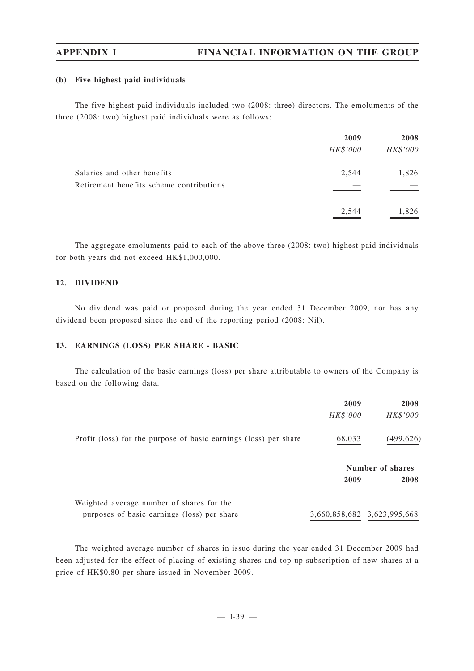## **(b) Five highest paid individuals**

The five highest paid individuals included two (2008: three) directors. The emoluments of the three (2008: two) highest paid individuals were as follows:

|                                          | 2009     | 2008     |
|------------------------------------------|----------|----------|
|                                          | HK\$'000 | HK\$'000 |
| Salaries and other benefits              | 2,544    | 1,826    |
| Retirement benefits scheme contributions |          |          |
|                                          | 2,544    | 1,826    |

The aggregate emoluments paid to each of the above three (2008: two) highest paid individuals for both years did not exceed HK\$1,000,000.

## **12. DIVIDEND**

No dividend was paid or proposed during the year ended 31 December 2009, nor has any dividend been proposed since the end of the reporting period (2008: Nil).

## **13. EARNINGS (LOSS) PER SHARE - BASIC**

The calculation of the basic earnings (loss) per share attributable to owners of the Company is based on the following data.

|                                                                  | 2009     | 2008                        |
|------------------------------------------------------------------|----------|-----------------------------|
|                                                                  | HK\$'000 | HK\$'000                    |
| Profit (loss) for the purpose of basic earnings (loss) per share | 68,033   | (499,626)                   |
|                                                                  |          | Number of shares            |
|                                                                  | 2009     | 2008                        |
| Weighted average number of shares for the                        |          |                             |
| purposes of basic earnings (loss) per share                      |          | 3,660,858,682 3,623,995,668 |

The weighted average number of shares in issue during the year ended 31 December 2009 had been adjusted for the effect of placing of existing shares and top-up subscription of new shares at a price of HK\$0.80 per share issued in November 2009.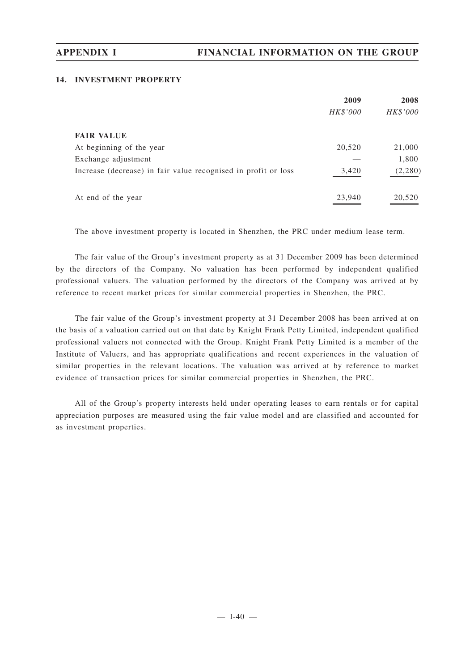## **14. INVESTMENT PROPERTY**

|                                                                | 2009     | 2008     |
|----------------------------------------------------------------|----------|----------|
|                                                                | HK\$'000 | HK\$'000 |
| <b>FAIR VALUE</b>                                              |          |          |
| At beginning of the year                                       | 20,520   | 21,000   |
| Exchange adjustment                                            |          | 1,800    |
| Increase (decrease) in fair value recognised in profit or loss | 3,420    | (2,280)  |
| At end of the year                                             | 23,940   | 20,520   |

The above investment property is located in Shenzhen, the PRC under medium lease term.

The fair value of the Group's investment property as at 31 December 2009 has been determined by the directors of the Company. No valuation has been performed by independent qualified professional valuers. The valuation performed by the directors of the Company was arrived at by reference to recent market prices for similar commercial properties in Shenzhen, the PRC.

The fair value of the Group's investment property at 31 December 2008 has been arrived at on the basis of a valuation carried out on that date by Knight Frank Petty Limited, independent qualified professional valuers not connected with the Group. Knight Frank Petty Limited is a member of the Institute of Valuers, and has appropriate qualifications and recent experiences in the valuation of similar properties in the relevant locations. The valuation was arrived at by reference to market evidence of transaction prices for similar commercial properties in Shenzhen, the PRC.

All of the Group's property interests held under operating leases to earn rentals or for capital appreciation purposes are measured using the fair value model and are classified and accounted for as investment properties.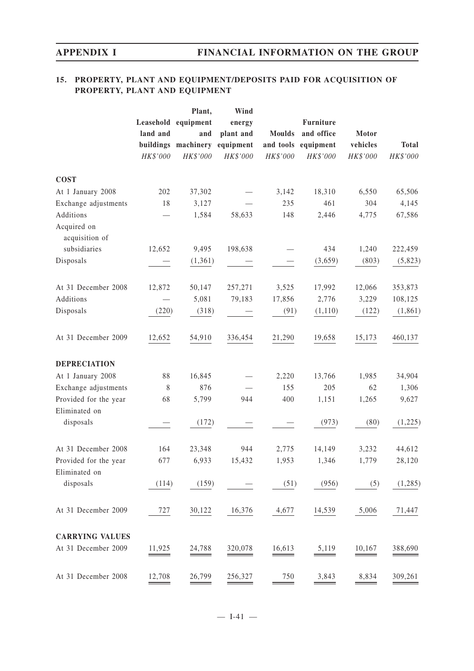# **15. PROPERTY, PLANT AND EQUIPMENT/DEPOSITS PAID FOR ACQUISITION OF PROPERTY, PLANT AND EQUIPMENT**

|                                            |           | Plant,<br>Leasehold equipment | Wind<br>energy |               | <b>Furniture</b>    |          |              |
|--------------------------------------------|-----------|-------------------------------|----------------|---------------|---------------------|----------|--------------|
|                                            | land and  | and                           | plant and      | <b>Moulds</b> | and office          | Motor    |              |
|                                            |           | buildings machinery           | equipment      |               | and tools equipment | vehicles | <b>Total</b> |
|                                            | HK\$'000  | HK\$'000                      | HK\$'000       | HK\$'000      | HK\$'000            | HK\$'000 | HK\$'000     |
| <b>COST</b>                                |           |                               |                |               |                     |          |              |
| At 1 January 2008                          | 202       | 37,302                        |                | 3,142         | 18,310              | 6,550    | 65,506       |
| Exchange adjustments                       | $1\,8$    | 3,127                         |                | 235           | 461                 | 304      | 4,145        |
| Additions<br>Acquired on<br>acquisition of |           | 1,584                         | 58,633         | 148           | 2,446               | 4,775    | 67,586       |
| subsidiaries                               | 12,652    | 9,495                         | 198,638        |               | 434                 | 1,240    | 222,459      |
| Disposals                                  |           | (1,361)                       |                |               | (3,659)             | (803)    | (5,823)      |
| At 31 December 2008                        | 12,872    | 50,147                        | 257,271        | 3,525         | 17,992              | 12,066   | 353,873      |
| Additions                                  |           | 5,081                         | 79,183         | 17,856        | 2,776               | 3,229    | 108,125      |
| Disposals                                  | (220)     | (318)                         |                | (91)          | (1,110)             | (122)    | (1, 861)     |
| At 31 December 2009                        | 12,652    | 54,910                        | 336,454        | 21,290        | 19,658              | 15,173   | 460,137      |
| <b>DEPRECIATION</b>                        |           |                               |                |               |                     |          |              |
| At 1 January 2008                          | $\bf 88$  | 16,845                        |                | 2,220         | 13,766              | 1,985    | 34,904       |
| Exchange adjustments                       | $\,$ $\,$ | 876                           |                | 155           | 205                 | 62       | 1,306        |
| Provided for the year                      | 68        | 5,799                         | 944            | 400           | 1,151               | 1,265    | 9,627        |
| Eliminated on                              |           |                               |                |               |                     |          |              |
| disposals                                  |           | (172)                         |                |               | (973)               | (80)     | (1,225)      |
| At 31 December 2008                        | 164       | 23,348                        | 944            | 2,775         | 14,149              | 3,232    | 44,612       |
| Provided for the year                      | 677       | 6,933                         | 15,432         | 1,953         | 1,346               | 1,779    | 28,120       |
| Eliminated on<br>disposals                 | (114)     | (159)                         |                | (51)          | (956)               | (5)      | (1,285)      |
|                                            |           |                               |                |               |                     |          |              |
| At 31 December 2009                        | 727       | 30,122                        | 16,376         | 4,677         | 14,539              | 5,006    | 71,447       |
| <b>CARRYING VALUES</b>                     |           |                               |                |               |                     |          |              |
| At 31 December 2009                        | 11,925    | 24,788                        | 320,078        | 16,613        | 5,119               | 10,167   | 388,690      |
| At 31 December 2008                        | 12,708    | 26,799                        | 256,327        | 750           | 3,843               | 8,834    | 309,261      |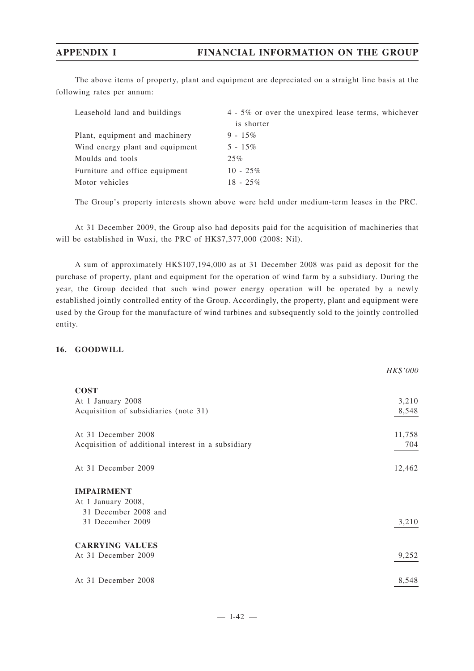The above items of property, plant and equipment are depreciated on a straight line basis at the following rates per annum:

| Leasehold land and buildings    | 4 - 5% or over the unexpired lease terms, whichever |
|---------------------------------|-----------------------------------------------------|
|                                 | is shorter                                          |
| Plant, equipment and machinery  | $9 - 15\%$                                          |
| Wind energy plant and equipment | $5 - 15\%$                                          |
| Moulds and tools                | 25%                                                 |
| Furniture and office equipment  | $10 - 25\%$                                         |
| Motor vehicles                  | $18 - 25\%$                                         |

The Group's property interests shown above were held under medium-term leases in the PRC.

At 31 December 2009, the Group also had deposits paid for the acquisition of machineries that will be established in Wuxi, the PRC of HK\$7,377,000 (2008: Nil).

A sum of approximately HK\$107,194,000 as at 31 December 2008 was paid as deposit for the purchase of property, plant and equipment for the operation of wind farm by a subsidiary. During the year, the Group decided that such wind power energy operation will be operated by a newly established jointly controlled entity of the Group. Accordingly, the property, plant and equipment were used by the Group for the manufacture of wind turbines and subsequently sold to the jointly controlled entity.

## **16. GOODWILL**

|                                                    | HK\$'000 |
|----------------------------------------------------|----------|
| <b>COST</b>                                        |          |
| At 1 January 2008                                  | 3,210    |
| Acquisition of subsidiaries (note 31)              | 8,548    |
| At 31 December 2008                                | 11,758   |
| Acquisition of additional interest in a subsidiary | 704      |
| At 31 December 2009                                | 12,462   |
| <b>IMPAIRMENT</b>                                  |          |
| At 1 January 2008,                                 |          |
| 31 December 2008 and                               |          |
| 31 December 2009                                   | 3,210    |
| <b>CARRYING VALUES</b>                             |          |
| At 31 December 2009                                | 9,252    |
| At 31 December 2008                                | 8,548    |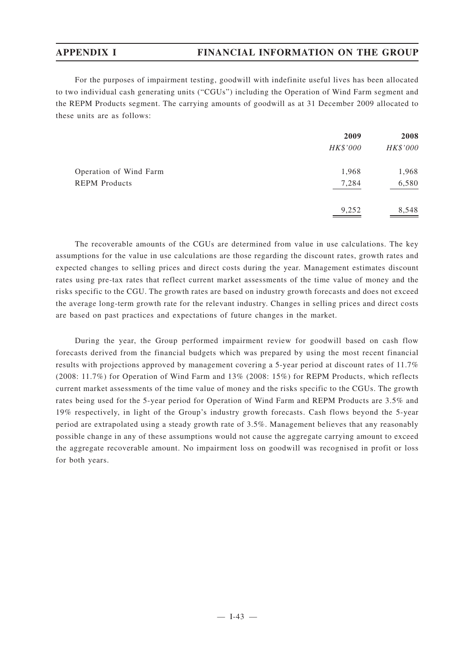For the purposes of impairment testing, goodwill with indefinite useful lives has been allocated to two individual cash generating units ("CGUs") including the Operation of Wind Farm segment and the REPM Products segment. The carrying amounts of goodwill as at 31 December 2009 allocated to these units are as follows:

|                        | 2009     | 2008     |
|------------------------|----------|----------|
|                        | HK\$'000 | HK\$'000 |
| Operation of Wind Farm | 1,968    | 1,968    |
| <b>REPM</b> Products   | 7,284    | 6,580    |
|                        | 9,252    | 8,548    |

The recoverable amounts of the CGUs are determined from value in use calculations. The key assumptions for the value in use calculations are those regarding the discount rates, growth rates and expected changes to selling prices and direct costs during the year. Management estimates discount rates using pre-tax rates that reflect current market assessments of the time value of money and the risks specific to the CGU. The growth rates are based on industry growth forecasts and does not exceed the average long-term growth rate for the relevant industry. Changes in selling prices and direct costs are based on past practices and expectations of future changes in the market.

During the year, the Group performed impairment review for goodwill based on cash flow forecasts derived from the financial budgets which was prepared by using the most recent financial results with projections approved by management covering a 5-year period at discount rates of 11.7% (2008: 11.7%) for Operation of Wind Farm and 13% (2008: 15%) for REPM Products, which reflects current market assessments of the time value of money and the risks specific to the CGUs. The growth rates being used for the 5-year period for Operation of Wind Farm and REPM Products are 3.5% and 19% respectively, in light of the Group's industry growth forecasts. Cash flows beyond the 5-year period are extrapolated using a steady growth rate of 3.5%. Management believes that any reasonably possible change in any of these assumptions would not cause the aggregate carrying amount to exceed the aggregate recoverable amount. No impairment loss on goodwill was recognised in profit or loss for both years.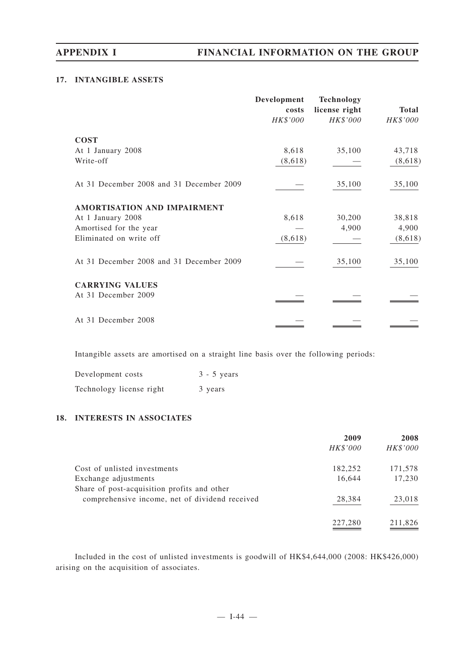## **17. INTANGIBLE ASSETS**

|                                          | Development<br>costs | <b>Technology</b><br>license right | <b>Total</b> |
|------------------------------------------|----------------------|------------------------------------|--------------|
|                                          | HK\$'000             | HK\$'000                           | HK\$'000     |
| <b>COST</b>                              |                      |                                    |              |
| At 1 January 2008                        | 8,618                | 35,100                             | 43,718       |
| Write-off                                | (8,618)              |                                    | (8,618)      |
| At 31 December 2008 and 31 December 2009 |                      | 35,100                             | 35,100       |
| AMORTISATION AND IMPAIRMENT              |                      |                                    |              |
| At 1 January 2008                        | 8,618                | 30,200                             | 38,818       |
| Amortised for the year                   |                      | 4,900                              | 4,900        |
| Eliminated on write off                  | (8,618)              |                                    | (8,618)      |
| At 31 December 2008 and 31 December 2009 |                      | 35,100                             | 35,100       |
| <b>CARRYING VALUES</b>                   |                      |                                    |              |
| At 31 December 2009                      |                      |                                    |              |
| At 31 December 2008                      |                      |                                    |              |

Intangible assets are amortised on a straight line basis over the following periods:

| Development costs        | $3 - 5$ years |
|--------------------------|---------------|
| Technology license right | 3 years       |

## **18. INTERESTS IN ASSOCIATES**

|                                                | 2009     | 2008     |
|------------------------------------------------|----------|----------|
|                                                | HK\$'000 | HK\$'000 |
| Cost of unlisted investments                   | 182,252  | 171,578  |
| Exchange adjustments                           | 16,644   | 17,230   |
| Share of post-acquisition profits and other    |          |          |
| comprehensive income, net of dividend received | 28,384   | 23,018   |
|                                                | 227,280  | 211,826  |

Included in the cost of unlisted investments is goodwill of HK\$4,644,000 (2008: HK\$426,000) arising on the acquisition of associates.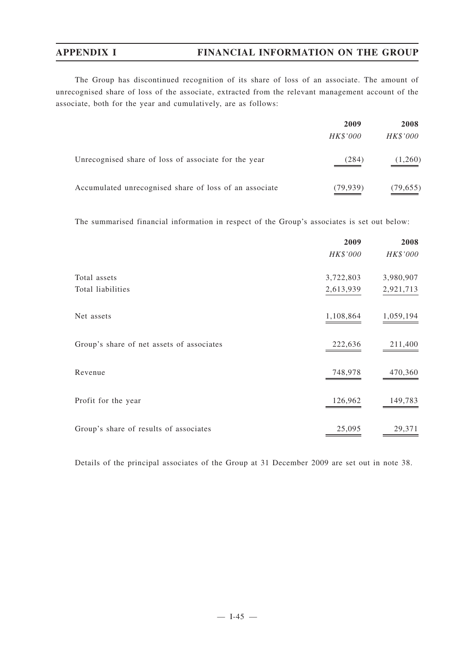The Group has discontinued recognition of its share of loss of an associate. The amount of unrecognised share of loss of the associate, extracted from the relevant management account of the associate, both for the year and cumulatively, are as follows:

|                                                        | 2009      | 2008            |
|--------------------------------------------------------|-----------|-----------------|
|                                                        | HK\$'000  | <i>HK\$'000</i> |
| Unrecognised share of loss of associate for the year   | (284)     | (1,260)         |
| Accumulated unrecognised share of loss of an associate | (79, 939) | (79, 655)       |

The summarised financial information in respect of the Group's associates is set out below:

|                                           | 2009      | 2008      |
|-------------------------------------------|-----------|-----------|
|                                           | HK\$'000  | HK\$'000  |
| Total assets                              | 3,722,803 | 3,980,907 |
| Total liabilities                         | 2,613,939 | 2,921,713 |
| Net assets                                | 1,108,864 | 1,059,194 |
| Group's share of net assets of associates | 222,636   | 211,400   |
| Revenue                                   | 748,978   | 470,360   |
| Profit for the year                       | 126,962   | 149,783   |
| Group's share of results of associates    | 25,095    | 29,371    |

Details of the principal associates of the Group at 31 December 2009 are set out in note 38.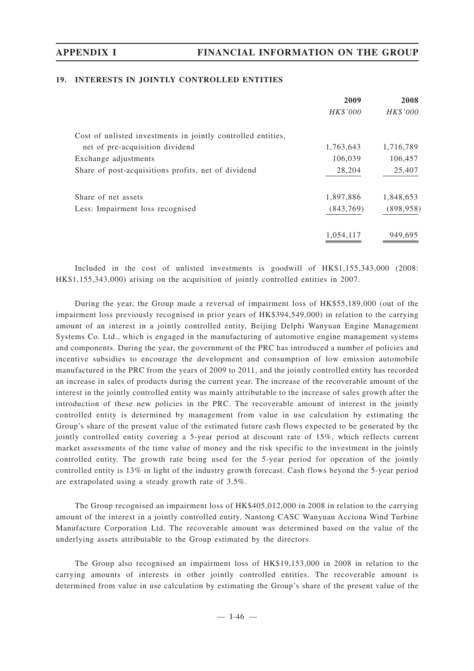## **19. INTERESTS IN JOINTLY CONTROLLED ENTITIES**

|                                                              | 2009      | 2008       |
|--------------------------------------------------------------|-----------|------------|
|                                                              | HK\$'000  | HK\$'000   |
| Cost of unlisted investments in jointly controlled entities, |           |            |
| net of pre-acquisition dividend                              | 1,763,643 | 1,716,789  |
| Exchange adjustments                                         | 106,039   | 106,457    |
| Share of post-acquisitions profits, net of dividend          | 28,204    | 25,407     |
| Share of net assets                                          | 1,897,886 | 1,848,653  |
| Less: Impairment loss recognised                             | (843,769) | (898, 958) |
|                                                              | 1.054.117 | 949.695    |

Included in the cost of unlisted investments is goodwill of HK\$1,155,343,000 (2008: HK\$1,155,343,000) arising on the acquisition of jointly controlled entities in 2007.

During the year, the Group made a reversal of impairment loss of HK\$55,189,000 (out of the impairment loss previously recognised in prior years of HK\$394,549,000) in relation to the carrying amount of an interest in a jointly controlled entity, Beijing Delphi Wanyuan Engine Management Systems Co. Ltd., which is engaged in the manufacturing of automotive engine management systems and components. During the year, the government of the PRC has introduced a number of policies and incentive subsidies to encourage the development and consumption of low emission automobile manufactured in the PRC from the years of 2009 to 2011, and the jointly controlled entity has recorded an increase in sales of products during the current year. The increase of the recoverable amount of the interest in the jointly controlled entity was mainly attributable to the increase of sales growth after the introduction of these new policies in the PRC. The recoverable amount of interest in the jointly controlled entity is determined by management from value in use calculation by estimating the Group's share of the present value of the estimated future cash flows expected to be generated by the jointly controlled entity covering a 5-year period at discount rate of 15%, which reflects current market assessments of the time value of money and the risk specific to the investment in the jointly controlled entity. The growth rate being used for the 5-year period for operation of the jointly controlled entity is 13% in light of the industry growth forecast. Cash flows beyond the 5-year period are extrapolated using a steady growth rate of 3.5%.

The Group recognised an impairment loss of HK\$405,012,000 in 2008 in relation to the carrying amount of the interest in a jointly controlled entity, Nantong CASC Wanyuan Acciona Wind Turbine Manufacture Corporation Ltd. The recoverable amount was determined based on the value of the underlying assets attributable to the Group estimated by the directors.

The Group also recognised an impairment loss of HK\$19,153,000 in 2008 in relation to the carrying amounts of interests in other jointly controlled entities. The recoverable amount is determined from value in use calculation by estimating the Group's share of the present value of the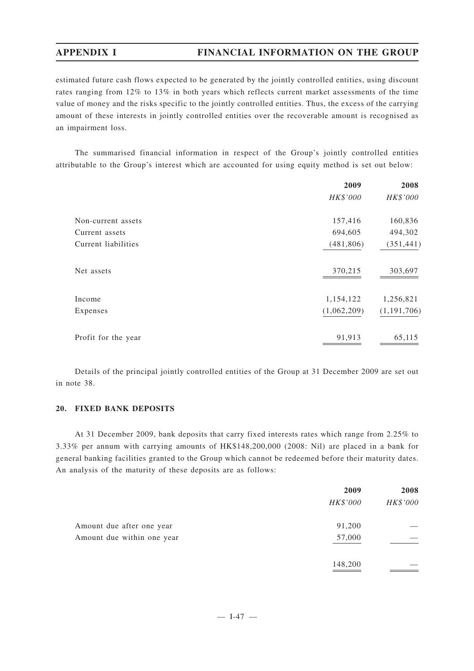estimated future cash flows expected to be generated by the jointly controlled entities, using discount rates ranging from 12% to 13% in both years which reflects current market assessments of the time value of money and the risks specific to the jointly controlled entities. Thus, the excess of the carrying amount of these interests in jointly controlled entities over the recoverable amount is recognised as an impairment loss.

The summarised financial information in respect of the Group's jointly controlled entities attributable to the Group's interest which are accounted for using equity method is set out below:

|                     | 2009        | 2008          |
|---------------------|-------------|---------------|
|                     | HK\$'000    | HK\$'000      |
| Non-current assets  | 157,416     | 160,836       |
| Current assets      | 694,605     | 494,302       |
| Current liabilities | (481, 806)  | (351, 441)    |
| Net assets          | 370,215     | 303,697       |
| Income              | 1,154,122   | 1,256,821     |
| Expenses            | (1,062,209) | (1, 191, 706) |
| Profit for the year | 91,913      | 65,115        |

Details of the principal jointly controlled entities of the Group at 31 December 2009 are set out in note 38.

## **20. FIXED BANK DEPOSITS**

At 31 December 2009, bank deposits that carry fixed interests rates which range from 2.25% to 3.33% per annum with carrying amounts of HK\$148,200,000 (2008: Nil) are placed in a bank for general banking facilities granted to the Group which cannot be redeemed before their maturity dates. An analysis of the maturity of these deposits are as follows:

|                            | 2009     | 2008     |
|----------------------------|----------|----------|
|                            | HK\$'000 | HK\$'000 |
| Amount due after one year  | 91,200   |          |
| Amount due within one year | 57,000   |          |
|                            | 148,200  |          |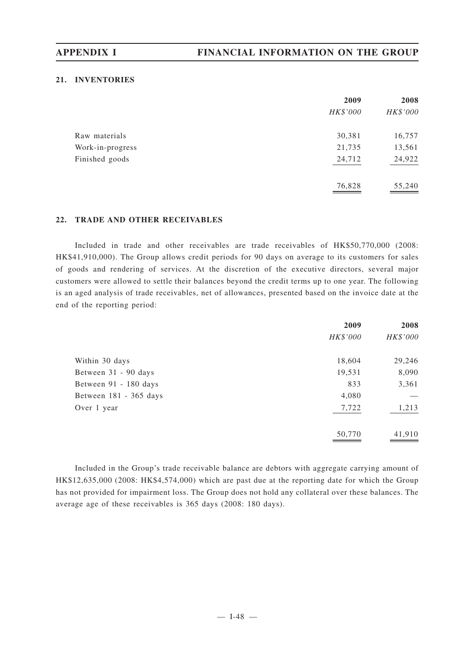## **21. INVENTORIES**

|                  | 2009     | 2008     |
|------------------|----------|----------|
|                  | HK\$'000 | HK\$'000 |
| Raw materials    | 30,381   | 16,757   |
| Work-in-progress | 21,735   | 13,561   |
| Finished goods   | 24,712   | 24,922   |
|                  | 76,828   | 55,240   |

## **22. TRADE AND OTHER RECEIVABLES**

Included in trade and other receivables are trade receivables of HK\$50,770,000 (2008: HK\$41,910,000). The Group allows credit periods for 90 days on average to its customers for sales of goods and rendering of services. At the discretion of the executive directors, several major customers were allowed to settle their balances beyond the credit terms up to one year. The following is an aged analysis of trade receivables, net of allowances, presented based on the invoice date at the end of the reporting period:

|                        | 2009     | 2008     |
|------------------------|----------|----------|
|                        | HK\$'000 | HK\$'000 |
| Within 30 days         | 18,604   | 29,246   |
| Between 31 - 90 days   | 19,531   | 8,090    |
| Between 91 - 180 days  | 833      | 3,361    |
| Between 181 - 365 days | 4,080    |          |
| Over 1 year            | 7,722    | 1,213    |
|                        | 50,770   | 41,910   |

Included in the Group's trade receivable balance are debtors with aggregate carrying amount of HK\$12,635,000 (2008: HK\$4,574,000) which are past due at the reporting date for which the Group has not provided for impairment loss. The Group does not hold any collateral over these balances. The average age of these receivables is 365 days (2008: 180 days).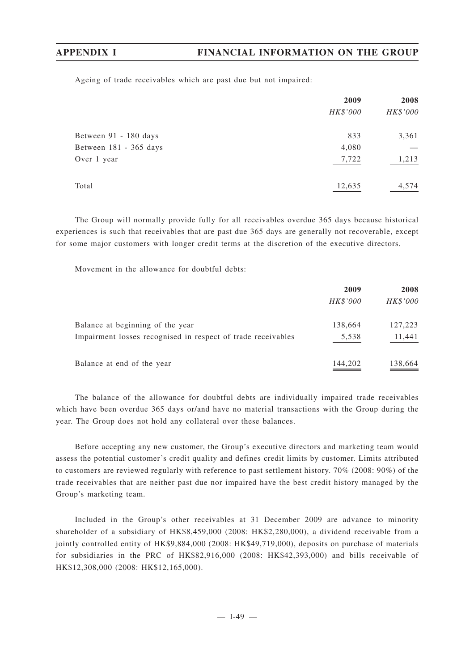Ageing of trade receivables which are past due but not impaired:

|                        | 2009     | 2008     |
|------------------------|----------|----------|
|                        | HK\$'000 | HK\$'000 |
| Between 91 - 180 days  | 833      | 3,361    |
| Between 181 - 365 days | 4,080    |          |
| Over 1 year            | 7,722    | 1,213    |
| Total                  | 12,635   | 4,574    |

The Group will normally provide fully for all receivables overdue 365 days because historical experiences is such that receivables that are past due 365 days are generally not recoverable, except for some major customers with longer credit terms at the discretion of the executive directors.

Movement in the allowance for doubtful debts:

|                                                              | 2009     | 2008     |
|--------------------------------------------------------------|----------|----------|
|                                                              | HK\$'000 | HK\$'000 |
| Balance at beginning of the year                             | 138,664  | 127,223  |
| Impairment losses recognised in respect of trade receivables | 5,538    | 11,441   |
| Balance at end of the year                                   | 144,202  | 138,664  |

The balance of the allowance for doubtful debts are individually impaired trade receivables which have been overdue 365 days or/and have no material transactions with the Group during the year. The Group does not hold any collateral over these balances.

Before accepting any new customer, the Group's executive directors and marketing team would assess the potential customer 's credit quality and defines credit limits by customer. Limits attributed to customers are reviewed regularly with reference to past settlement history. 70% (2008: 90%) of the trade receivables that are neither past due nor impaired have the best credit history managed by the Group's marketing team.

Included in the Group's other receivables at 31 December 2009 are advance to minority shareholder of a subsidiary of HK\$8,459,000 (2008: HK\$2,280,000), a dividend receivable from a jointly controlled entity of HK\$9,884,000 (2008: HK\$49,719,000), deposits on purchase of materials for subsidiaries in the PRC of HK\$82,916,000 (2008: HK\$42,393,000) and bills receivable of HK\$12,308,000 (2008: HK\$12,165,000).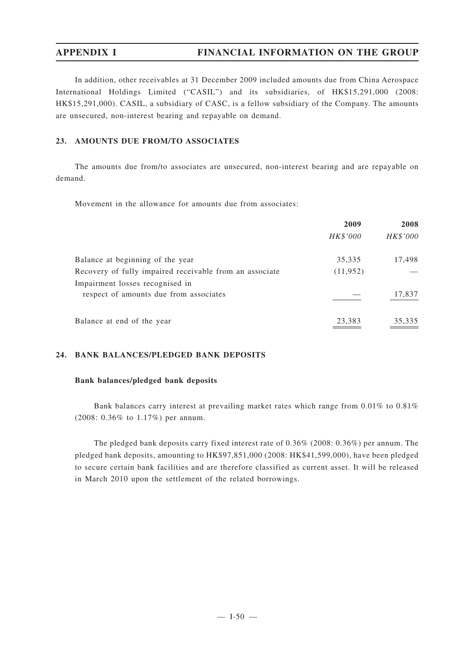In addition, other receivables at 31 December 2009 included amounts due from China Aerospace International Holdings Limited ("CASIL") and its subsidiaries, of HK\$15,291,000 (2008: HK\$15,291,000). CASIL, a subsidiary of CASC, is a fellow subsidiary of the Company. The amounts are unsecured, non-interest bearing and repayable on demand.

## **23. AMOUNTS DUE FROM/TO ASSOCIATES**

The amounts due from/to associates are unsecured, non-interest bearing and are repayable on demand.

Movement in the allowance for amounts due from associates:

|                                                         | 2009      | 2008            |
|---------------------------------------------------------|-----------|-----------------|
|                                                         | HK\$'000  | <i>HK\$'000</i> |
| Balance at beginning of the year                        | 35,335    | 17,498          |
| Recovery of fully impaired receivable from an associate | (11, 952) |                 |
| Impairment losses recognised in                         |           |                 |
| respect of amounts due from associates                  |           | 17,837          |
| Balance at end of the year                              | 23,383    | 35,335          |

## **24. BANK BALANCES/PLEDGED BANK DEPOSITS**

## **Bank balances/pledged bank deposits**

Bank balances carry interest at prevailing market rates which range from 0.01% to 0.81% (2008: 0.36% to 1.17%) per annum.

The pledged bank deposits carry fixed interest rate of 0.36% (2008: 0.36%) per annum. The pledged bank deposits, amounting to HK\$97,851,000 (2008: HK\$41,599,000), have been pledged to secure certain bank facilities and are therefore classified as current asset. It will be released in March 2010 upon the settlement of the related borrowings.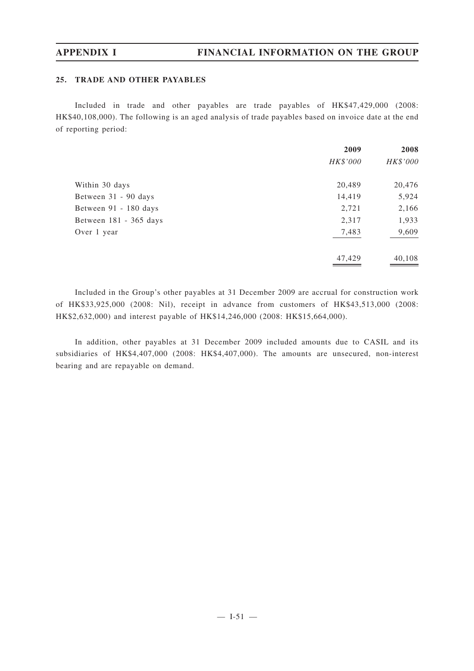## **25. TRADE AND OTHER PAYABLES**

Included in trade and other payables are trade payables of HK\$47,429,000 (2008: HK\$40,108,000). The following is an aged analysis of trade payables based on invoice date at the end of reporting period:

|                        | 2009     | 2008     |
|------------------------|----------|----------|
|                        | HK\$'000 | HK\$'000 |
| Within 30 days         | 20,489   | 20,476   |
| Between 31 - 90 days   | 14,419   | 5,924    |
| Between 91 - 180 days  | 2,721    | 2,166    |
| Between 181 - 365 days | 2,317    | 1,933    |
| Over 1 year            | 7,483    | 9,609    |
|                        | 47,429   | 40,108   |

Included in the Group's other payables at 31 December 2009 are accrual for construction work of HK\$33,925,000 (2008: Nil), receipt in advance from customers of HK\$43,513,000 (2008: HK\$2,632,000) and interest payable of HK\$14,246,000 (2008: HK\$15,664,000).

In addition, other payables at 31 December 2009 included amounts due to CASIL and its subsidiaries of HK\$4,407,000 (2008: HK\$4,407,000). The amounts are unsecured, non-interest bearing and are repayable on demand.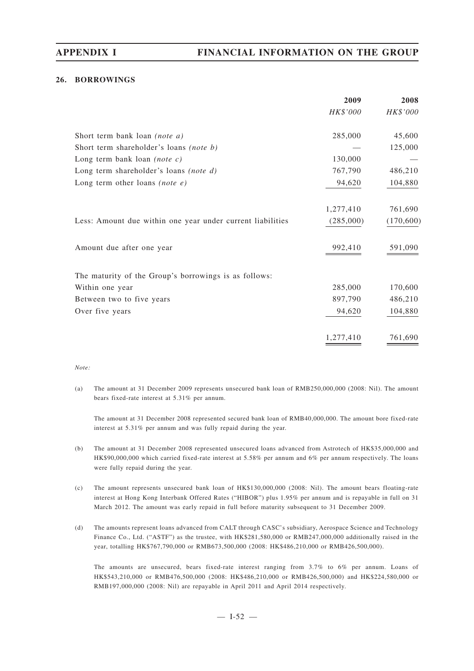### **26. BORROWINGS**

|                                                            | 2009      | 2008       |
|------------------------------------------------------------|-----------|------------|
|                                                            | HK\$'000  | HK\$'000   |
| Short term bank loan (note a)                              | 285,000   | 45,600     |
| Short term shareholder's loans (note b)                    |           | 125,000    |
| Long term bank loan ( <i>note c</i> )                      | 130,000   |            |
| Long term shareholder's loans (note d)                     | 767,790   | 486,210    |
| Long term other loans (note $e$ )                          | 94,620    | 104,880    |
|                                                            |           |            |
|                                                            | 1,277,410 | 761,690    |
| Less: Amount due within one year under current liabilities | (285,000) | (170, 600) |
| Amount due after one year                                  | 992,410   | 591,090    |
| The maturity of the Group's borrowings is as follows:      |           |            |
| Within one year                                            | 285,000   | 170,600    |
| Between two to five years                                  | 897,790   | 486,210    |
| Over five years                                            | 94,620    | 104,880    |
|                                                            | 1,277,410 | 761,690    |

*Note:*

(a) The amount at 31 December 2009 represents unsecured bank loan of RMB250,000,000 (2008: Nil). The amount bears fixed-rate interest at 5.31% per annum.

The amount at 31 December 2008 represented secured bank loan of RMB40,000,000. The amount bore fixed-rate interest at 5.31% per annum and was fully repaid during the year.

- (b) The amount at 31 December 2008 represented unsecured loans advanced from Astrotech of HK\$35,000,000 and HK\$90,000,000 which carried fixed-rate interest at 5.58% per annum and 6% per annum respectively. The loans were fully repaid during the year.
- (c) The amount represents unsecured bank loan of HK\$130,000,000 (2008: Nil). The amount bears floating-rate interest at Hong Kong Interbank Offered Rates ("HIBOR") plus 1.95% per annum and is repayable in full on 31 March 2012. The amount was early repaid in full before maturity subsequent to 31 December 2009.
- (d) The amounts represent loans advanced from CALT through CASC's subsidiary, Aerospace Science and Technology Finance Co., Ltd. ("ASTF") as the trustee, with HK\$281,580,000 or RMB247,000,000 additionally raised in the year, totalling HK\$767,790,000 or RMB673,500,000 (2008: HK\$486,210,000 or RMB426,500,000).

The amounts are unsecured, bears fixed-rate interest ranging from 3.7% to 6% per annum. Loans of HK\$543,210,000 or RMB476,500,000 (2008: HK\$486,210,000 or RMB426,500,000) and HK\$224,580,000 or RMB197,000,000 (2008: Nil) are repayable in April 2011 and April 2014 respectively.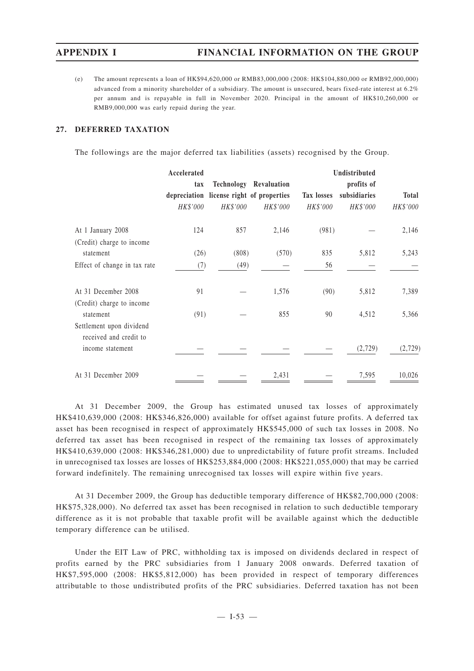(e) The amount represents a loan of HK\$94,620,000 or RMB83,000,000 (2008: HK\$104,880,000 or RMB92,000,000) advanced from a minority shareholder of a subsidiary. The amount is unsecured, bears fixed-rate interest at 6.2% per annum and is repayable in full in November 2020. Principal in the amount of HK\$10,260,000 or RMB9,000,000 was early repaid during the year.

## **27. DEFERRED TAXATION**

The followings are the major deferred tax liabilities (assets) recognised by the Group.

|                                                    | Accelerated |          |                                          |            | Undistributed |              |
|----------------------------------------------------|-------------|----------|------------------------------------------|------------|---------------|--------------|
|                                                    | tax         |          | <b>Technology Revaluation</b>            |            | profits of    |              |
|                                                    |             |          | depreciation license right of properties | Tax losses | subsidiaries  | <b>Total</b> |
|                                                    | HK\$'000    | HK\$'000 | HK\$'000                                 | HK\$'000   | HK\$'000      | HK\$'000     |
| At 1 January 2008<br>(Credit) charge to income     | 124         | 857      | 2,146                                    | (981)      |               | 2,146        |
| statement                                          | (26)        | (808)    | (570)                                    | 835        | 5,812         | 5,243        |
| Effect of change in tax rate                       | (7)         | (49)     |                                          | 56         |               |              |
| At 31 December 2008<br>(Credit) charge to income   | 91          |          | 1,576                                    | (90)       | 5,812         | 7,389        |
| statement                                          | (91)        |          | 855                                      | 90         | 4,512         | 5,366        |
| Settlement upon dividend<br>received and credit to |             |          |                                          |            |               |              |
| income statement                                   |             |          |                                          |            | (2,729)       | (2,729)      |
| At 31 December 2009                                |             |          | 2,431                                    |            | 7,595         | 10,026       |

At 31 December 2009, the Group has estimated unused tax losses of approximately HK\$410,639,000 (2008: HK\$346,826,000) available for offset against future profits. A deferred tax asset has been recognised in respect of approximately HK\$545,000 of such tax losses in 2008. No deferred tax asset has been recognised in respect of the remaining tax losses of approximately HK\$410,639,000 (2008: HK\$346,281,000) due to unpredictability of future profit streams. Included in unrecognised tax losses are losses of HK\$253,884,000 (2008: HK\$221,055,000) that may be carried forward indefinitely. The remaining unrecognised tax losses will expire within five years.

At 31 December 2009, the Group has deductible temporary difference of HK\$82,700,000 (2008: HK\$75,328,000). No deferred tax asset has been recognised in relation to such deductible temporary difference as it is not probable that taxable profit will be available against which the deductible temporary difference can be utilised.

Under the EIT Law of PRC, withholding tax is imposed on dividends declared in respect of profits earned by the PRC subsidiaries from 1 January 2008 onwards. Deferred taxation of HK\$7,595,000 (2008: HK\$5,812,000) has been provided in respect of temporary differences attributable to those undistributed profits of the PRC subsidiaries. Deferred taxation has not been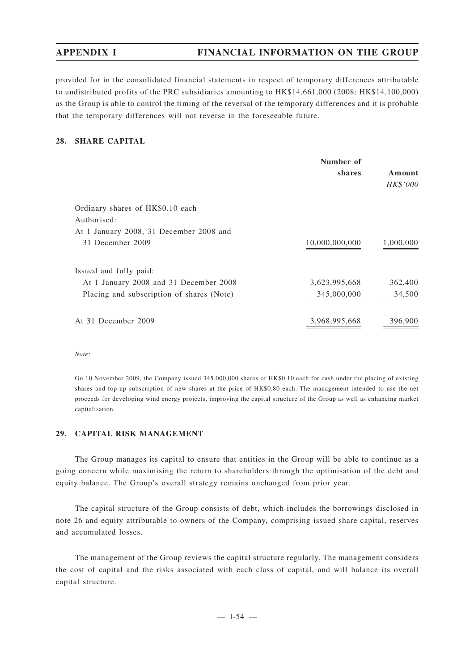provided for in the consolidated financial statements in respect of temporary differences attributable to undistributed profits of the PRC subsidiaries amounting to HK\$14,661,000 (2008: HK\$14,100,000) as the Group is able to control the timing of the reversal of the temporary differences and it is probable that the temporary differences will not reverse in the foreseeable future.

## **28. SHARE CAPITAL**

|                                           | Number of      |           |
|-------------------------------------------|----------------|-----------|
|                                           | shares         | Amount    |
|                                           |                | HK\$'000  |
| Ordinary shares of HK\$0.10 each          |                |           |
| Authorised:                               |                |           |
| At 1 January 2008, 31 December 2008 and   |                |           |
| 31 December 2009                          | 10,000,000,000 | 1,000,000 |
| Issued and fully paid:                    |                |           |
| At 1 January 2008 and 31 December 2008    | 3,623,995,668  | 362,400   |
| Placing and subscription of shares (Note) | 345,000,000    | 34,500    |
| At 31 December 2009                       | 3,968,995,668  | 396,900   |

### *Note:*

On 10 November 2009, the Company issued 345,000,000 shares of HK\$0.10 each for cash under the placing of existing shares and top-up subscription of new shares at the price of HK\$0.80 each. The management intended to use the net proceeds for developing wind energy projects, improving the capital structure of the Group as well as enhancing market capitalisation.

## **29. CAPITAL RISK MANAGEMENT**

The Group manages its capital to ensure that entities in the Group will be able to continue as a going concern while maximising the return to shareholders through the optimisation of the debt and equity balance. The Group's overall strategy remains unchanged from prior year.

The capital structure of the Group consists of debt, which includes the borrowings disclosed in note 26 and equity attributable to owners of the Company, comprising issued share capital, reserves and accumulated losses.

The management of the Group reviews the capital structure regularly. The management considers the cost of capital and the risks associated with each class of capital, and will balance its overall capital structure.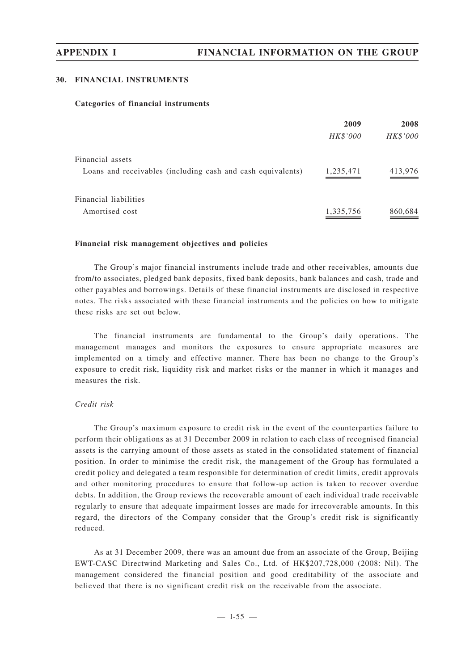## **30. FINANCIAL INSTRUMENTS**

## **Categories of financial instruments**

|                                                             | 2009      | 2008     |
|-------------------------------------------------------------|-----------|----------|
|                                                             | HK\$'000  | HK\$'000 |
| Financial assets                                            |           |          |
| Loans and receivables (including cash and cash equivalents) | 1,235,471 | 413,976  |
| Financial liabilities                                       |           |          |
| Amortised cost                                              | 1,335,756 | 860,684  |

### **Financial risk management objectives and policies**

The Group's major financial instruments include trade and other receivables, amounts due from/to associates, pledged bank deposits, fixed bank deposits, bank balances and cash, trade and other payables and borrowings. Details of these financial instruments are disclosed in respective notes. The risks associated with these financial instruments and the policies on how to mitigate these risks are set out below.

The financial instruments are fundamental to the Group's daily operations. The management manages and monitors the exposures to ensure appropriate measures are implemented on a timely and effective manner. There has been no change to the Group's exposure to credit risk, liquidity risk and market risks or the manner in which it manages and measures the risk.

## *Credit risk*

The Group's maximum exposure to credit risk in the event of the counterparties failure to perform their obligations as at 31 December 2009 in relation to each class of recognised financial assets is the carrying amount of those assets as stated in the consolidated statement of financial position. In order to minimise the credit risk, the management of the Group has formulated a credit policy and delegated a team responsible for determination of credit limits, credit approvals and other monitoring procedures to ensure that follow-up action is taken to recover overdue debts. In addition, the Group reviews the recoverable amount of each individual trade receivable regularly to ensure that adequate impairment losses are made for irrecoverable amounts. In this regard, the directors of the Company consider that the Group's credit risk is significantly reduced.

As at 31 December 2009, there was an amount due from an associate of the Group, Beijing EWT-CASC Directwind Marketing and Sales Co., Ltd. of HK\$207,728,000 (2008: Nil). The management considered the financial position and good creditability of the associate and believed that there is no significant credit risk on the receivable from the associate.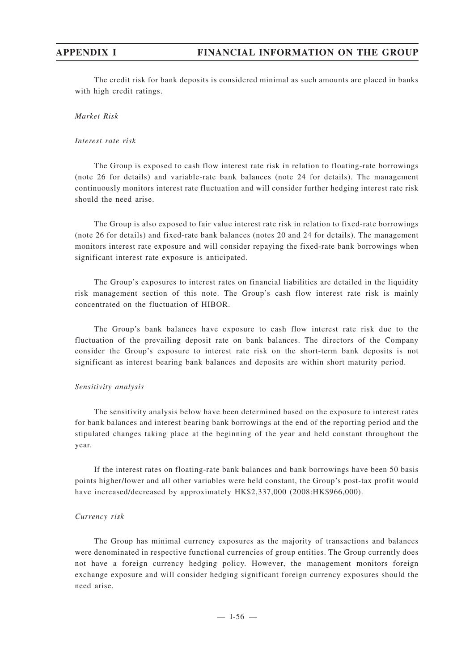The credit risk for bank deposits is considered minimal as such amounts are placed in banks with high credit ratings.

*Market Risk*

### *Interest rate risk*

The Group is exposed to cash flow interest rate risk in relation to floating-rate borrowings (note 26 for details) and variable-rate bank balances (note 24 for details). The management continuously monitors interest rate fluctuation and will consider further hedging interest rate risk should the need arise.

The Group is also exposed to fair value interest rate risk in relation to fixed-rate borrowings (note 26 for details) and fixed-rate bank balances (notes 20 and 24 for details). The management monitors interest rate exposure and will consider repaying the fixed-rate bank borrowings when significant interest rate exposure is anticipated.

The Group's exposures to interest rates on financial liabilities are detailed in the liquidity risk management section of this note. The Group's cash flow interest rate risk is mainly concentrated on the fluctuation of HIBOR.

The Group's bank balances have exposure to cash flow interest rate risk due to the fluctuation of the prevailing deposit rate on bank balances. The directors of the Company consider the Group's exposure to interest rate risk on the short-term bank deposits is not significant as interest bearing bank balances and deposits are within short maturity period.

### *Sensitivity analysis*

The sensitivity analysis below have been determined based on the exposure to interest rates for bank balances and interest bearing bank borrowings at the end of the reporting period and the stipulated changes taking place at the beginning of the year and held constant throughout the year.

If the interest rates on floating-rate bank balances and bank borrowings have been 50 basis points higher/lower and all other variables were held constant, the Group's post-tax profit would have increased/decreased by approximately HK\$2,337,000 (2008:HK\$966,000).

### *Currency risk*

The Group has minimal currency exposures as the majority of transactions and balances were denominated in respective functional currencies of group entities. The Group currently does not have a foreign currency hedging policy. However, the management monitors foreign exchange exposure and will consider hedging significant foreign currency exposures should the need arise.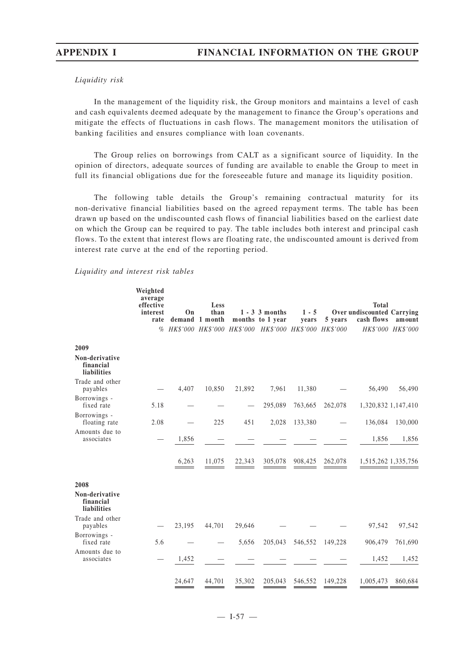### *Liquidity risk*

In the management of the liquidity risk, the Group monitors and maintains a level of cash and cash equivalents deemed adequate by the management to finance the Group's operations and mitigate the effects of fluctuations in cash flows. The management monitors the utilisation of banking facilities and ensures compliance with loan covenants.

The Group relies on borrowings from CALT as a significant source of liquidity. In the opinion of directors, adequate sources of funding are available to enable the Group to meet in full its financial obligations due for the foreseeable future and manage its liquidity position.

The following table details the Group's remaining contractual maturity for its non-derivative financial liabilities based on the agreed repayment terms. The table has been drawn up based on the undiscounted cash flows of financial liabilities based on the earliest date on which the Group can be required to pay. The table includes both interest and principal cash flows. To the extent that interest flows are floating rate, the undiscounted amount is derived from interest rate curve at the end of the reporting period.

### *Liquidity and interest risk tables*

|                                                   | Weighted<br>average<br>effective<br>interest<br>rate | On     | Less<br>than<br>demand 1 month |              | $1 - 3$ 3 months<br>months to 1 year<br>% HK\$'000 HK\$'000 HK\$'000 HK\$'000 HK\$'000 HK\$'000 | $1 - 5$<br>years               | 5 years | <b>Total</b><br>Over undiscounted Carrying<br>cash flows | amount<br>HK\$'000 HK\$'000 |
|---------------------------------------------------|------------------------------------------------------|--------|--------------------------------|--------------|-------------------------------------------------------------------------------------------------|--------------------------------|---------|----------------------------------------------------------|-----------------------------|
|                                                   |                                                      |        |                                |              |                                                                                                 |                                |         |                                                          |                             |
| 2009                                              |                                                      |        |                                |              |                                                                                                 |                                |         |                                                          |                             |
| Non-derivative<br>financial<br><b>liabilities</b> |                                                      |        |                                |              |                                                                                                 |                                |         |                                                          |                             |
| Trade and other<br>payables                       |                                                      | 4,407  | 10,850                         | 21,892       | 7,961                                                                                           | 11,380                         |         | 56,490                                                   | 56,490                      |
| Borrowings -<br>fixed rate                        | 5.18                                                 |        |                                |              | 295,089                                                                                         | 763,665                        | 262,078 | 1,320,832 1,147,410                                      |                             |
| Borrowings -<br>floating rate                     | 2.08                                                 |        | 225                            | 451          | 2,028                                                                                           | 133,380                        |         | 136,084                                                  | 130,000                     |
| Amounts due to<br>associates                      |                                                      | 1,856  |                                |              |                                                                                                 |                                |         | 1,856                                                    | 1,856                       |
|                                                   |                                                      | 6,263  | 11.075                         | 22,343       | 305,078                                                                                         | 908,425                        | 262,078 | 1,515,262 1,335,756                                      |                             |
| 2008                                              |                                                      |        |                                |              |                                                                                                 |                                |         |                                                          |                             |
| Non-derivative<br>financial<br>liabilities        |                                                      |        |                                |              |                                                                                                 |                                |         |                                                          |                             |
| Trade and other<br>payables                       |                                                      | 23,195 | 44,701                         | 29,646       |                                                                                                 |                                |         | 97,542                                                   | 97,542                      |
| Borrowings -<br>fixed rate                        | 5.6                                                  |        |                                | 5,656        | 205,043                                                                                         | 546,552                        | 149,228 | 906,479                                                  | 761,690                     |
| Amounts due to<br>associates                      |                                                      | 1,452  |                                |              |                                                                                                 |                                |         | 1,452                                                    | 1,452                       |
|                                                   |                                                      | 24,647 | 44,701                         | 35,302<br>__ | 205,043<br>____                                                                                 | 546,552<br>$\hspace{0.05cm} =$ | 149,228 | 1,005,473<br>__                                          | 860,684                     |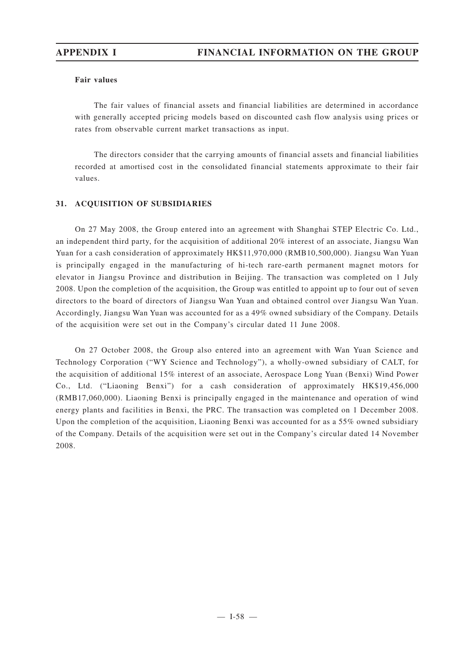## **Fair values**

The fair values of financial assets and financial liabilities are determined in accordance with generally accepted pricing models based on discounted cash flow analysis using prices or rates from observable current market transactions as input.

The directors consider that the carrying amounts of financial assets and financial liabilities recorded at amortised cost in the consolidated financial statements approximate to their fair values.

## **31. ACQUISITION OF SUBSIDIARIES**

On 27 May 2008, the Group entered into an agreement with Shanghai STEP Electric Co. Ltd., an independent third party, for the acquisition of additional 20% interest of an associate, Jiangsu Wan Yuan for a cash consideration of approximately HK\$11,970,000 (RMB10,500,000). Jiangsu Wan Yuan is principally engaged in the manufacturing of hi-tech rare-earth permanent magnet motors for elevator in Jiangsu Province and distribution in Beijing. The transaction was completed on 1 July 2008. Upon the completion of the acquisition, the Group was entitled to appoint up to four out of seven directors to the board of directors of Jiangsu Wan Yuan and obtained control over Jiangsu Wan Yuan. Accordingly, Jiangsu Wan Yuan was accounted for as a 49% owned subsidiary of the Company. Details of the acquisition were set out in the Company's circular dated 11 June 2008.

On 27 October 2008, the Group also entered into an agreement with Wan Yuan Science and Technology Corporation ("WY Science and Technology"), a wholly-owned subsidiary of CALT, for the acquisition of additional 15% interest of an associate, Aerospace Long Yuan (Benxi) Wind Power Co., Ltd. ("Liaoning Benxi") for a cash consideration of approximately HK\$19,456,000 (RMB17,060,000). Liaoning Benxi is principally engaged in the maintenance and operation of wind energy plants and facilities in Benxi, the PRC. The transaction was completed on 1 December 2008. Upon the completion of the acquisition, Liaoning Benxi was accounted for as a 55% owned subsidiary of the Company. Details of the acquisition were set out in the Company's circular dated 14 November 2008.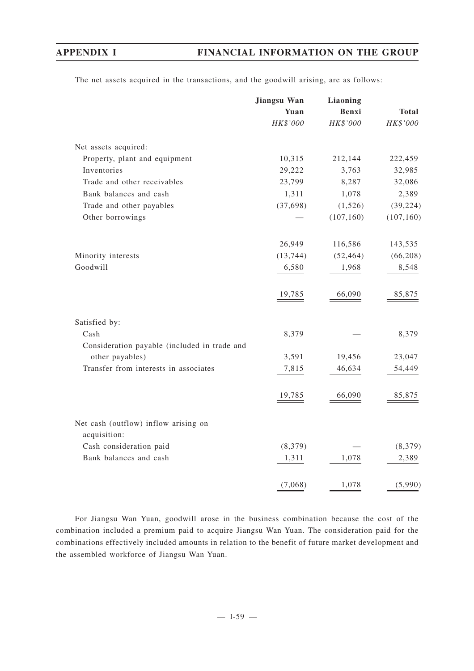|                                              | Jiangsu Wan | Liaoning   |              |  |
|----------------------------------------------|-------------|------------|--------------|--|
|                                              | Yuan        | Benxi      | <b>Total</b> |  |
|                                              | HK\$'000    | HK\$'000   | HK\$'000     |  |
| Net assets acquired:                         |             |            |              |  |
| Property, plant and equipment                | 10,315      | 212,144    | 222,459      |  |
| Inventories                                  | 29,222      | 3,763      | 32,985       |  |
| Trade and other receivables                  | 23,799      | 8,287      | 32,086       |  |
| Bank balances and cash                       | 1,311       | 1,078      | 2,389        |  |
| Trade and other payables                     | (37, 698)   | (1,526)    | (39, 224)    |  |
| Other borrowings                             |             | (107, 160) | (107, 160)   |  |
|                                              | 26,949      | 116,586    | 143,535      |  |
| Minority interests                           | (13, 744)   | (52, 464)  | (66, 208)    |  |
| Goodwill                                     | 6,580       | 1,968      | 8,548        |  |
|                                              | 19,785      | 66,090     | 85,875       |  |
| Satisfied by:                                |             |            |              |  |
| Cash                                         | 8,379       |            | 8,379        |  |
| Consideration payable (included in trade and |             |            |              |  |
| other payables)                              | 3,591       | 19,456     | 23,047       |  |
| Transfer from interests in associates        | 7,815       | 46,634     | 54,449       |  |
|                                              | 19,785      | 66,090     | 85,875       |  |
| Net cash (outflow) inflow arising on         |             |            |              |  |
| acquisition:<br>Cash consideration paid      | (8,379)     |            | (8,379)      |  |
| Bank balances and cash                       |             | 1,078      | 2,389        |  |
|                                              | 1,311       |            |              |  |
|                                              | (7,068)     | 1,078      | (5,990)      |  |

The net assets acquired in the transactions, and the goodwill arising, are as follows:

For Jiangsu Wan Yuan, goodwill arose in the business combination because the cost of the combination included a premium paid to acquire Jiangsu Wan Yuan. The consideration paid for the combinations effectively included amounts in relation to the benefit of future market development and the assembled workforce of Jiangsu Wan Yuan.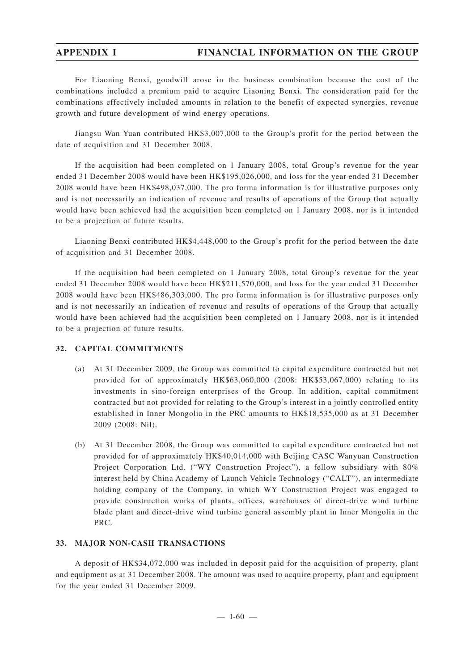For Liaoning Benxi, goodwill arose in the business combination because the cost of the combinations included a premium paid to acquire Liaoning Benxi. The consideration paid for the combinations effectively included amounts in relation to the benefit of expected synergies, revenue growth and future development of wind energy operations.

Jiangsu Wan Yuan contributed HK\$3,007,000 to the Group's profit for the period between the date of acquisition and 31 December 2008.

If the acquisition had been completed on 1 January 2008, total Group's revenue for the year ended 31 December 2008 would have been HK\$195,026,000, and loss for the year ended 31 December 2008 would have been HK\$498,037,000. The pro forma information is for illustrative purposes only and is not necessarily an indication of revenue and results of operations of the Group that actually would have been achieved had the acquisition been completed on 1 January 2008, nor is it intended to be a projection of future results.

Liaoning Benxi contributed HK\$4,448,000 to the Group's profit for the period between the date of acquisition and 31 December 2008.

If the acquisition had been completed on 1 January 2008, total Group's revenue for the year ended 31 December 2008 would have been HK\$211,570,000, and loss for the year ended 31 December 2008 would have been HK\$486,303,000. The pro forma information is for illustrative purposes only and is not necessarily an indication of revenue and results of operations of the Group that actually would have been achieved had the acquisition been completed on 1 January 2008, nor is it intended to be a projection of future results.

## **32. CAPITAL COMMITMENTS**

- (a) At 31 December 2009, the Group was committed to capital expenditure contracted but not provided for of approximately HK\$63,060,000 (2008: HK\$53,067,000) relating to its investments in sino-foreign enterprises of the Group. In addition, capital commitment contracted but not provided for relating to the Group's interest in a jointly controlled entity established in Inner Mongolia in the PRC amounts to HK\$18,535,000 as at 31 December 2009 (2008: Nil).
- (b) At 31 December 2008, the Group was committed to capital expenditure contracted but not provided for of approximately HK\$40,014,000 with Beijing CASC Wanyuan Construction Project Corporation Ltd. ("WY Construction Project"), a fellow subsidiary with 80% interest held by China Academy of Launch Vehicle Technology ("CALT"), an intermediate holding company of the Company, in which WY Construction Project was engaged to provide construction works of plants, offices, warehouses of direct-drive wind turbine blade plant and direct-drive wind turbine general assembly plant in Inner Mongolia in the PRC.

## **33. MAJOR NON-CASH TRANSACTIONS**

A deposit of HK\$34,072,000 was included in deposit paid for the acquisition of property, plant and equipment as at 31 December 2008. The amount was used to acquire property, plant and equipment for the year ended 31 December 2009.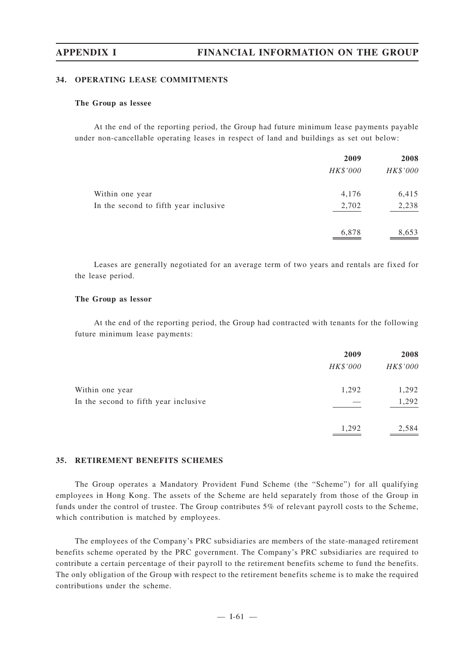### **34. OPERATING LEASE COMMITMENTS**

#### **The Group as lessee**

At the end of the reporting period, the Group had future minimum lease payments payable under non-cancellable operating leases in respect of land and buildings as set out below:

|                                       | 2009     | 2008     |
|---------------------------------------|----------|----------|
|                                       | HK\$'000 | HK\$'000 |
| Within one year                       | 4,176    | 6,415    |
| In the second to fifth year inclusive | 2,702    | 2,238    |
|                                       | 6,878    | 8,653    |

Leases are generally negotiated for an average term of two years and rentals are fixed for the lease period.

#### **The Group as lessor**

At the end of the reporting period, the Group had contracted with tenants for the following future minimum lease payments:

|                                       | 2009     | 2008     |
|---------------------------------------|----------|----------|
|                                       | HK\$'000 | HK\$'000 |
| Within one year                       | 1,292    | 1,292    |
| In the second to fifth year inclusive |          | 1,292    |
|                                       | 1,292    | 2,584    |

### **35. RETIREMENT BENEFITS SCHEMES**

The Group operates a Mandatory Provident Fund Scheme (the "Scheme") for all qualifying employees in Hong Kong. The assets of the Scheme are held separately from those of the Group in funds under the control of trustee. The Group contributes 5% of relevant payroll costs to the Scheme, which contribution is matched by employees.

The employees of the Company's PRC subsidiaries are members of the state-managed retirement benefits scheme operated by the PRC government. The Company's PRC subsidiaries are required to contribute a certain percentage of their payroll to the retirement benefits scheme to fund the benefits. The only obligation of the Group with respect to the retirement benefits scheme is to make the required contributions under the scheme.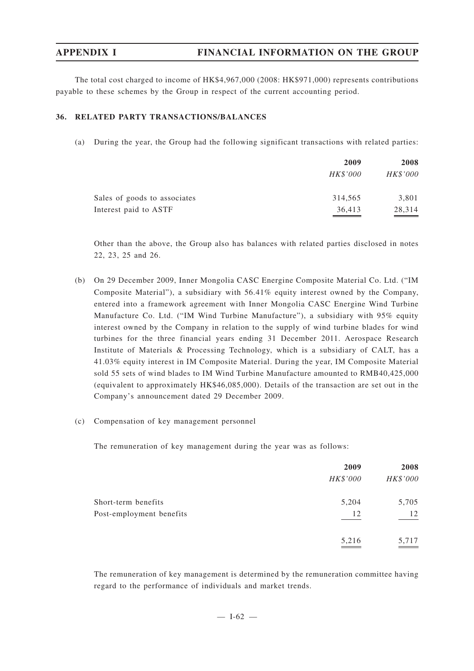The total cost charged to income of HK\$4,967,000 (2008: HK\$971,000) represents contributions payable to these schemes by the Group in respect of the current accounting period.

### **36. RELATED PARTY TRANSACTIONS/BALANCES**

(a) During the year, the Group had the following significant transactions with related parties:

|                              | 2009     | 2008     |
|------------------------------|----------|----------|
|                              | HK\$'000 | HK\$'000 |
| Sales of goods to associates | 314,565  | 3,801    |
| Interest paid to ASTF        | 36,413   | 28,314   |

Other than the above, the Group also has balances with related parties disclosed in notes 22, 23, 25 and 26.

- (b) On 29 December 2009, Inner Mongolia CASC Energine Composite Material Co. Ltd. ("IM Composite Material"), a subsidiary with 56.41% equity interest owned by the Company, entered into a framework agreement with Inner Mongolia CASC Energine Wind Turbine Manufacture Co. Ltd. ("IM Wind Turbine Manufacture"), a subsidiary with 95% equity interest owned by the Company in relation to the supply of wind turbine blades for wind turbines for the three financial years ending 31 December 2011. Aerospace Research Institute of Materials & Processing Technology, which is a subsidiary of CALT, has a 41.03% equity interest in IM Composite Material. During the year, IM Composite Material sold 55 sets of wind blades to IM Wind Turbine Manufacture amounted to RMB40,425,000 (equivalent to approximately HK\$46,085,000). Details of the transaction are set out in the Company's announcement dated 29 December 2009.
- (c) Compensation of key management personnel

The remuneration of key management during the year was as follows:

|                          | 2009     | 2008              |
|--------------------------|----------|-------------------|
|                          | HK\$'000 | HK\$'000          |
| Short-term benefits      | 5,204    | 5,705             |
| Post-employment benefits | 12       | 12                |
|                          | 5,216    | $\frac{5,717}{2}$ |

The remuneration of key management is determined by the remuneration committee having regard to the performance of individuals and market trends.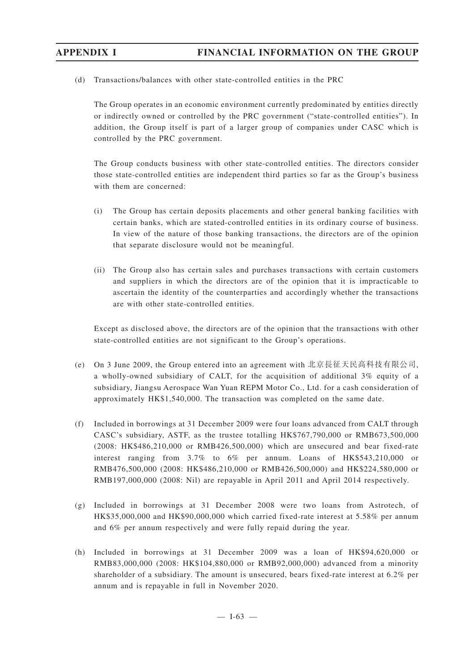(d) Transactions/balances with other state-controlled entities in the PRC

The Group operates in an economic environment currently predominated by entities directly or indirectly owned or controlled by the PRC government ("state-controlled entities"). In addition, the Group itself is part of a larger group of companies under CASC which is controlled by the PRC government.

The Group conducts business with other state-controlled entities. The directors consider those state-controlled entities are independent third parties so far as the Group's business with them are concerned:

- (i) The Group has certain deposits placements and other general banking facilities with certain banks, which are stated-controlled entities in its ordinary course of business. In view of the nature of those banking transactions, the directors are of the opinion that separate disclosure would not be meaningful.
- (ii) The Group also has certain sales and purchases transactions with certain customers and suppliers in which the directors are of the opinion that it is impracticable to ascertain the identity of the counterparties and accordingly whether the transactions are with other state-controlled entities.

Except as disclosed above, the directors are of the opinion that the transactions with other state-controlled entities are not significant to the Group's operations.

- (e) On 3 June 2009, the Group entered into an agreement with 北京長征天民高科技有限公司, a wholly-owned subsidiary of CALT, for the acquisition of additional 3% equity of a subsidiary, Jiangsu Aerospace Wan Yuan REPM Motor Co., Ltd. for a cash consideration of approximately HK\$1,540,000. The transaction was completed on the same date.
- (f) Included in borrowings at 31 December 2009 were four loans advanced from CALT through CASC's subsidiary, ASTF, as the trustee totalling HK\$767,790,000 or RMB673,500,000 (2008: HK\$486,210,000 or RMB426,500,000) which are unsecured and bear fixed-rate interest ranging from 3.7% to 6% per annum. Loans of HK\$543,210,000 or RMB476,500,000 (2008: HK\$486,210,000 or RMB426,500,000) and HK\$224,580,000 or RMB197,000,000 (2008: Nil) are repayable in April 2011 and April 2014 respectively.
- (g) Included in borrowings at 31 December 2008 were two loans from Astrotech, of HK\$35,000,000 and HK\$90,000,000 which carried fixed-rate interest at 5.58% per annum and 6% per annum respectively and were fully repaid during the year.
- (h) Included in borrowings at 31 December 2009 was a loan of HK\$94,620,000 or RMB83,000,000 (2008: HK\$104,880,000 or RMB92,000,000) advanced from a minority shareholder of a subsidiary. The amount is unsecured, bears fixed-rate interest at 6.2% per annum and is repayable in full in November 2020.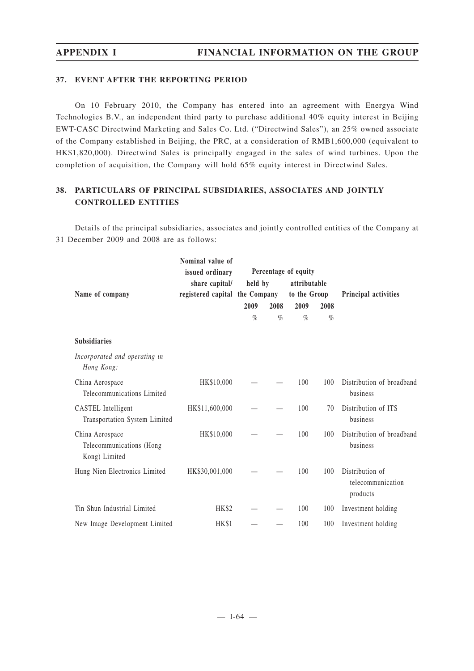## **37. EVENT AFTER THE REPORTING PERIOD**

On 10 February 2010, the Company has entered into an agreement with Energya Wind Technologies B.V., an independent third party to purchase additional 40% equity interest in Beijing EWT-CASC Directwind Marketing and Sales Co. Ltd. ("Directwind Sales"), an 25% owned associate of the Company established in Beijing, the PRC, at a consideration of RMB1,600,000 (equivalent to HK\$1,820,000). Directwind Sales is principally engaged in the sales of wind turbines. Upon the completion of acquisition, the Company will hold 65% equity interest in Directwind Sales.

## **38. PARTICULARS OF PRINCIPAL SUBSIDIARIES, ASSOCIATES AND JOINTLY CONTROLLED ENTITIES**

Details of the principal subsidiaries, associates and jointly controlled entities of the Company at 31 December 2009 and 2008 are as follows:

|                                                              | Nominal value of<br>issued ordinary |              |              | Percentage of equity |              |                                                  |  |
|--------------------------------------------------------------|-------------------------------------|--------------|--------------|----------------------|--------------|--------------------------------------------------|--|
|                                                              | share capital/                      | held by      |              | attributable         |              |                                                  |  |
| Name of company                                              | registered capital the Company      |              |              |                      | to the Group | Principal activities                             |  |
|                                                              |                                     | 2009<br>$\%$ | 2008<br>$\%$ | 2009<br>$\%$         | 2008<br>$\%$ |                                                  |  |
|                                                              |                                     |              |              |                      |              |                                                  |  |
| <b>Subsidiaries</b>                                          |                                     |              |              |                      |              |                                                  |  |
| Incorporated and operating in<br>Hong Kong:                  |                                     |              |              |                      |              |                                                  |  |
| China Aerospace<br>Telecommunications Limited                | HK\$10,000                          |              |              | 100                  | 100          | Distribution of broadband<br>business            |  |
| CASTEL Intelligent<br>Transportation System Limited          | HK\$11,600,000                      |              |              | 100                  | 70           | Distribution of ITS<br>business                  |  |
| China Aerospace<br>Telecommunications (Hong<br>Kong) Limited | HK\$10,000                          |              |              | 100                  | 100          | Distribution of broadband<br>business            |  |
| Hung Nien Electronics Limited                                | HK\$30,001,000                      |              |              | 100                  | 100          | Distribution of<br>telecommunication<br>products |  |
| Tin Shun Industrial Limited                                  | <b>HK\$2</b>                        |              |              | 100                  | 100          | Investment holding                               |  |
| New Image Development Limited                                | <b>HK\$1</b>                        |              |              | 100                  | 100          | Investment holding                               |  |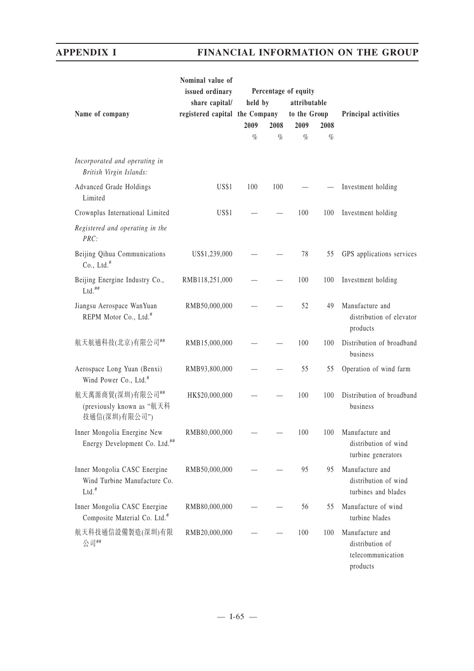|                                                                          | Nominal value of<br>issued ordinary |         |      | Percentage of equity |      |                                                                     |  |
|--------------------------------------------------------------------------|-------------------------------------|---------|------|----------------------|------|---------------------------------------------------------------------|--|
|                                                                          | share capital/                      | held by |      | attributable         |      |                                                                     |  |
| Name of company                                                          | registered capital the Company      |         |      | to the Group         |      | Principal activities                                                |  |
|                                                                          |                                     | 2009    | 2008 | 2009                 | 2008 |                                                                     |  |
|                                                                          |                                     | $\%$    | $\%$ | $\%$                 | $\%$ |                                                                     |  |
| Incorporated and operating in<br>British Virgin Islands:                 |                                     |         |      |                      |      |                                                                     |  |
| Advanced Grade Holdings<br>Limited                                       | <b>US\$1</b>                        | 100     | 100  |                      |      | Investment holding                                                  |  |
| Crownplus International Limited                                          | <b>US\$1</b>                        |         |      | 100                  | 100  | Investment holding                                                  |  |
| Registered and operating in the<br>PRC:                                  |                                     |         |      |                      |      |                                                                     |  |
| Beijing Qihua Communications<br>Co., Ltd. <sup>#</sup>                   | US\$1,239,000                       |         |      | 78                   | 55   | GPS applications services                                           |  |
| Beijing Energine Industry Co.,<br>$Ltd.$ ##                              | RMB118,251,000                      |         |      | 100                  | 100  | Investment holding                                                  |  |
| Jiangsu Aerospace WanYuan<br>REPM Motor Co., Ltd.#                       | RMB50,000,000                       |         |      | 52                   | 49   | Manufacture and<br>distribution of elevator<br>products             |  |
| 航天航通科技(北京)有限公司##                                                         | RMB15,000,000                       |         |      | 100                  | 100  | Distribution of broadband<br>business                               |  |
| Aerospace Long Yuan (Benxi)<br>Wind Power Co., Ltd. <sup>#</sup>         | RMB93,800,000                       |         |      | 55                   | 55   | Operation of wind farm                                              |  |
| 航天萬源商貿(深圳)有限公司##<br>(previously known as "航天科<br>技通信(深圳)有限公司")           | HK\$20,000,000                      |         |      | 100                  | 100  | Distribution of broadband<br>business                               |  |
| Inner Mongolia Energine New<br>Energy Development Co. Ltd.##             | RMB80,000,000                       |         |      | 100                  |      | 100 Manufacture and<br>distribution of wind<br>turbine generators   |  |
| Inner Mongolia CASC Energine<br>Wind Turbine Manufacture Co.<br>Ltd. $#$ | RMB50,000,000                       |         |      | 95                   | 95   | Manufacture and<br>distribution of wind<br>turbines and blades      |  |
| Inner Mongolia CASC Energine<br>Composite Material Co. Ltd. <sup>#</sup> | RMB80,000,000                       |         |      | 56                   | 55   | Manufacture of wind<br>turbine blades                               |  |
| 航天科技通信設備製造(深圳)有限<br>公司##                                                 | RMB20,000,000                       |         |      | 100                  | 100  | Manufacture and<br>distribution of<br>telecommunication<br>products |  |

 $- I - 65 -$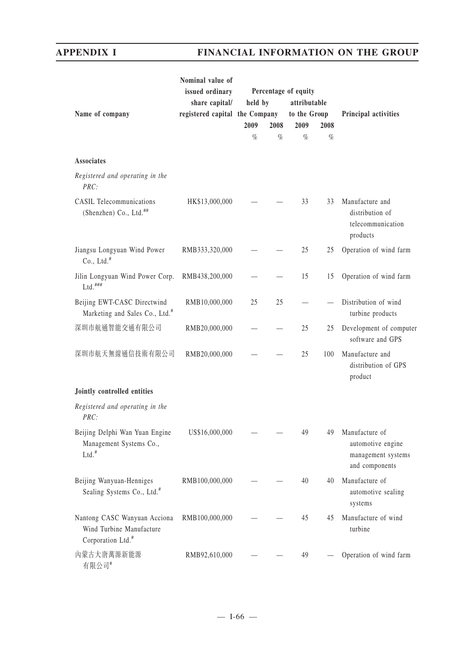|                                                                                           | Nominal value of<br>issued ordinary |         |      | Percentage of equity |      |                                                                                |  |
|-------------------------------------------------------------------------------------------|-------------------------------------|---------|------|----------------------|------|--------------------------------------------------------------------------------|--|
|                                                                                           | share capital/                      | held by |      | attributable         |      |                                                                                |  |
| Name of company                                                                           | registered capital the Company      |         |      | to the Group         |      | Principal activities                                                           |  |
|                                                                                           |                                     | 2009    | 2008 | 2009                 | 2008 |                                                                                |  |
|                                                                                           |                                     | $\%$    | $\%$ | $\%$                 | $\%$ |                                                                                |  |
| Associates                                                                                |                                     |         |      |                      |      |                                                                                |  |
| Registered and operating in the<br>$PRC$ :                                                |                                     |         |      |                      |      |                                                                                |  |
| <b>CASIL Telecommunications</b><br>(Shenzhen) Co., Ltd.##                                 | HK\$13,000,000                      |         |      | 33                   | 33   | Manufacture and<br>distribution of<br>telecommunication<br>products            |  |
| Jiangsu Longyuan Wind Power<br>Co., Ltd. <sup>#</sup>                                     | RMB333,320,000                      |         |      | 25                   | 25   | Operation of wind farm                                                         |  |
| Jilin Longyuan Wind Power Corp.<br>$\mathrm{Ltd.}^{\text{\#}\text{\#}\text{\#}}$          | RMB438,200,000                      |         |      | 15                   | 15   | Operation of wind farm                                                         |  |
| Beijing EWT-CASC Directwind<br>Marketing and Sales Co., Ltd. <sup>#</sup>                 | RMB10,000,000                       | 25      | 25   |                      |      | Distribution of wind<br>turbine products                                       |  |
| 深圳市航通智能交通有限公司                                                                             | RMB20,000,000                       |         |      | 25                   | 25   | Development of computer<br>software and GPS                                    |  |
| 深圳市航天無線通信技術有限公司                                                                           | RMB20,000,000                       |         |      | 25                   | 100  | Manufacture and<br>distribution of GPS<br>product                              |  |
| Jointly controlled entities                                                               |                                     |         |      |                      |      |                                                                                |  |
| Registered and operating in the<br>$PRC$ :                                                |                                     |         |      |                      |      |                                                                                |  |
| Beijing Delphi Wan Yuan Engine<br>Management Systems Co.,<br>$Ltd.$ <sup>#</sup>          | US\$16,000,000                      |         |      | 49                   |      | 49 Manufacture of<br>automotive engine<br>management systems<br>and components |  |
| Beijing Wanyuan-Henniges<br>Sealing Systems Co., Ltd. <sup>#</sup>                        | RMB100,000,000                      |         |      | 40                   | 40   | Manufacture of<br>automotive sealing<br>systems                                |  |
| Nantong CASC Wanyuan Acciona<br>Wind Turbine Manufacture<br>Corporation Ltd. <sup>#</sup> | RMB100,000,000                      |         |      | 45                   | 45   | Manufacture of wind<br>turbine                                                 |  |
| 內蒙古大唐萬源新能源<br>七 阴 八 ヨ#                                                                    | RMB92,610,000                       |         |      | 49                   |      | Operation of wind farm                                                         |  |

有限公司#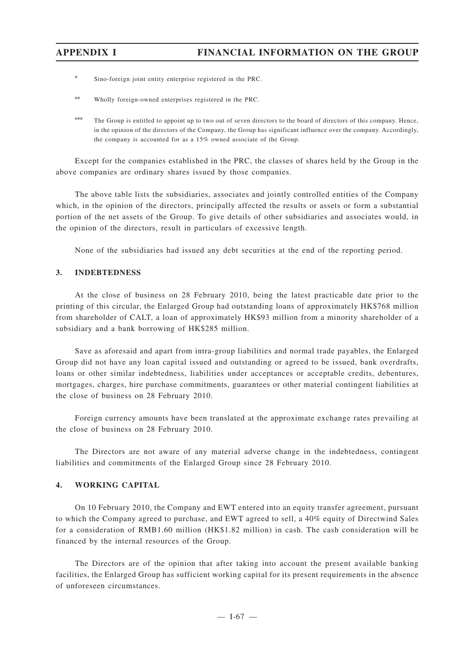- # Sino-foreign joint entity enterprise registered in the PRC.
- ## Wholly foreign-owned enterprises registered in the PRC.
- ### The Group is entitled to appoint up to two out of seven directors to the board of directors of this company. Hence, in the opinion of the directors of the Company, the Group has significant influence over the company. Accordingly, the company is accounted for as a 15% owned associate of the Group.

Except for the companies established in the PRC, the classes of shares held by the Group in the above companies are ordinary shares issued by those companies.

The above table lists the subsidiaries, associates and jointly controlled entities of the Company which, in the opinion of the directors, principally affected the results or assets or form a substantial portion of the net assets of the Group. To give details of other subsidiaries and associates would, in the opinion of the directors, result in particulars of excessive length.

None of the subsidiaries had issued any debt securities at the end of the reporting period.

#### **3. INDEBTEDNESS**

At the close of business on 28 February 2010, being the latest practicable date prior to the printing of this circular, the Enlarged Group had outstanding loans of approximately HK\$768 million from shareholder of CALT, a loan of approximately HK\$93 million from a minority shareholder of a subsidiary and a bank borrowing of HK\$285 million.

Save as aforesaid and apart from intra-group liabilities and normal trade payables, the Enlarged Group did not have any loan capital issued and outstanding or agreed to be issued, bank overdrafts, loans or other similar indebtedness, liabilities under acceptances or acceptable credits, debentures, mortgages, charges, hire purchase commitments, guarantees or other material contingent liabilities at the close of business on 28 February 2010.

Foreign currency amounts have been translated at the approximate exchange rates prevailing at the close of business on 28 February 2010.

The Directors are not aware of any material adverse change in the indebtedness, contingent liabilities and commitments of the Enlarged Group since 28 February 2010.

### **4. WORKING CAPITAL**

On 10 February 2010, the Company and EWT entered into an equity transfer agreement, pursuant to which the Company agreed to purchase, and EWT agreed to sell, a 40% equity of Directwind Sales for a consideration of RMB1.60 million (HK\$1.82 million) in cash. The cash consideration will be financed by the internal resources of the Group.

The Directors are of the opinion that after taking into account the present available banking facilities, the Enlarged Group has sufficient working capital for its present requirements in the absence of unforeseen circumstances.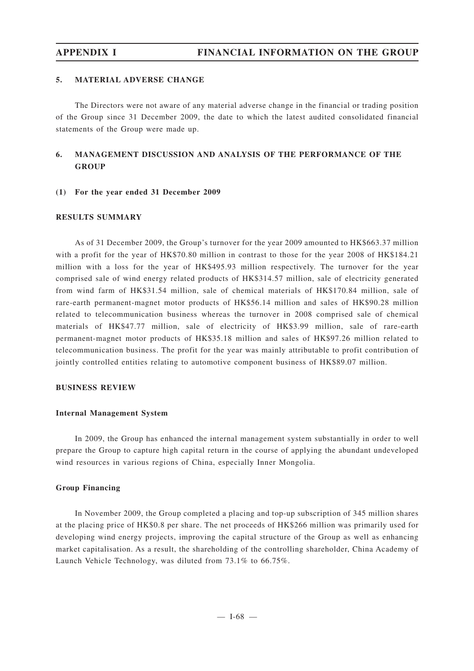#### **5. MATERIAL ADVERSE CHANGE**

The Directors were not aware of any material adverse change in the financial or trading position of the Group since 31 December 2009, the date to which the latest audited consolidated financial statements of the Group were made up.

## **6. MANAGEMENT DISCUSSION AND ANALYSIS OF THE PERFORMANCE OF THE GROUP**

#### **(1) For the year ended 31 December 2009**

#### **RESULTS SUMMARY**

As of 31 December 2009, the Group's turnover for the year 2009 amounted to HK\$663.37 million with a profit for the year of HK\$70.80 million in contrast to those for the year 2008 of HK\$184.21 million with a loss for the year of HK\$495.93 million respectively. The turnover for the year comprised sale of wind energy related products of HK\$314.57 million, sale of electricity generated from wind farm of HK\$31.54 million, sale of chemical materials of HK\$170.84 million, sale of rare-earth permanent-magnet motor products of HK\$56.14 million and sales of HK\$90.28 million related to telecommunication business whereas the turnover in 2008 comprised sale of chemical materials of HK\$47.77 million, sale of electricity of HK\$3.99 million, sale of rare-earth permanent-magnet motor products of HK\$35.18 million and sales of HK\$97.26 million related to telecommunication business. The profit for the year was mainly attributable to profit contribution of jointly controlled entities relating to automotive component business of HK\$89.07 million.

### **BUSINESS REVIEW**

#### **Internal Management System**

In 2009, the Group has enhanced the internal management system substantially in order to well prepare the Group to capture high capital return in the course of applying the abundant undeveloped wind resources in various regions of China, especially Inner Mongolia.

#### **Group Financing**

In November 2009, the Group completed a placing and top-up subscription of 345 million shares at the placing price of HK\$0.8 per share. The net proceeds of HK\$266 million was primarily used for developing wind energy projects, improving the capital structure of the Group as well as enhancing market capitalisation. As a result, the shareholding of the controlling shareholder, China Academy of Launch Vehicle Technology, was diluted from 73.1% to 66.75%.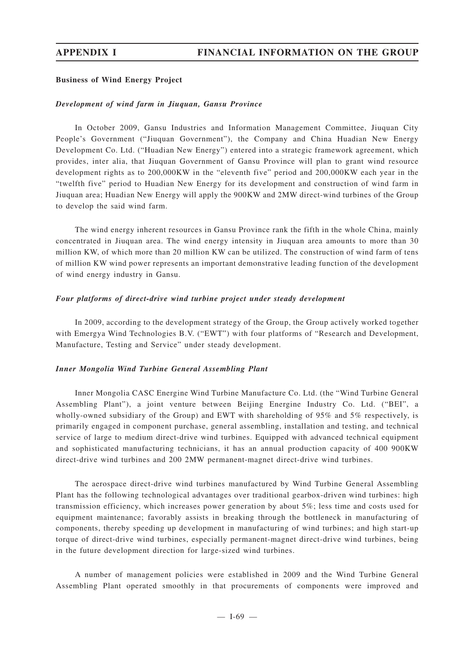### **Business of Wind Energy Project**

### *Development of wind farm in Jiuquan, Gansu Province*

In October 2009, Gansu Industries and Information Management Committee, Jiuquan City People's Government ("Jiuquan Government"), the Company and China Huadian New Energy Development Co. Ltd. ("Huadian New Energy") entered into a strategic framework agreement, which provides, inter alia, that Jiuquan Government of Gansu Province will plan to grant wind resource development rights as to 200,000KW in the "eleventh five" period and 200,000KW each year in the "twelfth five" period to Huadian New Energy for its development and construction of wind farm in Jiuquan area; Huadian New Energy will apply the 900KW and 2MW direct-wind turbines of the Group to develop the said wind farm.

The wind energy inherent resources in Gansu Province rank the fifth in the whole China, mainly concentrated in Jiuquan area. The wind energy intensity in Jiuquan area amounts to more than 30 million KW, of which more than 20 million KW can be utilized. The construction of wind farm of tens of million KW wind power represents an important demonstrative leading function of the development of wind energy industry in Gansu.

#### *Four platforms of direct-drive wind turbine project under steady development*

In 2009, according to the development strategy of the Group, the Group actively worked together with Emergya Wind Technologies B.V. ("EWT") with four platforms of "Research and Development, Manufacture, Testing and Service" under steady development.

### *Inner Mongolia Wind Turbine General Assembling Plant*

Inner Mongolia CASC Energine Wind Turbine Manufacture Co. Ltd. (the "Wind Turbine General Assembling Plant"), a joint venture between Beijing Energine Industry Co. Ltd. ("BEI", a wholly-owned subsidiary of the Group) and EWT with shareholding of 95% and 5% respectively, is primarily engaged in component purchase, general assembling, installation and testing, and technical service of large to medium direct-drive wind turbines. Equipped with advanced technical equipment and sophisticated manufacturing technicians, it has an annual production capacity of 400 900KW direct-drive wind turbines and 200 2MW permanent-magnet direct-drive wind turbines.

The aerospace direct-drive wind turbines manufactured by Wind Turbine General Assembling Plant has the following technological advantages over traditional gearbox-driven wind turbines: high transmission efficiency, which increases power generation by about 5%; less time and costs used for equipment maintenance; favorably assists in breaking through the bottleneck in manufacturing of components, thereby speeding up development in manufacturing of wind turbines; and high start-up torque of direct-drive wind turbines, especially permanent-magnet direct-drive wind turbines, being in the future development direction for large-sized wind turbines.

A number of management policies were established in 2009 and the Wind Turbine General Assembling Plant operated smoothly in that procurements of components were improved and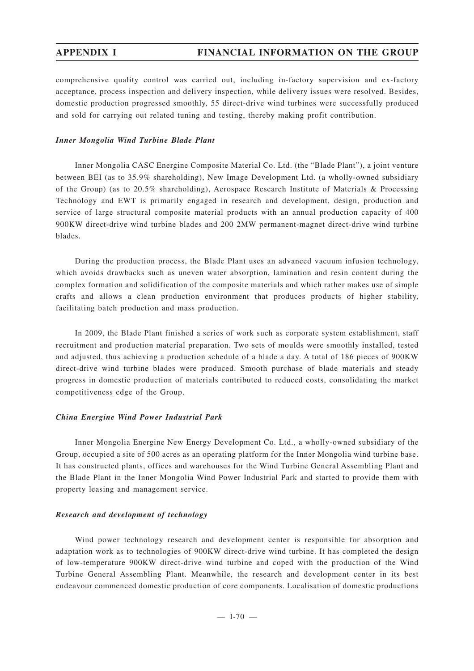comprehensive quality control was carried out, including in-factory supervision and ex-factory acceptance, process inspection and delivery inspection, while delivery issues were resolved. Besides, domestic production progressed smoothly, 55 direct-drive wind turbines were successfully produced and sold for carrying out related tuning and testing, thereby making profit contribution.

#### *Inner Mongolia Wind Turbine Blade Plant*

Inner Mongolia CASC Energine Composite Material Co. Ltd. (the "Blade Plant"), a joint venture between BEI (as to 35.9% shareholding), New Image Development Ltd. (a wholly-owned subsidiary of the Group) (as to 20.5% shareholding), Aerospace Research Institute of Materials & Processing Technology and EWT is primarily engaged in research and development, design, production and service of large structural composite material products with an annual production capacity of 400 900KW direct-drive wind turbine blades and 200 2MW permanent-magnet direct-drive wind turbine blades.

During the production process, the Blade Plant uses an advanced vacuum infusion technology, which avoids drawbacks such as uneven water absorption, lamination and resin content during the complex formation and solidification of the composite materials and which rather makes use of simple crafts and allows a clean production environment that produces products of higher stability, facilitating batch production and mass production.

In 2009, the Blade Plant finished a series of work such as corporate system establishment, staff recruitment and production material preparation. Two sets of moulds were smoothly installed, tested and adjusted, thus achieving a production schedule of a blade a day. A total of 186 pieces of 900KW direct-drive wind turbine blades were produced. Smooth purchase of blade materials and steady progress in domestic production of materials contributed to reduced costs, consolidating the market competitiveness edge of the Group.

#### *China Energine Wind Power Industrial Park*

Inner Mongolia Energine New Energy Development Co. Ltd., a wholly-owned subsidiary of the Group, occupied a site of 500 acres as an operating platform for the Inner Mongolia wind turbine base. It has constructed plants, offices and warehouses for the Wind Turbine General Assembling Plant and the Blade Plant in the Inner Mongolia Wind Power Industrial Park and started to provide them with property leasing and management service.

#### *Research and development of technology*

Wind power technology research and development center is responsible for absorption and adaptation work as to technologies of 900KW direct-drive wind turbine. It has completed the design of low-temperature 900KW direct-drive wind turbine and coped with the production of the Wind Turbine General Assembling Plant. Meanwhile, the research and development center in its best endeavour commenced domestic production of core components. Localisation of domestic productions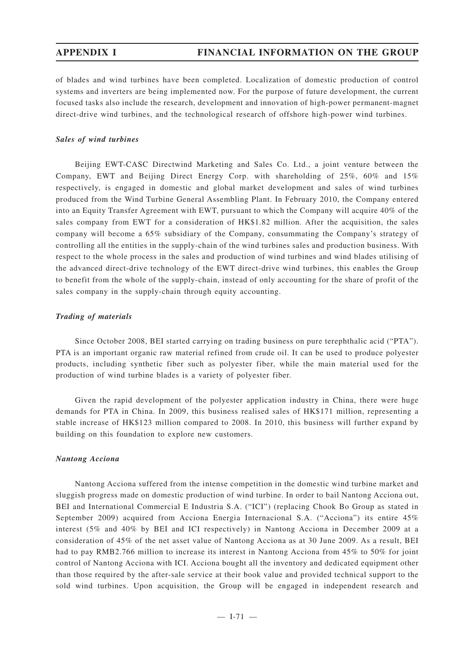of blades and wind turbines have been completed. Localization of domestic production of control systems and inverters are being implemented now. For the purpose of future development, the current focused tasks also include the research, development and innovation of high-power permanent-magnet direct-drive wind turbines, and the technological research of offshore high-power wind turbines.

#### *Sales of wind turbines*

Beijing EWT-CASC Directwind Marketing and Sales Co. Ltd., a joint venture between the Company, EWT and Beijing Direct Energy Corp. with shareholding of 25%, 60% and 15% respectively, is engaged in domestic and global market development and sales of wind turbines produced from the Wind Turbine General Assembling Plant. In February 2010, the Company entered into an Equity Transfer Agreement with EWT, pursuant to which the Company will acquire 40% of the sales company from EWT for a consideration of HK\$1.82 million. After the acquisition, the sales company will become a 65% subsidiary of the Company, consummating the Company's strategy of controlling all the entities in the supply-chain of the wind turbines sales and production business. With respect to the whole process in the sales and production of wind turbines and wind blades utilising of the advanced direct-drive technology of the EWT direct-drive wind turbines, this enables the Group to benefit from the whole of the supply-chain, instead of only accounting for the share of profit of the sales company in the supply-chain through equity accounting.

#### *Trading of materials*

Since October 2008, BEI started carrying on trading business on pure terephthalic acid ("PTA"). PTA is an important organic raw material refined from crude oil. It can be used to produce polyester products, including synthetic fiber such as polyester fiber, while the main material used for the production of wind turbine blades is a variety of polyester fiber.

Given the rapid development of the polyester application industry in China, there were huge demands for PTA in China. In 2009, this business realised sales of HK\$171 million, representing a stable increase of HK\$123 million compared to 2008. In 2010, this business will further expand by building on this foundation to explore new customers.

#### *Nantong Acciona*

Nantong Acciona suffered from the intense competition in the domestic wind turbine market and sluggish progress made on domestic production of wind turbine. In order to bail Nantong Acciona out, BEI and International Commercial E Industria S.A. ("ICI") (replacing Chook Bo Group as stated in September 2009) acquired from Acciona Energia Internacional S.A. ("Acciona") its entire 45% interest (5% and 40% by BEI and ICI respectively) in Nantong Acciona in December 2009 at a consideration of 45% of the net asset value of Nantong Acciona as at 30 June 2009. As a result, BEI had to pay RMB2.766 million to increase its interest in Nantong Acciona from 45% to 50% for joint control of Nantong Acciona with ICI. Acciona bought all the inventory and dedicated equipment other than those required by the after-sale service at their book value and provided technical support to the sold wind turbines. Upon acquisition, the Group will be engaged in independent research and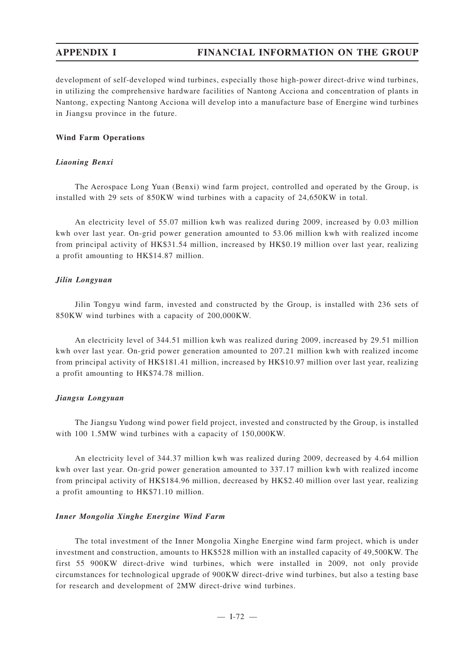development of self-developed wind turbines, especially those high-power direct-drive wind turbines, in utilizing the comprehensive hardware facilities of Nantong Acciona and concentration of plants in Nantong, expecting Nantong Acciona will develop into a manufacture base of Energine wind turbines in Jiangsu province in the future.

#### **Wind Farm Operations**

#### *Liaoning Benxi*

The Aerospace Long Yuan (Benxi) wind farm project, controlled and operated by the Group, is installed with 29 sets of 850KW wind turbines with a capacity of 24,650KW in total.

An electricity level of 55.07 million kwh was realized during 2009, increased by 0.03 million kwh over last year. On-grid power generation amounted to 53.06 million kwh with realized income from principal activity of HK\$31.54 million, increased by HK\$0.19 million over last year, realizing a profit amounting to HK\$14.87 million.

#### *Jilin Longyuan*

Jilin Tongyu wind farm, invested and constructed by the Group, is installed with 236 sets of 850KW wind turbines with a capacity of 200,000KW.

An electricity level of 344.51 million kwh was realized during 2009, increased by 29.51 million kwh over last year. On-grid power generation amounted to 207.21 million kwh with realized income from principal activity of HK\$181.41 million, increased by HK\$10.97 million over last year, realizing a profit amounting to HK\$74.78 million.

#### *Jiangsu Longyuan*

The Jiangsu Yudong wind power field project, invested and constructed by the Group, is installed with 100 1.5MW wind turbines with a capacity of 150,000KW.

An electricity level of 344.37 million kwh was realized during 2009, decreased by 4.64 million kwh over last year. On-grid power generation amounted to 337.17 million kwh with realized income from principal activity of HK\$184.96 million, decreased by HK\$2.40 million over last year, realizing a profit amounting to HK\$71.10 million.

#### *Inner Mongolia Xinghe Energine Wind Farm*

The total investment of the Inner Mongolia Xinghe Energine wind farm project, which is under investment and construction, amounts to HK\$528 million with an installed capacity of 49,500KW. The first 55 900KW direct-drive wind turbines, which were installed in 2009, not only provide circumstances for technological upgrade of 900KW direct-drive wind turbines, but also a testing base for research and development of 2MW direct-drive wind turbines.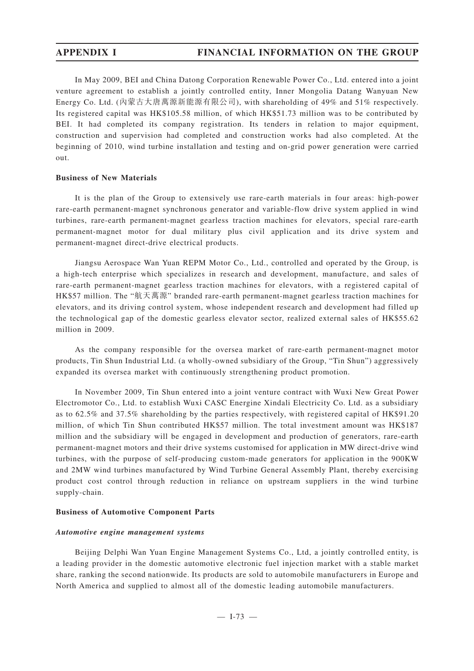In May 2009, BEI and China Datong Corporation Renewable Power Co., Ltd. entered into a joint venture agreement to establish a jointly controlled entity, Inner Mongolia Datang Wanyuan New Energy Co. Ltd. (內蒙古大唐萬源新能源有限公司), with shareholding of 49% and 51% respectively. Its registered capital was HK\$105.58 million, of which HK\$51.73 million was to be contributed by BEI. It had completed its company registration. Its tenders in relation to major equipment, construction and supervision had completed and construction works had also completed. At the beginning of 2010, wind turbine installation and testing and on-grid power generation were carried out.

### **Business of New Materials**

It is the plan of the Group to extensively use rare-earth materials in four areas: high-power rare-earth permanent-magnet synchronous generator and variable-flow drive system applied in wind turbines, rare-earth permanent-magnet gearless traction machines for elevators, special rare-earth permanent-magnet motor for dual military plus civil application and its drive system and permanent-magnet direct-drive electrical products.

Jiangsu Aerospace Wan Yuan REPM Motor Co., Ltd., controlled and operated by the Group, is a high-tech enterprise which specializes in research and development, manufacture, and sales of rare-earth permanent-magnet gearless traction machines for elevators, with a registered capital of HK\$57 million. The "航天萬源" branded rare-earth permanent-magnet gearless traction machines for elevators, and its driving control system, whose independent research and development had filled up the technological gap of the domestic gearless elevator sector, realized external sales of HK\$55.62 million in 2009.

As the company responsible for the oversea market of rare-earth permanent-magnet motor products, Tin Shun Industrial Ltd. (a wholly-owned subsidiary of the Group, "Tin Shun") aggressively expanded its oversea market with continuously strengthening product promotion.

In November 2009, Tin Shun entered into a joint venture contract with Wuxi New Great Power Electromotor Co., Ltd. to establish Wuxi CASC Energine Xindali Electricity Co. Ltd. as a subsidiary as to 62.5% and 37.5% shareholding by the parties respectively, with registered capital of HK\$91.20 million, of which Tin Shun contributed HK\$57 million. The total investment amount was HK\$187 million and the subsidiary will be engaged in development and production of generators, rare-earth permanent-magnet motors and their drive systems customised for application in MW direct-drive wind turbines, with the purpose of self-producing custom-made generators for application in the 900KW and 2MW wind turbines manufactured by Wind Turbine General Assembly Plant, thereby exercising product cost control through reduction in reliance on upstream suppliers in the wind turbine supply-chain.

#### **Business of Automotive Component Parts**

#### *Automotive engine management systems*

Beijing Delphi Wan Yuan Engine Management Systems Co., Ltd, a jointly controlled entity, is a leading provider in the domestic automotive electronic fuel injection market with a stable market share, ranking the second nationwide. Its products are sold to automobile manufacturers in Europe and North America and supplied to almost all of the domestic leading automobile manufacturers.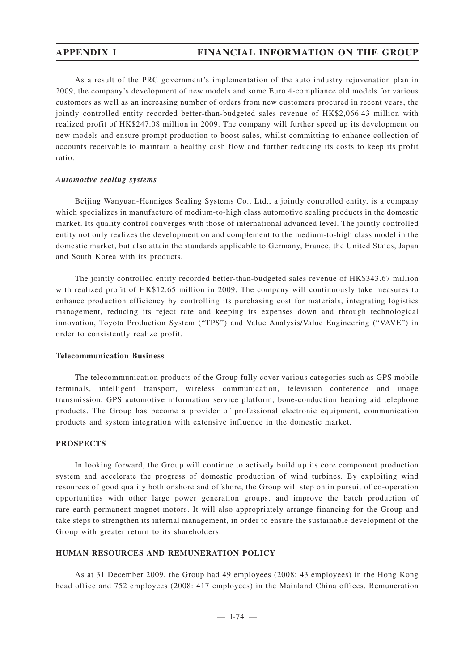As a result of the PRC government's implementation of the auto industry rejuvenation plan in 2009, the company's development of new models and some Euro 4-compliance old models for various customers as well as an increasing number of orders from new customers procured in recent years, the jointly controlled entity recorded better-than-budgeted sales revenue of HK\$2,066.43 million with realized profit of HK\$247.08 million in 2009. The company will further speed up its development on new models and ensure prompt production to boost sales, whilst committing to enhance collection of accounts receivable to maintain a healthy cash flow and further reducing its costs to keep its profit ratio.

### *Automotive sealing systems*

Beijing Wanyuan-Henniges Sealing Systems Co., Ltd., a jointly controlled entity, is a company which specializes in manufacture of medium-to-high class automotive sealing products in the domestic market. Its quality control converges with those of international advanced level. The jointly controlled entity not only realizes the development on and complement to the medium-to-high class model in the domestic market, but also attain the standards applicable to Germany, France, the United States, Japan and South Korea with its products.

The jointly controlled entity recorded better-than-budgeted sales revenue of HK\$343.67 million with realized profit of HK\$12.65 million in 2009. The company will continuously take measures to enhance production efficiency by controlling its purchasing cost for materials, integrating logistics management, reducing its reject rate and keeping its expenses down and through technological innovation, Toyota Production System ("TPS") and Value Analysis/Value Engineering ("VAVE") in order to consistently realize profit.

### **Telecommunication Business**

The telecommunication products of the Group fully cover various categories such as GPS mobile terminals, intelligent transport, wireless communication, television conference and image transmission, GPS automotive information service platform, bone-conduction hearing aid telephone products. The Group has become a provider of professional electronic equipment, communication products and system integration with extensive influence in the domestic market.

### **PROSPECTS**

In looking forward, the Group will continue to actively build up its core component production system and accelerate the progress of domestic production of wind turbines. By exploiting wind resources of good quality both onshore and offshore, the Group will step on in pursuit of co-operation opportunities with other large power generation groups, and improve the batch production of rare-earth permanent-magnet motors. It will also appropriately arrange financing for the Group and take steps to strengthen its internal management, in order to ensure the sustainable development of the Group with greater return to its shareholders.

### **HUMAN RESOURCES AND REMUNERATION POLICY**

As at 31 December 2009, the Group had 49 employees (2008: 43 employees) in the Hong Kong head office and 752 employees (2008: 417 employees) in the Mainland China offices. Remuneration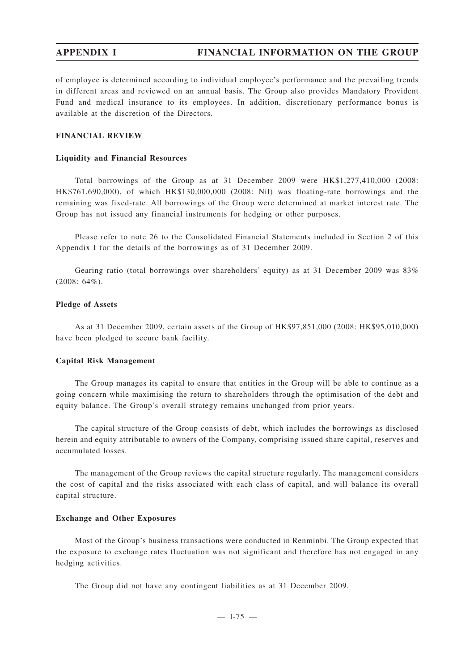of employee is determined according to individual employee's performance and the prevailing trends in different areas and reviewed on an annual basis. The Group also provides Mandatory Provident Fund and medical insurance to its employees. In addition, discretionary performance bonus is available at the discretion of the Directors.

## **FINANCIAL REVIEW**

#### **Liquidity and Financial Resources**

Total borrowings of the Group as at 31 December 2009 were HK\$1,277,410,000 (2008: HK\$761,690,000), of which HK\$130,000,000 (2008: Nil) was floating-rate borrowings and the remaining was fixed-rate. All borrowings of the Group were determined at market interest rate. The Group has not issued any financial instruments for hedging or other purposes.

Please refer to note 26 to the Consolidated Financial Statements included in Section 2 of this Appendix I for the details of the borrowings as of 31 December 2009.

Gearing ratio (total borrowings over shareholders' equity) as at 31 December 2009 was 83% (2008: 64%).

#### **Pledge of Assets**

As at 31 December 2009, certain assets of the Group of HK\$97,851,000 (2008: HK\$95,010,000) have been pledged to secure bank facility.

### **Capital Risk Management**

The Group manages its capital to ensure that entities in the Group will be able to continue as a going concern while maximising the return to shareholders through the optimisation of the debt and equity balance. The Group's overall strategy remains unchanged from prior years.

The capital structure of the Group consists of debt, which includes the borrowings as disclosed herein and equity attributable to owners of the Company, comprising issued share capital, reserves and accumulated losses.

The management of the Group reviews the capital structure regularly. The management considers the cost of capital and the risks associated with each class of capital, and will balance its overall capital structure.

#### **Exchange and Other Exposures**

Most of the Group's business transactions were conducted in Renminbi. The Group expected that the exposure to exchange rates fluctuation was not significant and therefore has not engaged in any hedging activities.

The Group did not have any contingent liabilities as at 31 December 2009.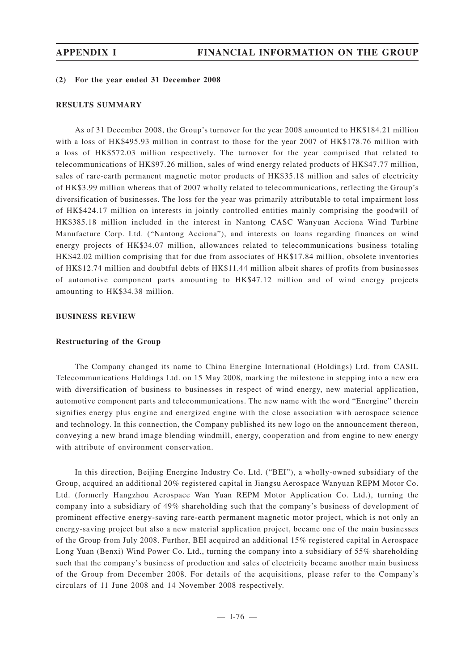#### **(2) For the year ended 31 December 2008**

#### **RESULTS SUMMARY**

As of 31 December 2008, the Group's turnover for the year 2008 amounted to HK\$184.21 million with a loss of HK\$495.93 million in contrast to those for the year 2007 of HK\$178.76 million with a loss of HK\$572.03 million respectively. The turnover for the year comprised that related to telecommunications of HK\$97.26 million, sales of wind energy related products of HK\$47.77 million, sales of rare-earth permanent magnetic motor products of HK\$35.18 million and sales of electricity of HK\$3.99 million whereas that of 2007 wholly related to telecommunications, reflecting the Group's diversification of businesses. The loss for the year was primarily attributable to total impairment loss of HK\$424.17 million on interests in jointly controlled entities mainly comprising the goodwill of HK\$385.18 million included in the interest in Nantong CASC Wanyuan Acciona Wind Turbine Manufacture Corp. Ltd. ("Nantong Acciona"), and interests on loans regarding finances on wind energy projects of HK\$34.07 million, allowances related to telecommunications business totaling HK\$42.02 million comprising that for due from associates of HK\$17.84 million, obsolete inventories of HK\$12.74 million and doubtful debts of HK\$11.44 million albeit shares of profits from businesses of automotive component parts amounting to HK\$47.12 million and of wind energy projects amounting to HK\$34.38 million.

#### **BUSINESS REVIEW**

#### **Restructuring of the Group**

The Company changed its name to China Energine International (Holdings) Ltd. from CASIL Telecommunications Holdings Ltd. on 15 May 2008, marking the milestone in stepping into a new era with diversification of business to businesses in respect of wind energy, new material application, automotive component parts and telecommunications. The new name with the word "Energine" therein signifies energy plus engine and energized engine with the close association with aerospace science and technology. In this connection, the Company published its new logo on the announcement thereon, conveying a new brand image blending windmill, energy, cooperation and from engine to new energy with attribute of environment conservation.

In this direction, Beijing Energine Industry Co. Ltd. ("BEI"), a wholly-owned subsidiary of the Group, acquired an additional 20% registered capital in Jiangsu Aerospace Wanyuan REPM Motor Co. Ltd. (formerly Hangzhou Aerospace Wan Yuan REPM Motor Application Co. Ltd.), turning the company into a subsidiary of 49% shareholding such that the company's business of development of prominent effective energy-saving rare-earth permanent magnetic motor project, which is not only an energy-saving project but also a new material application project, became one of the main businesses of the Group from July 2008. Further, BEI acquired an additional 15% registered capital in Aerospace Long Yuan (Benxi) Wind Power Co. Ltd., turning the company into a subsidiary of 55% shareholding such that the company's business of production and sales of electricity became another main business of the Group from December 2008. For details of the acquisitions, please refer to the Company's circulars of 11 June 2008 and 14 November 2008 respectively.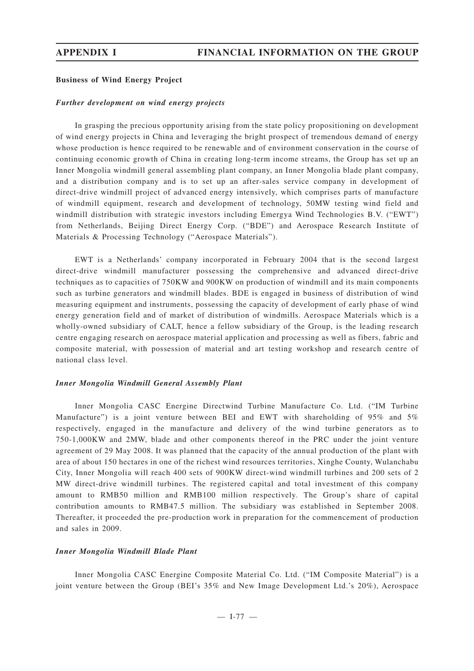### **Business of Wind Energy Project**

#### *Further development on wind energy projects*

In grasping the precious opportunity arising from the state policy propositioning on development of wind energy projects in China and leveraging the bright prospect of tremendous demand of energy whose production is hence required to be renewable and of environment conservation in the course of continuing economic growth of China in creating long-term income streams, the Group has set up an Inner Mongolia windmill general assembling plant company, an Inner Mongolia blade plant company, and a distribution company and is to set up an after-sales service company in development of direct-drive windmill project of advanced energy intensively, which comprises parts of manufacture of windmill equipment, research and development of technology, 50MW testing wind field and windmill distribution with strategic investors including Emergya Wind Technologies B.V. ("EWT") from Netherlands, Beijing Direct Energy Corp. ("BDE") and Aerospace Research Institute of Materials & Processing Technology ("Aerospace Materials").

EWT is a Netherlands' company incorporated in February 2004 that is the second largest direct-drive windmill manufacturer possessing the comprehensive and advanced direct-drive techniques as to capacities of 750KW and 900KW on production of windmill and its main components such as turbine generators and windmill blades. BDE is engaged in business of distribution of wind measuring equipment and instruments, possessing the capacity of development of early phase of wind energy generation field and of market of distribution of windmills. Aerospace Materials which is a wholly-owned subsidiary of CALT, hence a fellow subsidiary of the Group, is the leading research centre engaging research on aerospace material application and processing as well as fibers, fabric and composite material, with possession of material and art testing workshop and research centre of national class level.

#### *Inner Mongolia Windmill General Assembly Plant*

Inner Mongolia CASC Energine Directwind Turbine Manufacture Co. Ltd. ("IM Turbine Manufacture") is a joint venture between BEI and EWT with shareholding of 95% and 5% respectively, engaged in the manufacture and delivery of the wind turbine generators as to 750-1,000KW and 2MW, blade and other components thereof in the PRC under the joint venture agreement of 29 May 2008. It was planned that the capacity of the annual production of the plant with area of about 150 hectares in one of the richest wind resources territories, Xinghe County, Wulanchabu City, Inner Mongolia will reach 400 sets of 900KW direct-wind windmill turbines and 200 sets of 2 MW direct-drive windmill turbines. The registered capital and total investment of this company amount to RMB50 million and RMB100 million respectively. The Group's share of capital contribution amounts to RMB47.5 million. The subsidiary was established in September 2008. Thereafter, it proceeded the pre-production work in preparation for the commencement of production and sales in 2009.

#### *Inner Mongolia Windmill Blade Plant*

Inner Mongolia CASC Energine Composite Material Co. Ltd. ("IM Composite Material") is a joint venture between the Group (BEI's 35% and New Image Development Ltd.'s 20%), Aerospace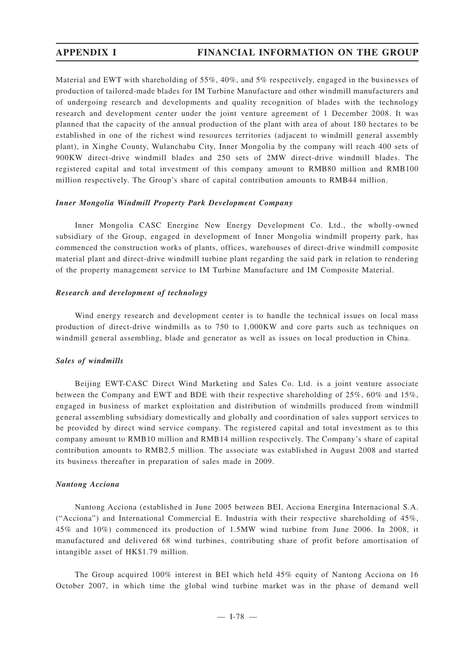Material and EWT with shareholding of 55%, 40%, and 5% respectively, engaged in the businesses of production of tailored-made blades for IM Turbine Manufacture and other windmill manufacturers and of undergoing research and developments and quality recognition of blades with the technology research and development center under the joint venture agreement of 1 December 2008. It was planned that the capacity of the annual production of the plant with area of about 180 hectares to be established in one of the richest wind resources territories (adjacent to windmill general assembly plant), in Xinghe County, Wulanchabu City, Inner Mongolia by the company will reach 400 sets of 900KW direct-drive windmill blades and 250 sets of 2MW direct-drive windmill blades. The registered capital and total investment of this company amount to RMB80 million and RMB100 million respectively. The Group's share of capital contribution amounts to RMB44 million.

#### *Inner Mongolia Windmill Property Park Development Company*

Inner Mongolia CASC Energine New Energy Development Co. Ltd., the wholly-owned subsidiary of the Group, engaged in development of Inner Mongolia windmill property park, has commenced the construction works of plants, offices, warehouses of direct-drive windmill composite material plant and direct-drive windmill turbine plant regarding the said park in relation to rendering of the property management service to IM Turbine Manufacture and IM Composite Material.

#### *Research and development of technology*

Wind energy research and development center is to handle the technical issues on local mass production of direct-drive windmills as to 750 to 1,000KW and core parts such as techniques on windmill general assembling, blade and generator as well as issues on local production in China.

### *Sales of windmills*

Beijing EWT-CASC Direct Wind Marketing and Sales Co. Ltd. is a joint venture associate between the Company and EWT and BDE with their respective shareholding of 25%, 60% and 15%, engaged in business of market exploitation and distribution of windmills produced from windmill general assembling subsidiary domestically and globally and coordination of sales support services to be provided by direct wind service company. The registered capital and total investment as to this company amount to RMB10 million and RMB14 million respectively. The Company's share of capital contribution amounts to RMB2.5 million. The associate was established in August 2008 and started its business thereafter in preparation of sales made in 2009.

#### *Nantong Acciona*

Nantong Acciona (established in June 2005 between BEI, Acciona Energina Internacional S.A. ("Acciona") and International Commercial E. Industria with their respective shareholding of 45%, 45% and 10%) commenced its production of 1.5MW wind turbine from June 2006. In 2008, it manufactured and delivered 68 wind turbines, contributing share of profit before amortisation of intangible asset of HK\$1.79 million.

The Group acquired 100% interest in BEI which held 45% equity of Nantong Acciona on 16 October 2007, in which time the global wind turbine market was in the phase of demand well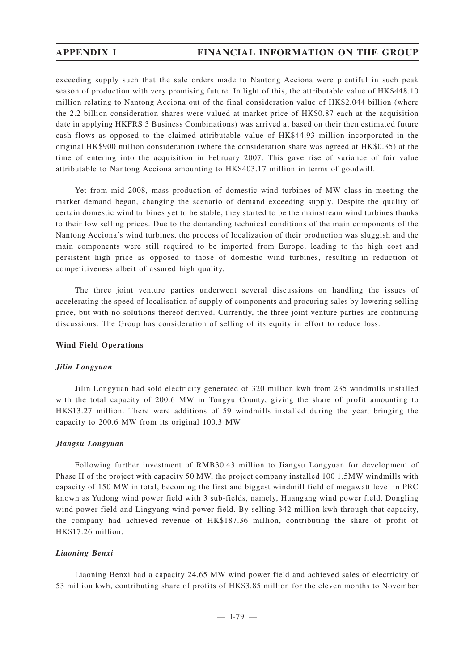exceeding supply such that the sale orders made to Nantong Acciona were plentiful in such peak season of production with very promising future. In light of this, the attributable value of HK\$448.10 million relating to Nantong Acciona out of the final consideration value of HK\$2.044 billion (where the 2.2 billion consideration shares were valued at market price of HK\$0.87 each at the acquisition date in applying HKFRS 3 Business Combinations) was arrived at based on their then estimated future cash flows as opposed to the claimed attributable value of HK\$44.93 million incorporated in the original HK\$900 million consideration (where the consideration share was agreed at HK\$0.35) at the time of entering into the acquisition in February 2007. This gave rise of variance of fair value attributable to Nantong Acciona amounting to HK\$403.17 million in terms of goodwill.

Yet from mid 2008, mass production of domestic wind turbines of MW class in meeting the market demand began, changing the scenario of demand exceeding supply. Despite the quality of certain domestic wind turbines yet to be stable, they started to be the mainstream wind turbines thanks to their low selling prices. Due to the demanding technical conditions of the main components of the Nantong Acciona's wind turbines, the process of localization of their production was sluggish and the main components were still required to be imported from Europe, leading to the high cost and persistent high price as opposed to those of domestic wind turbines, resulting in reduction of competitiveness albeit of assured high quality.

The three joint venture parties underwent several discussions on handling the issues of accelerating the speed of localisation of supply of components and procuring sales by lowering selling price, but with no solutions thereof derived. Currently, the three joint venture parties are continuing discussions. The Group has consideration of selling of its equity in effort to reduce loss.

## **Wind Field Operations**

### *Jilin Longyuan*

Jilin Longyuan had sold electricity generated of 320 million kwh from 235 windmills installed with the total capacity of 200.6 MW in Tongyu County, giving the share of profit amounting to HK\$13.27 million. There were additions of 59 windmills installed during the year, bringing the capacity to 200.6 MW from its original 100.3 MW.

## *Jiangsu Longyuan*

Following further investment of RMB30.43 million to Jiangsu Longyuan for development of Phase II of the project with capacity 50 MW, the project company installed 100 1.5MW windmills with capacity of 150 MW in total, becoming the first and biggest windmill field of megawatt level in PRC known as Yudong wind power field with 3 sub-fields, namely, Huangang wind power field, Dongling wind power field and Lingyang wind power field. By selling 342 million kwh through that capacity, the company had achieved revenue of HK\$187.36 million, contributing the share of profit of HK\$17.26 million.

## *Liaoning Benxi*

Liaoning Benxi had a capacity 24.65 MW wind power field and achieved sales of electricity of 53 million kwh, contributing share of profits of HK\$3.85 million for the eleven months to November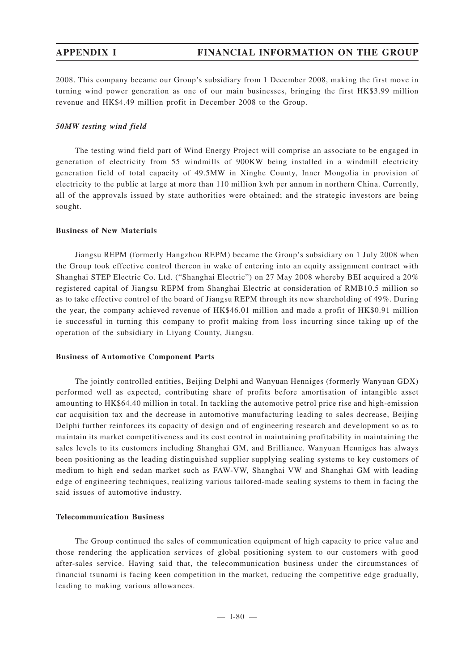2008. This company became our Group's subsidiary from 1 December 2008, making the first move in turning wind power generation as one of our main businesses, bringing the first HK\$3.99 million revenue and HK\$4.49 million profit in December 2008 to the Group.

### *50MW testing wind field*

The testing wind field part of Wind Energy Project will comprise an associate to be engaged in generation of electricity from 55 windmills of 900KW being installed in a windmill electricity generation field of total capacity of 49.5MW in Xinghe County, Inner Mongolia in provision of electricity to the public at large at more than 110 million kwh per annum in northern China. Currently, all of the approvals issued by state authorities were obtained; and the strategic investors are being sought.

### **Business of New Materials**

Jiangsu REPM (formerly Hangzhou REPM) became the Group's subsidiary on 1 July 2008 when the Group took effective control thereon in wake of entering into an equity assignment contract with Shanghai STEP Electric Co. Ltd. ("Shanghai Electric") on 27 May 2008 whereby BEI acquired a 20% registered capital of Jiangsu REPM from Shanghai Electric at consideration of RMB10.5 million so as to take effective control of the board of Jiangsu REPM through its new shareholding of 49%. During the year, the company achieved revenue of HK\$46.01 million and made a profit of HK\$0.91 million ie successful in turning this company to profit making from loss incurring since taking up of the operation of the subsidiary in Liyang County, Jiangsu.

### **Business of Automotive Component Parts**

The jointly controlled entities, Beijing Delphi and Wanyuan Henniges (formerly Wanyuan GDX) performed well as expected, contributing share of profits before amortisation of intangible asset amounting to HK\$64.40 million in total. In tackling the automotive petrol price rise and high-emission car acquisition tax and the decrease in automotive manufacturing leading to sales decrease, Beijing Delphi further reinforces its capacity of design and of engineering research and development so as to maintain its market competitiveness and its cost control in maintaining profitability in maintaining the sales levels to its customers including Shanghai GM, and Brilliance. Wanyuan Henniges has always been positioning as the leading distinguished supplier supplying sealing systems to key customers of medium to high end sedan market such as FAW-VW, Shanghai VW and Shanghai GM with leading edge of engineering techniques, realizing various tailored-made sealing systems to them in facing the said issues of automotive industry.

### **Telecommunication Business**

The Group continued the sales of communication equipment of high capacity to price value and those rendering the application services of global positioning system to our customers with good after-sales service. Having said that, the telecommunication business under the circumstances of financial tsunami is facing keen competition in the market, reducing the competitive edge gradually, leading to making various allowances.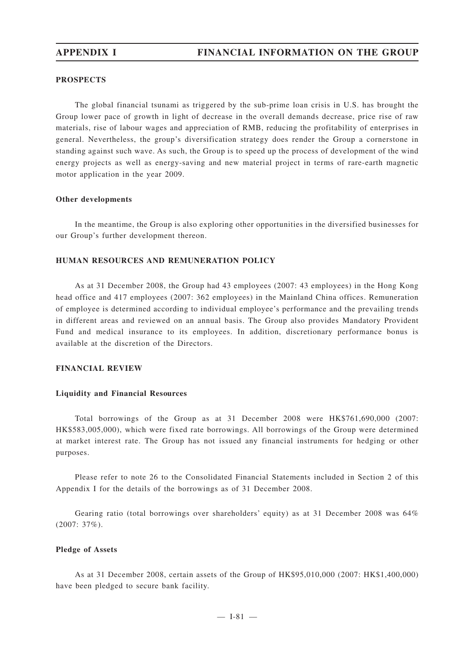#### **PROSPECTS**

The global financial tsunami as triggered by the sub-prime loan crisis in U.S. has brought the Group lower pace of growth in light of decrease in the overall demands decrease, price rise of raw materials, rise of labour wages and appreciation of RMB, reducing the profitability of enterprises in general. Nevertheless, the group's diversification strategy does render the Group a cornerstone in standing against such wave. As such, the Group is to speed up the process of development of the wind energy projects as well as energy-saving and new material project in terms of rare-earth magnetic motor application in the year 2009.

### **Other developments**

In the meantime, the Group is also exploring other opportunities in the diversified businesses for our Group's further development thereon.

## **HUMAN RESOURCES AND REMUNERATION POLICY**

As at 31 December 2008, the Group had 43 employees (2007: 43 employees) in the Hong Kong head office and 417 employees (2007: 362 employees) in the Mainland China offices. Remuneration of employee is determined according to individual employee's performance and the prevailing trends in different areas and reviewed on an annual basis. The Group also provides Mandatory Provident Fund and medical insurance to its employees. In addition, discretionary performance bonus is available at the discretion of the Directors.

### **FINANCIAL REVIEW**

#### **Liquidity and Financial Resources**

Total borrowings of the Group as at 31 December 2008 were HK\$761,690,000 (2007: HK\$583,005,000), which were fixed rate borrowings. All borrowings of the Group were determined at market interest rate. The Group has not issued any financial instruments for hedging or other purposes.

Please refer to note 26 to the Consolidated Financial Statements included in Section 2 of this Appendix I for the details of the borrowings as of 31 December 2008.

Gearing ratio (total borrowings over shareholders' equity) as at 31 December 2008 was 64% (2007: 37%).

#### **Pledge of Assets**

As at 31 December 2008, certain assets of the Group of HK\$95,010,000 (2007: HK\$1,400,000) have been pledged to secure bank facility.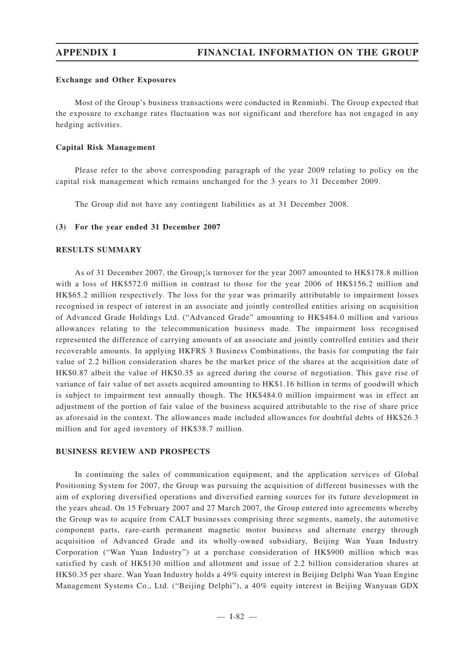#### **Exchange and Other Exposures**

Most of the Group's business transactions were conducted in Renminbi. The Group expected that the exposure to exchange rates fluctuation was not significant and therefore has not engaged in any hedging activities.

#### **Capital Risk Management**

Please refer to the above corresponding paragraph of the year 2009 relating to policy on the capital risk management which remains unchanged for the 3 years to 31 December 2009.

The Group did not have any contingent liabilities as at 31 December 2008.

#### **(3) For the year ended 31 December 2007**

#### **RESULTS SUMMARY**

As of 31 December 2007, the Group¡¦s turnover for the year 2007 amounted to HK\$178.8 million with a loss of HK\$572.0 million in contrast to those for the year 2006 of HK\$156.2 million and HK\$65.2 million respectively. The loss for the year was primarily attributable to impairment losses recognised in respect of interest in an associate and jointly controlled entities arising on acquisition of Advanced Grade Holdings Ltd. ("Advanced Grade" amounting to HK\$484.0 million and various allowances relating to the telecommunication business made. The impairment loss recognised represented the difference of carrying amounts of an associate and jointly controlled entities and their recoverable amounts. In applying HKFRS 3 Business Combinations, the basis for computing the fair value of 2.2 billion consideration shares be the market price of the shares at the acquisition date of HK\$0.87 albeit the value of HK\$0.35 as agreed during the course of negotiation. This gave rise of variance of fair value of net assets acquired amounting to HK\$1.16 billion in terms of goodwill which is subject to impairment test annually though. The HK\$484.0 million impairment was in effect an adjustment of the portion of fair value of the business acquired attributable to the rise of share price as aforesaid in the context. The allowances made included allowances for doubtful debts of HK\$26.3 million and for aged inventory of HK\$38.7 million.

#### **BUSINESS REVIEW AND PROSPECTS**

In continuing the sales of communication equipment, and the application services of Global Positioning System for 2007, the Group was pursuing the acquisition of different businesses with the aim of exploring diversified operations and diversified earning sources for its future development in the years ahead. On 15 February 2007 and 27 March 2007, the Group entered into agreements whereby the Group was to acquire from CALT businesses comprising three segments, namely, the automotive component parts, rare-earth permanent magnetic motor business and alternate energy through acquisition of Advanced Grade and its wholly-owned subsidiary, Beijing Wan Yuan Industry Corporation ("Wan Yuan Industry") at a purchase consideration of HK\$900 million which was satisfied by cash of HK\$130 million and allotment and issue of 2.2 billion consideration shares at HK\$0.35 per share. Wan Yuan Industry holds a 49% equity interest in Beijing Delphi Wan Yuan Engine Management Systems Co., Ltd. ("Beijing Delphi"), a 40% equity interest in Beijing Wanyuan GDX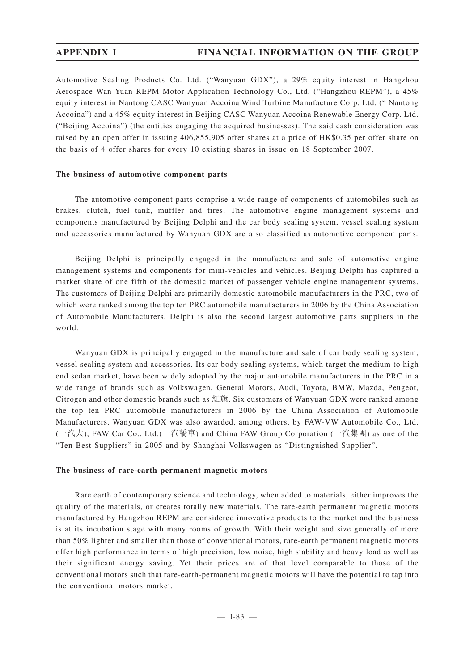Automotive Sealing Products Co. Ltd. ("Wanyuan GDX"), a 29% equity interest in Hangzhou Aerospace Wan Yuan REPM Motor Application Technology Co., Ltd. ("Hangzhou REPM"), a 45% equity interest in Nantong CASC Wanyuan Accoina Wind Turbine Manufacture Corp. Ltd. (" Nantong Accoina") and a 45% equity interest in Beijing CASC Wanyuan Accoina Renewable Energy Corp. Ltd. ("Beijing Accoina") (the entities engaging the acquired businesses). The said cash consideration was raised by an open offer in issuing 406,855,905 offer shares at a price of HK\$0.35 per offer share on the basis of 4 offer shares for every 10 existing shares in issue on 18 September 2007.

#### **The business of automotive component parts**

The automotive component parts comprise a wide range of components of automobiles such as brakes, clutch, fuel tank, muffler and tires. The automotive engine management systems and components manufactured by Beijing Delphi and the car body sealing system, vessel sealing system and accessories manufactured by Wanyuan GDX are also classified as automotive component parts.

Beijing Delphi is principally engaged in the manufacture and sale of automotive engine management systems and components for mini-vehicles and vehicles. Beijing Delphi has captured a market share of one fifth of the domestic market of passenger vehicle engine management systems. The customers of Beijing Delphi are primarily domestic automobile manufacturers in the PRC, two of which were ranked among the top ten PRC automobile manufacturers in 2006 by the China Association of Automobile Manufacturers. Delphi is also the second largest automotive parts suppliers in the world.

Wanyuan GDX is principally engaged in the manufacture and sale of car body sealing system, vessel sealing system and accessories. Its car body sealing systems, which target the medium to high end sedan market, have been widely adopted by the major automobile manufacturers in the PRC in a wide range of brands such as Volkswagen, General Motors, Audi, Toyota, BMW, Mazda, Peugeot, Citrogen and other domestic brands such as 紅旗. Six customers of Wanyuan GDX were ranked among the top ten PRC automobile manufacturers in 2006 by the China Association of Automobile Manufacturers. Wanyuan GDX was also awarded, among others, by FAW-VW Automobile Co., Ltd. (一汽大), FAW Car Co., Ltd.(一汽轎車) and China FAW Group Corporation (一汽集團) as one of the "Ten Best Suppliers" in 2005 and by Shanghai Volkswagen as "Distinguished Supplier".

#### **The business of rare-earth permanent magnetic motors**

Rare earth of contemporary science and technology, when added to materials, either improves the quality of the materials, or creates totally new materials. The rare-earth permanent magnetic motors manufactured by Hangzhou REPM are considered innovative products to the market and the business is at its incubation stage with many rooms of growth. With their weight and size generally of more than 50% lighter and smaller than those of conventional motors, rare-earth permanent magnetic motors offer high performance in terms of high precision, low noise, high stability and heavy load as well as their significant energy saving. Yet their prices are of that level comparable to those of the conventional motors such that rare-earth-permanent magnetic motors will have the potential to tap into the conventional motors market.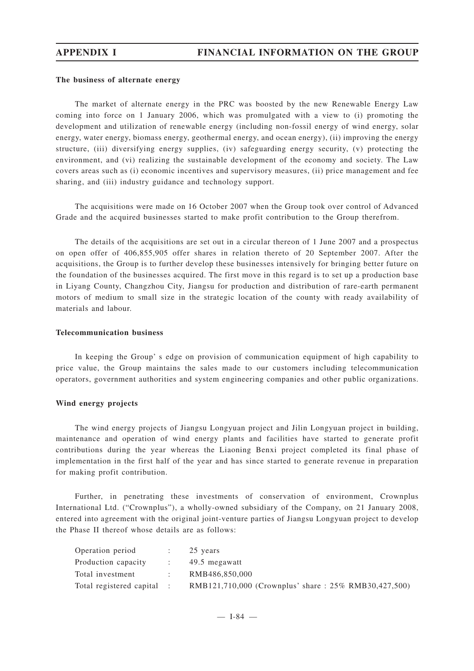#### **The business of alternate energy**

The market of alternate energy in the PRC was boosted by the new Renewable Energy Law coming into force on 1 January 2006, which was promulgated with a view to (i) promoting the development and utilization of renewable energy (including non-fossil energy of wind energy, solar energy, water energy, biomass energy, geothermal energy, and ocean energy), (ii) improving the energy structure, (iii) diversifying energy supplies, (iv) safeguarding energy security, (v) protecting the environment, and (vi) realizing the sustainable development of the economy and society. The Law covers areas such as (i) economic incentives and supervisory measures, (ii) price management and fee sharing, and (iii) industry guidance and technology support.

The acquisitions were made on 16 October 2007 when the Group took over control of Advanced Grade and the acquired businesses started to make profit contribution to the Group therefrom.

The details of the acquisitions are set out in a circular thereon of 1 June 2007 and a prospectus on open offer of 406,855,905 offer shares in relation thereto of 20 September 2007. After the acquisitions, the Group is to further develop these businesses intensively for bringing better future on the foundation of the businesses acquired. The first move in this regard is to set up a production base in Liyang County, Changzhou City, Jiangsu for production and distribution of rare-earth permanent motors of medium to small size in the strategic location of the county with ready availability of materials and labour.

### **Telecommunication business**

In keeping the Group' s edge on provision of communication equipment of high capability to price value, the Group maintains the sales made to our customers including telecommunication operators, government authorities and system engineering companies and other public organizations.

#### **Wind energy projects**

The wind energy projects of Jiangsu Longyuan project and Jilin Longyuan project in building, maintenance and operation of wind energy plants and facilities have started to generate profit contributions during the year whereas the Liaoning Benxi project completed its final phase of implementation in the first half of the year and has since started to generate revenue in preparation for making profit contribution.

Further, in penetrating these investments of conservation of environment, Crownplus International Ltd. ("Crownplus"), a wholly-owned subsidiary of the Company, on 21 January 2008, entered into agreement with the original joint-venture parties of Jiangsu Longyuan project to develop the Phase II thereof whose details are as follows:

| Operation period :                  | 25 years                                                                            |
|-------------------------------------|-------------------------------------------------------------------------------------|
| Production capacity : 49.5 megawatt |                                                                                     |
| Total investment :                  | RMB486.850.000                                                                      |
|                                     | Total registered capital : RMB121,710,000 (Crownplus' share : $25\%$ RMB30,427,500) |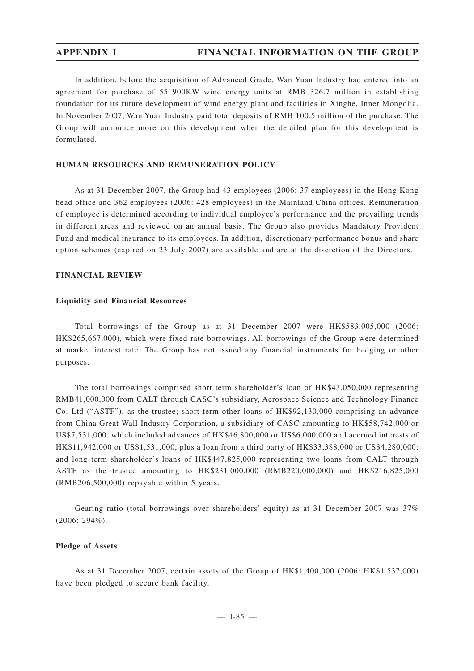In addition, before the acquisition of Advanced Grade, Wan Yuan Industry had entered into an agreement for purchase of 55 900KW wind energy units at RMB 326.7 million in establishing foundation for its future development of wind energy plant and facilities in Xinghe, Inner Mongolia. In November 2007, Wan Yuan Industry paid total deposits of RMB 100.5 million of the purchase. The Group will announce more on this development when the detailed plan for this development is formulated.

### **HUMAN RESOURCES AND REMUNERATION POLICY**

As at 31 December 2007, the Group had 43 employees (2006: 37 employees) in the Hong Kong head office and 362 employees (2006: 428 employees) in the Mainland China offices. Remuneration of employee is determined according to individual employee's performance and the prevailing trends in different areas and reviewed on an annual basis. The Group also provides Mandatory Provident Fund and medical insurance to its employees. In addition, discretionary performance bonus and share option schemes (expired on 23 July 2007) are available and are at the discretion of the Directors.

### **FINANCIAL REVIEW**

### **Liquidity and Financial Resources**

Total borrowings of the Group as at 31 December 2007 were HK\$583,005,000 (2006: HK\$265,667,000), which were fixed rate borrowings. All borrowings of the Group were determined at market interest rate. The Group has not issued any financial instruments for hedging or other purposes.

The total borrowings comprised short term shareholder 's loan of HK\$43,050,000 representing RMB41,000,000 from CALT through CASC's subsidiary, Aerospace Science and Technology Finance Co. Ltd ("ASTF"), as the trustee; short term other loans of HK\$92,130,000 comprising an advance from China Great Wall Industry Corporation, a subsidiary of CASC amounting to HK\$58,742,000 or US\$7,531,000, which included advances of HK\$46,800,000 or US\$6,000,000 and accrued interests of HK\$11,942,000 or US\$1,531,000, plus a loan from a third party of HK\$33,388,000 or US\$4,280,000; and long term shareholder's loans of HK\$447,825,000 representing two loans from CALT through ASTF as the trustee amounting to HK\$231,000,000 (RMB220,000,000) and HK\$216,825,000 (RMB206,500,000) repayable within 5 years.

Gearing ratio (total borrowings over shareholders' equity) as at 31 December 2007 was 37% (2006: 294%).

#### **Pledge of Assets**

As at 31 December 2007, certain assets of the Group of HK\$1,400,000 (2006: HK\$1,537,000) have been pledged to secure bank facility.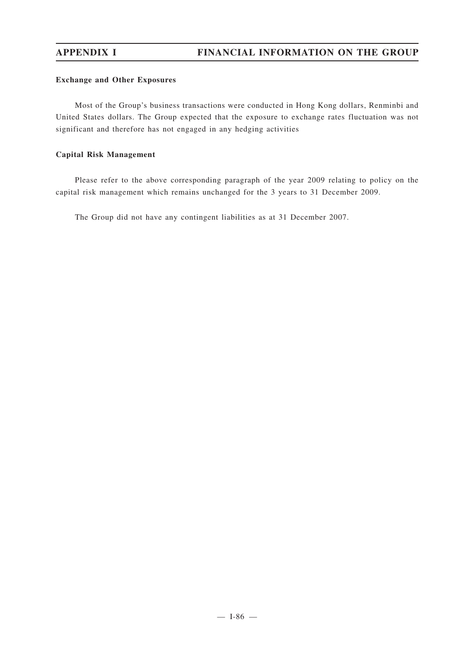## **Exchange and Other Exposures**

Most of the Group's business transactions were conducted in Hong Kong dollars, Renminbi and United States dollars. The Group expected that the exposure to exchange rates fluctuation was not significant and therefore has not engaged in any hedging activities

## **Capital Risk Management**

Please refer to the above corresponding paragraph of the year 2009 relating to policy on the capital risk management which remains unchanged for the 3 years to 31 December 2009.

The Group did not have any contingent liabilities as at 31 December 2007.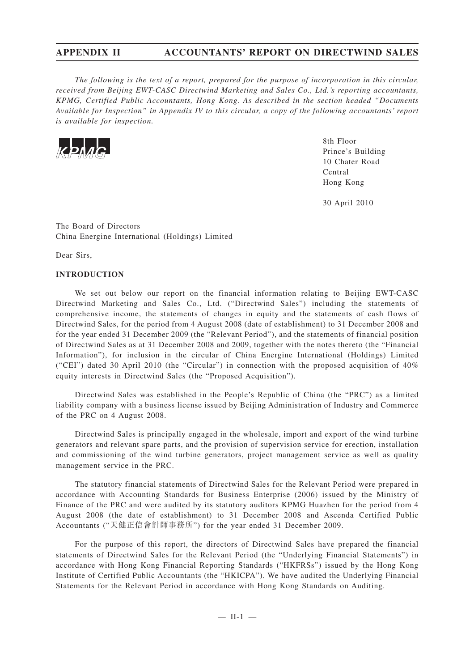*The following is the text of a report, prepared for the purpose of incorporation in this circular, received from Beijing EWT-CASC Directwind Marketing and Sales Co., Ltd.'s reporting accountants, KPMG, Certified Public Accountants, Hong Kong. As described in the section headed "Documents Available for Inspection" in Appendix IV to this circular, a copy of the following accountants' report is available for inspection.*



8th Floor Prince's Building 10 Chater Road Central Hong Kong

30 April 2010

The Board of Directors China Energine International (Holdings) Limited

Dear Sirs,

### **INTRODUCTION**

We set out below our report on the financial information relating to Beijing EWT-CASC Directwind Marketing and Sales Co., Ltd. ("Directwind Sales") including the statements of comprehensive income, the statements of changes in equity and the statements of cash flows of Directwind Sales, for the period from 4 August 2008 (date of establishment) to 31 December 2008 and for the year ended 31 December 2009 (the "Relevant Period"), and the statements of financial position of Directwind Sales as at 31 December 2008 and 2009, together with the notes thereto (the "Financial Information"), for inclusion in the circular of China Energine International (Holdings) Limited ("CEI") dated 30 April 2010 (the "Circular") in connection with the proposed acquisition of 40% equity interests in Directwind Sales (the "Proposed Acquisition").

Directwind Sales was established in the People's Republic of China (the "PRC") as a limited liability company with a business license issued by Beijing Administration of Industry and Commerce of the PRC on 4 August 2008.

Directwind Sales is principally engaged in the wholesale, import and export of the wind turbine generators and relevant spare parts, and the provision of supervision service for erection, installation and commissioning of the wind turbine generators, project management service as well as quality management service in the PRC.

The statutory financial statements of Directwind Sales for the Relevant Period were prepared in accordance with Accounting Standards for Business Enterprise (2006) issued by the Ministry of Finance of the PRC and were audited by its statutory auditors KPMG Huazhen for the period from 4 August 2008 (the date of establishment) to 31 December 2008 and Ascenda Certified Public Accountants ("天健正信會計師事務所") for the year ended 31 December 2009.

For the purpose of this report, the directors of Directwind Sales have prepared the financial statements of Directwind Sales for the Relevant Period (the "Underlying Financial Statements") in accordance with Hong Kong Financial Reporting Standards ("HKFRSs") issued by the Hong Kong Institute of Certified Public Accountants (the "HKICPA"). We have audited the Underlying Financial Statements for the Relevant Period in accordance with Hong Kong Standards on Auditing.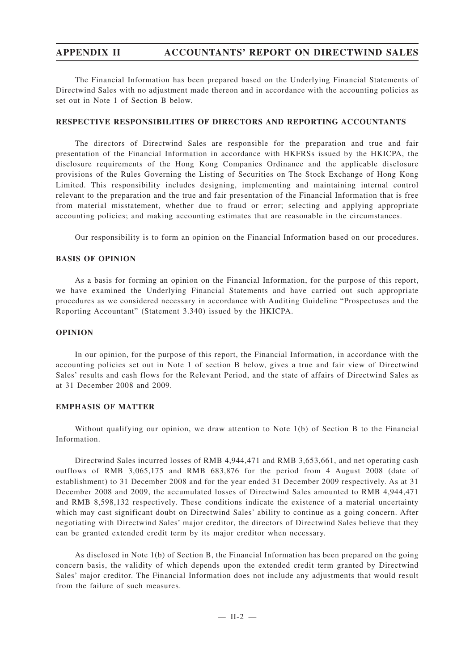The Financial Information has been prepared based on the Underlying Financial Statements of Directwind Sales with no adjustment made thereon and in accordance with the accounting policies as set out in Note 1 of Section B below.

### **RESPECTIVE RESPONSIBILITIES OF DIRECTORS AND REPORTING ACCOUNTANTS**

The directors of Directwind Sales are responsible for the preparation and true and fair presentation of the Financial Information in accordance with HKFRSs issued by the HKICPA, the disclosure requirements of the Hong Kong Companies Ordinance and the applicable disclosure provisions of the Rules Governing the Listing of Securities on The Stock Exchange of Hong Kong Limited. This responsibility includes designing, implementing and maintaining internal control relevant to the preparation and the true and fair presentation of the Financial Information that is free from material misstatement, whether due to fraud or error; selecting and applying appropriate accounting policies; and making accounting estimates that are reasonable in the circumstances.

Our responsibility is to form an opinion on the Financial Information based on our procedures.

### **BASIS OF OPINION**

As a basis for forming an opinion on the Financial Information, for the purpose of this report, we have examined the Underlying Financial Statements and have carried out such appropriate procedures as we considered necessary in accordance with Auditing Guideline "Prospectuses and the Reporting Accountant" (Statement 3.340) issued by the HKICPA.

#### **OPINION**

In our opinion, for the purpose of this report, the Financial Information, in accordance with the accounting policies set out in Note 1 of section B below, gives a true and fair view of Directwind Sales' results and cash flows for the Relevant Period, and the state of affairs of Directwind Sales as at 31 December 2008 and 2009.

#### **EMPHASIS OF MATTER**

Without qualifying our opinion, we draw attention to Note 1(b) of Section B to the Financial Information.

Directwind Sales incurred losses of RMB 4,944,471 and RMB 3,653,661, and net operating cash outflows of RMB 3,065,175 and RMB 683,876 for the period from 4 August 2008 (date of establishment) to 31 December 2008 and for the year ended 31 December 2009 respectively. As at 31 December 2008 and 2009, the accumulated losses of Directwind Sales amounted to RMB 4,944,471 and RMB 8,598,132 respectively. These conditions indicate the existence of a material uncertainty which may cast significant doubt on Directwind Sales' ability to continue as a going concern. After negotiating with Directwind Sales' major creditor, the directors of Directwind Sales believe that they can be granted extended credit term by its major creditor when necessary.

As disclosed in Note 1(b) of Section B, the Financial Information has been prepared on the going concern basis, the validity of which depends upon the extended credit term granted by Directwind Sales' major creditor. The Financial Information does not include any adjustments that would result from the failure of such measures.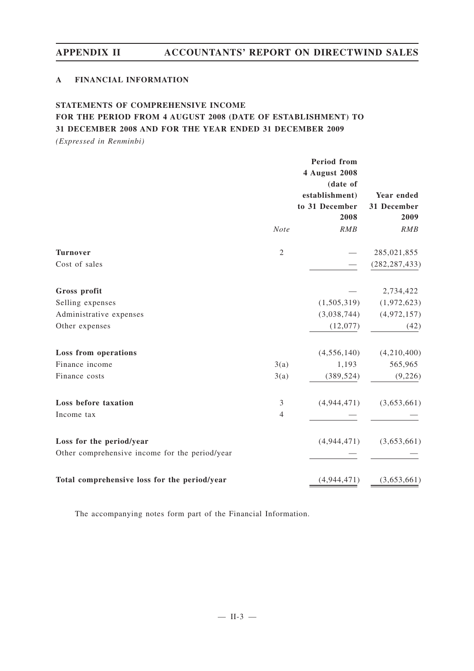## **A FINANCIAL INFORMATION**

# **STATEMENTS OF COMPREHENSIVE INCOME FOR THE PERIOD FROM 4 AUGUST 2008 (DATE OF ESTABLISHMENT) TO 31 DECEMBER 2008 AND FOR THE YEAR ENDED 31 DECEMBER 2009**

*(Expressed in Renminbi)*

|                                                |                | Period from<br>4 August 2008<br>(date of<br>establishment)<br>to 31 December<br>2008 | Year ended<br>31 December<br>2009 |
|------------------------------------------------|----------------|--------------------------------------------------------------------------------------|-----------------------------------|
|                                                | <b>Note</b>    | RMB                                                                                  | RMB                               |
| <b>Turnover</b>                                | $\overline{2}$ |                                                                                      | 285,021,855                       |
| Cost of sales                                  |                |                                                                                      | (282, 287, 433)                   |
| Gross profit                                   |                |                                                                                      | 2,734,422                         |
| Selling expenses                               |                | (1,505,319)                                                                          | (1,972,623)                       |
| Administrative expenses                        |                | (3,038,744)                                                                          | (4,972,157)                       |
| Other expenses                                 |                | (12,077)                                                                             | (42)                              |
| Loss from operations                           |                | (4, 556, 140)                                                                        | (4,210,400)                       |
| Finance income                                 | 3(a)           | 1,193                                                                                | 565,965                           |
| Finance costs                                  | 3(a)           | (389, 524)                                                                           | (9,226)                           |
| Loss before taxation                           | 3              | (4,944,471)                                                                          | (3,653,661)                       |
| Income tax                                     | $\overline{4}$ |                                                                                      |                                   |
| Loss for the period/year                       |                | (4,944,471)                                                                          | (3,653,661)                       |
| Other comprehensive income for the period/year |                |                                                                                      |                                   |
| Total comprehensive loss for the period/year   |                | (4,944,471)                                                                          | (3,653,661)                       |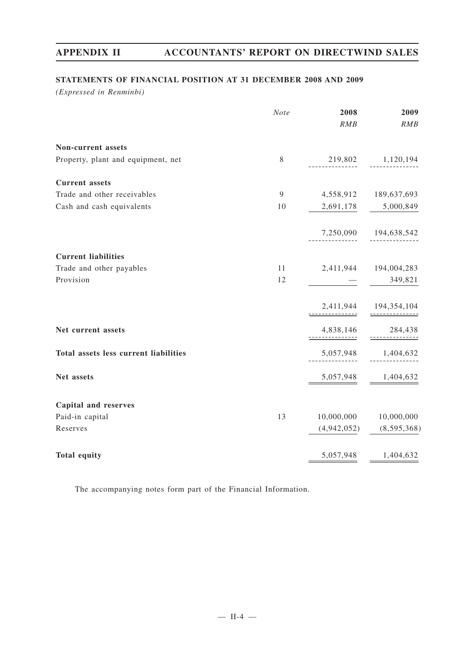## **STATEMENTS OF FINANCIAL POSITION AT 31 DECEMBER 2008 AND 2009**

*(Expressed in Renminbi)*

|                                       | Note        | 2008<br>RMB                   | 2009<br>RMB           |
|---------------------------------------|-------------|-------------------------------|-----------------------|
| Non-current assets                    |             |                               |                       |
| Property, plant and equipment, net    | $\,$ 8 $\,$ |                               | 219,802 1,120,194     |
| <b>Current</b> assets                 |             |                               |                       |
| Trade and other receivables           | 9           |                               | 4,558,912 189,637,693 |
| Cash and cash equivalents             | 10          | 2,691,178                     | 5,000,849             |
|                                       |             | 7,250,090                     | 194,638,542           |
| <b>Current liabilities</b>            |             |                               |                       |
| Trade and other payables              | 11          |                               | 2,411,944 194,004,283 |
| Provision                             | 12          |                               | 349,821               |
|                                       |             | 2,411,944                     | 194,354,104           |
| Net current assets                    |             | 4,838,146<br>---------------- | 284,438               |
| Total assets less current liabilities |             | 5,057,948                     | 1,404,632             |
| Net assets                            |             | 5,057,948                     | 1,404,632             |
| <b>Capital and reserves</b>           |             |                               |                       |
| Paid-in capital                       | 13          | 10,000,000                    | 10,000,000            |
| Reserves                              |             | (4,942,052)                   | (8,595,368)           |
| <b>Total equity</b>                   |             | 5,057,948                     | 1,404,632             |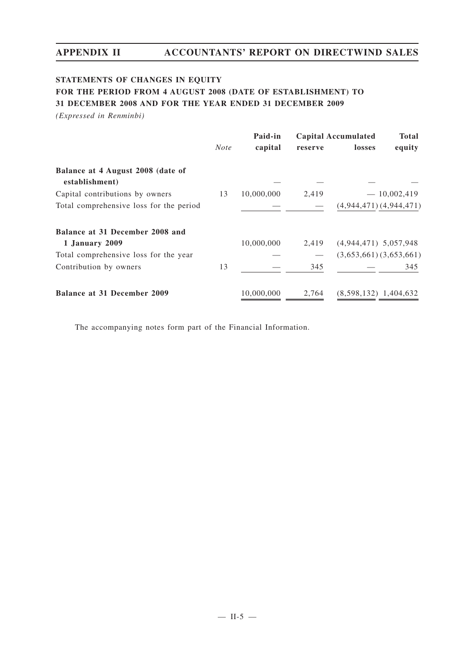## **STATEMENTS OF CHANGES IN EQUITY**

**FOR THE PERIOD FROM 4 AUGUST 2008 (DATE OF ESTABLISHMENT) TO**

**31 DECEMBER 2008 AND FOR THE YEAR ENDED 31 DECEMBER 2009**

*(Expressed in Renminbi)*

|                                                     |             | Paid-in    |         | <b>Capital Accumulated</b>  | <b>Total</b>  |
|-----------------------------------------------------|-------------|------------|---------|-----------------------------|---------------|
|                                                     | <b>Note</b> | capital    | reserve | losses                      | equity        |
| Balance at 4 August 2008 (date of<br>establishment) |             |            |         |                             |               |
| Capital contributions by owners                     | 13          | 10,000,000 | 2,419   |                             | $-10,002,419$ |
| Total comprehensive loss for the period             |             |            |         | $(4,944,471)$ $(4,944,471)$ |               |
| Balance at 31 December 2008 and                     |             |            |         |                             |               |
| 1 January 2009                                      |             | 10,000,000 | 2,419   | $(4,944,471)$ 5,057,948     |               |
| Total comprehensive loss for the year               |             |            |         | $(3,653,661)$ $(3,653,661)$ |               |
| Contribution by owners                              | 13          |            | 345     |                             | 345           |
| <b>Balance at 31 December 2009</b>                  |             | 10,000,000 | 2,764   | $(8,598,132)$ 1,404,632     |               |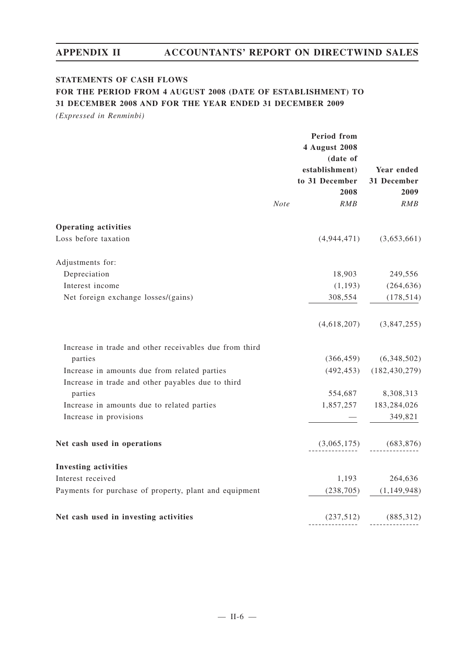## **STATEMENTS OF CASH FLOWS**

**FOR THE PERIOD FROM 4 AUGUST 2008 (DATE OF ESTABLISHMENT) TO 31 DECEMBER 2008 AND FOR THE YEAR ENDED 31 DECEMBER 2009**

*(Expressed in Renminbi)*

|                                                                                                   |             | <b>Period</b> from<br>4 August 2008<br>(date of<br>establishment)<br>to 31 December<br>2008 | Year ended<br>31 December<br>2009 |
|---------------------------------------------------------------------------------------------------|-------------|---------------------------------------------------------------------------------------------|-----------------------------------|
|                                                                                                   | <b>Note</b> | RMB                                                                                         | RMB                               |
| <b>Operating activities</b>                                                                       |             |                                                                                             |                                   |
| Loss before taxation                                                                              |             | (4,944,471)                                                                                 | (3,653,661)                       |
| Adjustments for:                                                                                  |             |                                                                                             |                                   |
| Depreciation                                                                                      |             | 18,903                                                                                      | 249,556                           |
| Interest income                                                                                   |             | (1, 193)                                                                                    | (264, 636)                        |
| Net foreign exchange losses/(gains)                                                               |             | 308,554                                                                                     | (178, 514)                        |
|                                                                                                   |             | (4,618,207)                                                                                 | (3,847,255)                       |
| Increase in trade and other receivables due from third                                            |             |                                                                                             |                                   |
| parties                                                                                           |             | (366, 459)                                                                                  | (6,348,502)                       |
| Increase in amounts due from related parties<br>Increase in trade and other payables due to third |             | (492, 453)                                                                                  | (182, 430, 279)                   |
| parties                                                                                           |             | 554,687                                                                                     | 8,308,313                         |
| Increase in amounts due to related parties                                                        |             | 1,857,257                                                                                   | 183,284,026                       |
| Increase in provisions                                                                            |             |                                                                                             | 349,821                           |
| Net cash used in operations                                                                       |             | (3,065,175)                                                                                 | (683, 876)                        |
| <b>Investing activities</b>                                                                       |             |                                                                                             |                                   |
| Interest received                                                                                 |             | 1,193                                                                                       | 264,636                           |
| Payments for purchase of property, plant and equipment                                            |             | (238, 705)                                                                                  | (1, 149, 948)                     |
| Net cash used in investing activities                                                             |             | (237,512)                                                                                   | (885,312)                         |
|                                                                                                   |             |                                                                                             |                                   |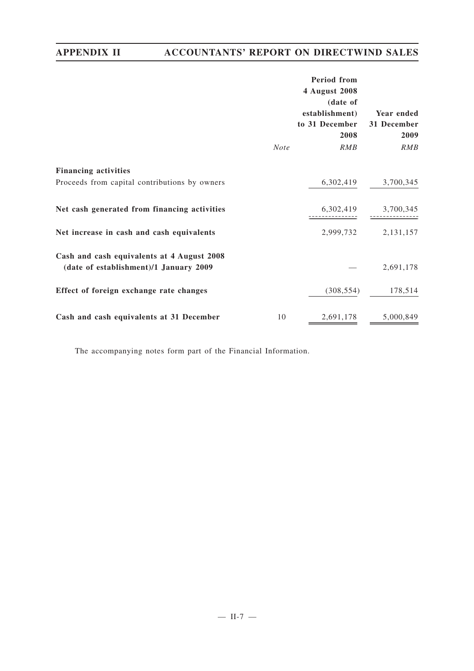|                                                                                      | <b>Note</b> | Period from<br>4 August 2008<br>(date of<br>establishment)<br>to 31 December<br>2008<br>RMB | Year ended<br>31 December<br>2009<br>RMB |
|--------------------------------------------------------------------------------------|-------------|---------------------------------------------------------------------------------------------|------------------------------------------|
| <b>Financing activities</b>                                                          |             |                                                                                             |                                          |
| Proceeds from capital contributions by owners                                        |             | 6,302,419                                                                                   | 3,700,345                                |
| Net cash generated from financing activities                                         |             | 6,302,419                                                                                   | 3,700,345                                |
| Net increase in cash and cash equivalents                                            |             | 2,999,732                                                                                   | 2, 131, 157                              |
| Cash and cash equivalents at 4 August 2008<br>(date of establishment)/1 January 2009 |             |                                                                                             | 2,691,178                                |
| Effect of foreign exchange rate changes                                              |             | (308, 554)                                                                                  | 178,514                                  |
| Cash and cash equivalents at 31 December                                             | 10          | 2,691,178                                                                                   | 5,000,849                                |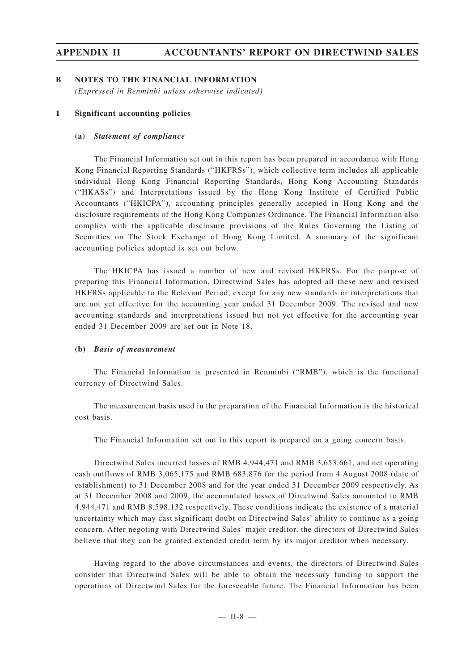**B NOTES TO THE FINANCIAL INFORMATION** *(Expressed in Renminbi unless otherwise indicated)*

#### **1 Significant accounting policies**

#### **(a)** *Statement of compliance*

The Financial Information set out in this report has been prepared in accordance with Hong Kong Financial Reporting Standards ("HKFRSs"), which collective term includes all applicable individual Hong Kong Financial Reporting Standards, Hong Kong Accounting Standards ("HKASs") and Interpretations issued by the Hong Kong Institute of Certified Public Accountants ("HKICPA"), accounting principles generally accepted in Hong Kong and the disclosure requirements of the Hong Kong Companies Ordinance. The Financial Information also complies with the applicable disclosure provisions of the Rules Governing the Listing of Securities on The Stock Exchange of Hong Kong Limited. A summary of the significant accounting policies adopted is set out below.

The HKICPA has issued a number of new and revised HKFRSs. For the purpose of preparing this Financial Information, Directwind Sales has adopted all these new and revised HKFRSs applicable to the Relevant Period, except for any new standards or interpretations that are not yet effective for the accounting year ended 31 December 2009. The revised and new accounting standards and interpretations issued but not yet effective for the accounting year ended 31 December 2009 are set out in Note 18.

#### **(b)** *Basis of measurement*

The Financial Information is presented in Renminbi ("RMB"), which is the functional currency of Directwind Sales.

The measurement basis used in the preparation of the Financial Information is the historical cost basis.

The Financial Information set out in this report is prepared on a going concern basis.

Directwind Sales incurred losses of RMB 4,944,471 and RMB 3,653,661, and net operating cash outflows of RMB 3,065,175 and RMB 683,876 for the period from 4 August 2008 (date of establishment) to 31 December 2008 and for the year ended 31 December 2009 respectively. As at 31 December 2008 and 2009, the accumulated losses of Directwind Sales amounted to RMB 4,944,471 and RMB 8,598,132 respectively. These conditions indicate the existence of a material uncertainty which may cast significant doubt on Directwind Sales' ability to continue as a going concern. After negoting with Directwind Sales' major creditor, the directors of Directwind Sales believe that they can be granted extended credit term by its major creditor when necessary.

Having regard to the above circumstances and events, the directors of Directwind Sales consider that Directwind Sales will be able to obtain the necessary funding to support the operations of Directwind Sales for the foreseeable future. The Financial Information has been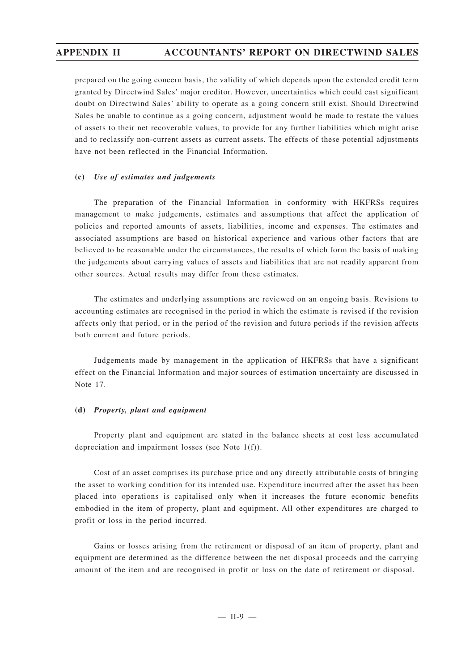prepared on the going concern basis, the validity of which depends upon the extended credit term granted by Directwind Sales' major creditor. However, uncertainties which could cast significant doubt on Directwind Sales' ability to operate as a going concern still exist. Should Directwind Sales be unable to continue as a going concern, adjustment would be made to restate the values of assets to their net recoverable values, to provide for any further liabilities which might arise and to reclassify non-current assets as current assets. The effects of these potential adjustments have not been reflected in the Financial Information.

#### **(c)** *Use of estimates and judgements*

The preparation of the Financial Information in conformity with HKFRSs requires management to make judgements, estimates and assumptions that affect the application of policies and reported amounts of assets, liabilities, income and expenses. The estimates and associated assumptions are based on historical experience and various other factors that are believed to be reasonable under the circumstances, the results of which form the basis of making the judgements about carrying values of assets and liabilities that are not readily apparent from other sources. Actual results may differ from these estimates.

The estimates and underlying assumptions are reviewed on an ongoing basis. Revisions to accounting estimates are recognised in the period in which the estimate is revised if the revision affects only that period, or in the period of the revision and future periods if the revision affects both current and future periods.

Judgements made by management in the application of HKFRSs that have a significant effect on the Financial Information and major sources of estimation uncertainty are discussed in Note 17.

#### **(d)** *Property, plant and equipment*

Property plant and equipment are stated in the balance sheets at cost less accumulated depreciation and impairment losses (see Note 1(f)).

Cost of an asset comprises its purchase price and any directly attributable costs of bringing the asset to working condition for its intended use. Expenditure incurred after the asset has been placed into operations is capitalised only when it increases the future economic benefits embodied in the item of property, plant and equipment. All other expenditures are charged to profit or loss in the period incurred.

Gains or losses arising from the retirement or disposal of an item of property, plant and equipment are determined as the difference between the net disposal proceeds and the carrying amount of the item and are recognised in profit or loss on the date of retirement or disposal.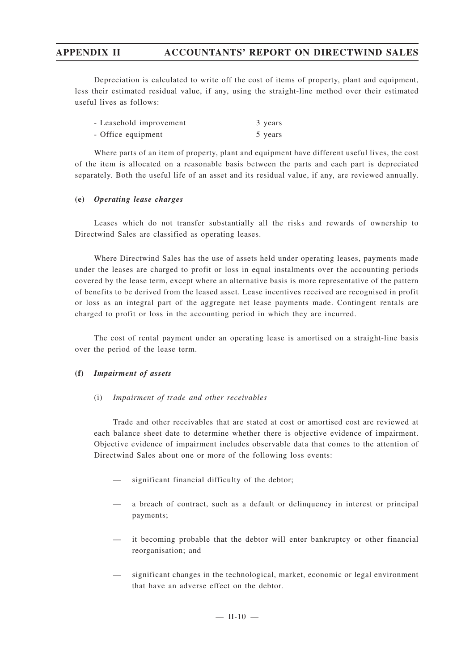Depreciation is calculated to write off the cost of items of property, plant and equipment, less their estimated residual value, if any, using the straight-line method over their estimated useful lives as follows:

| - Leasehold improvement | 3 years |
|-------------------------|---------|
| - Office equipment      | 5 years |

Where parts of an item of property, plant and equipment have different useful lives, the cost of the item is allocated on a reasonable basis between the parts and each part is depreciated separately. Both the useful life of an asset and its residual value, if any, are reviewed annually.

## **(e)** *Operating lease charges*

Leases which do not transfer substantially all the risks and rewards of ownership to Directwind Sales are classified as operating leases.

Where Directwind Sales has the use of assets held under operating leases, payments made under the leases are charged to profit or loss in equal instalments over the accounting periods covered by the lease term, except where an alternative basis is more representative of the pattern of benefits to be derived from the leased asset. Lease incentives received are recognised in profit or loss as an integral part of the aggregate net lease payments made. Contingent rentals are charged to profit or loss in the accounting period in which they are incurred.

The cost of rental payment under an operating lease is amortised on a straight-line basis over the period of the lease term.

## **(f)** *Impairment of assets*

## (i) *Impairment of trade and other receivables*

Trade and other receivables that are stated at cost or amortised cost are reviewed at each balance sheet date to determine whether there is objective evidence of impairment. Objective evidence of impairment includes observable data that comes to the attention of Directwind Sales about one or more of the following loss events:

- significant financial difficulty of the debtor;
- a breach of contract, such as a default or delinquency in interest or principal payments;
- it becoming probable that the debtor will enter bankruptcy or other financial reorganisation; and
- significant changes in the technological, market, economic or legal environment that have an adverse effect on the debtor.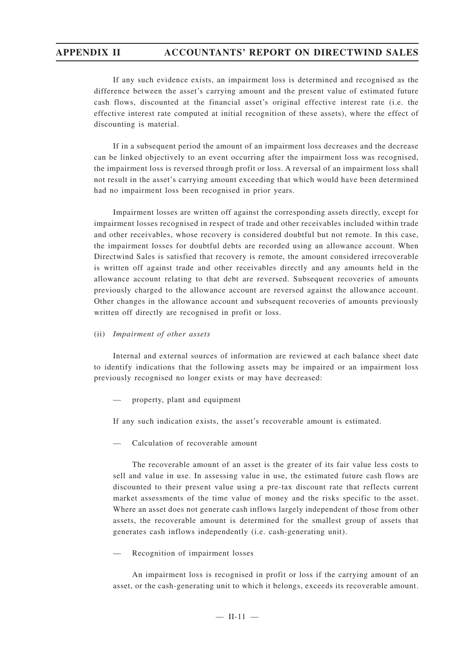If any such evidence exists, an impairment loss is determined and recognised as the difference between the asset's carrying amount and the present value of estimated future cash flows, discounted at the financial asset's original effective interest rate (i.e. the effective interest rate computed at initial recognition of these assets), where the effect of discounting is material.

If in a subsequent period the amount of an impairment loss decreases and the decrease can be linked objectively to an event occurring after the impairment loss was recognised, the impairment loss is reversed through profit or loss. A reversal of an impairment loss shall not result in the asset's carrying amount exceeding that which would have been determined had no impairment loss been recognised in prior years.

Impairment losses are written off against the corresponding assets directly, except for impairment losses recognised in respect of trade and other receivables included within trade and other receivables, whose recovery is considered doubtful but not remote. In this case, the impairment losses for doubtful debts are recorded using an allowance account. When Directwind Sales is satisfied that recovery is remote, the amount considered irrecoverable is written off against trade and other receivables directly and any amounts held in the allowance account relating to that debt are reversed. Subsequent recoveries of amounts previously charged to the allowance account are reversed against the allowance account. Other changes in the allowance account and subsequent recoveries of amounts previously written off directly are recognised in profit or loss.

#### (ii) *Impairment of other assets*

Internal and external sources of information are reviewed at each balance sheet date to identify indications that the following assets may be impaired or an impairment loss previously recognised no longer exists or may have decreased:

— property, plant and equipment

If any such indication exists, the asset's recoverable amount is estimated.

— Calculation of recoverable amount

The recoverable amount of an asset is the greater of its fair value less costs to sell and value in use. In assessing value in use, the estimated future cash flows are discounted to their present value using a pre-tax discount rate that reflects current market assessments of the time value of money and the risks specific to the asset. Where an asset does not generate cash inflows largely independent of those from other assets, the recoverable amount is determined for the smallest group of assets that generates cash inflows independently (i.e. cash-generating unit).

— Recognition of impairment losses

An impairment loss is recognised in profit or loss if the carrying amount of an asset, or the cash-generating unit to which it belongs, exceeds its recoverable amount.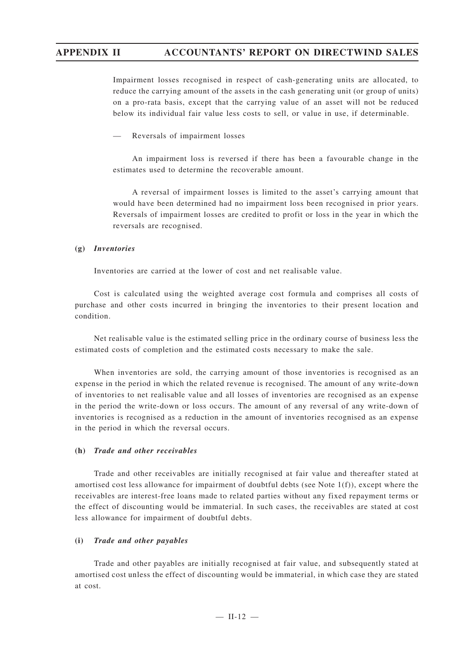Impairment losses recognised in respect of cash-generating units are allocated, to reduce the carrying amount of the assets in the cash generating unit (or group of units) on a pro-rata basis, except that the carrying value of an asset will not be reduced below its individual fair value less costs to sell, or value in use, if determinable.

— Reversals of impairment losses

An impairment loss is reversed if there has been a favourable change in the estimates used to determine the recoverable amount.

A reversal of impairment losses is limited to the asset's carrying amount that would have been determined had no impairment loss been recognised in prior years. Reversals of impairment losses are credited to profit or loss in the year in which the reversals are recognised.

## **(g)** *Inventories*

Inventories are carried at the lower of cost and net realisable value.

Cost is calculated using the weighted average cost formula and comprises all costs of purchase and other costs incurred in bringing the inventories to their present location and condition.

Net realisable value is the estimated selling price in the ordinary course of business less the estimated costs of completion and the estimated costs necessary to make the sale.

When inventories are sold, the carrying amount of those inventories is recognised as an expense in the period in which the related revenue is recognised. The amount of any write-down of inventories to net realisable value and all losses of inventories are recognised as an expense in the period the write-down or loss occurs. The amount of any reversal of any write-down of inventories is recognised as a reduction in the amount of inventories recognised as an expense in the period in which the reversal occurs.

## **(h)** *Trade and other receivables*

Trade and other receivables are initially recognised at fair value and thereafter stated at amortised cost less allowance for impairment of doubtful debts (see Note 1(f)), except where the receivables are interest-free loans made to related parties without any fixed repayment terms or the effect of discounting would be immaterial. In such cases, the receivables are stated at cost less allowance for impairment of doubtful debts.

## **(i)** *Trade and other payables*

Trade and other payables are initially recognised at fair value, and subsequently stated at amortised cost unless the effect of discounting would be immaterial, in which case they are stated at cost.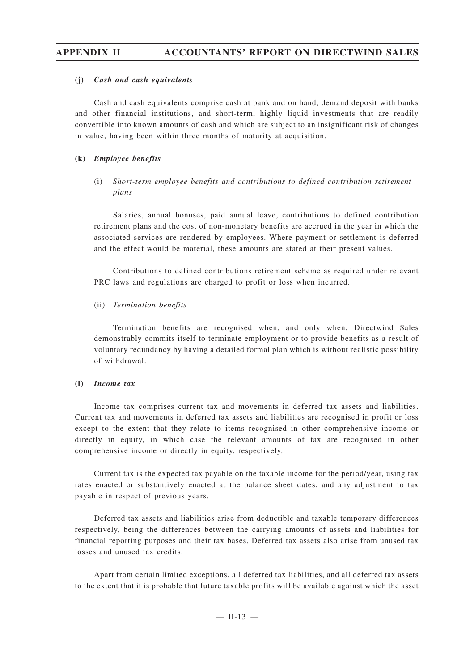## **(j)** *Cash and cash equivalents*

Cash and cash equivalents comprise cash at bank and on hand, demand deposit with banks and other financial institutions, and short-term, highly liquid investments that are readily convertible into known amounts of cash and which are subject to an insignificant risk of changes in value, having been within three months of maturity at acquisition.

## **(k)** *Employee benefits*

(i) *Short-term employee benefits and contributions to defined contribution retirement plans*

Salaries, annual bonuses, paid annual leave, contributions to defined contribution retirement plans and the cost of non-monetary benefits are accrued in the year in which the associated services are rendered by employees. Where payment or settlement is deferred and the effect would be material, these amounts are stated at their present values.

Contributions to defined contributions retirement scheme as required under relevant PRC laws and regulations are charged to profit or loss when incurred.

## (ii) *Termination benefits*

Termination benefits are recognised when, and only when, Directwind Sales demonstrably commits itself to terminate employment or to provide benefits as a result of voluntary redundancy by having a detailed formal plan which is without realistic possibility of withdrawal.

## **(l)** *Income tax*

Income tax comprises current tax and movements in deferred tax assets and liabilities. Current tax and movements in deferred tax assets and liabilities are recognised in profit or loss except to the extent that they relate to items recognised in other comprehensive income or directly in equity, in which case the relevant amounts of tax are recognised in other comprehensive income or directly in equity, respectively.

Current tax is the expected tax payable on the taxable income for the period/year, using tax rates enacted or substantively enacted at the balance sheet dates, and any adjustment to tax payable in respect of previous years.

Deferred tax assets and liabilities arise from deductible and taxable temporary differences respectively, being the differences between the carrying amounts of assets and liabilities for financial reporting purposes and their tax bases. Deferred tax assets also arise from unused tax losses and unused tax credits.

Apart from certain limited exceptions, all deferred tax liabilities, and all deferred tax assets to the extent that it is probable that future taxable profits will be available against which the asset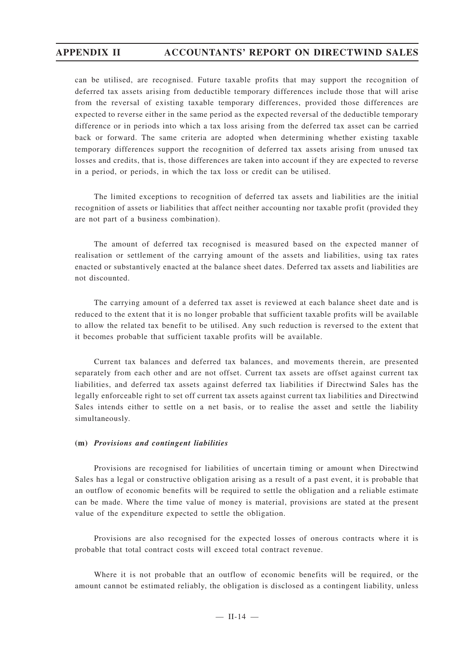can be utilised, are recognised. Future taxable profits that may support the recognition of deferred tax assets arising from deductible temporary differences include those that will arise from the reversal of existing taxable temporary differences, provided those differences are expected to reverse either in the same period as the expected reversal of the deductible temporary difference or in periods into which a tax loss arising from the deferred tax asset can be carried back or forward. The same criteria are adopted when determining whether existing taxable temporary differences support the recognition of deferred tax assets arising from unused tax losses and credits, that is, those differences are taken into account if they are expected to reverse in a period, or periods, in which the tax loss or credit can be utilised.

The limited exceptions to recognition of deferred tax assets and liabilities are the initial recognition of assets or liabilities that affect neither accounting nor taxable profit (provided they are not part of a business combination).

The amount of deferred tax recognised is measured based on the expected manner of realisation or settlement of the carrying amount of the assets and liabilities, using tax rates enacted or substantively enacted at the balance sheet dates. Deferred tax assets and liabilities are not discounted.

The carrying amount of a deferred tax asset is reviewed at each balance sheet date and is reduced to the extent that it is no longer probable that sufficient taxable profits will be available to allow the related tax benefit to be utilised. Any such reduction is reversed to the extent that it becomes probable that sufficient taxable profits will be available.

Current tax balances and deferred tax balances, and movements therein, are presented separately from each other and are not offset. Current tax assets are offset against current tax liabilities, and deferred tax assets against deferred tax liabilities if Directwind Sales has the legally enforceable right to set off current tax assets against current tax liabilities and Directwind Sales intends either to settle on a net basis, or to realise the asset and settle the liability simultaneously.

## **(m)** *Provisions and contingent liabilities*

Provisions are recognised for liabilities of uncertain timing or amount when Directwind Sales has a legal or constructive obligation arising as a result of a past event, it is probable that an outflow of economic benefits will be required to settle the obligation and a reliable estimate can be made. Where the time value of money is material, provisions are stated at the present value of the expenditure expected to settle the obligation.

Provisions are also recognised for the expected losses of onerous contracts where it is probable that total contract costs will exceed total contract revenue.

Where it is not probable that an outflow of economic benefits will be required, or the amount cannot be estimated reliably, the obligation is disclosed as a contingent liability, unless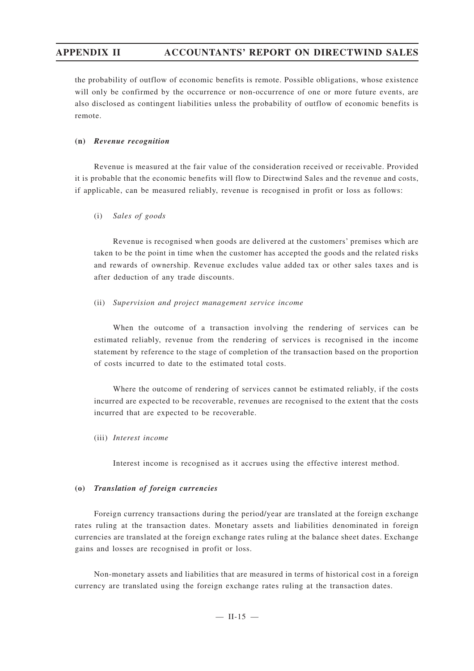the probability of outflow of economic benefits is remote. Possible obligations, whose existence will only be confirmed by the occurrence or non-occurrence of one or more future events, are also disclosed as contingent liabilities unless the probability of outflow of economic benefits is remote.

## **(n)** *Revenue recognition*

Revenue is measured at the fair value of the consideration received or receivable. Provided it is probable that the economic benefits will flow to Directwind Sales and the revenue and costs, if applicable, can be measured reliably, revenue is recognised in profit or loss as follows:

#### (i) *Sales of goods*

Revenue is recognised when goods are delivered at the customers' premises which are taken to be the point in time when the customer has accepted the goods and the related risks and rewards of ownership. Revenue excludes value added tax or other sales taxes and is after deduction of any trade discounts.

#### (ii) *Supervision and project management service income*

When the outcome of a transaction involving the rendering of services can be estimated reliably, revenue from the rendering of services is recognised in the income statement by reference to the stage of completion of the transaction based on the proportion of costs incurred to date to the estimated total costs.

Where the outcome of rendering of services cannot be estimated reliably, if the costs incurred are expected to be recoverable, revenues are recognised to the extent that the costs incurred that are expected to be recoverable.

#### (iii) *Interest income*

Interest income is recognised as it accrues using the effective interest method.

#### **(o)** *Translation of foreign currencies*

Foreign currency transactions during the period/year are translated at the foreign exchange rates ruling at the transaction dates. Monetary assets and liabilities denominated in foreign currencies are translated at the foreign exchange rates ruling at the balance sheet dates. Exchange gains and losses are recognised in profit or loss.

Non-monetary assets and liabilities that are measured in terms of historical cost in a foreign currency are translated using the foreign exchange rates ruling at the transaction dates.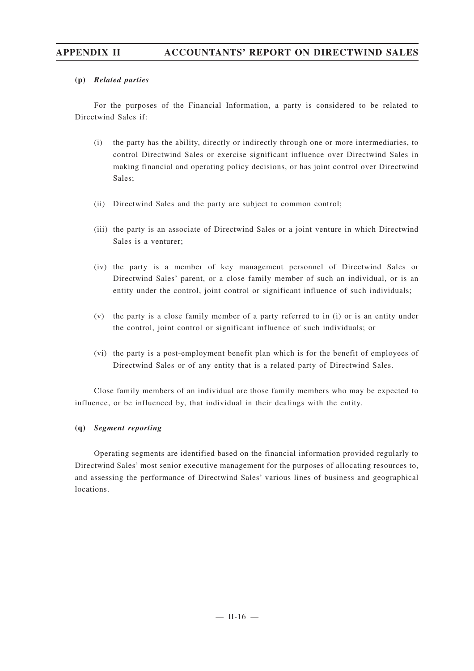## **(p)** *Related parties*

For the purposes of the Financial Information, a party is considered to be related to Directwind Sales if:

- (i) the party has the ability, directly or indirectly through one or more intermediaries, to control Directwind Sales or exercise significant influence over Directwind Sales in making financial and operating policy decisions, or has joint control over Directwind Sales;
- (ii) Directwind Sales and the party are subject to common control;
- (iii) the party is an associate of Directwind Sales or a joint venture in which Directwind Sales is a venturer;
- (iv) the party is a member of key management personnel of Directwind Sales or Directwind Sales' parent, or a close family member of such an individual, or is an entity under the control, joint control or significant influence of such individuals;
- (v) the party is a close family member of a party referred to in (i) or is an entity under the control, joint control or significant influence of such individuals; or
- (vi) the party is a post-employment benefit plan which is for the benefit of employees of Directwind Sales or of any entity that is a related party of Directwind Sales.

Close family members of an individual are those family members who may be expected to influence, or be influenced by, that individual in their dealings with the entity.

## **(q)** *Segment reporting*

Operating segments are identified based on the financial information provided regularly to Directwind Sales' most senior executive management for the purposes of allocating resources to, and assessing the performance of Directwind Sales' various lines of business and geographical locations.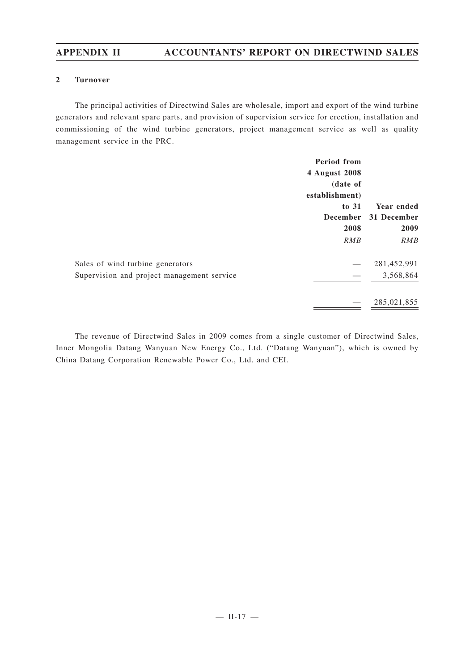## **2 Turnover**

The principal activities of Directwind Sales are wholesale, import and export of the wind turbine generators and relevant spare parts, and provision of supervision service for erection, installation and commissioning of the wind turbine generators, project management service as well as quality management service in the PRC.

| Period from    |             |
|----------------|-------------|
| 4 August 2008  |             |
| (date of       |             |
| establishment) |             |
| to 31          | Year ended  |
| December       | 31 December |
| 2008           | 2009        |
| RMB            | RMB         |
|                | 281,452,991 |
|                | 3,568,864   |
|                | 285,021,855 |
|                |             |

The revenue of Directwind Sales in 2009 comes from a single customer of Directwind Sales, Inner Mongolia Datang Wanyuan New Energy Co., Ltd. ("Datang Wanyuan"), which is owned by China Datang Corporation Renewable Power Co., Ltd. and CEI.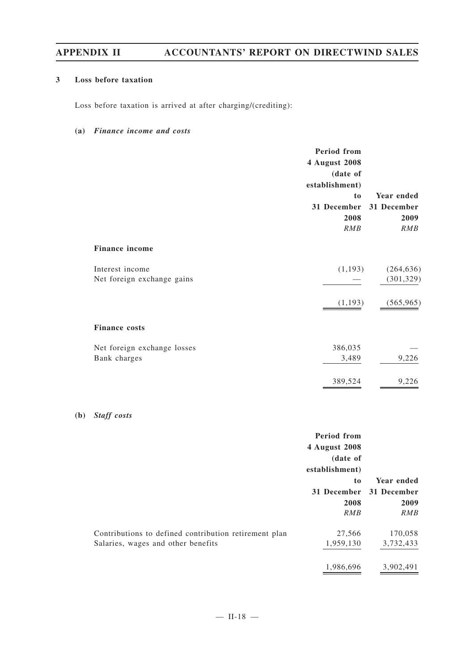## **3 Loss before taxation**

Loss before taxation is arrived at after charging/(crediting):

## **(a)** *Finance income and costs*

|                                               | Period from<br>4 August 2008<br>(date of<br>establishment)<br>to<br>31 December<br>2008<br>RMB | Year ended<br>31 December<br>2009<br>RMB |
|-----------------------------------------------|------------------------------------------------------------------------------------------------|------------------------------------------|
| <b>Finance income</b>                         |                                                                                                |                                          |
| Interest income<br>Net foreign exchange gains | (1,193)                                                                                        | (264, 636)<br>(301, 329)                 |
|                                               | (1,193)                                                                                        | (565, 965)                               |
| <b>Finance costs</b>                          |                                                                                                |                                          |
| Net foreign exchange losses<br>Bank charges   | 386,035<br>3,489                                                                               | 9,226                                    |
|                                               | 389,524                                                                                        | 9,226                                    |

## **(b)** *Staff costs*

|                                                                                             | <b>Period from</b><br>4 August 2008<br>(date of<br>establishment) |                           |
|---------------------------------------------------------------------------------------------|-------------------------------------------------------------------|---------------------------|
|                                                                                             | to<br>31 December                                                 | Year ended<br>31 December |
|                                                                                             | 2008<br>RMB                                                       | 2009<br>RMB               |
| Contributions to defined contribution retirement plan<br>Salaries, wages and other benefits | 27,566<br>1,959,130                                               | 170,058<br>3,732,433      |
|                                                                                             | 1.986.696                                                         | 3.902.491                 |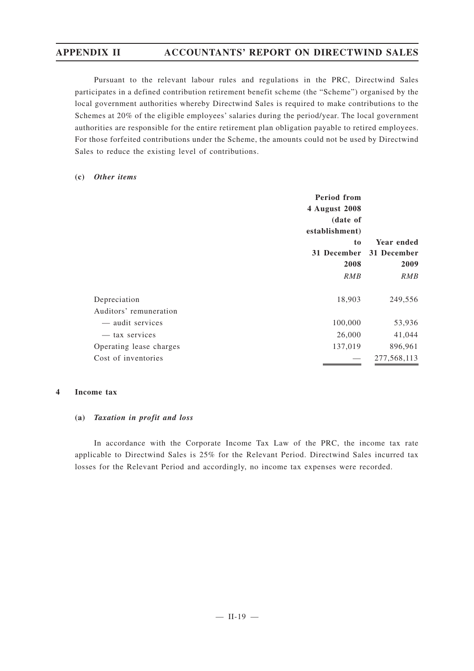Pursuant to the relevant labour rules and regulations in the PRC, Directwind Sales participates in a defined contribution retirement benefit scheme (the "Scheme") organised by the local government authorities whereby Directwind Sales is required to make contributions to the Schemes at 20% of the eligible employees' salaries during the period/year. The local government authorities are responsible for the entire retirement plan obligation payable to retired employees. For those forfeited contributions under the Scheme, the amounts could not be used by Directwind Sales to reduce the existing level of contributions.

## **(c)** *Other items*

|                         | <b>Period from</b> |             |
|-------------------------|--------------------|-------------|
|                         | 4 August 2008      |             |
|                         | (date of           |             |
|                         | establishment)     |             |
|                         | t <sub>o</sub>     | Year ended  |
|                         | 31 December        | 31 December |
|                         | 2008               | 2009        |
|                         | RMB                | RMB         |
| Depreciation            | 18,903             | 249,556     |
| Auditors' remuneration  |                    |             |
| — audit services        | 100,000            | 53,936      |
| — tax services          | 26,000             | 41,044      |
| Operating lease charges | 137,019            | 896,961     |
| Cost of inventories     |                    | 277,568,113 |

## **4 Income tax**

## **(a)** *Taxation in profit and loss*

In accordance with the Corporate Income Tax Law of the PRC, the income tax rate applicable to Directwind Sales is 25% for the Relevant Period. Directwind Sales incurred tax losses for the Relevant Period and accordingly, no income tax expenses were recorded.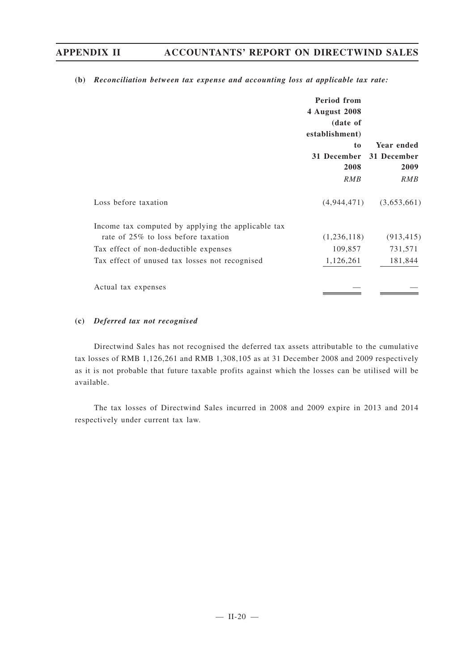|                                                                                                                                                                                      | <b>Period from</b><br>4 August 2008<br>(date of<br>establishment)<br>t <sub>o</sub><br>31 December<br>2008<br>RMB | Year ended<br>31 December<br>2009<br>RMB |
|--------------------------------------------------------------------------------------------------------------------------------------------------------------------------------------|-------------------------------------------------------------------------------------------------------------------|------------------------------------------|
| Loss before taxation                                                                                                                                                                 | (4,944,471)                                                                                                       | (3,653,661)                              |
| Income tax computed by applying the applicable tax<br>rate of 25% to loss before taxation<br>Tax effect of non-deductible expenses<br>Tax effect of unused tax losses not recognised | (1,236,118)<br>109,857<br>1,126,261                                                                               | (913, 415)<br>731,571<br>181,844         |
| Actual tax expenses                                                                                                                                                                  |                                                                                                                   |                                          |

#### **(b)** *Reconciliation between tax expense and accounting loss at applicable tax rate:*

## **(c)** *Deferred tax not recognised*

Directwind Sales has not recognised the deferred tax assets attributable to the cumulative tax losses of RMB 1,126,261 and RMB 1,308,105 as at 31 December 2008 and 2009 respectively as it is not probable that future taxable profits against which the losses can be utilised will be available.

The tax losses of Directwind Sales incurred in 2008 and 2009 expire in 2013 and 2014 respectively under current tax law.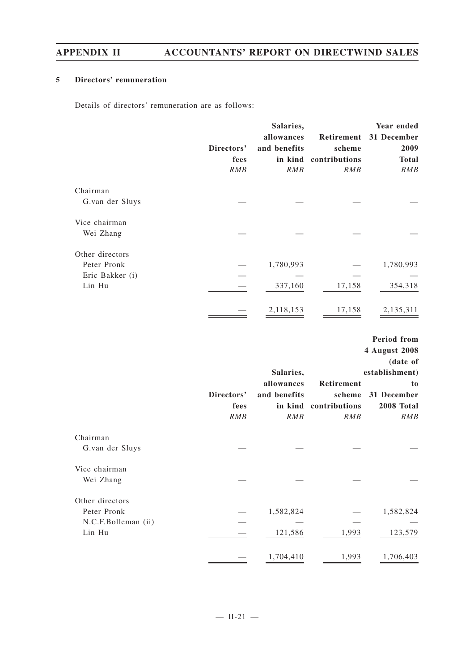## **5 Directors' remuneration**

Details of directors' remuneration are as follows:

|                 |            | Salaries,    |               | Year ended             |
|-----------------|------------|--------------|---------------|------------------------|
|                 |            | allowances   |               | Retirement 31 December |
|                 | Directors' | and benefits | scheme        | 2009                   |
|                 | fees       | in kind      | contributions | <b>Total</b>           |
|                 | RMB        | RMB          | RMB           | RMB                    |
| Chairman        |            |              |               |                        |
| G.van der Sluys |            |              |               |                        |
| Vice chairman   |            |              |               |                        |
| Wei Zhang       |            |              |               |                        |
| Other directors |            |              |               |                        |
| Peter Pronk     |            | 1,780,993    |               | 1,780,993              |
| Eric Bakker (i) |            |              |               |                        |
| Lin Hu          |            | 337,160      | 17,158        | 354,318                |
|                 |            | 2,118,153    | 17,158        | 2,135,311              |

|                     | Directors'<br>fees<br>RMB | Salaries,<br>allowances<br>and benefits<br>in kind<br>RMB | Retirement<br>scheme<br>contributions<br>RMB | Period from<br>4 August 2008<br>(date of<br>establishment)<br>to<br>31 December<br>2008 Total<br>RMB |
|---------------------|---------------------------|-----------------------------------------------------------|----------------------------------------------|------------------------------------------------------------------------------------------------------|
| Chairman            |                           |                                                           |                                              |                                                                                                      |
| G.van der Sluys     |                           |                                                           |                                              |                                                                                                      |
| Vice chairman       |                           |                                                           |                                              |                                                                                                      |
| Wei Zhang           |                           |                                                           |                                              |                                                                                                      |
| Other directors     |                           |                                                           |                                              |                                                                                                      |
| Peter Pronk         |                           | 1,582,824                                                 |                                              | 1,582,824                                                                                            |
| N.C.F.Bolleman (ii) |                           |                                                           |                                              |                                                                                                      |
| Lin Hu              |                           | 121,586                                                   | 1,993                                        | 123,579                                                                                              |
|                     |                           | 1,704,410                                                 | 1,993                                        | 1,706,403                                                                                            |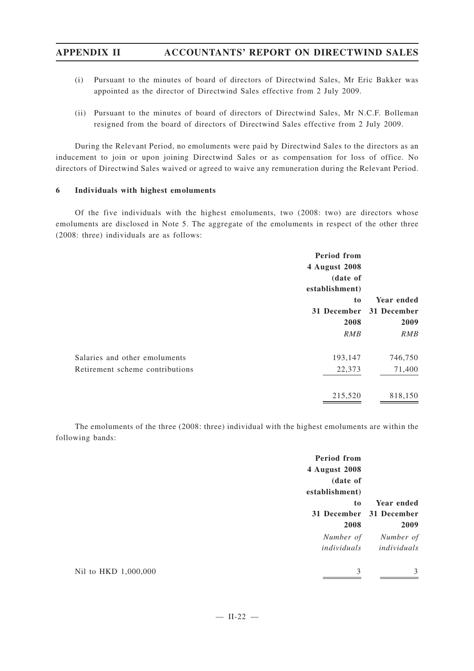- (i) Pursuant to the minutes of board of directors of Directwind Sales, Mr Eric Bakker was appointed as the director of Directwind Sales effective from 2 July 2009.
- (ii) Pursuant to the minutes of board of directors of Directwind Sales, Mr N.C.F. Bolleman resigned from the board of directors of Directwind Sales effective from 2 July 2009.

During the Relevant Period, no emoluments were paid by Directwind Sales to the directors as an inducement to join or upon joining Directwind Sales or as compensation for loss of office. No directors of Directwind Sales waived or agreed to waive any remuneration during the Relevant Period.

## **6 Individuals with highest emoluments**

Of the five individuals with the highest emoluments, two (2008: two) are directors whose emoluments are disclosed in Note 5. The aggregate of the emoluments in respect of the other three (2008: three) individuals are as follows:

|                                 | Period from    |             |
|---------------------------------|----------------|-------------|
|                                 | 4 August 2008  |             |
|                                 | (date of       |             |
|                                 | establishment) |             |
|                                 | t <sub>o</sub> | Year ended  |
|                                 | 31 December    | 31 December |
|                                 | 2008           | 2009        |
|                                 | RMB            | RMB         |
| Salaries and other emoluments   | 193,147        | 746,750     |
| Retirement scheme contributions | 22,373         | 71,400      |
|                                 | 215,520        | 818,150     |

The emoluments of the three (2008: three) individual with the highest emoluments are within the following bands:

| 4 August 2008<br>(date of<br>establishment)<br>Year ended<br>t <sub>0</sub><br>31 December 31 December<br>2009<br>2008<br>Number of<br>Number of | <b>Period from</b> |
|--------------------------------------------------------------------------------------------------------------------------------------------------|--------------------|
|                                                                                                                                                  |                    |
|                                                                                                                                                  |                    |
|                                                                                                                                                  |                    |
|                                                                                                                                                  |                    |
|                                                                                                                                                  |                    |
|                                                                                                                                                  |                    |
|                                                                                                                                                  |                    |
| individuals<br>individuals                                                                                                                       |                    |
| 3<br>κ                                                                                                                                           |                    |

Nil to HKD 1,000,000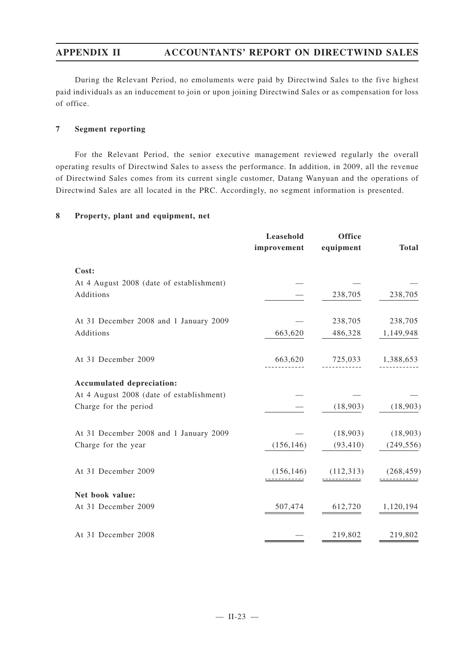During the Relevant Period, no emoluments were paid by Directwind Sales to the five highest paid individuals as an inducement to join or upon joining Directwind Sales or as compensation for loss of office.

## **7 Segment reporting**

For the Relevant Period, the senior executive management reviewed regularly the overall operating results of Directwind Sales to assess the performance. In addition, in 2009, all the revenue of Directwind Sales comes from its current single customer, Datang Wanyuan and the operations of Directwind Sales are all located in the PRC. Accordingly, no segment information is presented.

## **8 Property, plant and equipment, net**

|                                          | Leasehold<br>improvement | <b>Office</b><br>equipment | <b>Total</b> |
|------------------------------------------|--------------------------|----------------------------|--------------|
| Cost:                                    |                          |                            |              |
| At 4 August 2008 (date of establishment) |                          |                            |              |
| Additions                                |                          | 238,705                    | 238,705      |
| At 31 December 2008 and 1 January 2009   |                          | 238,705                    | 238,705      |
| Additions                                | 663,620                  | 486,328                    | 1,149,948    |
| At 31 December 2009                      | 663,620                  | 725,033                    | 1,388,653    |
|                                          |                          |                            |              |
| Accumulated depreciation:                |                          |                            |              |
| At 4 August 2008 (date of establishment) |                          |                            |              |
| Charge for the period                    |                          | (18,903)                   | (18,903)     |
| At 31 December 2008 and 1 January 2009   |                          | (18,903)                   | (18,903)     |
| Charge for the year                      | (156, 146)               | (93, 410)                  | (249, 556)   |
| At 31 December 2009                      | (156, 146)               | (112, 313)                 | (268, 459)   |
| Net book value:                          |                          |                            |              |
| At 31 December 2009                      | 507,474                  | 612,720                    | 1,120,194    |
| At 31 December 2008                      |                          | 219,802                    | 219,802      |
|                                          |                          |                            |              |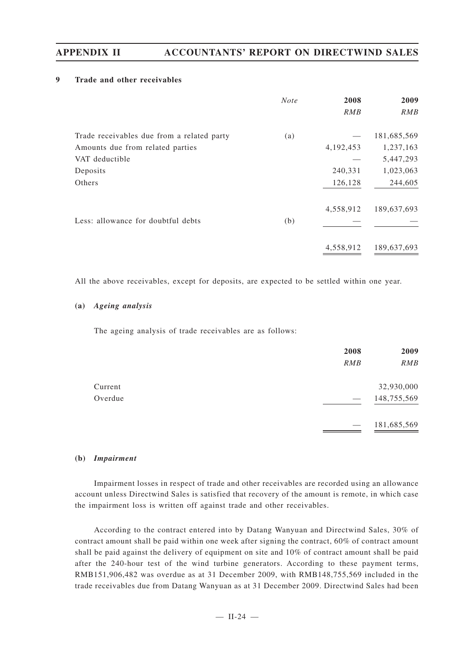## **9 Trade and other receivables**

|                                            | <b>Note</b> | 2008      | 2009        |
|--------------------------------------------|-------------|-----------|-------------|
|                                            |             | RMB       | RMB         |
| Trade receivables due from a related party | (a)         |           | 181,685,569 |
| Amounts due from related parties           |             | 4,192,453 | 1,237,163   |
| VAT deductible                             |             |           | 5,447,293   |
| Deposits                                   |             | 240,331   | 1,023,063   |
| Others                                     |             | 126,128   | 244,605     |
|                                            |             | 4,558,912 | 189,637,693 |
| Less: allowance for doubtful debts         | (b)         |           |             |
|                                            |             | 4,558,912 | 189,637,693 |

All the above receivables, except for deposits, are expected to be settled within one year.

## **(a)** *Ageing analysis*

The ageing analysis of trade receivables are as follows:

|         | 2008                     | 2009        |
|---------|--------------------------|-------------|
|         | RMB                      | RMB         |
| Current |                          | 32,930,000  |
| Overdue | $\hspace{0.05cm}$        | 148,755,569 |
|         | $\overline{\phantom{m}}$ | 181,685,569 |

## **(b)** *Impairment*

Impairment losses in respect of trade and other receivables are recorded using an allowance account unless Directwind Sales is satisfied that recovery of the amount is remote, in which case the impairment loss is written off against trade and other receivables.

According to the contract entered into by Datang Wanyuan and Directwind Sales, 30% of contract amount shall be paid within one week after signing the contract, 60% of contract amount shall be paid against the delivery of equipment on site and 10% of contract amount shall be paid after the 240-hour test of the wind turbine generators. According to these payment terms, RMB151,906,482 was overdue as at 31 December 2009, with RMB148,755,569 included in the trade receivables due from Datang Wanyuan as at 31 December 2009. Directwind Sales had been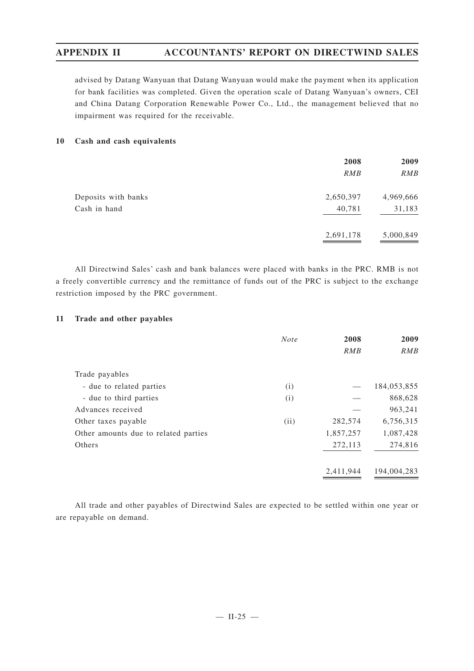advised by Datang Wanyuan that Datang Wanyuan would make the payment when its application for bank facilities was completed. Given the operation scale of Datang Wanyuan's owners, CEI and China Datang Corporation Renewable Power Co., Ltd., the management believed that no impairment was required for the receivable.

## **10 Cash and cash equivalents**

|                     | 2008<br>RMB | 2009<br>RMB |
|---------------------|-------------|-------------|
| Deposits with banks | 2,650,397   | 4,969,666   |
| Cash in hand        | 40,781      | 31,183      |
|                     | 2,691,178   | 5,000,849   |

All Directwind Sales' cash and bank balances were placed with banks in the PRC. RMB is not a freely convertible currency and the remittance of funds out of the PRC is subject to the exchange restriction imposed by the PRC government.

## **11 Trade and other payables**

|                                      | <b>Note</b> | 2008      | 2009        |
|--------------------------------------|-------------|-----------|-------------|
|                                      |             | RMB       | RMB         |
| Trade payables                       |             |           |             |
| - due to related parties             | (i)         |           | 184,053,855 |
| - due to third parties               | (i)         |           | 868,628     |
| Advances received                    |             |           | 963,241     |
| Other taxes payable                  | (ii)        | 282,574   | 6,756,315   |
| Other amounts due to related parties |             | 1,857,257 | 1,087,428   |
| Others                               |             | 272,113   | 274,816     |
|                                      |             | 2,411,944 | 194,004,283 |

All trade and other payables of Directwind Sales are expected to be settled within one year or are repayable on demand.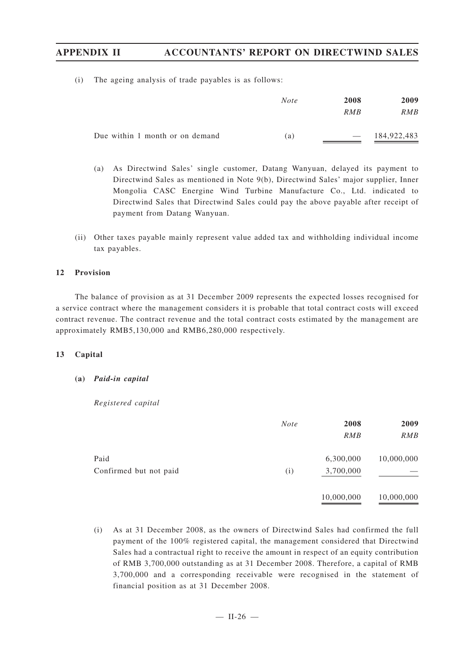(i) The ageing analysis of trade payables is as follows:

|                                 | <b>Note</b> | 2008              | 2009        |
|---------------------------------|-------------|-------------------|-------------|
|                                 |             | RMB               | RMB         |
| Due within 1 month or on demand | (a)         | $\hspace{0.05cm}$ | 184,922,483 |

- (a) As Directwind Sales' single customer, Datang Wanyuan, delayed its payment to Directwind Sales as mentioned in Note 9(b), Directwind Sales' major supplier, Inner Mongolia CASC Energine Wind Turbine Manufacture Co., Ltd. indicated to Directwind Sales that Directwind Sales could pay the above payable after receipt of payment from Datang Wanyuan.
- (ii) Other taxes payable mainly represent value added tax and withholding individual income tax payables.

## **12 Provision**

The balance of provision as at 31 December 2009 represents the expected losses recognised for a service contract where the management considers it is probable that total contract costs will exceed contract revenue. The contract revenue and the total contract costs estimated by the management are approximately RMB5,130,000 and RMB6,280,000 respectively.

## **13 Capital**

**(a)** *Paid-in capital*

*Registered capital*

|                        | <b>Note</b> | 2008       | 2009       |
|------------------------|-------------|------------|------------|
|                        |             | RMB        | RMB        |
| Paid                   |             | 6,300,000  | 10,000,000 |
| Confirmed but not paid | (i)         | 3,700,000  |            |
|                        |             | 10,000,000 | 10,000,000 |

(i) As at 31 December 2008, as the owners of Directwind Sales had confirmed the full payment of the 100% registered capital, the management considered that Directwind Sales had a contractual right to receive the amount in respect of an equity contribution of RMB 3,700,000 outstanding as at 31 December 2008. Therefore, a capital of RMB 3,700,000 and a corresponding receivable were recognised in the statement of financial position as at 31 December 2008.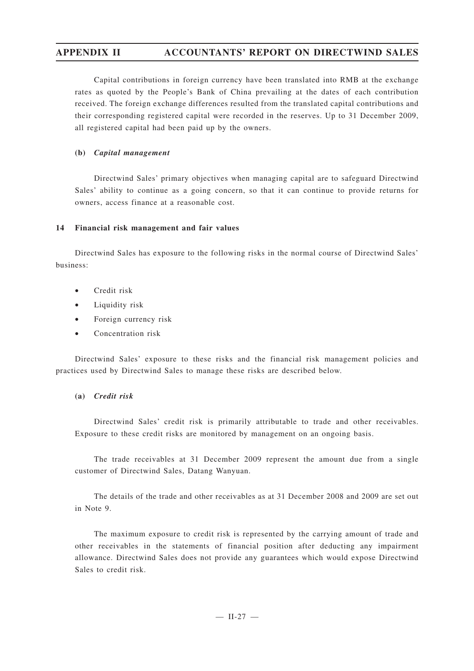Capital contributions in foreign currency have been translated into RMB at the exchange rates as quoted by the People's Bank of China prevailing at the dates of each contribution received. The foreign exchange differences resulted from the translated capital contributions and their corresponding registered capital were recorded in the reserves. Up to 31 December 2009, all registered capital had been paid up by the owners.

## **(b)** *Capital management*

Directwind Sales' primary objectives when managing capital are to safeguard Directwind Sales' ability to continue as a going concern, so that it can continue to provide returns for owners, access finance at a reasonable cost.

## **14 Financial risk management and fair values**

Directwind Sales has exposure to the following risks in the normal course of Directwind Sales' business:

- Credit risk
- Liquidity risk
- Foreign currency risk
- Concentration risk

Directwind Sales' exposure to these risks and the financial risk management policies and practices used by Directwind Sales to manage these risks are described below.

## **(a)** *Credit risk*

Directwind Sales' credit risk is primarily attributable to trade and other receivables. Exposure to these credit risks are monitored by management on an ongoing basis.

The trade receivables at 31 December 2009 represent the amount due from a single customer of Directwind Sales, Datang Wanyuan.

The details of the trade and other receivables as at 31 December 2008 and 2009 are set out in Note 9.

The maximum exposure to credit risk is represented by the carrying amount of trade and other receivables in the statements of financial position after deducting any impairment allowance. Directwind Sales does not provide any guarantees which would expose Directwind Sales to credit risk.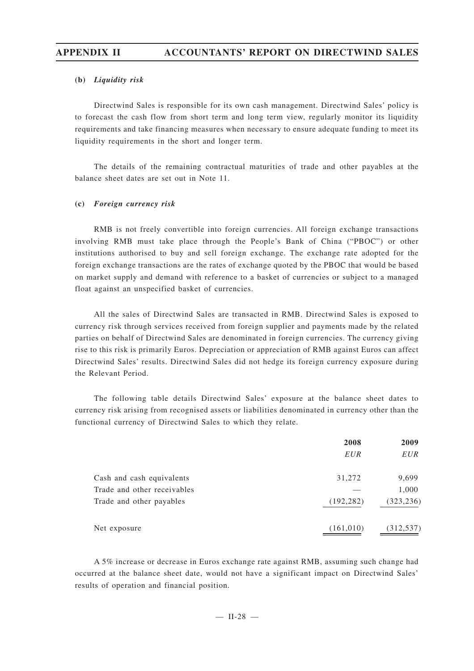## **(b)** *Liquidity risk*

Directwind Sales is responsible for its own cash management. Directwind Sales' policy is to forecast the cash flow from short term and long term view, regularly monitor its liquidity requirements and take financing measures when necessary to ensure adequate funding to meet its liquidity requirements in the short and longer term.

The details of the remaining contractual maturities of trade and other payables at the balance sheet dates are set out in Note 11.

## **(c)** *Foreign currency risk*

RMB is not freely convertible into foreign currencies. All foreign exchange transactions involving RMB must take place through the People's Bank of China ("PBOC") or other institutions authorised to buy and sell foreign exchange. The exchange rate adopted for the foreign exchange transactions are the rates of exchange quoted by the PBOC that would be based on market supply and demand with reference to a basket of currencies or subject to a managed float against an unspecified basket of currencies.

All the sales of Directwind Sales are transacted in RMB. Directwind Sales is exposed to currency risk through services received from foreign supplier and payments made by the related parties on behalf of Directwind Sales are denominated in foreign currencies. The currency giving rise to this risk is primarily Euros. Depreciation or appreciation of RMB against Euros can affect Directwind Sales' results. Directwind Sales did not hedge its foreign currency exposure during the Relevant Period.

The following table details Directwind Sales' exposure at the balance sheet dates to currency risk arising from recognised assets or liabilities denominated in currency other than the functional currency of Directwind Sales to which they relate.

|                             | 2008       | 2009       |
|-----------------------------|------------|------------|
|                             | <b>EUR</b> | <i>EUR</i> |
| Cash and cash equivalents   | 31,272     | 9,699      |
| Trade and other receivables |            | 1,000      |
| Trade and other payables    | (192, 282) | (323, 236) |
| Net exposure                | (161, 010) | (312, 537) |

A 5% increase or decrease in Euros exchange rate against RMB, assuming such change had occurred at the balance sheet date, would not have a significant impact on Directwind Sales' results of operation and financial position.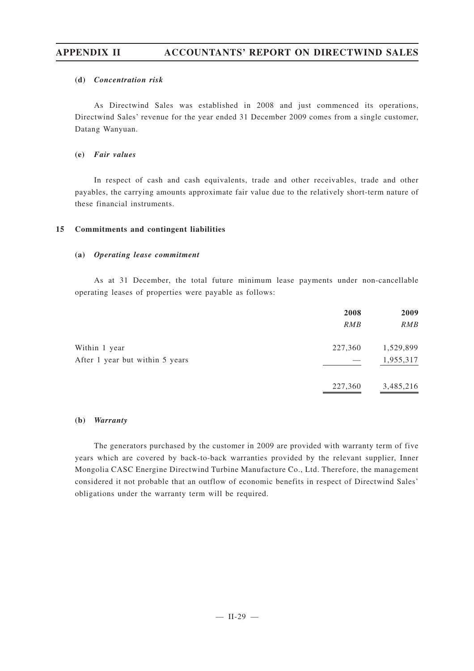## **(d)** *Concentration risk*

As Directwind Sales was established in 2008 and just commenced its operations, Directwind Sales' revenue for the year ended 31 December 2009 comes from a single customer, Datang Wanyuan.

## **(e)** *Fair values*

In respect of cash and cash equivalents, trade and other receivables, trade and other payables, the carrying amounts approximate fair value due to the relatively short-term nature of these financial instruments.

## **15 Commitments and contingent liabilities**

## **(a)** *Operating lease commitment*

As at 31 December, the total future minimum lease payments under non-cancellable operating leases of properties were payable as follows:

|                                 | 2008    | 2009      |
|---------------------------------|---------|-----------|
|                                 | RMB     | RMB       |
| Within 1 year                   | 227,360 | 1,529,899 |
| After 1 year but within 5 years |         | 1,955,317 |
|                                 | 227,360 | 3,485,216 |

## **(b)** *Warranty*

The generators purchased by the customer in 2009 are provided with warranty term of five years which are covered by back-to-back warranties provided by the relevant supplier, Inner Mongolia CASC Energine Directwind Turbine Manufacture Co., Ltd. Therefore, the management considered it not probable that an outflow of economic benefits in respect of Directwind Sales' obligations under the warranty term will be required.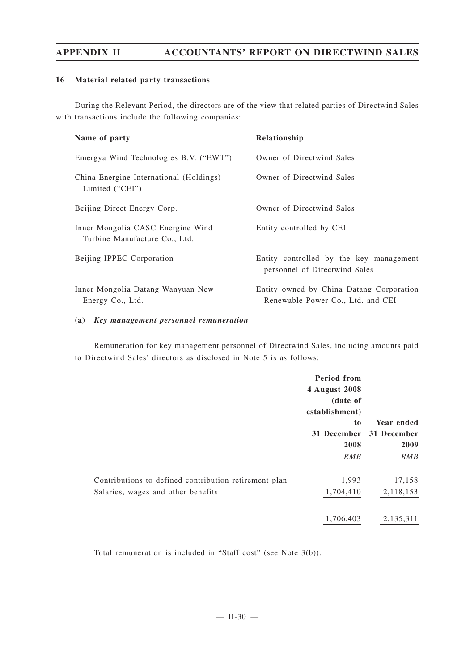## **16 Material related party transactions**

During the Relevant Period, the directors are of the view that related parties of Directwind Sales with transactions include the following companies:

| Name of party                                                      | Relationship                                                                  |
|--------------------------------------------------------------------|-------------------------------------------------------------------------------|
| Emergya Wind Technologies B.V. ("EWT")                             | Owner of Directwind Sales                                                     |
| China Energine International (Holdings)<br>Limited ("CEI")         | Owner of Directwind Sales                                                     |
| Beijing Direct Energy Corp.                                        | Owner of Directwind Sales                                                     |
| Inner Mongolia CASC Energine Wind<br>Turbine Manufacture Co., Ltd. | Entity controlled by CEI                                                      |
| Beijing IPPEC Corporation                                          | Entity controlled by the key management<br>personnel of Directwind Sales      |
| Inner Mongolia Datang Wanyuan New<br>Energy Co., Ltd.              | Entity owned by China Datang Corporation<br>Renewable Power Co., Ltd. and CEI |

## **(a)** *Key management personnel remuneration*

Remuneration for key management personnel of Directwind Sales, including amounts paid to Directwind Sales' directors as disclosed in Note 5 is as follows:

|                                                       | <b>Period from</b> |             |
|-------------------------------------------------------|--------------------|-------------|
|                                                       | 4 August 2008      |             |
|                                                       | (date of           |             |
|                                                       | establishment)     |             |
|                                                       | t <sub>o</sub>     | Year ended  |
|                                                       | 31 December        | 31 December |
|                                                       | 2008               | 2009        |
|                                                       | RMB                | RMB         |
| Contributions to defined contribution retirement plan | 1,993              | 17,158      |
| Salaries, wages and other benefits                    | 1,704,410          | 2,118,153   |
|                                                       | 1,706,403          | 2,135,311   |

Total remuneration is included in "Staff cost" (see Note 3(b)).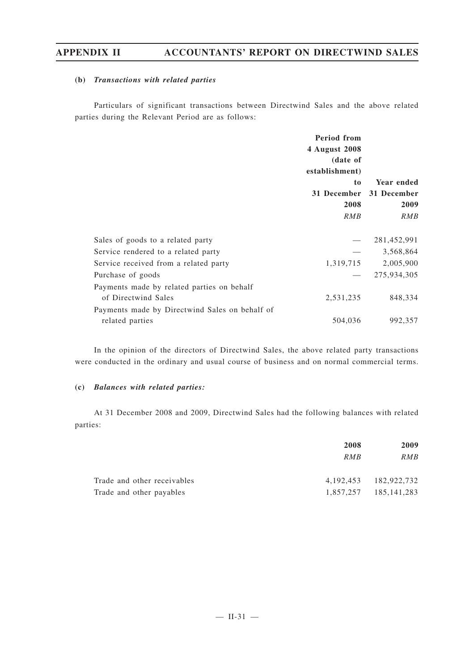## **(b)** *Transactions with related parties*

Particulars of significant transactions between Directwind Sales and the above related parties during the Relevant Period are as follows:

|                                                | Period from    |                         |
|------------------------------------------------|----------------|-------------------------|
|                                                | 4 August 2008  |                         |
|                                                | (date of       |                         |
|                                                | establishment) |                         |
|                                                | to.            | Year ended              |
|                                                |                | 31 December 31 December |
|                                                | 2008           | 2009                    |
|                                                | RMB            | RMB                     |
|                                                |                |                         |
| Sales of goods to a related party              |                | 281,452,991             |
| Service rendered to a related party            |                | 3,568,864               |
| Service received from a related party          | 1,319,715      | 2,005,900               |
| Purchase of goods                              |                | 275,934,305             |
| Payments made by related parties on behalf     |                |                         |
| of Directwind Sales                            | 2,531,235      | 848,334                 |
| Payments made by Directwind Sales on behalf of |                |                         |
| related parties                                | 504,036        | 992,357                 |

In the opinion of the directors of Directwind Sales, the above related party transactions were conducted in the ordinary and usual course of business and on normal commercial terms.

## **(c)** *Balances with related parties:*

At 31 December 2008 and 2009, Directwind Sales had the following balances with related parties:

|                             | 2008 | 2009                      |
|-----------------------------|------|---------------------------|
|                             | RMB  | <i>RMB</i>                |
| Trade and other receivables |      | 4, 192, 453 182, 922, 732 |
| Trade and other payables    |      | 1,857,257 185,141,283     |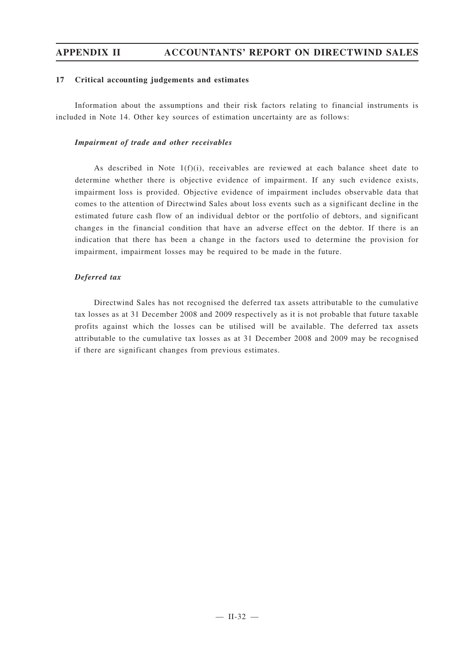## **17 Critical accounting judgements and estimates**

Information about the assumptions and their risk factors relating to financial instruments is included in Note 14. Other key sources of estimation uncertainty are as follows:

#### *Impairment of trade and other receivables*

As described in Note  $1(f)(i)$ , receivables are reviewed at each balance sheet date to determine whether there is objective evidence of impairment. If any such evidence exists, impairment loss is provided. Objective evidence of impairment includes observable data that comes to the attention of Directwind Sales about loss events such as a significant decline in the estimated future cash flow of an individual debtor or the portfolio of debtors, and significant changes in the financial condition that have an adverse effect on the debtor. If there is an indication that there has been a change in the factors used to determine the provision for impairment, impairment losses may be required to be made in the future.

#### *Deferred tax*

Directwind Sales has not recognised the deferred tax assets attributable to the cumulative tax losses as at 31 December 2008 and 2009 respectively as it is not probable that future taxable profits against which the losses can be utilised will be available. The deferred tax assets attributable to the cumulative tax losses as at 31 December 2008 and 2009 may be recognised if there are significant changes from previous estimates.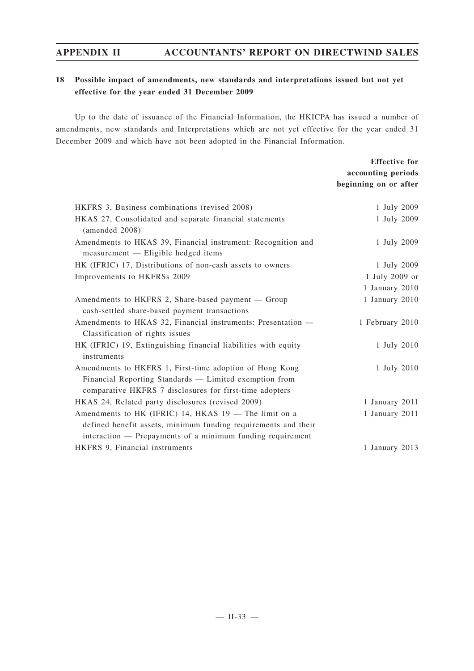## **18 Possible impact of amendments, new standards and interpretations issued but not yet effective for the year ended 31 December 2009**

Up to the date of issuance of the Financial Information, the HKICPA has issued a number of amendments, new standards and Interpretations which are not yet effective for the year ended 31 December 2009 and which have not been adopted in the Financial Information.

|                                                                                                                                                                                       | <b>Effective for</b>  |
|---------------------------------------------------------------------------------------------------------------------------------------------------------------------------------------|-----------------------|
|                                                                                                                                                                                       | accounting periods    |
|                                                                                                                                                                                       | beginning on or after |
| HKFRS 3, Business combinations (revised 2008)                                                                                                                                         | 1 July 2009           |
| HKAS 27, Consolidated and separate financial statements<br>(amended 2008)                                                                                                             | 1 July 2009           |
| Amendments to HKAS 39, Financial instrument: Recognition and<br>measurement — Eligible hedged items                                                                                   | 1 July 2009           |
| HK (IFRIC) 17, Distributions of non-cash assets to owners                                                                                                                             | 1 July 2009           |
| Improvements to HKFRSs 2009                                                                                                                                                           | 1 July 2009 or        |
|                                                                                                                                                                                       | 1 January 2010        |
| Amendments to HKFRS 2, Share-based payment — Group<br>cash-settled share-based payment transactions                                                                                   | 1 January 2010        |
| Amendments to HKAS 32, Financial instruments: Presentation -                                                                                                                          | 1 February 2010       |
| Classification of rights issues                                                                                                                                                       |                       |
| HK (IFRIC) 19, Extinguishing financial liabilities with equity<br>instruments                                                                                                         | 1 July 2010           |
| Amendments to HKFRS 1, First-time adoption of Hong Kong<br>Financial Reporting Standards - Limited exemption from<br>comparative HKFRS 7 disclosures for first-time adopters          | 1 July 2010           |
| HKAS 24, Related party disclosures (revised 2009)                                                                                                                                     | 1 January 2011        |
| Amendments to HK (IFRIC) 14, HKAS 19 - The limit on a<br>defined benefit assets, minimum funding requirements and their<br>interaction — Prepayments of a minimum funding requirement | 1 January 2011        |
| HKFRS 9, Financial instruments                                                                                                                                                        | 1 January 2013        |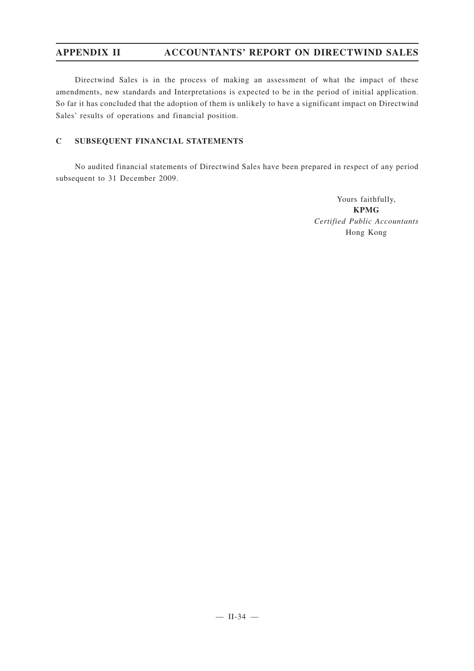Directwind Sales is in the process of making an assessment of what the impact of these amendments, new standards and Interpretations is expected to be in the period of initial application. So far it has concluded that the adoption of them is unlikely to have a significant impact on Directwind Sales' results of operations and financial position.

## **C SUBSEQUENT FINANCIAL STATEMENTS**

No audited financial statements of Directwind Sales have been prepared in respect of any period subsequent to 31 December 2009.

> Yours faithfully, **KPMG** *Certified Public Accountants* Hong Kong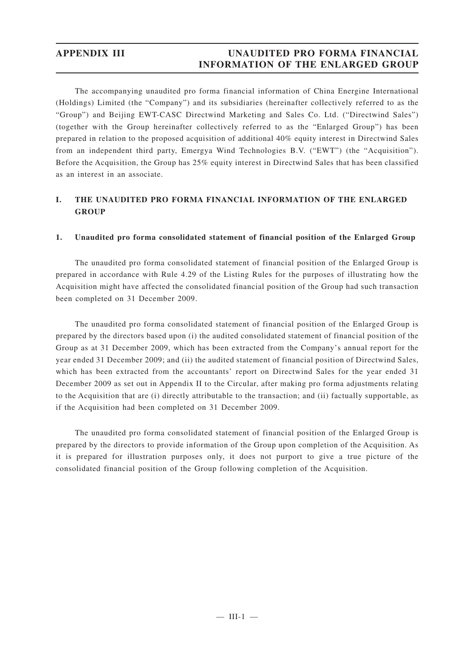The accompanying unaudited pro forma financial information of China Energine International (Holdings) Limited (the "Company") and its subsidiaries (hereinafter collectively referred to as the "Group") and Beijing EWT-CASC Directwind Marketing and Sales Co. Ltd. ("Directwind Sales") (together with the Group hereinafter collectively referred to as the "Enlarged Group") has been prepared in relation to the proposed acquisition of additional 40% equity interest in Directwind Sales from an independent third party, Emergya Wind Technologies B.V. ("EWT") (the "Acquisition"). Before the Acquisition, the Group has 25% equity interest in Directwind Sales that has been classified as an interest in an associate.

## **I. THE UNAUDITED PRO FORMA FINANCIAL INFORMATION OF THE ENLARGED GROUP**

## **1. Unaudited pro forma consolidated statement of financial position of the Enlarged Group**

The unaudited pro forma consolidated statement of financial position of the Enlarged Group is prepared in accordance with Rule 4.29 of the Listing Rules for the purposes of illustrating how the Acquisition might have affected the consolidated financial position of the Group had such transaction been completed on 31 December 2009.

The unaudited pro forma consolidated statement of financial position of the Enlarged Group is prepared by the directors based upon (i) the audited consolidated statement of financial position of the Group as at 31 December 2009, which has been extracted from the Company's annual report for the year ended 31 December 2009; and (ii) the audited statement of financial position of Directwind Sales, which has been extracted from the accountants' report on Directwind Sales for the year ended 31 December 2009 as set out in Appendix II to the Circular, after making pro forma adjustments relating to the Acquisition that are (i) directly attributable to the transaction; and (ii) factually supportable, as if the Acquisition had been completed on 31 December 2009.

The unaudited pro forma consolidated statement of financial position of the Enlarged Group is prepared by the directors to provide information of the Group upon completion of the Acquisition. As it is prepared for illustration purposes only, it does not purport to give a true picture of the consolidated financial position of the Group following completion of the Acquisition.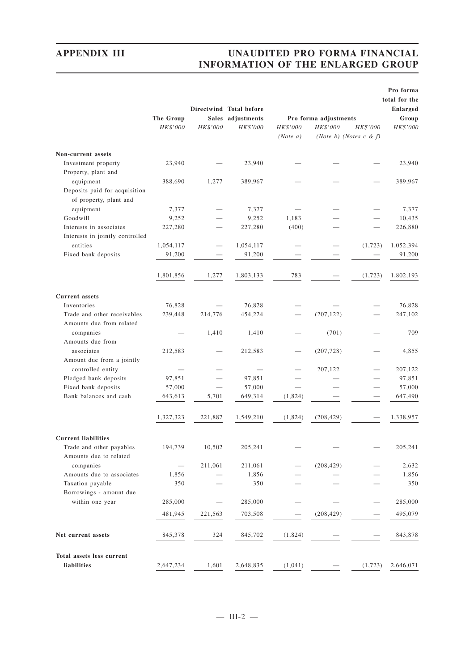|                                 |           |                          |                         |          |                       |                              | Pro forma     |  |
|---------------------------------|-----------|--------------------------|-------------------------|----------|-----------------------|------------------------------|---------------|--|
|                                 |           |                          |                         |          |                       |                              | total for the |  |
|                                 |           |                          | Directwind Total before |          |                       |                              | Enlarged      |  |
|                                 | The Group |                          | Sales adjustments       |          | Pro forma adjustments | Group                        |               |  |
|                                 | HK\$'000  | HK\$'000                 | HK\$'000                | HK\$'000 | HK\$'000              | HK\$'000                     | HK\$'000      |  |
|                                 |           |                          |                         | (Note a) |                       | (Note b) (Notes $c \& f$ )   |               |  |
| Non-current assets              |           |                          |                         |          |                       |                              |               |  |
| Investment property             | 23,940    |                          | 23,940                  |          |                       |                              | 23,940        |  |
| Property, plant and             |           |                          |                         |          |                       |                              |               |  |
| equipment                       | 388,690   | 1,277                    | 389,967                 |          |                       |                              | 389,967       |  |
| Deposits paid for acquisition   |           |                          |                         |          |                       |                              |               |  |
|                                 |           |                          |                         |          |                       |                              |               |  |
| of property, plant and          |           |                          |                         |          |                       |                              |               |  |
| equipment                       | 7,377     |                          | 7,377                   |          |                       |                              | 7,377         |  |
| Goodwill                        | 9,252     |                          | 9,252                   | 1,183    |                       |                              | 10,435        |  |
| Interests in associates         | 227,280   |                          | 227,280                 | (400)    |                       |                              | 226,880       |  |
| Interests in jointly controlled |           |                          |                         |          |                       |                              |               |  |
| entities                        | 1,054,117 |                          | 1,054,117               |          |                       | (1, 723)                     | 1,052,394     |  |
| Fixed bank deposits             | 91,200    |                          | 91,200                  |          |                       |                              | 91,200        |  |
|                                 | 1,801,856 | 1,277                    | 1,803,133               | 783      |                       | (1, 723)                     | 1,802,193     |  |
|                                 |           |                          |                         |          |                       |                              |               |  |
| <b>Current</b> assets           |           |                          |                         |          |                       |                              |               |  |
| Inventories                     | 76,828    |                          | 76,828                  |          |                       |                              | 76,828        |  |
| Trade and other receivables     | 239,448   | 214,776                  | 454,224                 |          | (207, 122)            |                              | 247,102       |  |
| Amounts due from related        |           |                          |                         |          |                       |                              |               |  |
| companies                       |           | 1,410                    | 1,410                   |          | (701)                 |                              | 709           |  |
| Amounts due from                |           |                          |                         |          |                       |                              |               |  |
| associates                      | 212,583   |                          | 212,583                 |          | (207, 728)            |                              | 4,855         |  |
| Amount due from a jointly       |           |                          |                         |          |                       |                              |               |  |
| controlled entity               |           |                          |                         |          | 207,122               |                              | 207,122       |  |
| Pledged bank deposits           | 97,851    |                          | 97,851                  |          |                       |                              | 97,851        |  |
| Fixed bank deposits             | 57,000    | $\overline{\phantom{0}}$ | 57,000                  |          |                       |                              | 57,000        |  |
| Bank balances and cash          | 643,613   | 5.701                    | 649,314                 | (1,824)  |                       | $\overbrace{\qquad \qquad }$ | 647,490       |  |
|                                 |           |                          |                         |          |                       |                              |               |  |
|                                 | 1,327,323 | 221,887                  | 1,549,210               | (1,824)  | (208, 429)            |                              | 1,338,957     |  |
| <b>Current liabilities</b>      |           |                          |                         |          |                       |                              |               |  |
| Trade and other payables        | 194,739   | 10,502                   | 205,241                 |          |                       |                              | 205,241       |  |
| Amounts due to related          |           |                          |                         |          |                       |                              |               |  |
| companies                       |           | 211,061                  | 211,061                 |          | (208, 429)            |                              | 2,632         |  |
| Amounts due to associates       | 1,856     |                          | 1,856                   |          |                       |                              | 1,856         |  |
| Taxation payable                | 350       |                          | 350                     |          |                       |                              | 350           |  |
|                                 |           |                          |                         |          |                       |                              |               |  |
| Borrowings - amount due         |           |                          |                         |          |                       |                              |               |  |
| within one year                 | 285,000   |                          | 285,000                 |          |                       |                              | 285,000       |  |
|                                 | 481,945   | 221,563                  | 703,508                 |          | (208, 429)            |                              | 495,079       |  |
| Net current assets              | 845,378   | 324                      | 845,702                 | (1,824)  |                       |                              | 843,878       |  |
|                                 |           |                          |                         |          |                       |                              |               |  |
| Total assets less current       |           |                          |                         |          |                       |                              |               |  |
| liabilities                     | 2,647,234 | 1,601                    | 2,648,835               | (1,041)  |                       | (1, 723)                     | 2,646,071     |  |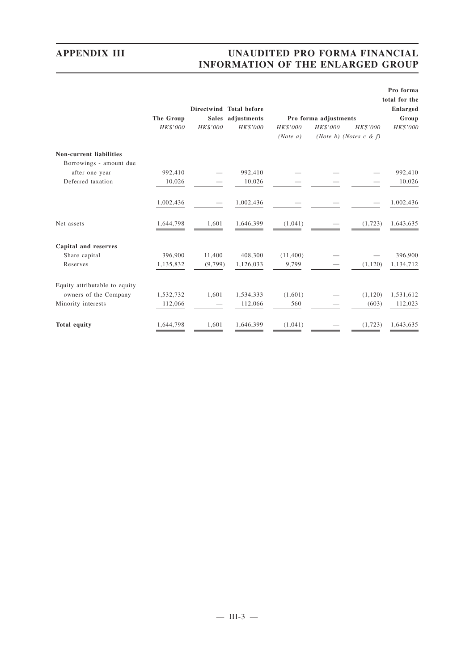| The Group<br>HK\$'000 | HK\$'000 | HK\$'000  | HK\$'000<br>(Note a)                                    | HK\$'000 | HK\$'000 | Pro forma<br>total for the<br>Enlarged<br>Group<br>HK\$'000 |
|-----------------------|----------|-----------|---------------------------------------------------------|----------|----------|-------------------------------------------------------------|
|                       |          |           |                                                         |          |          |                                                             |
|                       |          |           |                                                         |          |          |                                                             |
| 992,410               |          | 992,410   |                                                         |          |          | 992,410                                                     |
| 10,026                |          | 10,026    |                                                         |          |          | 10,026                                                      |
| 1,002,436             |          | 1,002,436 |                                                         |          |          | 1,002,436                                                   |
| 1,644,798             | 1,601    | 1,646,399 | (1,041)                                                 |          | (1, 723) | 1,643,635                                                   |
|                       |          |           |                                                         |          |          |                                                             |
| 396,900               | 11,400   | 408,300   | (11,400)                                                |          |          | 396,900                                                     |
| 1,135,832             |          | 1,126,033 | 9,799                                                   |          | (1,120)  | 1,134,712                                                   |
|                       |          |           |                                                         |          |          |                                                             |
| 1,532,732             | 1,601    | 1,534,333 | (1,601)                                                 |          | (1,120)  | 1,531,612                                                   |
| 112,066               |          | 112,066   | 560                                                     |          | (603)    | 112,023                                                     |
| 1.644.798             | 1,601    | 1,646,399 | (1,041)                                                 |          | (1, 723) | 1,643,635                                                   |
|                       |          |           | Directwind Total before<br>Sales adjustments<br>(9,799) |          |          | Pro forma adjustments<br>(Note b) (Notes $c \& f$ )         |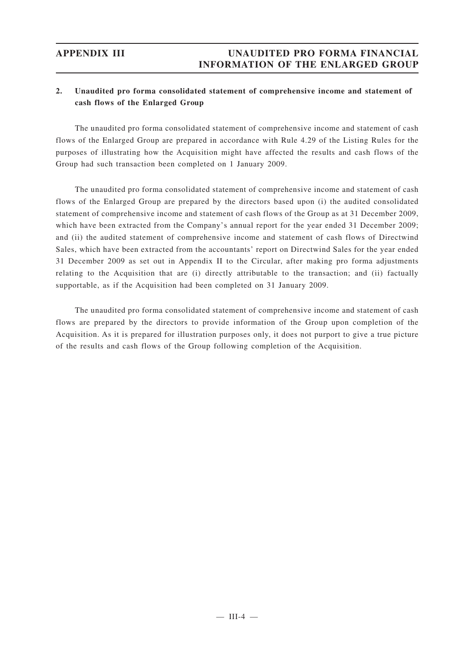## **2. Unaudited pro forma consolidated statement of comprehensive income and statement of cash flows of the Enlarged Group**

The unaudited pro forma consolidated statement of comprehensive income and statement of cash flows of the Enlarged Group are prepared in accordance with Rule 4.29 of the Listing Rules for the purposes of illustrating how the Acquisition might have affected the results and cash flows of the Group had such transaction been completed on 1 January 2009.

The unaudited pro forma consolidated statement of comprehensive income and statement of cash flows of the Enlarged Group are prepared by the directors based upon (i) the audited consolidated statement of comprehensive income and statement of cash flows of the Group as at 31 December 2009, which have been extracted from the Company's annual report for the year ended 31 December 2009; and (ii) the audited statement of comprehensive income and statement of cash flows of Directwind Sales, which have been extracted from the accountants' report on Directwind Sales for the year ended 31 December 2009 as set out in Appendix II to the Circular, after making pro forma adjustments relating to the Acquisition that are (i) directly attributable to the transaction; and (ii) factually supportable, as if the Acquisition had been completed on 31 January 2009.

The unaudited pro forma consolidated statement of comprehensive income and statement of cash flows are prepared by the directors to provide information of the Group upon completion of the Acquisition. As it is prepared for illustration purposes only, it does not purport to give a true picture of the results and cash flows of the Group following completion of the Acquisition.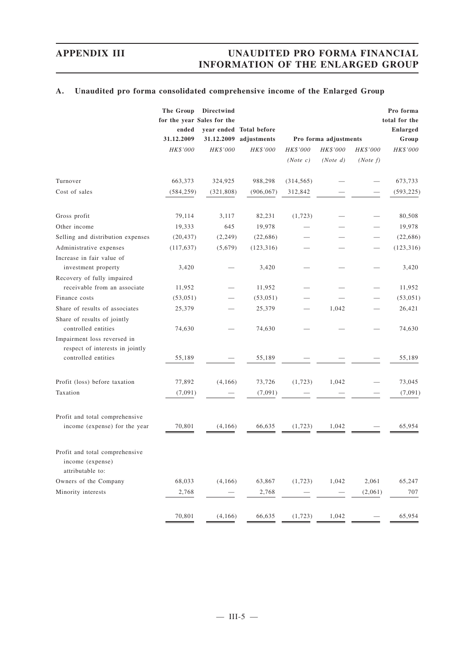## **A. Unaudited pro forma consolidated comprehensive income of the Enlarged Group**

|                                                                        | The Group<br>for the year Sales for the<br>ended | Directwind | year ended Total before |            |                       |                          | Pro forma<br>total for the<br><b>Enlarged</b> |  |
|------------------------------------------------------------------------|--------------------------------------------------|------------|-------------------------|------------|-----------------------|--------------------------|-----------------------------------------------|--|
|                                                                        | 31.12.2009                                       |            | 31.12.2009 adjustments  |            | Pro forma adjustments |                          | Group                                         |  |
|                                                                        | HK\$'000                                         | HK\$'000   | HK\$'000                | HK\$'000   | HK\$'000              | HK\$'000                 | HK\$'000                                      |  |
|                                                                        |                                                  |            |                         | (Note c)   | (Note d)              | (Note f)                 |                                               |  |
| Turnover                                                               | 663,373                                          | 324,925    | 988,298                 | (314, 565) |                       |                          | 673,733                                       |  |
| Cost of sales                                                          | (584, 259)                                       | (321, 808) | (906, 067)              | 312,842    |                       |                          | (593, 225)                                    |  |
| Gross profit                                                           | 79,114                                           | 3,117      | 82,231                  | (1, 723)   |                       |                          | 80,508                                        |  |
| Other income                                                           | 19,333                                           | 645        | 19,978                  |            |                       | $\overline{\phantom{0}}$ | 19,978                                        |  |
| Selling and distribution expenses                                      | (20, 437)                                        | (2, 249)   | (22, 686)               |            |                       |                          | (22, 686)                                     |  |
| Administrative expenses<br>Increase in fair value of                   | (117, 637)                                       | (5,679)    | (123, 316)              |            |                       |                          | (123, 316)                                    |  |
| investment property                                                    | 3,420                                            |            | 3,420                   |            |                       |                          | 3,420                                         |  |
| Recovery of fully impaired<br>receivable from an associate             | 11,952                                           |            | 11,952                  |            |                       |                          | 11,952                                        |  |
| Finance costs                                                          | (53, 051)                                        |            | (53, 051)               |            |                       |                          | (53, 051)                                     |  |
| Share of results of associates                                         | 25,379                                           |            | 25,379                  |            | 1,042                 |                          | 26,421                                        |  |
| Share of results of jointly<br>controlled entities                     | 74,630                                           |            | 74,630                  |            |                       |                          | 74,630                                        |  |
| Impairment loss reversed in<br>respect of interests in jointly         |                                                  |            |                         |            |                       |                          |                                               |  |
| controlled entities                                                    | 55,189                                           |            | 55,189                  |            |                       |                          | 55,189                                        |  |
| Profit (loss) before taxation                                          | 77,892                                           | (4,166)    | 73,726                  | (1, 723)   | 1,042                 |                          | 73,045                                        |  |
| Taxation                                                               | (7,091)                                          |            | (7,091)                 |            |                       |                          | (7,091)                                       |  |
| Profit and total comprehensive                                         |                                                  |            |                         |            |                       |                          |                                               |  |
| income (expense) for the year                                          | 70,801                                           | (4,166)    | 66,635                  | (1, 723)   | 1,042                 |                          | 65,954                                        |  |
| Profit and total comprehensive<br>income (expense)<br>attributable to: |                                                  |            |                         |            |                       |                          |                                               |  |
| Owners of the Company                                                  | 68,033                                           | (4,166)    | 63,867                  | (1, 723)   | 1,042                 | 2,061                    | 65,247                                        |  |
| Minority interests                                                     | 2,768                                            |            | 2,768                   |            |                       | (2,061)                  | 707                                           |  |
|                                                                        | 70,801                                           | (4,166)    | 66,635                  | (1, 723)   | 1,042                 |                          | 65,954                                        |  |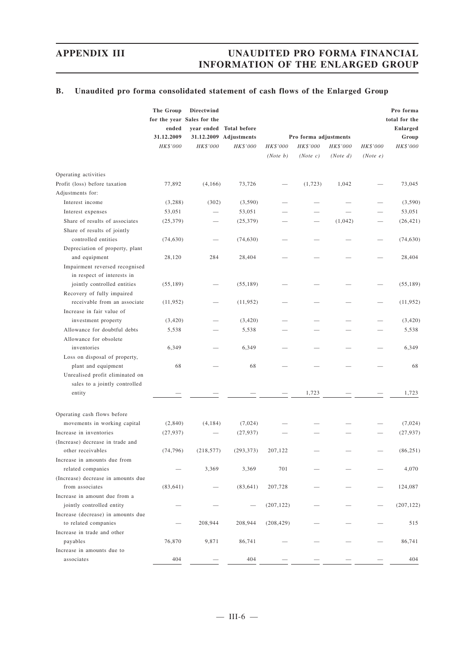## **B. Unaudited pro forma consolidated statement of cash flows of the Enlarged Group**

|                                                                  | The Group<br>ended<br>31.12.2009 | Directwind<br>for the year Sales for the | year ended Total before<br>31.12.2009 Adjustments |                                  | Pro forma adjustments |          |          | Pro forma<br>total for the<br><b>Enlarged</b><br>Group |
|------------------------------------------------------------------|----------------------------------|------------------------------------------|---------------------------------------------------|----------------------------------|-----------------------|----------|----------|--------------------------------------------------------|
|                                                                  | HK\$'000                         | HK\$'000                                 | HK\$'000                                          | HK\$'000<br>HK\$'000<br>HK\$'000 |                       |          | HK\$'000 | HK\$'000                                               |
|                                                                  |                                  |                                          |                                                   | (Note b)                         | (Note c)              | (Note d) | (Note e) |                                                        |
| Operating activities                                             |                                  |                                          |                                                   |                                  |                       |          |          |                                                        |
| Profit (loss) before taxation                                    | 77,892                           | (4,166)                                  | 73,726                                            |                                  | (1,723)               | 1,042    |          | 73,045                                                 |
| Adjustments for:                                                 |                                  |                                          |                                                   |                                  |                       |          |          |                                                        |
| Interest income                                                  | (3,288)                          | (302)                                    | (3,590)                                           |                                  |                       |          |          | (3,590)                                                |
| Interest expenses                                                | 53,051                           |                                          | 53,051                                            |                                  |                       |          |          | 53,051                                                 |
| Share of results of associates                                   | (25, 379)                        |                                          | (25,379)                                          |                                  |                       | (1,042)  |          | (26, 421)                                              |
| Share of results of jointly<br>controlled entities               | (74, 630)                        |                                          | (74, 630)                                         |                                  |                       |          |          | (74, 630)                                              |
| Depreciation of property, plant                                  |                                  |                                          |                                                   |                                  |                       |          |          |                                                        |
| and equipment<br>Impairment reversed recognised                  | 28,120                           | 284                                      | 28,404                                            |                                  |                       |          |          | 28,404                                                 |
| in respect of interests in<br>jointly controlled entities        | (55, 189)                        |                                          | (55, 189)                                         |                                  |                       |          |          | (55, 189)                                              |
| Recovery of fully impaired                                       |                                  |                                          |                                                   |                                  |                       |          |          |                                                        |
| receivable from an associate<br>Increase in fair value of        | (11, 952)                        |                                          | (11, 952)                                         |                                  |                       |          |          | (11, 952)                                              |
| investment property                                              | (3,420)                          |                                          | (3,420)                                           |                                  |                       |          |          | (3,420)                                                |
| Allowance for doubtful debts                                     | 5,538                            |                                          | 5,538                                             |                                  |                       |          |          | 5,538                                                  |
| Allowance for obsolete<br>inventories                            | 6,349                            |                                          | 6,349                                             |                                  |                       |          |          | 6,349                                                  |
| Loss on disposal of property,                                    |                                  |                                          |                                                   |                                  |                       |          |          |                                                        |
| plant and equipment                                              | 68                               |                                          | 68                                                |                                  |                       |          |          | 68                                                     |
| Unrealised profit eliminated on<br>sales to a jointly controlled |                                  |                                          |                                                   |                                  |                       |          |          |                                                        |
| entity                                                           |                                  |                                          |                                                   |                                  | 1,723                 |          |          | 1,723                                                  |
| Operating cash flows before                                      |                                  |                                          |                                                   |                                  |                       |          |          |                                                        |
| movements in working capital                                     | (2,840)                          | (4,184)                                  | (7,024)                                           |                                  |                       |          |          | (7,024)                                                |
| Increase in inventories                                          | (27, 937)                        |                                          | (27, 937)                                         |                                  |                       |          |          | (27, 937)                                              |
| (Increase) decrease in trade and<br>other receivables            | (74, 796)                        | (218, 577)                               | (293, 373)                                        | 207,122                          |                       |          |          | (86, 251)                                              |
| Increase in amounts due from                                     |                                  |                                          |                                                   |                                  |                       |          |          |                                                        |
| related companies                                                |                                  | 3,369                                    | 3,369                                             | 701                              |                       |          |          | 4,070                                                  |
| (Increase) decrease in amounts due                               |                                  |                                          |                                                   |                                  |                       |          |          |                                                        |
| from associates                                                  | (83, 641)                        |                                          | (83, 641)                                         | 207,728                          |                       |          |          | 124,087                                                |
| Increase in amount due from a                                    |                                  |                                          |                                                   |                                  |                       |          |          |                                                        |
| jointly controlled entity                                        |                                  |                                          |                                                   | (207, 122)                       |                       |          |          | (207, 122)                                             |
| Increase (decrease) in amounts due                               |                                  |                                          |                                                   |                                  |                       |          |          |                                                        |
| to related companies                                             |                                  | 208,944                                  | 208,944                                           | (208, 429)                       |                       |          |          | 515                                                    |
| Increase in trade and other<br>payables                          | 76,870                           | 9,871                                    | 86,741                                            |                                  |                       |          |          | 86,741                                                 |
| Increase in amounts due to                                       |                                  |                                          |                                                   |                                  |                       |          |          |                                                        |
| associates                                                       | 404                              |                                          | 404                                               |                                  |                       |          |          | 404                                                    |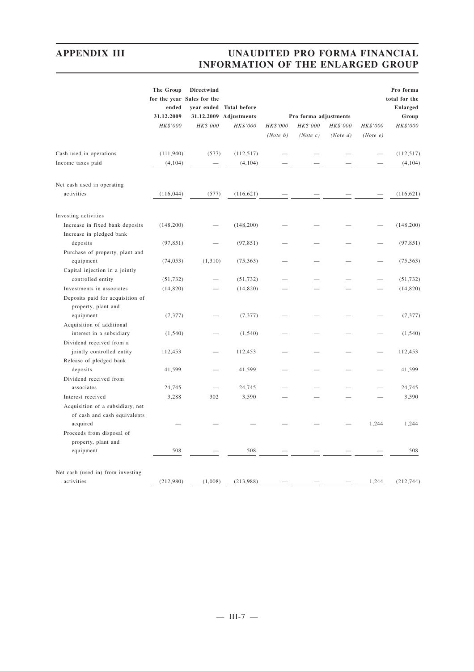|                                                         | The Group<br>ended<br>31.12.2009 | Directwind<br>for the year Sales for the<br>year ended | <b>Total before</b><br>31.12.2009 Adjustments |                 | Pro forma adjustments |          |          | Pro forma<br>total for the<br><b>Enlarged</b><br>Group |
|---------------------------------------------------------|----------------------------------|--------------------------------------------------------|-----------------------------------------------|-----------------|-----------------------|----------|----------|--------------------------------------------------------|
|                                                         | HK\$'000                         | HK\$'000                                               | HK\$'000                                      | <b>HK\$'000</b> | HK\$'000              | HK\$'000 | HK\$'000 | HK\$'000                                               |
|                                                         |                                  |                                                        |                                               | (Note b)        | (Note c)              | (Note d) | (Note e) |                                                        |
| Cash used in operations                                 | (111, 940)                       | (577)                                                  | (112, 517)                                    |                 |                       |          |          | (112, 517)                                             |
| Income taxes paid                                       | (4,104)                          |                                                        | (4,104)                                       |                 |                       |          |          | (4, 104)                                               |
| Net cash used in operating                              |                                  |                                                        |                                               |                 |                       |          |          |                                                        |
| activities                                              | (116, 044)                       | (577)                                                  | (116, 621)                                    |                 |                       |          |          | (116, 621)                                             |
| Investing activities                                    |                                  |                                                        |                                               |                 |                       |          |          |                                                        |
| Increase in fixed bank deposits                         | (148,200)                        |                                                        | (148,200)                                     |                 |                       |          |          | (148, 200)                                             |
| Increase in pledged bank<br>deposits                    | (97, 851)                        |                                                        | (97, 851)                                     |                 |                       |          |          | (97, 851)                                              |
| Purchase of property, plant and                         |                                  |                                                        |                                               |                 |                       |          |          |                                                        |
| equipment                                               | (74, 053)                        | (1,310)                                                | (75, 363)                                     |                 |                       |          |          | (75, 363)                                              |
| Capital injection in a jointly<br>controlled entity     | (51, 732)                        |                                                        | (51, 732)                                     |                 |                       |          |          | (51, 732)                                              |
| Investments in associates                               | (14, 820)                        |                                                        | (14, 820)                                     |                 |                       |          |          | (14, 820)                                              |
| Deposits paid for acquisition of<br>property, plant and |                                  |                                                        |                                               |                 |                       |          |          |                                                        |
| equipment                                               | (7, 377)                         |                                                        | (7, 377)                                      |                 |                       |          |          | (7, 377)                                               |
| Acquisition of additional                               |                                  |                                                        |                                               |                 |                       |          |          |                                                        |
| interest in a subsidiary                                | (1, 540)                         |                                                        | (1, 540)                                      |                 |                       |          |          | (1, 540)                                               |
| Dividend received from a                                | 112,453                          |                                                        | 112,453                                       |                 |                       |          |          | 112,453                                                |
| jointly controlled entity<br>Release of pledged bank    |                                  |                                                        |                                               |                 |                       |          |          |                                                        |
| deposits                                                | 41,599                           |                                                        | 41,599                                        |                 |                       |          |          | 41,599                                                 |
| Dividend received from                                  |                                  |                                                        |                                               |                 |                       |          |          |                                                        |
| associates                                              | 24,745                           |                                                        | 24,745                                        |                 |                       |          |          | 24,745                                                 |
| Interest received                                       | 3,288                            | 302                                                    | 3,590                                         |                 |                       |          |          | 3,590                                                  |
| Acquisition of a subsidiary, net                        |                                  |                                                        |                                               |                 |                       |          |          |                                                        |
| of cash and cash equivalents                            |                                  |                                                        |                                               |                 |                       |          | 1,244    | 1,244                                                  |
| acquired                                                |                                  |                                                        |                                               |                 |                       |          |          |                                                        |
| Proceeds from disposal of                               |                                  |                                                        |                                               |                 |                       |          |          |                                                        |
| property, plant and<br>equipment                        | 508                              |                                                        | 508                                           |                 |                       |          |          | 508                                                    |
|                                                         |                                  |                                                        |                                               |                 |                       |          |          |                                                        |
| Net cash (used in) from investing                       |                                  |                                                        |                                               |                 |                       |          |          |                                                        |
| activities                                              | (212,980)                        | (1,008)                                                | (213,988)                                     |                 |                       |          | 1,244    | (212, 744)                                             |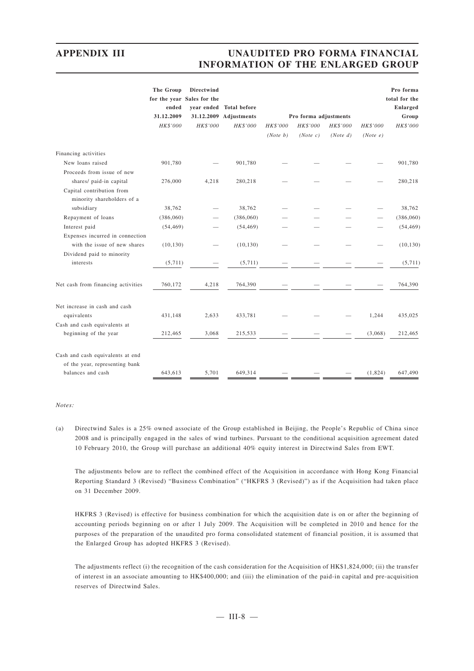|                                                                                         | The Group<br>ended<br>31.12.2009<br>HK\$'000 | <b>Directwind</b><br>for the year Sales for the<br>HK\$'000 | year ended Total before<br>31.12.2009 Adjustments<br><b>HK\$'000</b> | HK\$'000<br>(Note b) | Pro forma adjustments<br>HK\$'000<br>(Note c) | HK\$'000<br>(Note d) | <b>HK\$'000</b><br>(Note e) | Pro forma<br>total for the<br><b>Enlarged</b><br>Group<br>HK\$'000 |
|-----------------------------------------------------------------------------------------|----------------------------------------------|-------------------------------------------------------------|----------------------------------------------------------------------|----------------------|-----------------------------------------------|----------------------|-----------------------------|--------------------------------------------------------------------|
| Financing activities                                                                    |                                              |                                                             |                                                                      |                      |                                               |                      |                             |                                                                    |
| New loans raised                                                                        | 901,780                                      |                                                             | 901,780                                                              |                      |                                               |                      |                             | 901,780                                                            |
| Proceeds from issue of new                                                              |                                              |                                                             |                                                                      |                      |                                               |                      |                             |                                                                    |
| shares/ paid-in capital                                                                 | 276,000                                      | 4,218                                                       | 280,218                                                              |                      |                                               |                      |                             | 280,218                                                            |
| Capital contribution from<br>minority shareholders of a                                 |                                              |                                                             |                                                                      |                      |                                               |                      |                             |                                                                    |
| subsidiary                                                                              | 38,762                                       |                                                             | 38,762                                                               |                      |                                               |                      |                             | 38,762                                                             |
| Repayment of loans                                                                      | (386,060)                                    |                                                             | (386,060)                                                            |                      |                                               |                      |                             | (386,060)                                                          |
| Interest paid                                                                           | (54, 469)                                    |                                                             | (54, 469)                                                            |                      |                                               |                      |                             | (54, 469)                                                          |
| Expenses incurred in connection<br>with the issue of new shares                         | (10, 130)                                    |                                                             | (10, 130)                                                            |                      |                                               |                      |                             | (10, 130)                                                          |
| Dividend paid to minority                                                               |                                              |                                                             |                                                                      |                      |                                               |                      |                             |                                                                    |
| interests                                                                               | (5,711)                                      |                                                             | (5,711)                                                              |                      |                                               |                      |                             | (5,711)                                                            |
| Net cash from financing activities                                                      | 760,172                                      | 4,218                                                       | 764,390                                                              |                      |                                               |                      |                             | 764,390                                                            |
| Net increase in cash and cash<br>equivalents                                            | 431,148                                      | 2,633                                                       | 433,781                                                              |                      |                                               |                      | 1,244                       | 435,025                                                            |
| Cash and cash equivalents at                                                            |                                              |                                                             |                                                                      |                      |                                               |                      |                             |                                                                    |
| beginning of the year                                                                   | 212,465                                      | 3,068                                                       | 215,533                                                              |                      |                                               |                      | (3,068)                     | 212,465                                                            |
| Cash and cash equivalents at end<br>of the year, representing bank<br>balances and cash | 643,613                                      | 5,701                                                       | 649,314                                                              |                      |                                               |                      | (1,824)                     |                                                                    |
|                                                                                         |                                              |                                                             |                                                                      |                      |                                               |                      |                             | 647,490                                                            |

#### *Notes:*

(a) Directwind Sales is a 25% owned associate of the Group established in Beijing, the People's Republic of China since 2008 and is principally engaged in the sales of wind turbines. Pursuant to the conditional acquisition agreement dated 10 February 2010, the Group will purchase an additional 40% equity interest in Directwind Sales from EWT.

The adjustments below are to reflect the combined effect of the Acquisition in accordance with Hong Kong Financial Reporting Standard 3 (Revised) "Business Combination" ("HKFRS 3 (Revised)") as if the Acquisition had taken place on 31 December 2009.

HKFRS 3 (Revised) is effective for business combination for which the acquisition date is on or after the beginning of accounting periods beginning on or after 1 July 2009. The Acquisition will be completed in 2010 and hence for the purposes of the preparation of the unaudited pro forma consolidated statement of financial position, it is assumed that the Enlarged Group has adopted HKFRS 3 (Revised).

The adjustments reflect (i) the recognition of the cash consideration for the Acquisition of HK\$1,824,000; (ii) the transfer of interest in an associate amounting to HK\$400,000; and (iii) the elimination of the paid-in capital and pre-acquisition reserves of Directwind Sales.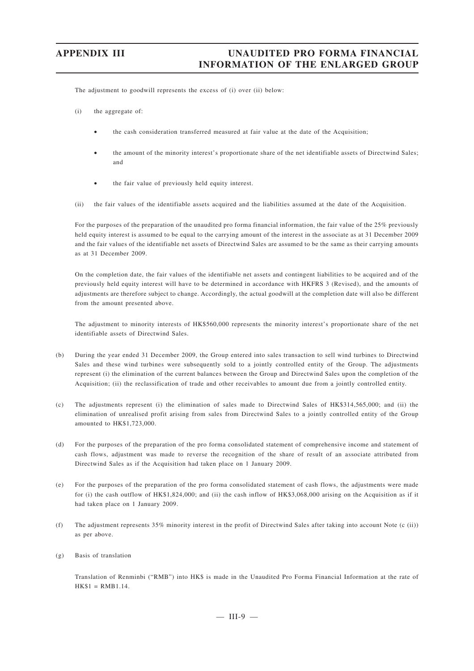The adjustment to goodwill represents the excess of (i) over (ii) below:

- (i) the aggregate of:
	- the cash consideration transferred measured at fair value at the date of the Acquisition;
	- the amount of the minority interest's proportionate share of the net identifiable assets of Directwind Sales; and
	- the fair value of previously held equity interest.
- (ii) the fair values of the identifiable assets acquired and the liabilities assumed at the date of the Acquisition.

For the purposes of the preparation of the unaudited pro forma financial information, the fair value of the 25% previously held equity interest is assumed to be equal to the carrying amount of the interest in the associate as at 31 December 2009 and the fair values of the identifiable net assets of Directwind Sales are assumed to be the same as their carrying amounts as at 31 December 2009.

On the completion date, the fair values of the identifiable net assets and contingent liabilities to be acquired and of the previously held equity interest will have to be determined in accordance with HKFRS 3 (Revised), and the amounts of adjustments are therefore subject to change. Accordingly, the actual goodwill at the completion date will also be different from the amount presented above.

The adjustment to minority interests of HK\$560,000 represents the minority interest's proportionate share of the net identifiable assets of Directwind Sales.

- (b) During the year ended 31 December 2009, the Group entered into sales transaction to sell wind turbines to Directwind Sales and these wind turbines were subsequently sold to a jointly controlled entity of the Group. The adjustments represent (i) the elimination of the current balances between the Group and Directwind Sales upon the completion of the Acquisition; (ii) the reclassification of trade and other receivables to amount due from a jointly controlled entity.
- (c) The adjustments represent (i) the elimination of sales made to Directwind Sales of HK\$314,565,000; and (ii) the elimination of unrealised profit arising from sales from Directwind Sales to a jointly controlled entity of the Group amounted to HK\$1,723,000.
- (d) For the purposes of the preparation of the pro forma consolidated statement of comprehensive income and statement of cash flows, adjustment was made to reverse the recognition of the share of result of an associate attributed from Directwind Sales as if the Acquisition had taken place on 1 January 2009.
- (e) For the purposes of the preparation of the pro forma consolidated statement of cash flows, the adjustments were made for (i) the cash outflow of HK\$1,824,000; and (ii) the cash inflow of HK\$3,068,000 arising on the Acquisition as if it had taken place on 1 January 2009.
- (f) The adjustment represents 35% minority interest in the profit of Directwind Sales after taking into account Note (c (ii)) as per above.
- (g) Basis of translation

Translation of Renminbi ("RMB") into HK\$ is made in the Unaudited Pro Forma Financial Information at the rate of  $HK$1 = RMR114$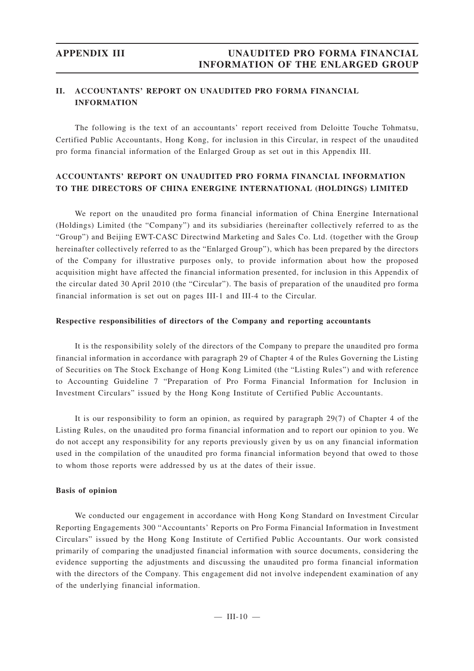## **II. ACCOUNTANTS' REPORT ON UNAUDITED PRO FORMA FINANCIAL INFORMATION**

The following is the text of an accountants' report received from Deloitte Touche Tohmatsu, Certified Public Accountants, Hong Kong, for inclusion in this Circular, in respect of the unaudited pro forma financial information of the Enlarged Group as set out in this Appendix III.

## **ACCOUNTANTS' REPORT ON UNAUDITED PRO FORMA FINANCIAL INFORMATION TO THE DIRECTORS OF CHINA ENERGINE INTERNATIONAL (HOLDINGS) LIMITED**

We report on the unaudited pro forma financial information of China Energine International (Holdings) Limited (the "Company") and its subsidiaries (hereinafter collectively referred to as the "Group") and Beijing EWT-CASC Directwind Marketing and Sales Co. Ltd. (together with the Group hereinafter collectively referred to as the "Enlarged Group"), which has been prepared by the directors of the Company for illustrative purposes only, to provide information about how the proposed acquisition might have affected the financial information presented, for inclusion in this Appendix of the circular dated 30 April 2010 (the "Circular"). The basis of preparation of the unaudited pro forma financial information is set out on pages III-1 and III-4 to the Circular.

## **Respective responsibilities of directors of the Company and reporting accountants**

It is the responsibility solely of the directors of the Company to prepare the unaudited pro forma financial information in accordance with paragraph 29 of Chapter 4 of the Rules Governing the Listing of Securities on The Stock Exchange of Hong Kong Limited (the "Listing Rules") and with reference to Accounting Guideline 7 "Preparation of Pro Forma Financial Information for Inclusion in Investment Circulars" issued by the Hong Kong Institute of Certified Public Accountants.

It is our responsibility to form an opinion, as required by paragraph 29(7) of Chapter 4 of the Listing Rules, on the unaudited pro forma financial information and to report our opinion to you. We do not accept any responsibility for any reports previously given by us on any financial information used in the compilation of the unaudited pro forma financial information beyond that owed to those to whom those reports were addressed by us at the dates of their issue.

## **Basis of opinion**

We conducted our engagement in accordance with Hong Kong Standard on Investment Circular Reporting Engagements 300 "Accountants' Reports on Pro Forma Financial Information in Investment Circulars" issued by the Hong Kong Institute of Certified Public Accountants. Our work consisted primarily of comparing the unadjusted financial information with source documents, considering the evidence supporting the adjustments and discussing the unaudited pro forma financial information with the directors of the Company. This engagement did not involve independent examination of any of the underlying financial information.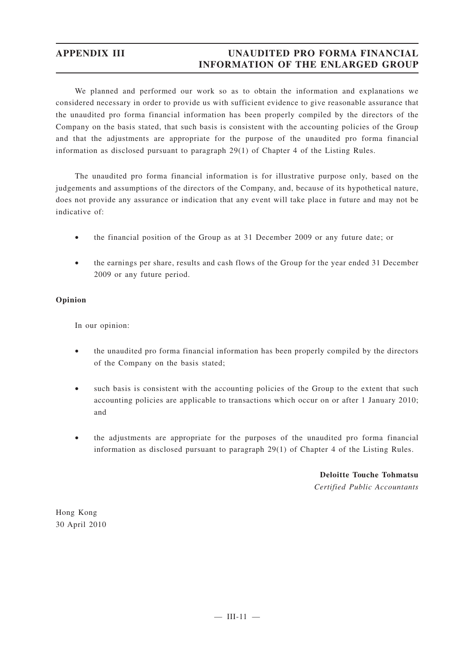We planned and performed our work so as to obtain the information and explanations we considered necessary in order to provide us with sufficient evidence to give reasonable assurance that the unaudited pro forma financial information has been properly compiled by the directors of the Company on the basis stated, that such basis is consistent with the accounting policies of the Group and that the adjustments are appropriate for the purpose of the unaudited pro forma financial information as disclosed pursuant to paragraph 29(1) of Chapter 4 of the Listing Rules.

The unaudited pro forma financial information is for illustrative purpose only, based on the judgements and assumptions of the directors of the Company, and, because of its hypothetical nature, does not provide any assurance or indication that any event will take place in future and may not be indicative of:

- the financial position of the Group as at 31 December 2009 or any future date; or
- the earnings per share, results and cash flows of the Group for the year ended 31 December 2009 or any future period.

## **Opinion**

In our opinion:

- the unaudited pro forma financial information has been properly compiled by the directors of the Company on the basis stated;
- such basis is consistent with the accounting policies of the Group to the extent that such accounting policies are applicable to transactions which occur on or after 1 January 2010; and
- the adjustments are appropriate for the purposes of the unaudited pro forma financial information as disclosed pursuant to paragraph 29(1) of Chapter 4 of the Listing Rules.

**Deloitte Touche Tohmatsu** *Certified Public Accountants*

Hong Kong 30 April 2010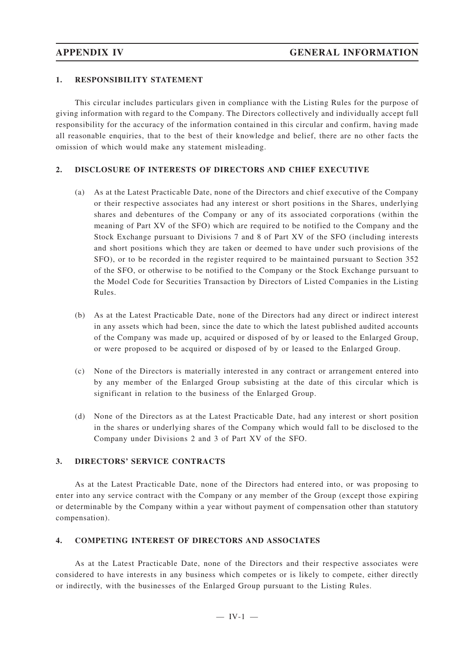### **1. RESPONSIBILITY STATEMENT**

This circular includes particulars given in compliance with the Listing Rules for the purpose of giving information with regard to the Company. The Directors collectively and individually accept full responsibility for the accuracy of the information contained in this circular and confirm, having made all reasonable enquiries, that to the best of their knowledge and belief, there are no other facts the omission of which would make any statement misleading.

### **2. DISCLOSURE OF INTERESTS OF DIRECTORS AND CHIEF EXECUTIVE**

- (a) As at the Latest Practicable Date, none of the Directors and chief executive of the Company or their respective associates had any interest or short positions in the Shares, underlying shares and debentures of the Company or any of its associated corporations (within the meaning of Part XV of the SFO) which are required to be notified to the Company and the Stock Exchange pursuant to Divisions 7 and 8 of Part XV of the SFO (including interests and short positions which they are taken or deemed to have under such provisions of the SFO), or to be recorded in the register required to be maintained pursuant to Section 352 of the SFO, or otherwise to be notified to the Company or the Stock Exchange pursuant to the Model Code for Securities Transaction by Directors of Listed Companies in the Listing Rules.
- (b) As at the Latest Practicable Date, none of the Directors had any direct or indirect interest in any assets which had been, since the date to which the latest published audited accounts of the Company was made up, acquired or disposed of by or leased to the Enlarged Group, or were proposed to be acquired or disposed of by or leased to the Enlarged Group.
- (c) None of the Directors is materially interested in any contract or arrangement entered into by any member of the Enlarged Group subsisting at the date of this circular which is significant in relation to the business of the Enlarged Group.
- (d) None of the Directors as at the Latest Practicable Date, had any interest or short position in the shares or underlying shares of the Company which would fall to be disclosed to the Company under Divisions 2 and 3 of Part XV of the SFO.

# **3. DIRECTORS' SERVICE CONTRACTS**

As at the Latest Practicable Date, none of the Directors had entered into, or was proposing to enter into any service contract with the Company or any member of the Group (except those expiring or determinable by the Company within a year without payment of compensation other than statutory compensation).

# **4. COMPETING INTEREST OF DIRECTORS AND ASSOCIATES**

As at the Latest Practicable Date, none of the Directors and their respective associates were considered to have interests in any business which competes or is likely to compete, either directly or indirectly, with the businesses of the Enlarged Group pursuant to the Listing Rules.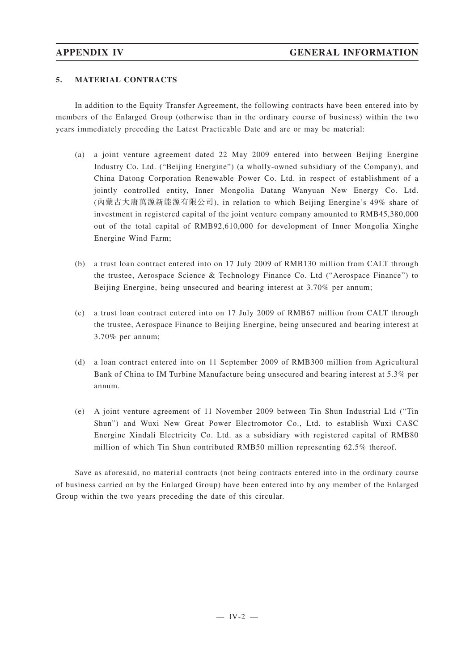### **5. MATERIAL CONTRACTS**

In addition to the Equity Transfer Agreement, the following contracts have been entered into by members of the Enlarged Group (otherwise than in the ordinary course of business) within the two years immediately preceding the Latest Practicable Date and are or may be material:

- (a) a joint venture agreement dated 22 May 2009 entered into between Beijing Energine Industry Co. Ltd. ("Beijing Energine") (a wholly-owned subsidiary of the Company), and China Datong Corporation Renewable Power Co. Ltd. in respect of establishment of a jointly controlled entity, Inner Mongolia Datang Wanyuan New Energy Co. Ltd. (內蒙古大唐萬源新能源有限公司), in relation to which Beijing Energine's 49% share of investment in registered capital of the joint venture company amounted to RMB45,380,000 out of the total capital of RMB92,610,000 for development of Inner Mongolia Xinghe Energine Wind Farm;
- (b) a trust loan contract entered into on 17 July 2009 of RMB130 million from CALT through the trustee, Aerospace Science & Technology Finance Co. Ltd ("Aerospace Finance") to Beijing Energine, being unsecured and bearing interest at 3.70% per annum;
- (c) a trust loan contract entered into on 17 July 2009 of RMB67 million from CALT through the trustee, Aerospace Finance to Beijing Energine, being unsecured and bearing interest at 3.70% per annum;
- (d) a loan contract entered into on 11 September 2009 of RMB300 million from Agricultural Bank of China to IM Turbine Manufacture being unsecured and bearing interest at 5.3% per annum.
- (e) A joint venture agreement of 11 November 2009 between Tin Shun Industrial Ltd ("Tin Shun") and Wuxi New Great Power Electromotor Co., Ltd. to establish Wuxi CASC Energine Xindali Electricity Co. Ltd. as a subsidiary with registered capital of RMB80 million of which Tin Shun contributed RMB50 million representing 62.5% thereof.

Save as aforesaid, no material contracts (not being contracts entered into in the ordinary course of business carried on by the Enlarged Group) have been entered into by any member of the Enlarged Group within the two years preceding the date of this circular.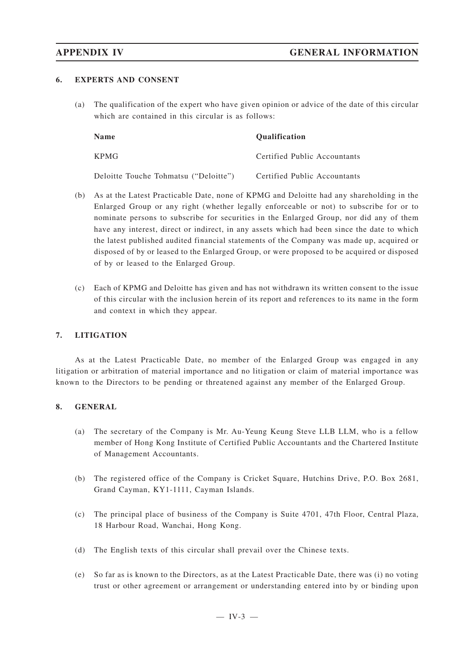#### **6. EXPERTS AND CONSENT**

(a) The qualification of the expert who have given opinion or advice of the date of this circular which are contained in this circular is as follows:

| <b>Name</b>                           | <b>Qualification</b>         |
|---------------------------------------|------------------------------|
| KPMG <sup>-</sup>                     | Certified Public Accountants |
| Deloitte Touche Tohmatsu ("Deloitte") | Certified Public Accountants |

- (b) As at the Latest Practicable Date, none of KPMG and Deloitte had any shareholding in the Enlarged Group or any right (whether legally enforceable or not) to subscribe for or to nominate persons to subscribe for securities in the Enlarged Group, nor did any of them have any interest, direct or indirect, in any assets which had been since the date to which the latest published audited financial statements of the Company was made up, acquired or disposed of by or leased to the Enlarged Group, or were proposed to be acquired or disposed of by or leased to the Enlarged Group.
- (c) Each of KPMG and Deloitte has given and has not withdrawn its written consent to the issue of this circular with the inclusion herein of its report and references to its name in the form and context in which they appear.

#### **7. LITIGATION**

As at the Latest Practicable Date, no member of the Enlarged Group was engaged in any litigation or arbitration of material importance and no litigation or claim of material importance was known to the Directors to be pending or threatened against any member of the Enlarged Group.

### **8. GENERAL**

- (a) The secretary of the Company is Mr. Au-Yeung Keung Steve LLB LLM, who is a fellow member of Hong Kong Institute of Certified Public Accountants and the Chartered Institute of Management Accountants.
- (b) The registered office of the Company is Cricket Square, Hutchins Drive, P.O. Box 2681, Grand Cayman, KY1-1111, Cayman Islands.
- (c) The principal place of business of the Company is Suite 4701, 47th Floor, Central Plaza, 18 Harbour Road, Wanchai, Hong Kong.
- (d) The English texts of this circular shall prevail over the Chinese texts.
- (e) So far as is known to the Directors, as at the Latest Practicable Date, there was (i) no voting trust or other agreement or arrangement or understanding entered into by or binding upon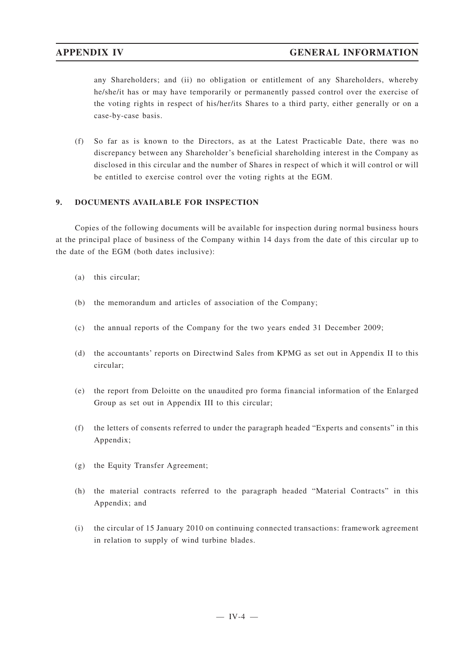any Shareholders; and (ii) no obligation or entitlement of any Shareholders, whereby he/she/it has or may have temporarily or permanently passed control over the exercise of the voting rights in respect of his/her/its Shares to a third party, either generally or on a case-by-case basis.

(f) So far as is known to the Directors, as at the Latest Practicable Date, there was no discrepancy between any Shareholder 's beneficial shareholding interest in the Company as disclosed in this circular and the number of Shares in respect of which it will control or will be entitled to exercise control over the voting rights at the EGM.

### **9. DOCUMENTS AVAILABLE FOR INSPECTION**

Copies of the following documents will be available for inspection during normal business hours at the principal place of business of the Company within 14 days from the date of this circular up to the date of the EGM (both dates inclusive):

- (a) this circular;
- (b) the memorandum and articles of association of the Company;
- (c) the annual reports of the Company for the two years ended 31 December 2009;
- (d) the accountants' reports on Directwind Sales from KPMG as set out in Appendix II to this circular;
- (e) the report from Deloitte on the unaudited pro forma financial information of the Enlarged Group as set out in Appendix III to this circular;
- (f) the letters of consents referred to under the paragraph headed "Experts and consents" in this Appendix;
- (g) the Equity Transfer Agreement;
- (h) the material contracts referred to the paragraph headed "Material Contracts" in this Appendix; and
- (i) the circular of 15 January 2010 on continuing connected transactions: framework agreement in relation to supply of wind turbine blades.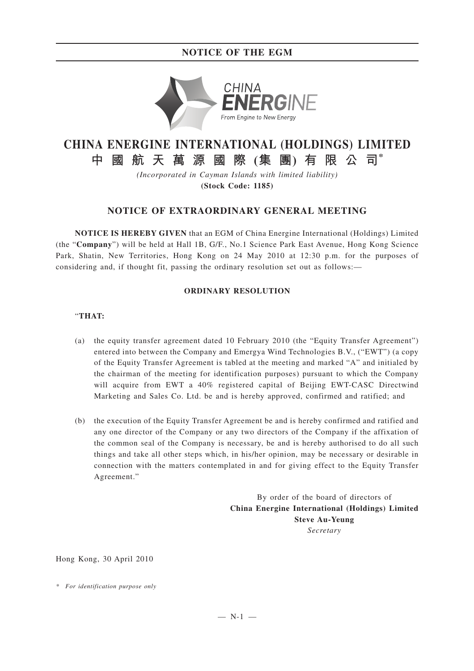# **NOTICE OF THE EGM**



# **CHINA ENERGINE INTERNATIONAL (HOLDINGS) LIMITED**

**中國航天萬源國際 (集 團) 有限公司\***

*(Incorporated in Cayman Islands with limited liability)* **(Stock Code: 1185)**

# **NOTICE OF EXTRAORDINARY GENERAL MEETING**

**NOTICE IS HEREBY GIVEN** that an EGM of China Energine International (Holdings) Limited (the "**Company**") will be held at Hall 1B, G/F., No.1 Science Park East Avenue, Hong Kong Science Park, Shatin, New Territories, Hong Kong on 24 May 2010 at 12:30 p.m. for the purposes of considering and, if thought fit, passing the ordinary resolution set out as follows:—

#### **ORDINARY RESOLUTION**

#### "**THAT:**

- (a) the equity transfer agreement dated 10 February 2010 (the "Equity Transfer Agreement") entered into between the Company and Emergya Wind Technologies B.V., ("EWT") (a copy of the Equity Transfer Agreement is tabled at the meeting and marked "A" and initialed by the chairman of the meeting for identification purposes) pursuant to which the Company will acquire from EWT a 40% registered capital of Beijing EWT-CASC Directwind Marketing and Sales Co. Ltd. be and is hereby approved, confirmed and ratified; and
- (b) the execution of the Equity Transfer Agreement be and is hereby confirmed and ratified and any one director of the Company or any two directors of the Company if the affixation of the common seal of the Company is necessary, be and is hereby authorised to do all such things and take all other steps which, in his/her opinion, may be necessary or desirable in connection with the matters contemplated in and for giving effect to the Equity Transfer Agreement."

By order of the board of directors of **China Energine International (Holdings) Limited Steve Au-Yeung** *Secretary*

Hong Kong, 30 April 2010

*<sup>\*</sup> For identification purpose only*